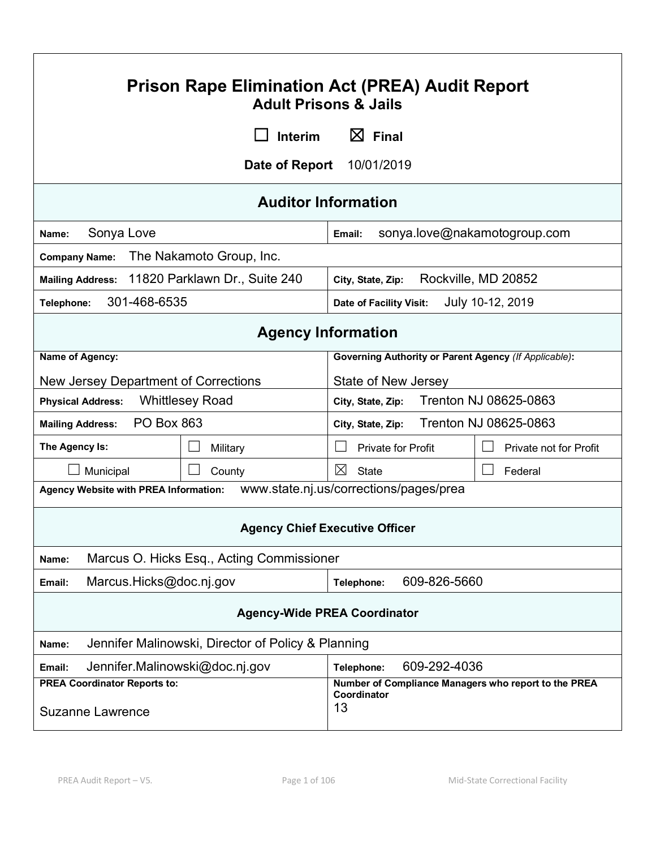| <b>Prison Rape Elimination Act (PREA) Audit Report</b><br><b>Adult Prisons &amp; Jails</b> |                                           |                                                                           |                               |
|--------------------------------------------------------------------------------------------|-------------------------------------------|---------------------------------------------------------------------------|-------------------------------|
| $\boxtimes$ Final<br>Interim                                                               |                                           |                                                                           |                               |
|                                                                                            | Date of Report                            | 10/01/2019                                                                |                               |
|                                                                                            | <b>Auditor Information</b>                |                                                                           |                               |
| Sonya Love<br>Name:                                                                        |                                           | Email:                                                                    | sonya.love@nakamotogroup.com  |
| <b>Company Name:</b>                                                                       | The Nakamoto Group, Inc.                  |                                                                           |                               |
| Mailing Address: 11820 Parklawn Dr., Suite 240                                             |                                           | City, State, Zip:                                                         | Rockville, MD 20852           |
| 301-468-6535<br>Telephone:                                                                 |                                           | <b>Date of Facility Visit:</b>                                            | July 10-12, 2019              |
| <b>Agency Information</b>                                                                  |                                           |                                                                           |                               |
| Name of Agency:                                                                            |                                           | <b>Governing Authority or Parent Agency (If Applicable):</b>              |                               |
| New Jersey Department of Corrections                                                       |                                           | State of New Jersey                                                       |                               |
| <b>Whittlesey Road</b><br><b>Physical Address:</b>                                         |                                           | City, State, Zip:                                                         | Trenton NJ 08625-0863         |
| <b>PO Box 863</b><br><b>Mailing Address:</b><br>City, State, Zip:                          |                                           | Trenton NJ 08625-0863                                                     |                               |
| The Agency Is:                                                                             | Military                                  | <b>Private for Profit</b>                                                 | <b>Private not for Profit</b> |
| Municipal                                                                                  | County                                    | ⊠<br><b>State</b>                                                         | Federal                       |
| Agency Website with PREA Information:                                                      |                                           | www.state.nj.us/corrections/pages/prea                                    |                               |
| <b>Agency Chief Executive Officer</b>                                                      |                                           |                                                                           |                               |
| Name:                                                                                      | Marcus O. Hicks Esq., Acting Commissioner |                                                                           |                               |
| Marcus.Hicks@doc.nj.gov<br>Email:                                                          |                                           | 609-826-5660<br>Telephone:                                                |                               |
| <b>Agency-Wide PREA Coordinator</b>                                                        |                                           |                                                                           |                               |
| Jennifer Malinowski, Director of Policy & Planning<br>Name:                                |                                           |                                                                           |                               |
| Jennifer.Malinowski@doc.nj.gov<br>609-292-4036<br>Telephone:<br>Email:                     |                                           |                                                                           |                               |
| <b>PREA Coordinator Reports to:</b><br><b>Suzanne Lawrence</b>                             |                                           | Number of Compliance Managers who report to the PREA<br>Coordinator<br>13 |                               |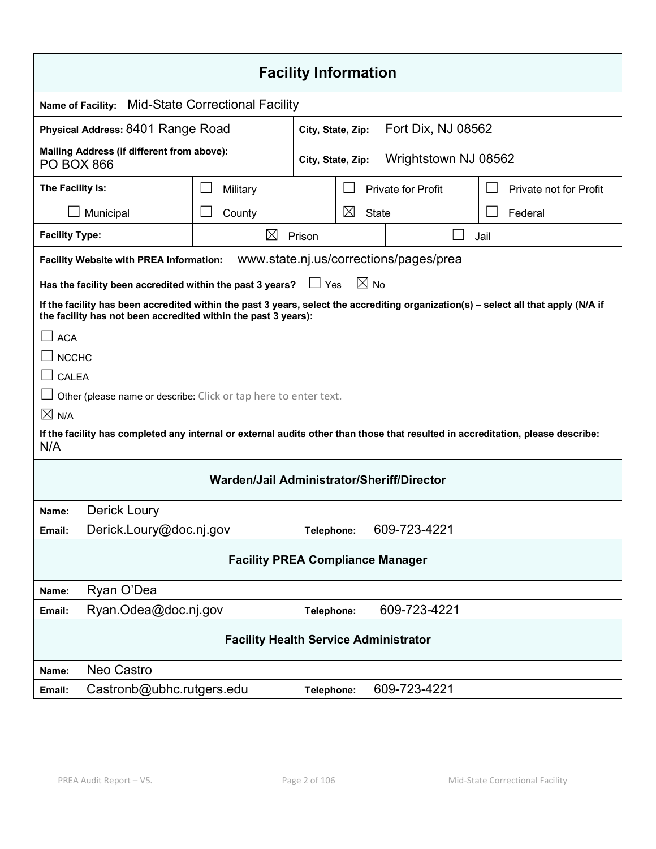| <b>Facility Information</b>                                                                                                                                                                                         |                                        |                   |                |                                        |                        |  |
|---------------------------------------------------------------------------------------------------------------------------------------------------------------------------------------------------------------------|----------------------------------------|-------------------|----------------|----------------------------------------|------------------------|--|
| <b>Name of Facility:</b>                                                                                                                                                                                            | <b>Mid-State Correctional Facility</b> |                   |                |                                        |                        |  |
| Physical Address: 8401 Range Road                                                                                                                                                                                   |                                        | City, State, Zip: |                | Fort Dix, NJ 08562                     |                        |  |
| Mailing Address (if different from above):<br><b>PO BOX 866</b>                                                                                                                                                     |                                        | City, State, Zip: |                | Wrightstown NJ 08562                   |                        |  |
| The Facility Is:                                                                                                                                                                                                    | Military                               |                   |                | <b>Private for Profit</b>              | Private not for Profit |  |
| Municipal                                                                                                                                                                                                           | County                                 |                   | $\boxtimes$    | <b>State</b>                           | Federal                |  |
| <b>Facility Type:</b>                                                                                                                                                                                               | $\boxtimes$                            | Prison            |                |                                        | Jail                   |  |
| <b>Facility Website with PREA Information:</b>                                                                                                                                                                      |                                        |                   |                | www.state.nj.us/corrections/pages/prea |                        |  |
| Has the facility been accredited within the past 3 years?                                                                                                                                                           |                                        | $\Box$ Yes        | $\boxtimes$ No |                                        |                        |  |
| If the facility has been accredited within the past 3 years, select the accrediting organization(s) - select all that apply (N/A if<br>the facility has not been accredited within the past 3 years):<br><b>ACA</b> |                                        |                   |                |                                        |                        |  |
| <b>NCCHC</b>                                                                                                                                                                                                        |                                        |                   |                |                                        |                        |  |
| <b>CALEA</b>                                                                                                                                                                                                        |                                        |                   |                |                                        |                        |  |
| Other (please name or describe: Click or tap here to enter text.                                                                                                                                                    |                                        |                   |                |                                        |                        |  |
| $\times$ N/A                                                                                                                                                                                                        |                                        |                   |                |                                        |                        |  |
| If the facility has completed any internal or external audits other than those that resulted in accreditation, please describe:<br>N/A                                                                              |                                        |                   |                |                                        |                        |  |
| Warden/Jail Administrator/Sheriff/Director                                                                                                                                                                          |                                        |                   |                |                                        |                        |  |
| Derick Loury<br>Name:                                                                                                                                                                                               |                                        |                   |                |                                        |                        |  |
| Derick.Loury@doc.nj.gov<br>Email:                                                                                                                                                                                   |                                        | Telephone:        |                | 609-723-4221                           |                        |  |
| <b>Facility PREA Compliance Manager</b>                                                                                                                                                                             |                                        |                   |                |                                        |                        |  |
| Ryan O'Dea<br>Name:                                                                                                                                                                                                 |                                        |                   |                |                                        |                        |  |
| 609-723-4221<br>Ryan.Odea@doc.nj.gov<br>Telephone:<br>Email:                                                                                                                                                        |                                        |                   |                |                                        |                        |  |
| <b>Facility Health Service Administrator</b>                                                                                                                                                                        |                                        |                   |                |                                        |                        |  |
| Neo Castro<br>Name:                                                                                                                                                                                                 |                                        |                   |                |                                        |                        |  |
| Castronb@ubhc.rutgers.edu<br>Email:                                                                                                                                                                                 |                                        | Telephone:        |                | 609-723-4221                           |                        |  |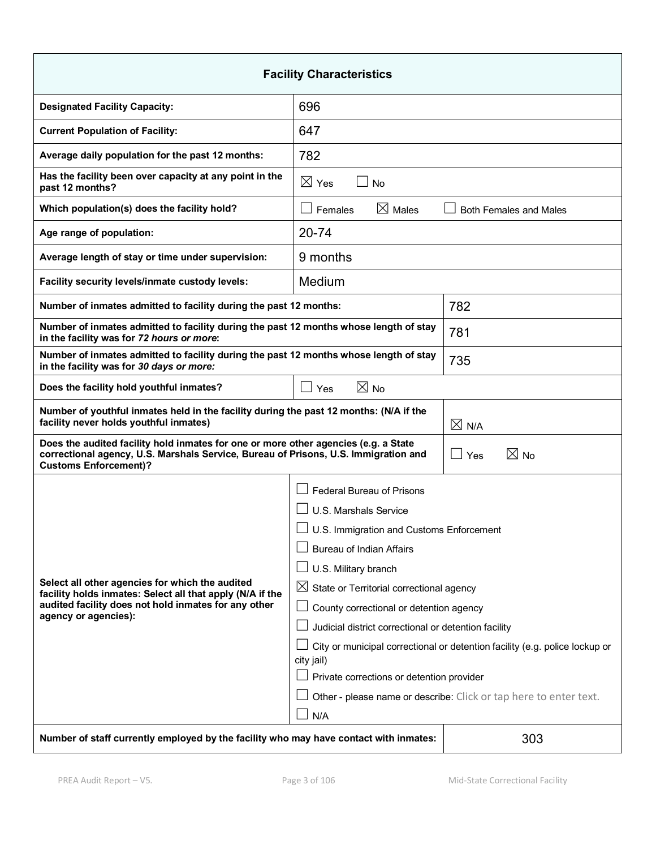| <b>Facility Characteristics</b>                                                                                                                                                                            |                                                                             |                               |  |
|------------------------------------------------------------------------------------------------------------------------------------------------------------------------------------------------------------|-----------------------------------------------------------------------------|-------------------------------|--|
| <b>Designated Facility Capacity:</b>                                                                                                                                                                       | 696                                                                         |                               |  |
| <b>Current Population of Facility:</b>                                                                                                                                                                     | 647                                                                         |                               |  |
| Average daily population for the past 12 months:                                                                                                                                                           | 782                                                                         |                               |  |
| Has the facility been over capacity at any point in the<br>past 12 months?                                                                                                                                 | $\boxtimes$ Yes<br><b>No</b>                                                |                               |  |
| Which population(s) does the facility hold?                                                                                                                                                                | $\boxtimes$ Males<br>Females                                                | <b>Both Females and Males</b> |  |
| Age range of population:                                                                                                                                                                                   | 20-74                                                                       |                               |  |
| Average length of stay or time under supervision:                                                                                                                                                          | 9 months                                                                    |                               |  |
| Facility security levels/inmate custody levels:                                                                                                                                                            | Medium                                                                      |                               |  |
| Number of inmates admitted to facility during the past 12 months:                                                                                                                                          |                                                                             | 782                           |  |
| Number of inmates admitted to facility during the past 12 months whose length of stay<br>in the facility was for 72 hours or more:                                                                         |                                                                             | 781                           |  |
| Number of inmates admitted to facility during the past 12 months whose length of stay<br>in the facility was for 30 days or more:                                                                          |                                                                             | 735                           |  |
| $\boxtimes$ No<br>Does the facility hold youthful inmates?<br>$\Box$ Yes                                                                                                                                   |                                                                             |                               |  |
| Number of youthful inmates held in the facility during the past 12 months: (N/A if the<br>facility never holds youthful inmates)<br>$\boxtimes$ N/A                                                        |                                                                             |                               |  |
| Does the audited facility hold inmates for one or more other agencies (e.g. a State<br>correctional agency, U.S. Marshals Service, Bureau of Prisons, U.S. Immigration and<br><b>Customs Enforcement)?</b> |                                                                             | $\boxtimes$ No<br>Yes         |  |
|                                                                                                                                                                                                            | <b>Federal Bureau of Prisons</b>                                            |                               |  |
|                                                                                                                                                                                                            | U.S. Marshals Service                                                       |                               |  |
|                                                                                                                                                                                                            | $\Box$ U.S. Immigration and Customs Enforcement                             |                               |  |
|                                                                                                                                                                                                            | $\perp$ Bureau of Indian Affairs                                            |                               |  |
|                                                                                                                                                                                                            | $\Box$ U.S. Military branch                                                 |                               |  |
| Select all other agencies for which the audited<br>facility holds inmates: Select all that apply (N/A if the                                                                                               | $\boxtimes$ State or Territorial correctional agency                        |                               |  |
| audited facility does not hold inmates for any other<br>agency or agencies):                                                                                                                               | County correctional or detention agency                                     |                               |  |
|                                                                                                                                                                                                            | Judicial district correctional or detention facility                        |                               |  |
|                                                                                                                                                                                                            | City or municipal correctional or detention facility (e.g. police lockup or |                               |  |
|                                                                                                                                                                                                            | city jail)<br>Private corrections or detention provider                     |                               |  |
|                                                                                                                                                                                                            | Other - please name or describe: Click or tap here to enter text.           |                               |  |
|                                                                                                                                                                                                            | N/A                                                                         |                               |  |
| 303<br>Number of staff currently employed by the facility who may have contact with inmates:                                                                                                               |                                                                             |                               |  |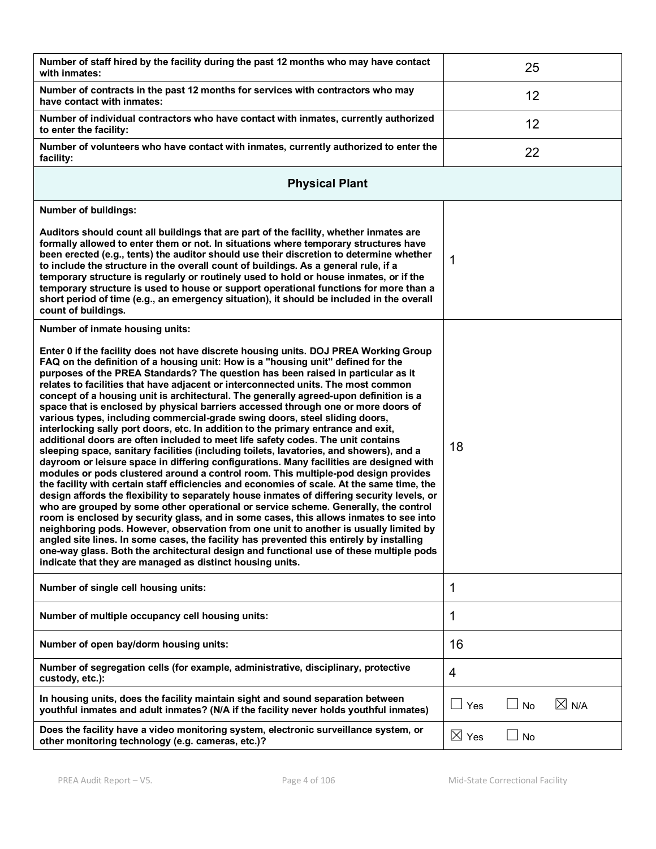| Number of staff hired by the facility during the past 12 months who may have contact<br>with inmates:                                                                                                                                                                                                                                                                                                                                                                                                                                                                                                                                                                                                                                                                                                                                                                                                                                                                                                                                                                                                                                                                                                                                                                                                                                                                                                                                                                                                                                                                                                                                                                                                                                                                                         |                 | 25 |                 |
|-----------------------------------------------------------------------------------------------------------------------------------------------------------------------------------------------------------------------------------------------------------------------------------------------------------------------------------------------------------------------------------------------------------------------------------------------------------------------------------------------------------------------------------------------------------------------------------------------------------------------------------------------------------------------------------------------------------------------------------------------------------------------------------------------------------------------------------------------------------------------------------------------------------------------------------------------------------------------------------------------------------------------------------------------------------------------------------------------------------------------------------------------------------------------------------------------------------------------------------------------------------------------------------------------------------------------------------------------------------------------------------------------------------------------------------------------------------------------------------------------------------------------------------------------------------------------------------------------------------------------------------------------------------------------------------------------------------------------------------------------------------------------------------------------|-----------------|----|-----------------|
| Number of contracts in the past 12 months for services with contractors who may<br>have contact with inmates:                                                                                                                                                                                                                                                                                                                                                                                                                                                                                                                                                                                                                                                                                                                                                                                                                                                                                                                                                                                                                                                                                                                                                                                                                                                                                                                                                                                                                                                                                                                                                                                                                                                                                 |                 | 12 |                 |
| Number of individual contractors who have contact with inmates, currently authorized<br>to enter the facility:                                                                                                                                                                                                                                                                                                                                                                                                                                                                                                                                                                                                                                                                                                                                                                                                                                                                                                                                                                                                                                                                                                                                                                                                                                                                                                                                                                                                                                                                                                                                                                                                                                                                                |                 | 12 |                 |
| Number of volunteers who have contact with inmates, currently authorized to enter the<br>facility:                                                                                                                                                                                                                                                                                                                                                                                                                                                                                                                                                                                                                                                                                                                                                                                                                                                                                                                                                                                                                                                                                                                                                                                                                                                                                                                                                                                                                                                                                                                                                                                                                                                                                            |                 | 22 |                 |
| <b>Physical Plant</b>                                                                                                                                                                                                                                                                                                                                                                                                                                                                                                                                                                                                                                                                                                                                                                                                                                                                                                                                                                                                                                                                                                                                                                                                                                                                                                                                                                                                                                                                                                                                                                                                                                                                                                                                                                         |                 |    |                 |
| <b>Number of buildings:</b>                                                                                                                                                                                                                                                                                                                                                                                                                                                                                                                                                                                                                                                                                                                                                                                                                                                                                                                                                                                                                                                                                                                                                                                                                                                                                                                                                                                                                                                                                                                                                                                                                                                                                                                                                                   |                 |    |                 |
| Auditors should count all buildings that are part of the facility, whether inmates are<br>formally allowed to enter them or not. In situations where temporary structures have<br>been erected (e.g., tents) the auditor should use their discretion to determine whether<br>to include the structure in the overall count of buildings. As a general rule, if a<br>temporary structure is regularly or routinely used to hold or house inmates, or if the<br>temporary structure is used to house or support operational functions for more than a<br>short period of time (e.g., an emergency situation), it should be included in the overall<br>count of buildings.                                                                                                                                                                                                                                                                                                                                                                                                                                                                                                                                                                                                                                                                                                                                                                                                                                                                                                                                                                                                                                                                                                                       | 1               |    |                 |
| Number of inmate housing units:                                                                                                                                                                                                                                                                                                                                                                                                                                                                                                                                                                                                                                                                                                                                                                                                                                                                                                                                                                                                                                                                                                                                                                                                                                                                                                                                                                                                                                                                                                                                                                                                                                                                                                                                                               |                 |    |                 |
| Enter 0 if the facility does not have discrete housing units. DOJ PREA Working Group<br>FAQ on the definition of a housing unit: How is a "housing unit" defined for the<br>purposes of the PREA Standards? The question has been raised in particular as it<br>relates to facilities that have adjacent or interconnected units. The most common<br>concept of a housing unit is architectural. The generally agreed-upon definition is a<br>space that is enclosed by physical barriers accessed through one or more doors of<br>various types, including commercial-grade swing doors, steel sliding doors,<br>interlocking sally port doors, etc. In addition to the primary entrance and exit,<br>additional doors are often included to meet life safety codes. The unit contains<br>sleeping space, sanitary facilities (including toilets, lavatories, and showers), and a<br>dayroom or leisure space in differing configurations. Many facilities are designed with<br>modules or pods clustered around a control room. This multiple-pod design provides<br>the facility with certain staff efficiencies and economies of scale. At the same time, the<br>design affords the flexibility to separately house inmates of differing security levels, or<br>who are grouped by some other operational or service scheme. Generally, the control<br>room is enclosed by security glass, and in some cases, this allows inmates to see into<br>neighboring pods. However, observation from one unit to another is usually limited by<br>angled site lines. In some cases, the facility has prevented this entirely by installing<br>one-way glass. Both the architectural design and functional use of these multiple pods<br>indicate that they are managed as distinct housing units. | 18              |    |                 |
| Number of single cell housing units:                                                                                                                                                                                                                                                                                                                                                                                                                                                                                                                                                                                                                                                                                                                                                                                                                                                                                                                                                                                                                                                                                                                                                                                                                                                                                                                                                                                                                                                                                                                                                                                                                                                                                                                                                          | 1               |    |                 |
| Number of multiple occupancy cell housing units:                                                                                                                                                                                                                                                                                                                                                                                                                                                                                                                                                                                                                                                                                                                                                                                                                                                                                                                                                                                                                                                                                                                                                                                                                                                                                                                                                                                                                                                                                                                                                                                                                                                                                                                                              | 1               |    |                 |
| Number of open bay/dorm housing units:                                                                                                                                                                                                                                                                                                                                                                                                                                                                                                                                                                                                                                                                                                                                                                                                                                                                                                                                                                                                                                                                                                                                                                                                                                                                                                                                                                                                                                                                                                                                                                                                                                                                                                                                                        | 16              |    |                 |
| Number of segregation cells (for example, administrative, disciplinary, protective<br>custody, etc.):                                                                                                                                                                                                                                                                                                                                                                                                                                                                                                                                                                                                                                                                                                                                                                                                                                                                                                                                                                                                                                                                                                                                                                                                                                                                                                                                                                                                                                                                                                                                                                                                                                                                                         | 4               |    |                 |
| In housing units, does the facility maintain sight and sound separation between<br>youthful inmates and adult inmates? (N/A if the facility never holds youthful inmates)                                                                                                                                                                                                                                                                                                                                                                                                                                                                                                                                                                                                                                                                                                                                                                                                                                                                                                                                                                                                                                                                                                                                                                                                                                                                                                                                                                                                                                                                                                                                                                                                                     | Yes             | No | $\boxtimes$ N/A |
| Does the facility have a video monitoring system, electronic surveillance system, or<br>other monitoring technology (e.g. cameras, etc.)?                                                                                                                                                                                                                                                                                                                                                                                                                                                                                                                                                                                                                                                                                                                                                                                                                                                                                                                                                                                                                                                                                                                                                                                                                                                                                                                                                                                                                                                                                                                                                                                                                                                     | $\boxtimes$ Yes | No |                 |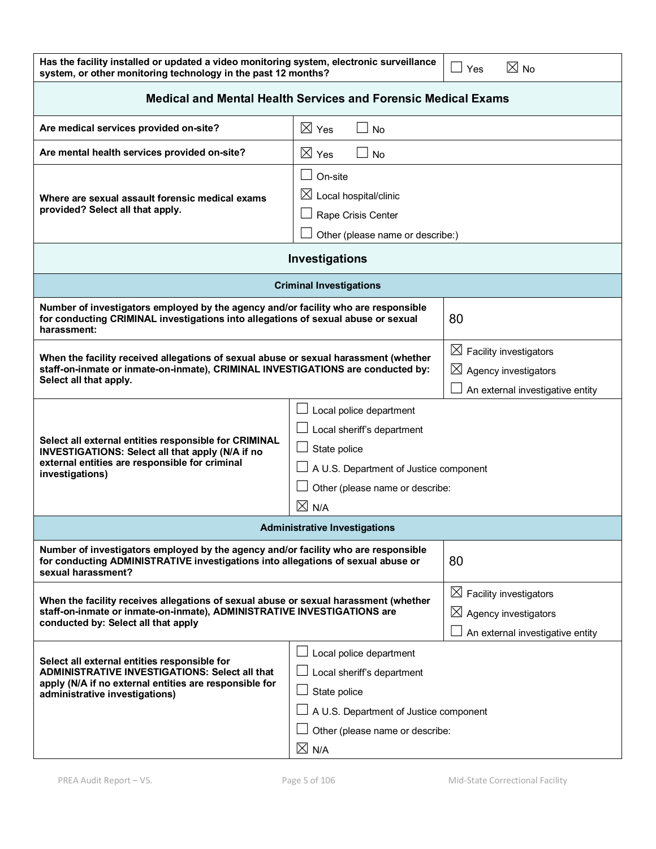| Has the facility installed or updated a video monitoring system, electronic surveillance $\Box$ Yes | $\boxtimes$ No |
|-----------------------------------------------------------------------------------------------------|----------------|
| system, or other monitoring technology in the past 12 months?                                       |                |

| <b>Medical and Mental Health Services and Forensic Medical Exams</b>                                                                                                                                                                                                                                                                                                       |                                                                                                                                                                       |                                                                                                            |  |
|----------------------------------------------------------------------------------------------------------------------------------------------------------------------------------------------------------------------------------------------------------------------------------------------------------------------------------------------------------------------------|-----------------------------------------------------------------------------------------------------------------------------------------------------------------------|------------------------------------------------------------------------------------------------------------|--|
| Are medical services provided on-site?                                                                                                                                                                                                                                                                                                                                     | $\boxtimes$ Yes<br><b>No</b>                                                                                                                                          |                                                                                                            |  |
| Are mental health services provided on-site?                                                                                                                                                                                                                                                                                                                               | $\boxtimes$ Yes<br><b>No</b>                                                                                                                                          |                                                                                                            |  |
| Where are sexual assault forensic medical exams<br>provided? Select all that apply.                                                                                                                                                                                                                                                                                        | On-site<br>$\boxtimes$ Local hospital/clinic<br>Rape Crisis Center<br>Other (please name or describe:)                                                                |                                                                                                            |  |
|                                                                                                                                                                                                                                                                                                                                                                            | Investigations                                                                                                                                                        |                                                                                                            |  |
|                                                                                                                                                                                                                                                                                                                                                                            | <b>Criminal Investigations</b>                                                                                                                                        |                                                                                                            |  |
| Number of investigators employed by the agency and/or facility who are responsible<br>for conducting CRIMINAL investigations into allegations of sexual abuse or sexual<br>harassment:                                                                                                                                                                                     |                                                                                                                                                                       | 80                                                                                                         |  |
| When the facility received allegations of sexual abuse or sexual harassment (whether<br>staff-on-inmate or inmate-on-inmate), CRIMINAL INVESTIGATIONS are conducted by:<br>Select all that apply.                                                                                                                                                                          |                                                                                                                                                                       | $\boxtimes$ Facility investigators<br>$\boxtimes$ Agency investigators<br>An external investigative entity |  |
| Select all external entities responsible for CRIMINAL<br>INVESTIGATIONS: Select all that apply (N/A if no<br>external entities are responsible for criminal<br>investigations)                                                                                                                                                                                             | Local police department<br>Local sheriff's department<br>State police<br>A U.S. Department of Justice component<br>Other (please name or describe:<br>$\boxtimes$ N/A |                                                                                                            |  |
|                                                                                                                                                                                                                                                                                                                                                                            | <b>Administrative Investigations</b>                                                                                                                                  |                                                                                                            |  |
| Number of investigators employed by the agency and/or facility who are responsible<br>for conducting ADMINISTRATIVE investigations into allegations of sexual abuse or<br>sexual harassment?                                                                                                                                                                               |                                                                                                                                                                       | 80                                                                                                         |  |
| When the facility receives allegations of sexual abuse or sexual harassment (whether<br>staff-on-inmate or inmate-on-inmate), ADMINISTRATIVE INVESTIGATIONS are<br>conducted by: Select all that apply                                                                                                                                                                     |                                                                                                                                                                       | $\boxtimes$ Facility investigators<br>$\boxtimes$ Agency investigators<br>An external investigative entity |  |
| Local police department<br>Select all external entities responsible for<br><b>ADMINISTRATIVE INVESTIGATIONS: Select all that</b><br>Local sheriff's department<br>apply (N/A if no external entities are responsible for<br>State police<br>administrative investigations)<br>A U.S. Department of Justice component<br>Other (please name or describe:<br>$\boxtimes$ N/A |                                                                                                                                                                       |                                                                                                            |  |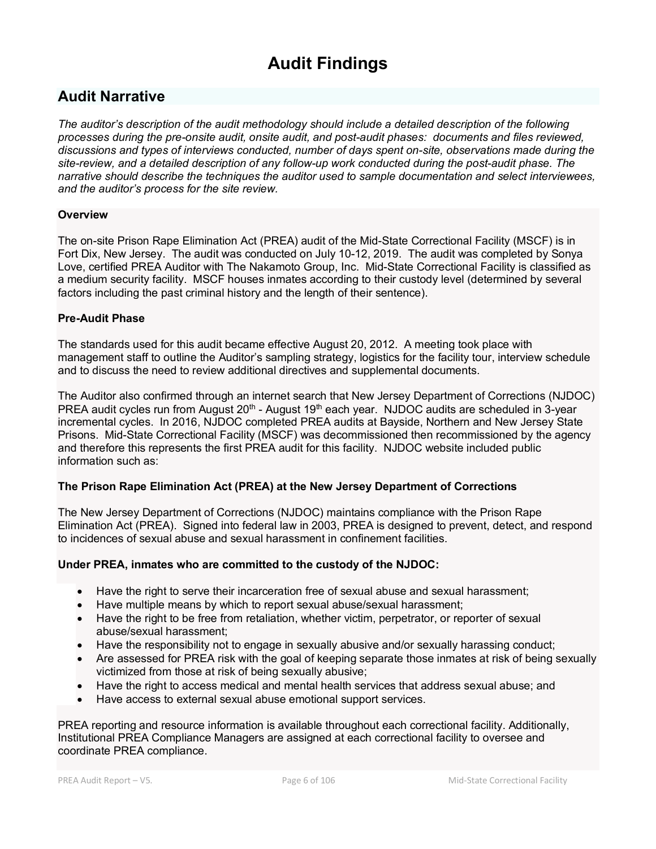# **Audit Findings**

# **Audit Narrative**

*The auditor's description of the audit methodology should include a detailed description of the following processes during the pre-onsite audit, onsite audit, and post-audit phases: documents and files reviewed, discussions and types of interviews conducted, number of days spent on-site, observations made during the site-review, and a detailed description of any follow-up work conducted during the post-audit phase. The narrative should describe the techniques the auditor used to sample documentation and select interviewees, and the auditor's process for the site review.*

#### **Overview**

The on-site Prison Rape Elimination Act (PREA) audit of the Mid-State Correctional Facility (MSCF) is in Fort Dix, New Jersey. The audit was conducted on July 10-12, 2019. The audit was completed by Sonya Love, certified PREA Auditor with The Nakamoto Group, Inc. Mid-State Correctional Facility is classified as a medium security facility. MSCF houses inmates according to their custody level (determined by several factors including the past criminal history and the length of their sentence).

#### **Pre-Audit Phase**

The standards used for this audit became effective August 20, 2012. A meeting took place with management staff to outline the Auditor's sampling strategy, logistics for the facility tour, interview schedule and to discuss the need to review additional directives and supplemental documents.

The Auditor also confirmed through an internet search that New Jersey Department of Corrections (NJDOC) PREA audit cycles run from August 20<sup>th</sup> - August 19<sup>th</sup> each year. NJDOC audits are scheduled in 3-year incremental cycles. In 2016, NJDOC completed PREA audits at Bayside, Northern and New Jersey State Prisons. Mid-State Correctional Facility (MSCF) was decommissioned then recommissioned by the agency and therefore this represents the first PREA audit for this facility. NJDOC website included public information such as:

# **The Prison Rape Elimination Act (PREA) at the New Jersey Department of Corrections**

The New Jersey Department of Corrections (NJDOC) maintains compliance with the Prison Rape Elimination Act (PREA). Signed into federal law in 2003, PREA is designed to prevent, detect, and respond to incidences of sexual abuse and sexual harassment in confinement facilities.

#### **Under PREA, inmates who are committed to the custody of the NJDOC:**

- Have the right to serve their incarceration free of sexual abuse and sexual harassment;
- Have multiple means by which to report sexual abuse/sexual harassment;
- Have the right to be free from retaliation, whether victim, perpetrator, or reporter of sexual abuse/sexual harassment;
- Have the responsibility not to engage in sexually abusive and/or sexually harassing conduct;
- Are assessed for PREA risk with the goal of keeping separate those inmates at risk of being sexually victimized from those at risk of being sexually abusive;
- Have the right to access medical and mental health services that address sexual abuse; and
- Have access to external sexual abuse emotional support services.

PREA reporting and resource information is available throughout each correctional facility. Additionally, Institutional PREA Compliance Managers are assigned at each correctional facility to oversee and coordinate PREA compliance.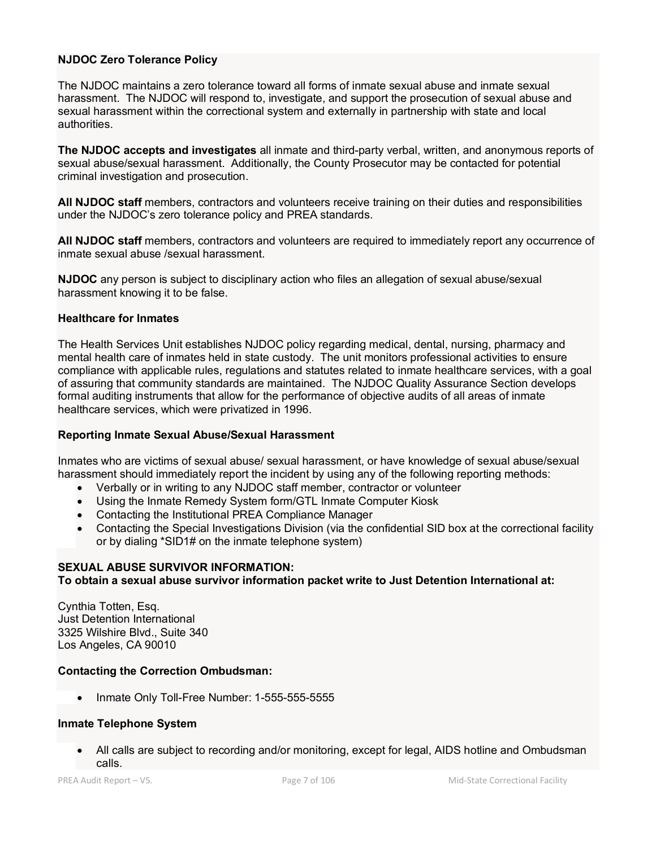#### **NJDOC Zero Tolerance Policy**

The NJDOC maintains a zero tolerance toward all forms of inmate sexual abuse and inmate sexual harassment. The NJDOC will respond to, investigate, and support the prosecution of sexual abuse and sexual harassment within the correctional system and externally in partnership with state and local authorities.

**The NJDOC accepts and investigates** all inmate and third-party verbal, written, and anonymous reports of sexual abuse/sexual harassment. Additionally, the County Prosecutor may be contacted for potential criminal investigation and prosecution.

**All NJDOC staff** members, contractors and volunteers receive training on their duties and responsibilities under the NJDOC's zero tolerance policy and PREA standards.

**All NJDOC staff** members, contractors and volunteers are required to immediately report any occurrence of inmate sexual abuse /sexual harassment.

**NJDOC** any person is subject to disciplinary action who files an allegation of sexual abuse/sexual harassment knowing it to be false.

#### **Healthcare for Inmates**

The Health Services Unit establishes NJDOC policy regarding medical, dental, nursing, pharmacy and mental health care of inmates held in state custody. The unit monitors professional activities to ensure compliance with applicable rules, regulations and statutes related to inmate healthcare services, with a goal of assuring that community standards are maintained. The NJDOC Quality Assurance Section develops formal auditing instruments that allow for the performance of objective audits of all areas of inmate healthcare services, which were privatized in 1996.

#### **Reporting Inmate Sexual Abuse/Sexual Harassment**

Inmates who are victims of sexual abuse/ sexual harassment, or have knowledge of sexual abuse/sexual harassment should immediately report the incident by using any of the following reporting methods:

- Verbally or in writing to any NJDOC staff member, contractor or volunteer
- Using the Inmate Remedy System form/GTL Inmate Computer Kiosk
- Contacting the Institutional PREA Compliance Manager
- Contacting the Special Investigations Division (via the confidential SID box at the correctional facility or by dialing \*SID1# on the inmate telephone system)

#### **SEXUAL ABUSE SURVIVOR INFORMATION:**

#### **To obtain a sexual abuse survivor information packet write to Just Detention International at:**

Cynthia Totten, Esq. Just Detention International 3325 Wilshire Blvd., Suite 340 Los Angeles, CA 90010

#### **Contacting the Correction Ombudsman:**

• Inmate Only Toll-Free Number: 1-555-555-5555

#### **Inmate Telephone System**

• All calls are subject to recording and/or monitoring, except for legal, AIDS hotline and Ombudsman calls.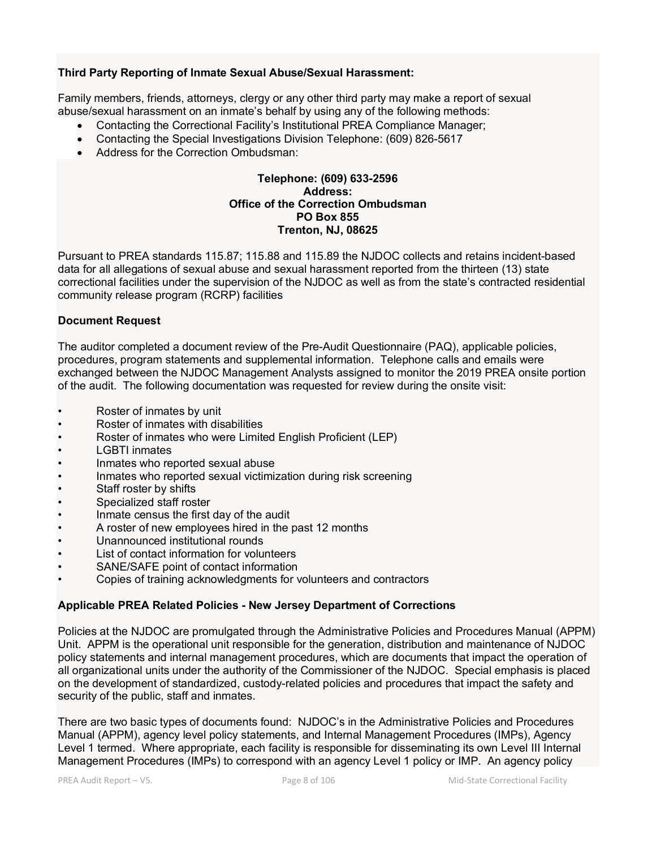#### **Third Party Reporting of Inmate Sexual Abuse/Sexual Harassment:**

Family members, friends, attorneys, clergy or any other third party may make a report of sexual abuse/sexual harassment on an inmate's behalf by using any of the following methods:

- Contacting the Correctional Facility's Institutional PREA Compliance Manager;
- Contacting the Special Investigations Division Telephone: (609) 826-5617
- Address for the Correction Ombudsman:

#### **Telephone: (609) 633-2596 Address: Office of the Correction Ombudsman PO Box 855 Trenton, NJ, 08625**

Pursuant to PREA standards 115.87; 115.88 and 115.89 the NJDOC collects and retains incident-based data for all allegations of sexual abuse and sexual harassment reported from the thirteen (13) state correctional facilities under the supervision of the NJDOC as well as from the state's contracted residential community release program (RCRP) facilities

#### **Document Request**

The auditor completed a document review of the Pre-Audit Questionnaire (PAQ), applicable policies, procedures, program statements and supplemental information. Telephone calls and emails were exchanged between the NJDOC Management Analysts assigned to monitor the 2019 PREA onsite portion of the audit. The following documentation was requested for review during the onsite visit:

- Roster of inmates by unit
- Roster of inmates with disabilities
- Roster of inmates who were Limited English Proficient (LEP)
- LGBTI inmates
- Inmates who reported sexual abuse
- Inmates who reported sexual victimization during risk screening
- Staff roster by shifts
- Specialized staff roster
- Inmate census the first day of the audit
- A roster of new employees hired in the past 12 months
- Unannounced institutional rounds
- List of contact information for volunteers
- SANE/SAFE point of contact information
- Copies of training acknowledgments for volunteers and contractors

#### **Applicable PREA Related Policies - New Jersey Department of Corrections**

Policies at the NJDOC are promulgated through the Administrative Policies and Procedures Manual (APPM) Unit. APPM is the operational unit responsible for the generation, distribution and maintenance of NJDOC policy statements and internal management procedures, which are documents that impact the operation of all organizational units under the authority of the Commissioner of the NJDOC. Special emphasis is placed on the development of standardized, custody-related policies and procedures that impact the safety and security of the public, staff and inmates.

There are two basic types of documents found: NJDOC's in the Administrative Policies and Procedures Manual (APPM), agency level policy statements, and Internal Management Procedures (IMPs), Agency Level 1 termed. Where appropriate, each facility is responsible for disseminating its own Level III Internal Management Procedures (IMPs) to correspond with an agency Level 1 policy or IMP. An agency policy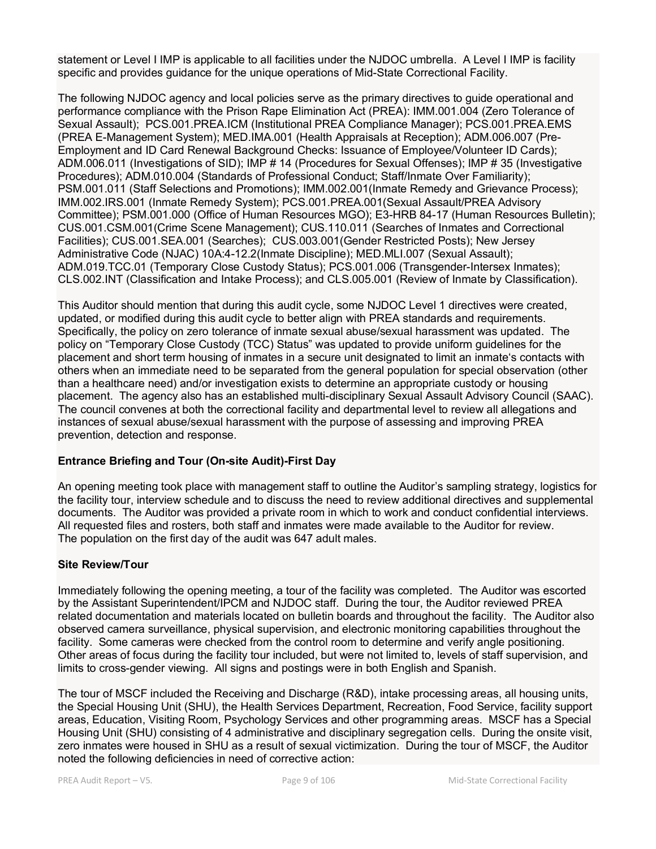statement or Level I IMP is applicable to all facilities under the NJDOC umbrella. A Level I IMP is facility specific and provides guidance for the unique operations of Mid-State Correctional Facility.

The following NJDOC agency and local policies serve as the primary directives to guide operational and performance compliance with the Prison Rape Elimination Act (PREA): IMM.001.004 (Zero Tolerance of Sexual Assault); PCS.001.PREA.ICM (Institutional PREA Compliance Manager); PCS.001.PREA.EMS (PREA E-Management System); MED.IMA.001 (Health Appraisals at Reception); ADM.006.007 (Pre-Employment and ID Card Renewal Background Checks: Issuance of Employee/Volunteer ID Cards); ADM.006.011 (Investigations of SID); IMP # 14 (Procedures for Sexual Offenses); IMP # 35 (Investigative Procedures); ADM.010.004 (Standards of Professional Conduct; Staff/Inmate Over Familiarity); PSM.001.011 (Staff Selections and Promotions); IMM.002.001(Inmate Remedy and Grievance Process); IMM.002.IRS.001 (Inmate Remedy System); PCS.001.PREA.001(Sexual Assault/PREA Advisory Committee); PSM.001.000 (Office of Human Resources MGO); E3-HRB 84-17 (Human Resources Bulletin); CUS.001.CSM.001(Crime Scene Management); CUS.110.011 (Searches of Inmates and Correctional Facilities); CUS.001.SEA.001 (Searches); CUS.003.001(Gender Restricted Posts); New Jersey Administrative Code (NJAC) 10A:4-12.2(Inmate Discipline); MED.MLI.007 (Sexual Assault); ADM.019.TCC.01 (Temporary Close Custody Status); PCS.001.006 (Transgender-Intersex Inmates); CLS.002.INT (Classification and Intake Process); and CLS.005.001 (Review of Inmate by Classification).

This Auditor should mention that during this audit cycle, some NJDOC Level 1 directives were created, updated, or modified during this audit cycle to better align with PREA standards and requirements. Specifically, the policy on zero tolerance of inmate sexual abuse/sexual harassment was updated. The policy on "Temporary Close Custody (TCC) Status" was updated to provide uniform guidelines for the placement and short term housing of inmates in a secure unit designated to limit an inmate's contacts with others when an immediate need to be separated from the general population for special observation (other than a healthcare need) and/or investigation exists to determine an appropriate custody or housing placement. The agency also has an established multi-disciplinary Sexual Assault Advisory Council (SAAC). The council convenes at both the correctional facility and departmental level to review all allegations and instances of sexual abuse/sexual harassment with the purpose of assessing and improving PREA prevention, detection and response.

# **Entrance Briefing and Tour (On-site Audit)-First Day**

An opening meeting took place with management staff to outline the Auditor's sampling strategy, logistics for the facility tour, interview schedule and to discuss the need to review additional directives and supplemental documents. The Auditor was provided a private room in which to work and conduct confidential interviews. All requested files and rosters, both staff and inmates were made available to the Auditor for review. The population on the first day of the audit was 647 adult males.

#### **Site Review/Tour**

Immediately following the opening meeting, a tour of the facility was completed. The Auditor was escorted by the Assistant Superintendent/IPCM and NJDOC staff. During the tour, the Auditor reviewed PREA related documentation and materials located on bulletin boards and throughout the facility. The Auditor also observed camera surveillance, physical supervision, and electronic monitoring capabilities throughout the facility. Some cameras were checked from the control room to determine and verify angle positioning. Other areas of focus during the facility tour included, but were not limited to, levels of staff supervision, and limits to cross-gender viewing. All signs and postings were in both English and Spanish.

The tour of MSCF included the Receiving and Discharge (R&D), intake processing areas, all housing units, the Special Housing Unit (SHU), the Health Services Department, Recreation, Food Service, facility support areas, Education, Visiting Room, Psychology Services and other programming areas. MSCF has a Special Housing Unit (SHU) consisting of 4 administrative and disciplinary segregation cells. During the onsite visit, zero inmates were housed in SHU as a result of sexual victimization. During the tour of MSCF, the Auditor noted the following deficiencies in need of corrective action: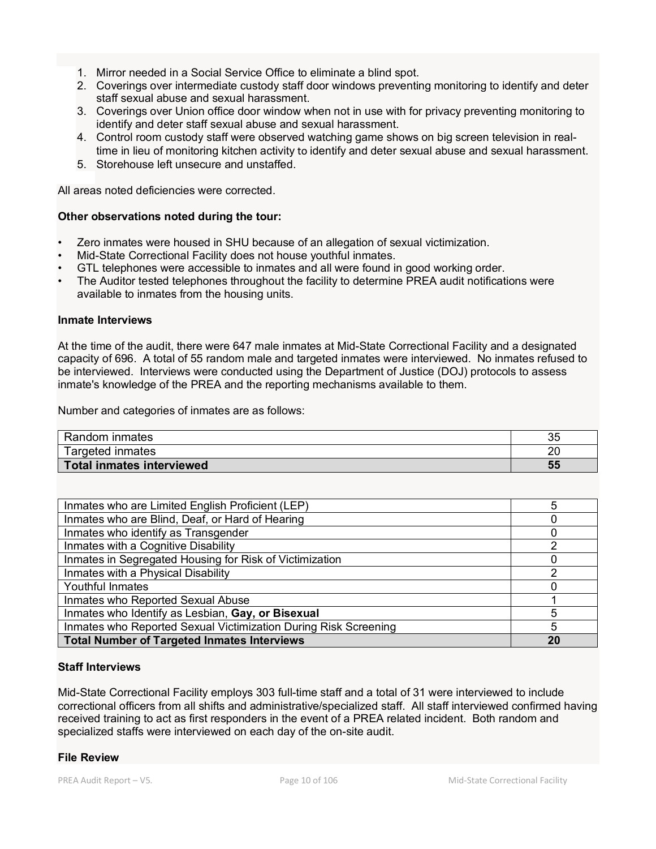- 1. Mirror needed in a Social Service Office to eliminate a blind spot.
- 2. Coverings over intermediate custody staff door windows preventing monitoring to identify and deter staff sexual abuse and sexual harassment.
- 3. Coverings over Union office door window when not in use with for privacy preventing monitoring to identify and deter staff sexual abuse and sexual harassment.
- 4. Control room custody staff were observed watching game shows on big screen television in realtime in lieu of monitoring kitchen activity to identify and deter sexual abuse and sexual harassment.
- 5. Storehouse left unsecure and unstaffed.

All areas noted deficiencies were corrected.

#### **Other observations noted during the tour:**

- Zero inmates were housed in SHU because of an allegation of sexual victimization.
- Mid-State Correctional Facility does not house youthful inmates.
- GTL telephones were accessible to inmates and all were found in good working order.
- The Auditor tested telephones throughout the facility to determine PREA audit notifications were available to inmates from the housing units.

#### **Inmate Interviews**

At the time of the audit, there were 647 male inmates at Mid-State Correctional Facility and a designated capacity of 696. A total of 55 random male and targeted inmates were interviewed. No inmates refused to be interviewed. Interviews were conducted using the Department of Justice (DOJ) protocols to assess inmate's knowledge of the PREA and the reporting mechanisms available to them.

Number and categories of inmates are as follows:

| Random inmates            | つに<br>ັບປ |
|---------------------------|-----------|
| Targeted inmates          | 20        |
| Total inmates interviewed | 55        |

| Inmates who are Limited English Proficient (LEP)                | 5  |
|-----------------------------------------------------------------|----|
| Inmates who are Blind, Deaf, or Hard of Hearing                 |    |
| Inmates who identify as Transgender                             |    |
| Inmates with a Cognitive Disability                             | າ  |
| Inmates in Segregated Housing for Risk of Victimization         |    |
| Inmates with a Physical Disability                              | ◠  |
| Youthful Inmates                                                |    |
| Inmates who Reported Sexual Abuse                               |    |
| Inmates who Identify as Lesbian, Gay, or Bisexual               | 5  |
| Inmates who Reported Sexual Victimization During Risk Screening | 5  |
| <b>Total Number of Targeted Inmates Interviews</b>              | 20 |

#### **Staff Interviews**

Mid-State Correctional Facility employs 303 full-time staff and a total of 31 were interviewed to include correctional officers from all shifts and administrative/specialized staff. All staff interviewed confirmed having received training to act as first responders in the event of a PREA related incident. Both random and specialized staffs were interviewed on each day of the on-site audit.

#### **File Review**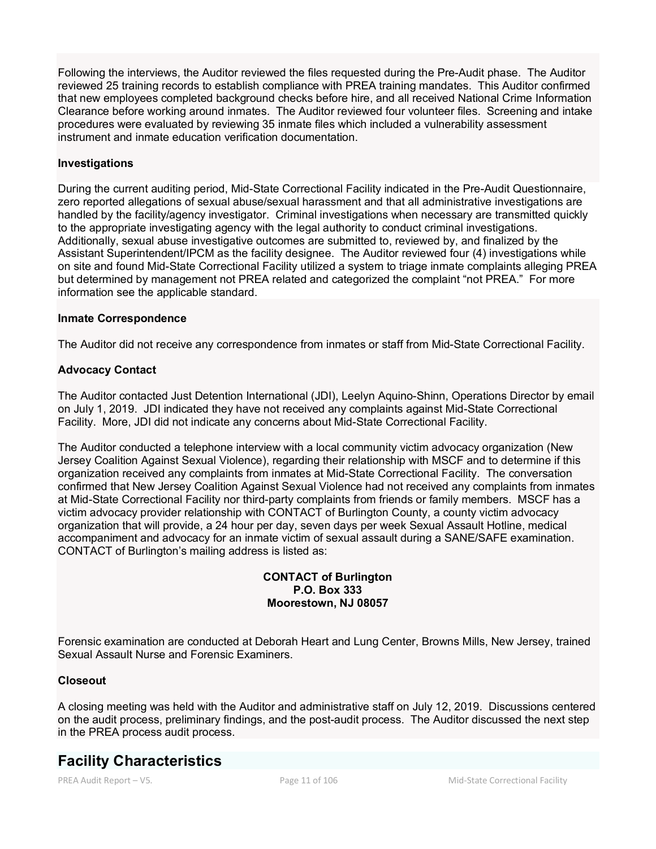Following the interviews, the Auditor reviewed the files requested during the Pre-Audit phase. The Auditor reviewed 25 training records to establish compliance with PREA training mandates. This Auditor confirmed that new employees completed background checks before hire, and all received National Crime Information Clearance before working around inmates. The Auditor reviewed four volunteer files. Screening and intake procedures were evaluated by reviewing 35 inmate files which included a vulnerability assessment instrument and inmate education verification documentation.

#### **Investigations**

During the current auditing period, Mid-State Correctional Facility indicated in the Pre-Audit Questionnaire, zero reported allegations of sexual abuse/sexual harassment and that all administrative investigations are handled by the facility/agency investigator. Criminal investigations when necessary are transmitted quickly to the appropriate investigating agency with the legal authority to conduct criminal investigations. Additionally, sexual abuse investigative outcomes are submitted to, reviewed by, and finalized by the Assistant Superintendent/IPCM as the facility designee. The Auditor reviewed four (4) investigations while on site and found Mid-State Correctional Facility utilized a system to triage inmate complaints alleging PREA but determined by management not PREA related and categorized the complaint "not PREA." For more information see the applicable standard.

#### **Inmate Correspondence**

The Auditor did not receive any correspondence from inmates or staff from Mid-State Correctional Facility.

#### **Advocacy Contact**

The Auditor contacted Just Detention International (JDI), Leelyn Aquino-Shinn, Operations Director by email on July 1, 2019. JDI indicated they have not received any complaints against Mid-State Correctional Facility. More, JDI did not indicate any concerns about Mid-State Correctional Facility.

The Auditor conducted a telephone interview with a local community victim advocacy organization (New Jersey Coalition Against Sexual Violence), regarding their relationship with MSCF and to determine if this organization received any complaints from inmates at Mid-State Correctional Facility. The conversation confirmed that New Jersey Coalition Against Sexual Violence had not received any complaints from inmates at Mid-State Correctional Facility nor third-party complaints from friends or family members. MSCF has a victim advocacy provider relationship with CONTACT of Burlington County, a county victim advocacy organization that will provide, a 24 hour per day, seven days per week Sexual Assault Hotline, medical accompaniment and advocacy for an inmate victim of sexual assault during a SANE/SAFE examination. CONTACT of Burlington's mailing address is listed as:

#### **CONTACT of Burlington P.O. Box 333 Moorestown, NJ 08057**

Forensic examination are conducted at Deborah Heart and Lung Center, Browns Mills, New Jersey, trained Sexual Assault Nurse and Forensic Examiners.

#### **Closeout**

A closing meeting was held with the Auditor and administrative staff on July 12, 2019. Discussions centered on the audit process, preliminary findings, and the post-audit process. The Auditor discussed the next step in the PREA process audit process.

# **Facility Characteristics**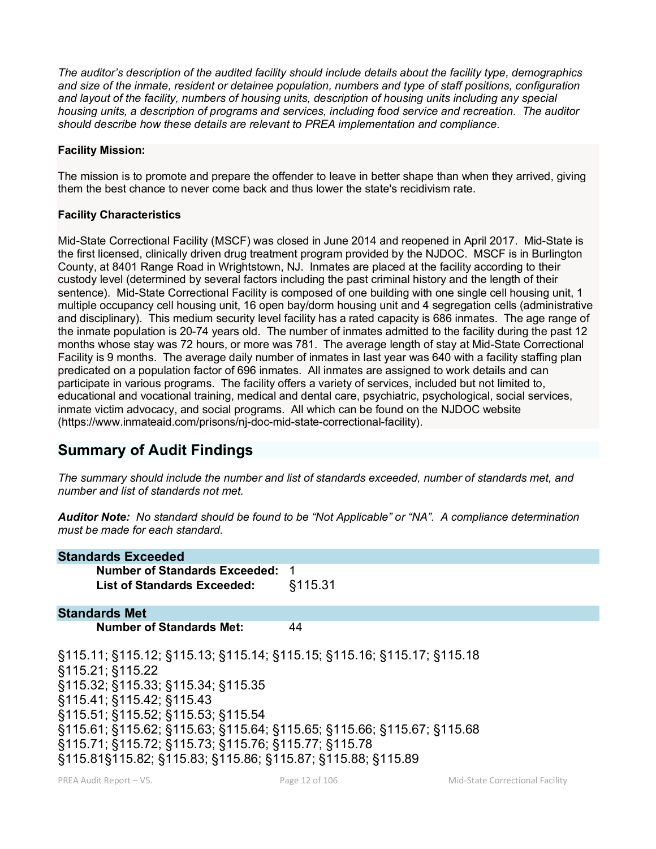*The auditor's description of the audited facility should include details about the facility type, demographics and size of the inmate, resident or detainee population, numbers and type of staff positions, configuration and layout of the facility, numbers of housing units, description of housing units including any special housing units, a description of programs and services, including food service and recreation. The auditor should describe how these details are relevant to PREA implementation and compliance.*

#### **Facility Mission:**

The mission is to promote and prepare the offender to leave in better shape than when they arrived, giving them the best chance to never come back and thus lower the state's recidivism rate.

#### **Facility Characteristics**

Mid-State Correctional Facility (MSCF) was closed in June 2014 and reopened in April 2017. Mid-State is the first licensed, clinically driven drug treatment program provided by the NJDOC. MSCF is in Burlington County, at 8401 Range Road in Wrightstown, NJ. Inmates are placed at the facility according to their custody level (determined by several factors including the past criminal history and the length of their sentence). Mid-State Correctional Facility is composed of one building with one single cell housing unit, 1 multiple occupancy cell housing unit, 16 open bay/dorm housing unit and 4 segregation cells (administrative and disciplinary). This medium security level facility has a rated capacity is 686 inmates. The age range of the inmate population is 20-74 years old. The number of inmates admitted to the facility during the past 12 months whose stay was 72 hours, or more was 781. The average length of stay at Mid-State Correctional Facility is 9 months. The average daily number of inmates in last year was 640 with a facility staffing plan predicated on a population factor of 696 inmates. All inmates are assigned to work details and can participate in various programs. The facility offers a variety of services, included but not limited to, educational and vocational training, medical and dental care, psychiatric, psychological, social services, inmate victim advocacy, and social programs. All which can be found on the NJDOC website (https://www.inmateaid.com/prisons/nj-doc-mid-state-correctional-facility).

# **Summary of Audit Findings**

*The summary should include the number and list of standards exceeded, number of standards met, and number and list of standards not met.*

*Auditor Note: No standard should be found to be "Not Applicable" or "NA". A compliance determination must be made for each standard.*

| <b>Standards Exceeded</b>                                                                                                                                                                                                                                                                                                                                                                            |         |
|------------------------------------------------------------------------------------------------------------------------------------------------------------------------------------------------------------------------------------------------------------------------------------------------------------------------------------------------------------------------------------------------------|---------|
| Number of Standards Exceeded: 1                                                                                                                                                                                                                                                                                                                                                                      |         |
| <b>List of Standards Exceeded:</b>                                                                                                                                                                                                                                                                                                                                                                   | §115.31 |
| <b>Standards Met</b>                                                                                                                                                                                                                                                                                                                                                                                 |         |
| <b>Number of Standards Met:</b>                                                                                                                                                                                                                                                                                                                                                                      | 44      |
| §115.11; §115.12; §115.13; §115.14; §115.15; §115.16; §115.17; §115.18<br>§115.21; §115.22<br>§115.32; §115.33; §115.34; §115.35<br>§115.41; §115.42; §115.43<br>§115.51; §115.52; §115.53; §115.54<br>§115.61; §115.62; §115.63; §115.64; §115.65; §115.66; §115.67; §115.68<br>§115.71; §115.72; §115.73; §115.76; §115.77; §115.78<br>§115.81§115.82; §115.83; §115.86; §115.87; §115.88; §115.89 |         |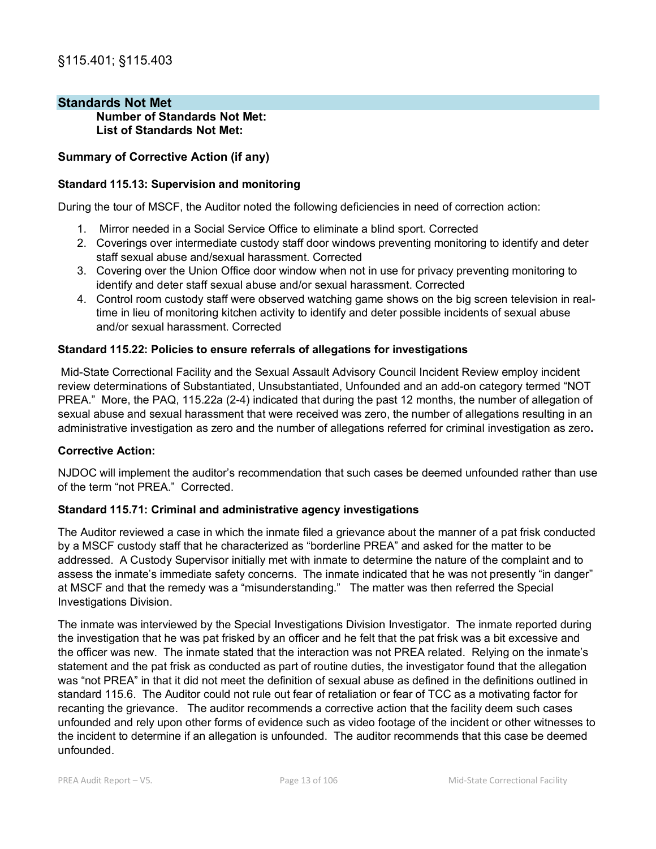# **Standards Not Met**

**Number of Standards Not Met: List of Standards Not Met:** 

#### **Summary of Corrective Action (if any)**

#### **Standard 115.13: Supervision and monitoring**

During the tour of MSCF, the Auditor noted the following deficiencies in need of correction action:

- 1. Mirror needed in a Social Service Office to eliminate a blind sport. Corrected
- 2. Coverings over intermediate custody staff door windows preventing monitoring to identify and deter staff sexual abuse and/sexual harassment. Corrected
- 3. Covering over the Union Office door window when not in use for privacy preventing monitoring to identify and deter staff sexual abuse and/or sexual harassment. Corrected
- 4. Control room custody staff were observed watching game shows on the big screen television in realtime in lieu of monitoring kitchen activity to identify and deter possible incidents of sexual abuse and/or sexual harassment. Corrected

#### **Standard 115.22: Policies to ensure referrals of allegations for investigations**

Mid-State Correctional Facility and the Sexual Assault Advisory Council Incident Review employ incident review determinations of Substantiated, Unsubstantiated, Unfounded and an add-on category termed "NOT PREA." More, the PAQ, 115.22a (2-4) indicated that during the past 12 months, the number of allegation of sexual abuse and sexual harassment that were received was zero, the number of allegations resulting in an administrative investigation as zero and the number of allegations referred for criminal investigation as zero**.** 

#### **Corrective Action:**

NJDOC will implement the auditor's recommendation that such cases be deemed unfounded rather than use of the term "not PREA." Corrected.

#### **Standard 115.71: Criminal and administrative agency investigations**

The Auditor reviewed a case in which the inmate filed a grievance about the manner of a pat frisk conducted by a MSCF custody staff that he characterized as "borderline PREA" and asked for the matter to be addressed. A Custody Supervisor initially met with inmate to determine the nature of the complaint and to assess the inmate's immediate safety concerns. The inmate indicated that he was not presently "in danger" at MSCF and that the remedy was a "misunderstanding." The matter was then referred the Special Investigations Division.

The inmate was interviewed by the Special Investigations Division Investigator. The inmate reported during the investigation that he was pat frisked by an officer and he felt that the pat frisk was a bit excessive and the officer was new. The inmate stated that the interaction was not PREA related. Relying on the inmate's statement and the pat frisk as conducted as part of routine duties, the investigator found that the allegation was "not PREA" in that it did not meet the definition of sexual abuse as defined in the definitions outlined in standard 115.6. The Auditor could not rule out fear of retaliation or fear of TCC as a motivating factor for recanting the grievance. The auditor recommends a corrective action that the facility deem such cases unfounded and rely upon other forms of evidence such as video footage of the incident or other witnesses to the incident to determine if an allegation is unfounded. The auditor recommends that this case be deemed unfounded.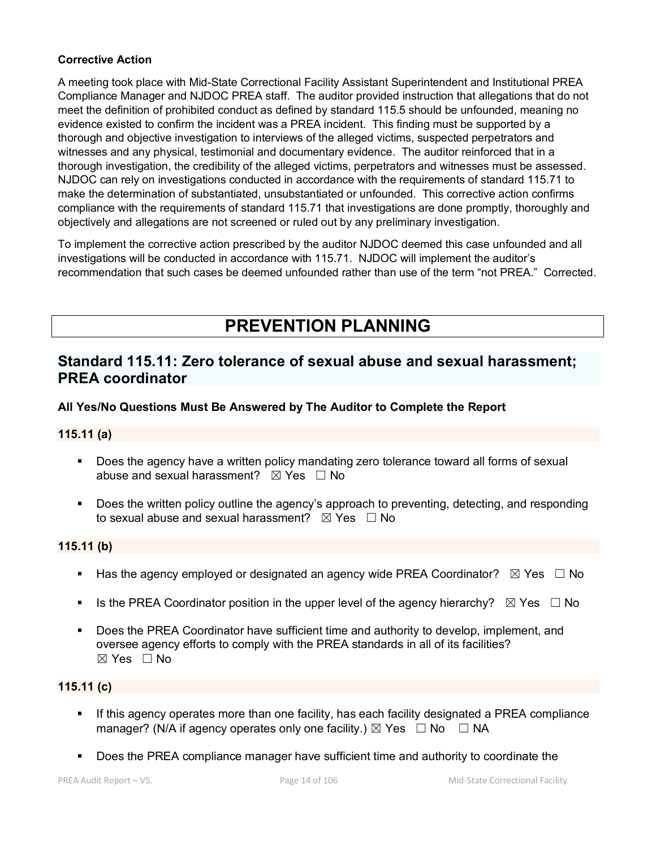# **Corrective Action**

A meeting took place with Mid-State Correctional Facility Assistant Superintendent and Institutional PREA Compliance Manager and NJDOC PREA staff. The auditor provided instruction that allegations that do not meet the definition of prohibited conduct as defined by standard 115.5 should be unfounded, meaning no evidence existed to confirm the incident was a PREA incident. This finding must be supported by a thorough and objective investigation to interviews of the alleged victims, suspected perpetrators and witnesses and any physical, testimonial and documentary evidence. The auditor reinforced that in a thorough investigation, the credibility of the alleged victims, perpetrators and witnesses must be assessed. NJDOC can rely on investigations conducted in accordance with the requirements of standard 115.71 to make the determination of substantiated, unsubstantiated or unfounded. This corrective action confirms compliance with the requirements of standard 115.71 that investigations are done promptly, thoroughly and objectively and allegations are not screened or ruled out by any preliminary investigation.

To implement the corrective action prescribed by the auditor NJDOC deemed this case unfounded and all investigations will be conducted in accordance with 115.71. NJDOC will implement the auditor's recommendation that such cases be deemed unfounded rather than use of the term "not PREA." Corrected.

# **PREVENTION PLANNING**

# **Standard 115.11: Zero tolerance of sexual abuse and sexual harassment; PREA coordinator**

# **All Yes/No Questions Must Be Answered by The Auditor to Complete the Report**

# **115.11 (a)**

- **Does the agency have a written policy mandating zero tolerance toward all forms of sexual** abuse and sexual harassment?  $\boxtimes$  Yes  $\Box$  No
- **Does the written policy outline the agency's approach to preventing, detecting, and responding** to sexual abuse and sexual harassment?  $\boxtimes$  Yes  $\Box$  No

# **115.11 (b)**

- Has the agency employed or designated an agency wide PREA Coordinator?  $\boxtimes$  Yes  $\Box$  No
- Is the PREA Coordinator position in the upper level of the agency hierarchy?  $\boxtimes$  Yes  $\Box$  No
- Does the PREA Coordinator have sufficient time and authority to develop, implement, and oversee agency efforts to comply with the PREA standards in all of its facilities? ☒ Yes ☐ No

# **115.11 (c)**

- If this agency operates more than one facility, has each facility designated a PREA compliance manager? (N/A if agency operates only one facility.)  $\boxtimes$  Yes  $\Box$  No  $\Box$  NA
- Does the PREA compliance manager have sufficient time and authority to coordinate the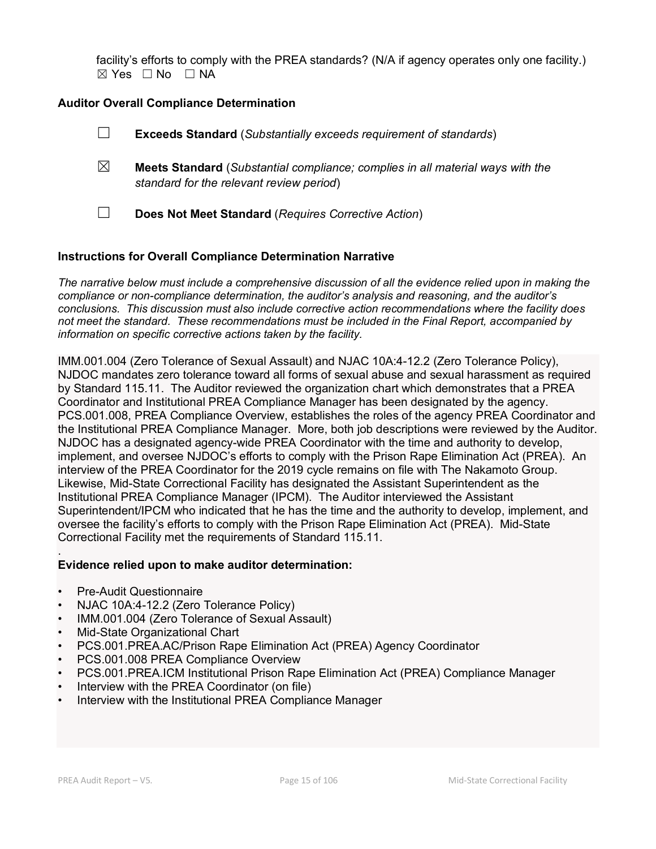facility's efforts to comply with the PREA standards? (N/A if agency operates only one facility.)  $\boxtimes$  Yes  $\Box$  No  $\Box$  NA

# **Auditor Overall Compliance Determination**

- ☐ **Exceeds Standard** (*Substantially exceeds requirement of standards*) ☒ **Meets Standard** (*Substantial compliance; complies in all material ways with the standard for the relevant review period*)
- ☐ **Does Not Meet Standard** (*Requires Corrective Action*)

#### **Instructions for Overall Compliance Determination Narrative**

*The narrative below must include a comprehensive discussion of all the evidence relied upon in making the compliance or non-compliance determination, the auditor's analysis and reasoning, and the auditor's conclusions. This discussion must also include corrective action recommendations where the facility does not meet the standard. These recommendations must be included in the Final Report, accompanied by information on specific corrective actions taken by the facility.*

IMM.001.004 (Zero Tolerance of Sexual Assault) and NJAC 10A:4-12.2 (Zero Tolerance Policy), NJDOC mandates zero tolerance toward all forms of sexual abuse and sexual harassment as required by Standard 115.11. The Auditor reviewed the organization chart which demonstrates that a PREA Coordinator and Institutional PREA Compliance Manager has been designated by the agency. PCS.001.008, PREA Compliance Overview, establishes the roles of the agency PREA Coordinator and the Institutional PREA Compliance Manager. More, both job descriptions were reviewed by the Auditor. NJDOC has a designated agency-wide PREA Coordinator with the time and authority to develop, implement, and oversee NJDOC's efforts to comply with the Prison Rape Elimination Act (PREA). An interview of the PREA Coordinator for the 2019 cycle remains on file with The Nakamoto Group. Likewise, Mid-State Correctional Facility has designated the Assistant Superintendent as the Institutional PREA Compliance Manager (IPCM). The Auditor interviewed the Assistant Superintendent/IPCM who indicated that he has the time and the authority to develop, implement, and oversee the facility's efforts to comply with the Prison Rape Elimination Act (PREA). Mid-State Correctional Facility met the requirements of Standard 115.11.

#### . **Evidence relied upon to make auditor determination:**

- Pre-Audit Questionnaire
- NJAC 10A:4-12.2 (Zero Tolerance Policy)
- IMM.001.004 (Zero Tolerance of Sexual Assault)
- Mid-State Organizational Chart
- PCS.001.PREA.AC/Prison Rape Elimination Act (PREA) Agency Coordinator
- PCS.001.008 PREA Compliance Overview
- PCS.001.PREA.ICM Institutional Prison Rape Elimination Act (PREA) Compliance Manager
- Interview with the PREA Coordinator (on file)
- Interview with the Institutional PREA Compliance Manager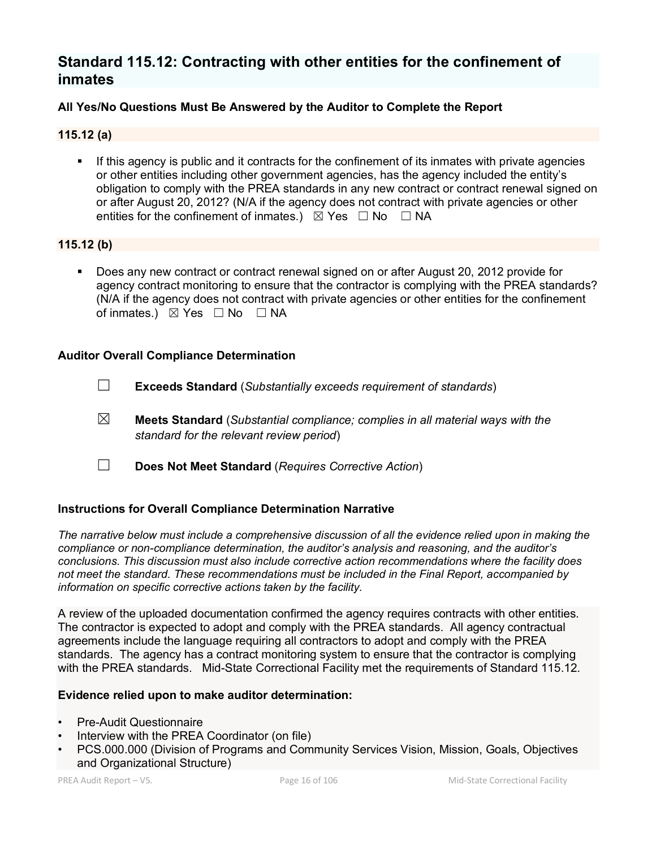# **Standard 115.12: Contracting with other entities for the confinement of inmates**

# **All Yes/No Questions Must Be Answered by the Auditor to Complete the Report**

# **115.12 (a)**

 If this agency is public and it contracts for the confinement of its inmates with private agencies or other entities including other government agencies, has the agency included the entity's obligation to comply with the PREA standards in any new contract or contract renewal signed on or after August 20, 2012? (N/A if the agency does not contract with private agencies or other entities for the confinement of inmates.)  $\boxtimes$  Yes  $\Box$  No  $\Box$  NA

# **115.12 (b)**

 Does any new contract or contract renewal signed on or after August 20, 2012 provide for agency contract monitoring to ensure that the contractor is complying with the PREA standards? (N/A if the agency does not contract with private agencies or other entities for the confinement of inmates.) ⊠ Yes □ No □ NA

# **Auditor Overall Compliance Determination**

- ☐ **Exceeds Standard** (*Substantially exceeds requirement of standards*)
- ☒ **Meets Standard** (*Substantial compliance; complies in all material ways with the standard for the relevant review period*)
- ☐ **Does Not Meet Standard** (*Requires Corrective Action*)

# **Instructions for Overall Compliance Determination Narrative**

*The narrative below must include a comprehensive discussion of all the evidence relied upon in making the compliance or non-compliance determination, the auditor's analysis and reasoning, and the auditor's conclusions. This discussion must also include corrective action recommendations where the facility does not meet the standard. These recommendations must be included in the Final Report, accompanied by information on specific corrective actions taken by the facility.*

A review of the uploaded documentation confirmed the agency requires contracts with other entities. The contractor is expected to adopt and comply with the PREA standards. All agency contractual agreements include the language requiring all contractors to adopt and comply with the PREA standards. The agency has a contract monitoring system to ensure that the contractor is complying with the PREA standards. Mid-State Correctional Facility met the requirements of Standard 115.12.

#### **Evidence relied upon to make auditor determination:**

- Pre-Audit Questionnaire
- Interview with the PREA Coordinator (on file)
- PCS.000.000 (Division of Programs and Community Services Vision, Mission, Goals, Objectives and Organizational Structure)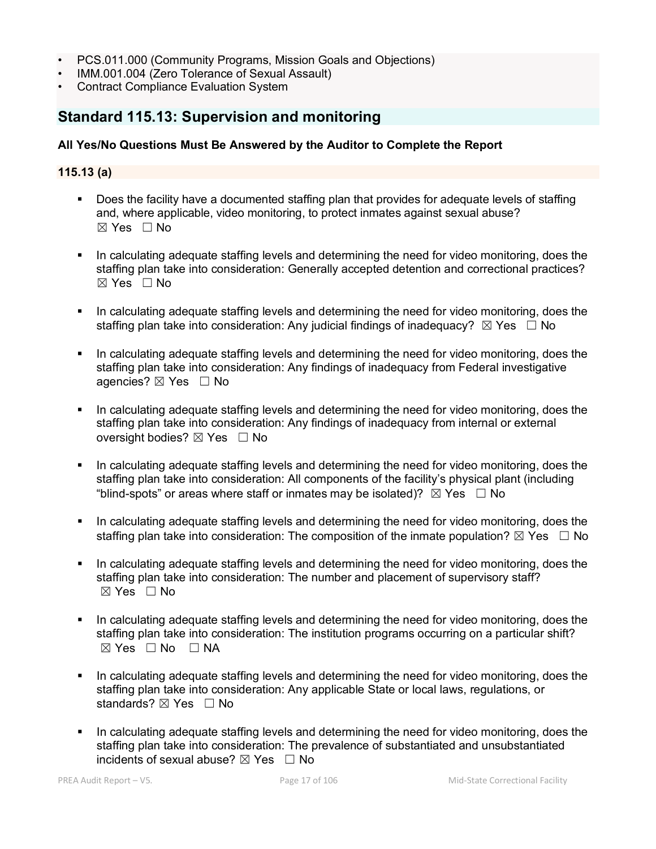- PCS.011.000 (Community Programs, Mission Goals and Objections)
- IMM.001.004 (Zero Tolerance of Sexual Assault)
- Contract Compliance Evaluation System

# **Standard 115.13: Supervision and monitoring**

# **All Yes/No Questions Must Be Answered by the Auditor to Complete the Report**

### **115.13 (a)**

- Does the facility have a documented staffing plan that provides for adequate levels of staffing and, where applicable, video monitoring, to protect inmates against sexual abuse?  $\boxtimes$  Yes  $\Box$  No
- In calculating adequate staffing levels and determining the need for video monitoring, does the staffing plan take into consideration: Generally accepted detention and correctional practices? ☒ Yes ☐ No
- In calculating adequate staffing levels and determining the need for video monitoring, does the staffing plan take into consideration: Any iudicial findings of inadequacy?  $\boxtimes$  Yes  $\Box$  No
- In calculating adequate staffing levels and determining the need for video monitoring, does the staffing plan take into consideration: Any findings of inadequacy from Federal investigative agencies? ⊠ Yes □ No
- In calculating adequate staffing levels and determining the need for video monitoring, does the staffing plan take into consideration: Any findings of inadequacy from internal or external oversight bodies? ⊠ Yes □ No
- In calculating adequate staffing levels and determining the need for video monitoring, does the staffing plan take into consideration: All components of the facility's physical plant (including "blind-spots" or areas where staff or inmates may be isolated)?  $\boxtimes$  Yes  $\Box$  No
- In calculating adequate staffing levels and determining the need for video monitoring, does the staffing plan take into consideration: The composition of the inmate population?  $\boxtimes$  Yes  $\Box$  No
- In calculating adequate staffing levels and determining the need for video monitoring, does the staffing plan take into consideration: The number and placement of supervisory staff?  $\boxtimes$  Yes  $\Box$  No
- In calculating adequate staffing levels and determining the need for video monitoring, does the staffing plan take into consideration: The institution programs occurring on a particular shift?  $⊠ Yes ⊡ No ⊡ NA$
- In calculating adequate staffing levels and determining the need for video monitoring, does the staffing plan take into consideration: Any applicable State or local laws, regulations, or standards? ⊠ Yes □ No
- In calculating adequate staffing levels and determining the need for video monitoring, does the staffing plan take into consideration: The prevalence of substantiated and unsubstantiated incidents of sexual abuse?  $\boxtimes$  Yes  $\Box$  No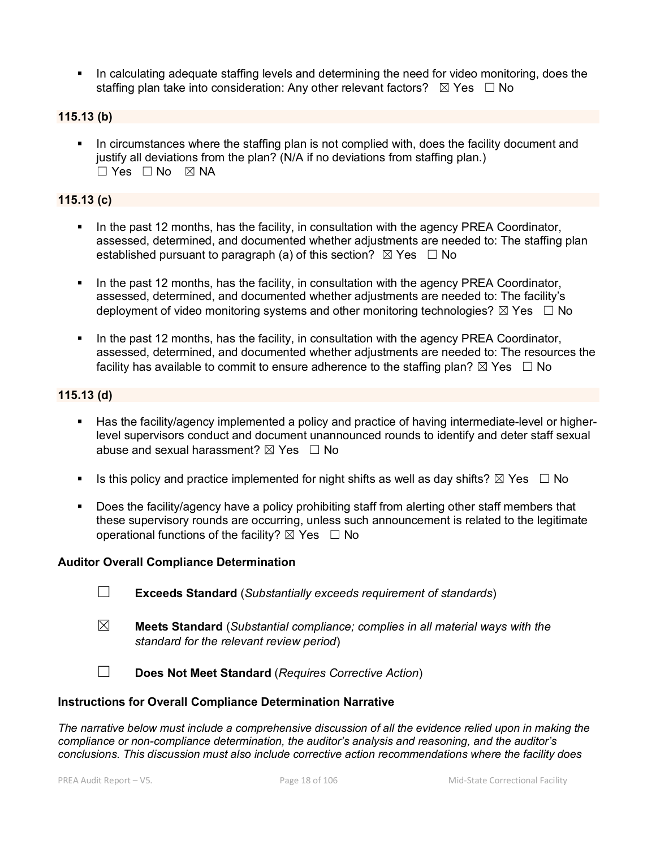In calculating adequate staffing levels and determining the need for video monitoring, does the staffing plan take into consideration: Any other relevant factors?  $\boxtimes$  Yes  $\Box$  No

# **115.13 (b)**

 In circumstances where the staffing plan is not complied with, does the facility document and justify all deviations from the plan? (N/A if no deviations from staffing plan.) ☐ Yes ☐ No ☒ NA

#### **115.13 (c)**

- In the past 12 months, has the facility, in consultation with the agency PREA Coordinator, assessed, determined, and documented whether adjustments are needed to: The staffing plan established pursuant to paragraph (a) of this section?  $\boxtimes$  Yes  $\Box$  No
- In the past 12 months, has the facility, in consultation with the agency PREA Coordinator, assessed, determined, and documented whether adjustments are needed to: The facility's deployment of video monitoring systems and other monitoring technologies?  $\boxtimes$  Yes  $\Box$  No
- In the past 12 months, has the facility, in consultation with the agency PREA Coordinator, assessed, determined, and documented whether adjustments are needed to: The resources the facility has available to commit to ensure adherence to the staffing plan?  $\boxtimes$  Yes  $\;\;\Box$  No

# **115.13 (d)**

- Has the facility/agency implemented a policy and practice of having intermediate-level or higherlevel supervisors conduct and document unannounced rounds to identify and deter staff sexual abuse and sexual harassment?  $\boxtimes$  Yes  $\Box$  No
- Is this policy and practice implemented for night shifts as well as day shifts?  $\boxtimes$  Yes  $\Box$  No
- Does the facility/agency have a policy prohibiting staff from alerting other staff members that these supervisory rounds are occurring, unless such announcement is related to the legitimate operational functions of the facility?  $\boxtimes$  Yes  $\Box$  No

#### **Auditor Overall Compliance Determination**

- ☐ **Exceeds Standard** (*Substantially exceeds requirement of standards*)
- ☒ **Meets Standard** (*Substantial compliance; complies in all material ways with the standard for the relevant review period*)
- ☐ **Does Not Meet Standard** (*Requires Corrective Action*)

#### **Instructions for Overall Compliance Determination Narrative**

*The narrative below must include a comprehensive discussion of all the evidence relied upon in making the compliance or non-compliance determination, the auditor's analysis and reasoning, and the auditor's conclusions. This discussion must also include corrective action recommendations where the facility does*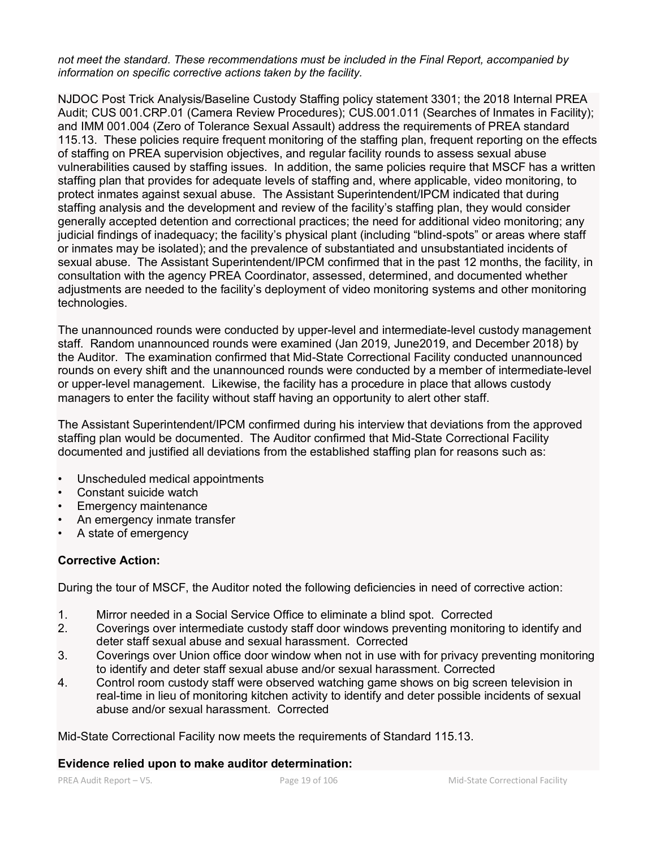*not meet the standard. These recommendations must be included in the Final Report, accompanied by information on specific corrective actions taken by the facility.*

NJDOC Post Trick Analysis/Baseline Custody Staffing policy statement 3301; the 2018 Internal PREA Audit; CUS 001.CRP.01 (Camera Review Procedures); CUS.001.011 (Searches of Inmates in Facility); and IMM 001.004 (Zero of Tolerance Sexual Assault) address the requirements of PREA standard 115.13. These policies require frequent monitoring of the staffing plan, frequent reporting on the effects of staffing on PREA supervision objectives, and regular facility rounds to assess sexual abuse vulnerabilities caused by staffing issues. In addition, the same policies require that MSCF has a written staffing plan that provides for adequate levels of staffing and, where applicable, video monitoring, to protect inmates against sexual abuse. The Assistant Superintendent/IPCM indicated that during staffing analysis and the development and review of the facility's staffing plan, they would consider generally accepted detention and correctional practices; the need for additional video monitoring; any judicial findings of inadequacy; the facility's physical plant (including "blind-spots" or areas where staff or inmates may be isolated); and the prevalence of substantiated and unsubstantiated incidents of sexual abuse. The Assistant Superintendent/IPCM confirmed that in the past 12 months, the facility, in consultation with the agency PREA Coordinator, assessed, determined, and documented whether adjustments are needed to the facility's deployment of video monitoring systems and other monitoring technologies.

The unannounced rounds were conducted by upper-level and intermediate-level custody management staff. Random unannounced rounds were examined (Jan 2019, June2019, and December 2018) by the Auditor. The examination confirmed that Mid-State Correctional Facility conducted unannounced rounds on every shift and the unannounced rounds were conducted by a member of intermediate-level or upper-level management. Likewise, the facility has a procedure in place that allows custody managers to enter the facility without staff having an opportunity to alert other staff.

The Assistant Superintendent/IPCM confirmed during his interview that deviations from the approved staffing plan would be documented. The Auditor confirmed that Mid-State Correctional Facility documented and justified all deviations from the established staffing plan for reasons such as:

- Unscheduled medical appointments
- Constant suicide watch
- Emergency maintenance
- An emergency inmate transfer
- A state of emergency

# **Corrective Action:**

During the tour of MSCF, the Auditor noted the following deficiencies in need of corrective action:

- 1. Mirror needed in a Social Service Office to eliminate a blind spot. Corrected
- 2. Coverings over intermediate custody staff door windows preventing monitoring to identify and deter staff sexual abuse and sexual harassment. Corrected
- 3. Coverings over Union office door window when not in use with for privacy preventing monitoring to identify and deter staff sexual abuse and/or sexual harassment. Corrected
- 4. Control room custody staff were observed watching game shows on big screen television in real-time in lieu of monitoring kitchen activity to identify and deter possible incidents of sexual abuse and/or sexual harassment. Corrected

Mid-State Correctional Facility now meets the requirements of Standard 115.13.

#### **Evidence relied upon to make auditor determination:**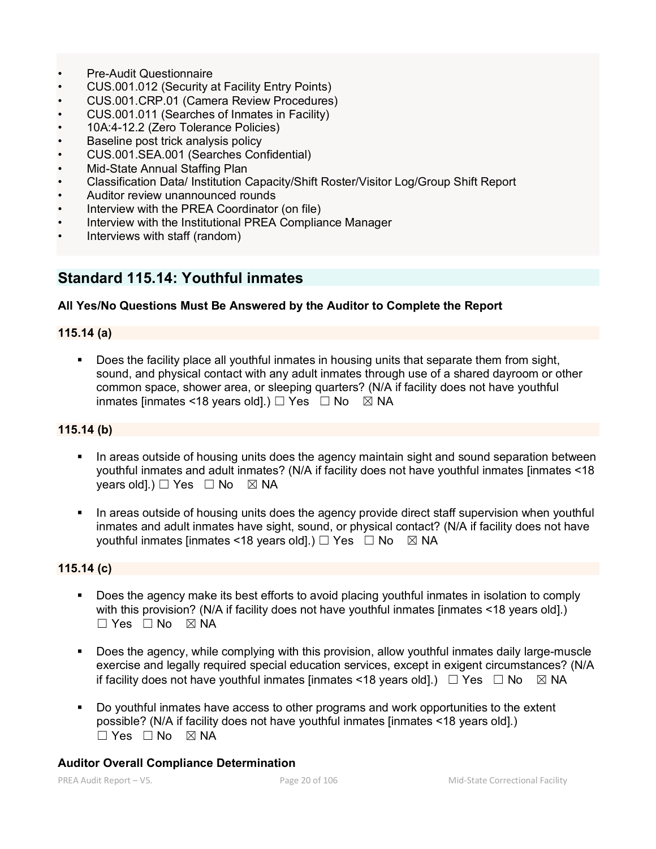- Pre-Audit Questionnaire
- CUS.001.012 (Security at Facility Entry Points)
- CUS.001.CRP.01 (Camera Review Procedures)
- CUS.001.011 (Searches of Inmates in Facility)
- 10A:4-12.2 (Zero Tolerance Policies)
- Baseline post trick analysis policy
- CUS.001.SEA.001 (Searches Confidential)
- Mid-State Annual Staffing Plan
- Classification Data/ Institution Capacity/Shift Roster/Visitor Log/Group Shift Report
- Auditor review unannounced rounds
- Interview with the PREA Coordinator (on file)
- Interview with the Institutional PREA Compliance Manager
- Interviews with staff (random)

# **Standard 115.14: Youthful inmates**

# **All Yes/No Questions Must Be Answered by the Auditor to Complete the Report**

# **115.14 (a)**

 Does the facility place all youthful inmates in housing units that separate them from sight, sound, and physical contact with any adult inmates through use of a shared dayroom or other common space, shower area, or sleeping quarters? (N/A if facility does not have youthful inmates [inmates <18 years old].)  $\Box$  Yes  $\Box$  No  $\boxtimes$  NA

#### **115.14 (b)**

- In areas outside of housing units does the agency maintain sight and sound separation between youthful inmates and adult inmates? (N/A if facility does not have youthful inmates [inmates <18 vears old].)  $\Box$  Yes  $\Box$  No  $\boxtimes$  NA
- In areas outside of housing units does the agency provide direct staff supervision when youthful inmates and adult inmates have sight, sound, or physical contact? (N/A if facility does not have youthful inmates [inmates <18 years old].)  $\Box$  Yes  $\Box$  No  $\boxtimes$  NA

# **115.14 (c)**

- **Does the agency make its best efforts to avoid placing youthful inmates in isolation to comply** with this provision? (N/A if facility does not have youthful inmates [inmates <18 years old].)  $\Box$  Yes  $\Box$  No  $\boxtimes$  NA
- Does the agency, while complying with this provision, allow youthful inmates daily large-muscle exercise and legally required special education services, except in exigent circumstances? (N/A if facility does not have youthful inmates [inmates <18 years old].)  $\Box$  Yes  $\Box$  No  $\boxtimes$  NA
- Do youthful inmates have access to other programs and work opportunities to the extent possible? (N/A if facility does not have youthful inmates [inmates <18 years old].)  $\square$  Yes  $\square$  No  $\square$  NA

# **Auditor Overall Compliance Determination**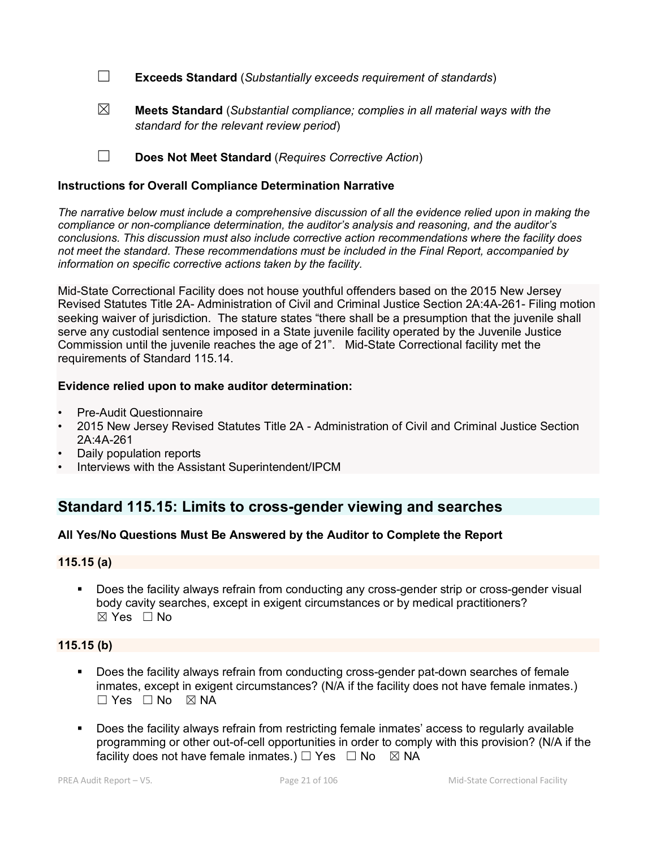☐ **Exceeds Standard** (*Substantially exceeds requirement of standards*)

☒ **Meets Standard** (*Substantial compliance; complies in all material ways with the standard for the relevant review period*)

☐ **Does Not Meet Standard** (*Requires Corrective Action*)

### **Instructions for Overall Compliance Determination Narrative**

*The narrative below must include a comprehensive discussion of all the evidence relied upon in making the compliance or non-compliance determination, the auditor's analysis and reasoning, and the auditor's conclusions. This discussion must also include corrective action recommendations where the facility does not meet the standard. These recommendations must be included in the Final Report, accompanied by information on specific corrective actions taken by the facility.*

Mid-State Correctional Facility does not house youthful offenders based on the 2015 New Jersey Revised Statutes Title 2A- Administration of Civil and Criminal Justice Section 2A:4A-261- Filing motion seeking waiver of jurisdiction. The stature states "there shall be a presumption that the juvenile shall serve any custodial sentence imposed in a State juvenile facility operated by the Juvenile Justice Commission until the juvenile reaches the age of 21". Mid-State Correctional facility met the requirements of Standard 115.14.

#### **Evidence relied upon to make auditor determination:**

- Pre-Audit Questionnaire
- 2015 New Jersey Revised Statutes Title 2A Administration of Civil and Criminal Justice Section 2A:4A-261
- Daily population reports
- Interviews with the Assistant Superintendent/IPCM

# **Standard 115.15: Limits to cross-gender viewing and searches**

# **All Yes/No Questions Must Be Answered by the Auditor to Complete the Report**

#### **115.15 (a)**

 Does the facility always refrain from conducting any cross-gender strip or cross-gender visual body cavity searches, except in exigent circumstances or by medical practitioners?  $\boxtimes$  Yes  $\Box$  No

# **115.15 (b)**

- Does the facility always refrain from conducting cross-gender pat-down searches of female inmates, except in exigent circumstances? (N/A if the facility does not have female inmates.)  $\Box$  Yes  $\Box$  No  $\boxtimes$  NA
- Does the facility always refrain from restricting female inmates' access to regularly available programming or other out-of-cell opportunities in order to comply with this provision? (N/A if the facility does not have female inmates.)  $\Box$  Yes  $\Box$  No  $\boxtimes$  NA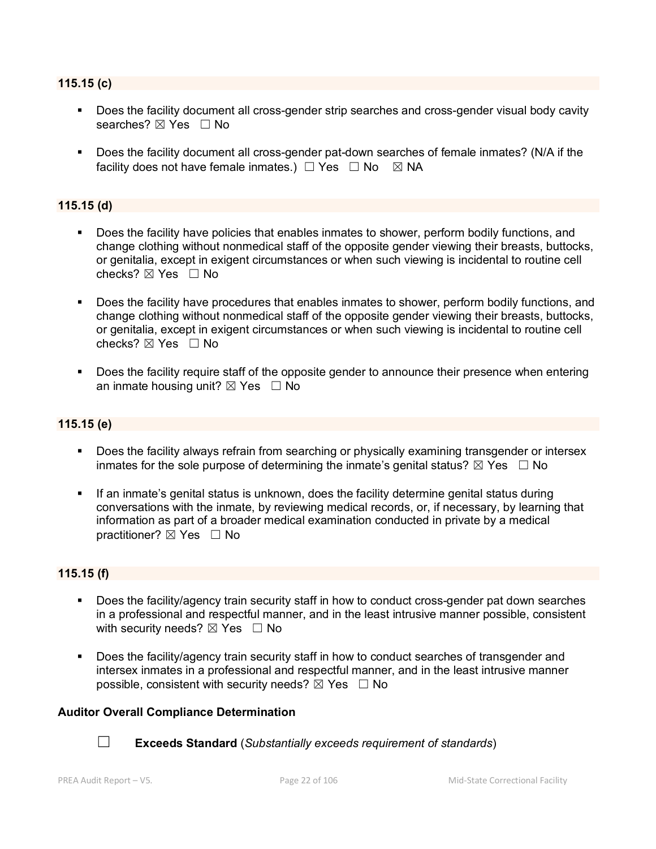#### **115.15 (c)**

- Does the facility document all cross-gender strip searches and cross-gender visual body cavity searches? ⊠ Yes □ No
- **Does the facility document all cross-gender pat-down searches of female inmates? (N/A if the** facility does not have female inmates.)  $\Box$  Yes  $\Box$  No  $\boxtimes$  NA

### **115.15 (d)**

- Does the facility have policies that enables inmates to shower, perform bodily functions, and change clothing without nonmedical staff of the opposite gender viewing their breasts, buttocks, or genitalia, except in exigent circumstances or when such viewing is incidental to routine cell checks?  $\boxtimes$  Yes  $\Box$  No
- Does the facility have procedures that enables inmates to shower, perform bodily functions, and change clothing without nonmedical staff of the opposite gender viewing their breasts, buttocks, or genitalia, except in exigent circumstances or when such viewing is incidental to routine cell checks? ☒ Yes ☐ No
- Does the facility require staff of the opposite gender to announce their presence when entering an inmate housing unit?  $\boxtimes$  Yes  $\Box$  No

### **115.15 (e)**

- Does the facility always refrain from searching or physically examining transgender or intersex inmates for the sole purpose of determining the inmate's genital status?  $\boxtimes$  Yes  $\Box$  No
- If an inmate's genital status is unknown, does the facility determine genital status during conversations with the inmate, by reviewing medical records, or, if necessary, by learning that information as part of a broader medical examination conducted in private by a medical practitioner? ⊠ Yes □ No

#### **115.15 (f)**

- Does the facility/agency train security staff in how to conduct cross-gender pat down searches in a professional and respectful manner, and in the least intrusive manner possible, consistent with security needs?  $\boxtimes$  Yes  $\Box$  No
- Does the facility/agency train security staff in how to conduct searches of transgender and intersex inmates in a professional and respectful manner, and in the least intrusive manner possible, consistent with security needs?  $\boxtimes$  Yes  $\Box$  No

#### **Auditor Overall Compliance Determination**



☐ **Exceeds Standard** (*Substantially exceeds requirement of standards*)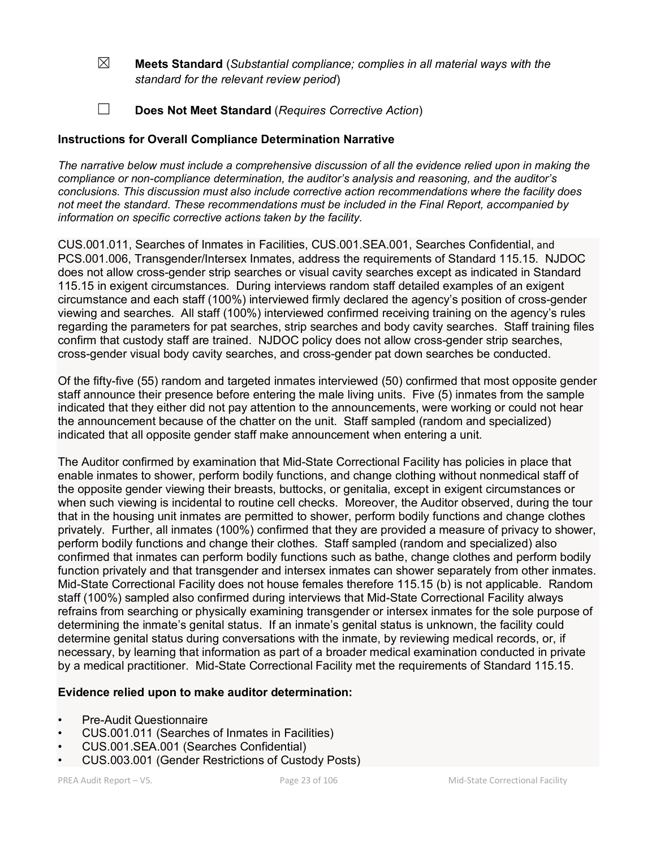- ☒ **Meets Standard** (*Substantial compliance; complies in all material ways with the standard for the relevant review period*)
- ☐ **Does Not Meet Standard** (*Requires Corrective Action*)

# **Instructions for Overall Compliance Determination Narrative**

*The narrative below must include a comprehensive discussion of all the evidence relied upon in making the compliance or non-compliance determination, the auditor's analysis and reasoning, and the auditor's conclusions. This discussion must also include corrective action recommendations where the facility does not meet the standard. These recommendations must be included in the Final Report, accompanied by information on specific corrective actions taken by the facility.*

CUS.001.011, Searches of Inmates in Facilities, CUS.001.SEA.001, Searches Confidential, and PCS.001.006, Transgender/Intersex Inmates, address the requirements of Standard 115.15. NJDOC does not allow cross-gender strip searches or visual cavity searches except as indicated in Standard 115.15 in exigent circumstances. During interviews random staff detailed examples of an exigent circumstance and each staff (100%) interviewed firmly declared the agency's position of cross-gender viewing and searches. All staff (100%) interviewed confirmed receiving training on the agency's rules regarding the parameters for pat searches, strip searches and body cavity searches. Staff training files confirm that custody staff are trained. NJDOC policy does not allow cross-gender strip searches, cross-gender visual body cavity searches, and cross-gender pat down searches be conducted.

Of the fifty-five (55) random and targeted inmates interviewed (50) confirmed that most opposite gender staff announce their presence before entering the male living units. Five (5) inmates from the sample indicated that they either did not pay attention to the announcements, were working or could not hear the announcement because of the chatter on the unit. Staff sampled (random and specialized) indicated that all opposite gender staff make announcement when entering a unit.

The Auditor confirmed by examination that Mid-State Correctional Facility has policies in place that enable inmates to shower, perform bodily functions, and change clothing without nonmedical staff of the opposite gender viewing their breasts, buttocks, or genitalia, except in exigent circumstances or when such viewing is incidental to routine cell checks. Moreover, the Auditor observed, during the tour that in the housing unit inmates are permitted to shower, perform bodily functions and change clothes privately. Further, all inmates (100%) confirmed that they are provided a measure of privacy to shower, perform bodily functions and change their clothes. Staff sampled (random and specialized) also confirmed that inmates can perform bodily functions such as bathe, change clothes and perform bodily function privately and that transgender and intersex inmates can shower separately from other inmates. Mid-State Correctional Facility does not house females therefore 115.15 (b) is not applicable. Random staff (100%) sampled also confirmed during interviews that Mid-State Correctional Facility always refrains from searching or physically examining transgender or intersex inmates for the sole purpose of determining the inmate's genital status. If an inmate's genital status is unknown, the facility could determine genital status during conversations with the inmate, by reviewing medical records, or, if necessary, by learning that information as part of a broader medical examination conducted in private by a medical practitioner. Mid-State Correctional Facility met the requirements of Standard 115.15.

# **Evidence relied upon to make auditor determination:**

- Pre-Audit Questionnaire
- CUS.001.011 (Searches of Inmates in Facilities)
- CUS.001.SEA.001 (Searches Confidential)
- CUS.003.001 (Gender Restrictions of Custody Posts)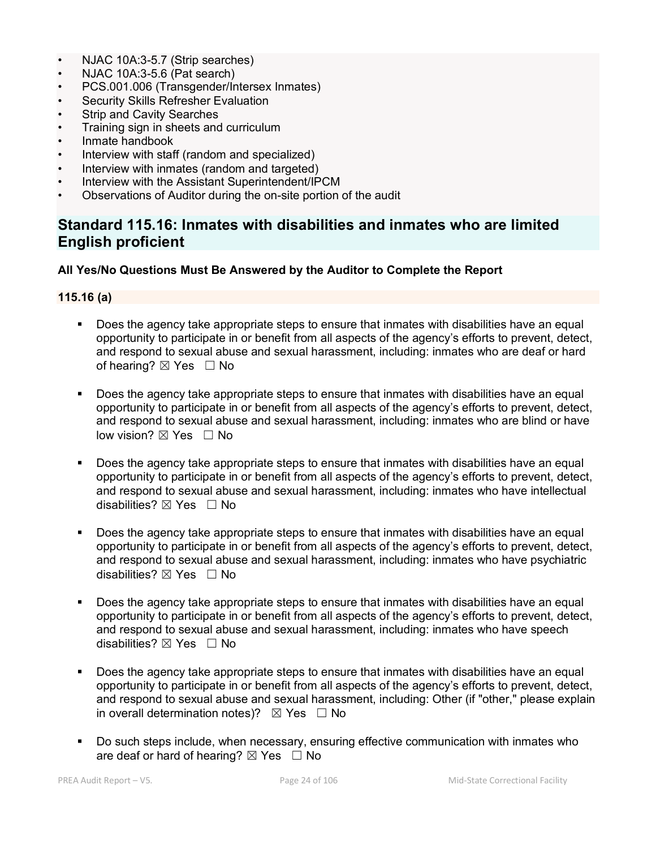- NJAC 10A:3-5.7 (Strip searches)
- NJAC 10A:3-5.6 (Pat search)
- PCS.001.006 (Transgender/Intersex Inmates)
- **Security Skills Refresher Evaluation**
- **Strip and Cavity Searches**
- Training sign in sheets and curriculum
- Inmate handbook
- Interview with staff (random and specialized)
- Interview with inmates (random and targeted)
- Interview with the Assistant Superintendent/IPCM
- Observations of Auditor during the on-site portion of the audit

# **Standard 115.16: Inmates with disabilities and inmates who are limited English proficient**

#### **All Yes/No Questions Must Be Answered by the Auditor to Complete the Report**

#### **115.16 (a)**

- Does the agency take appropriate steps to ensure that inmates with disabilities have an equal opportunity to participate in or benefit from all aspects of the agency's efforts to prevent, detect, and respond to sexual abuse and sexual harassment, including: inmates who are deaf or hard of hearing?  $\boxtimes$  Yes  $\Box$  No
- Does the agency take appropriate steps to ensure that inmates with disabilities have an equal opportunity to participate in or benefit from all aspects of the agency's efforts to prevent, detect, and respond to sexual abuse and sexual harassment, including: inmates who are blind or have low vision? ⊠ Yes □ No
- Does the agency take appropriate steps to ensure that inmates with disabilities have an equal opportunity to participate in or benefit from all aspects of the agency's efforts to prevent, detect, and respond to sexual abuse and sexual harassment, including: inmates who have intellectual disabilities?  $\boxtimes$  Yes  $\Box$  No
- Does the agency take appropriate steps to ensure that inmates with disabilities have an equal opportunity to participate in or benefit from all aspects of the agency's efforts to prevent, detect, and respond to sexual abuse and sexual harassment, including: inmates who have psychiatric disabilities?  $\boxtimes$  Yes  $\Box$  No
- Does the agency take appropriate steps to ensure that inmates with disabilities have an equal opportunity to participate in or benefit from all aspects of the agency's efforts to prevent, detect, and respond to sexual abuse and sexual harassment, including: inmates who have speech disabilities? ☒ Yes ☐ No
- Does the agency take appropriate steps to ensure that inmates with disabilities have an equal opportunity to participate in or benefit from all aspects of the agency's efforts to prevent, detect, and respond to sexual abuse and sexual harassment, including: Other (if "other," please explain in overall determination notes)?  $\boxtimes$  Yes  $\Box$  No
- Do such steps include, when necessary, ensuring effective communication with inmates who are deaf or hard of hearing?  $\boxtimes$  Yes  $\Box$  No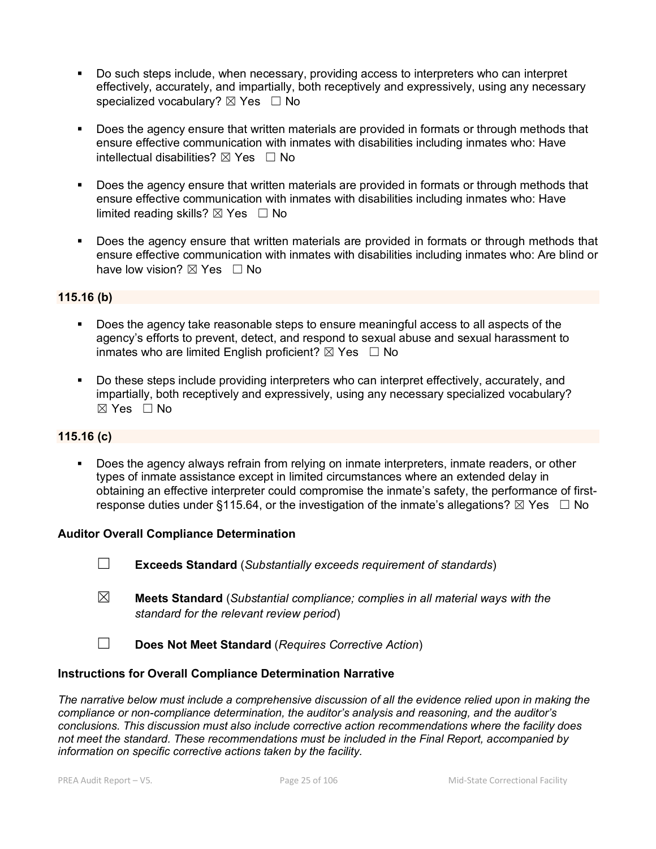- Do such steps include, when necessary, providing access to interpreters who can interpret effectively, accurately, and impartially, both receptively and expressively, using any necessary specialized vocabulary?  $\boxtimes$  Yes  $\Box$  No
- Does the agency ensure that written materials are provided in formats or through methods that ensure effective communication with inmates with disabilities including inmates who: Have intellectual disabilities?  $\boxtimes$  Yes  $\Box$  No
- Does the agency ensure that written materials are provided in formats or through methods that ensure effective communication with inmates with disabilities including inmates who: Have limited reading skills?  $\boxtimes$  Yes  $\Box$  No
- **Does the agency ensure that written materials are provided in formats or through methods that** ensure effective communication with inmates with disabilities including inmates who: Are blind or have low vision?  $\boxtimes$  Yes  $\Box$  No

# **115.16 (b)**

- Does the agency take reasonable steps to ensure meaningful access to all aspects of the agency's efforts to prevent, detect, and respond to sexual abuse and sexual harassment to inmates who are limited English proficient?  $\boxtimes$  Yes  $\Box$  No
- Do these steps include providing interpreters who can interpret effectively, accurately, and impartially, both receptively and expressively, using any necessary specialized vocabulary?  $\boxtimes$  Yes  $\Box$  No

# **115.16 (c)**

 Does the agency always refrain from relying on inmate interpreters, inmate readers, or other types of inmate assistance except in limited circumstances where an extended delay in obtaining an effective interpreter could compromise the inmate's safety, the performance of firstresponse duties under §115.64, or the investigation of the inmate's allegations?  $\boxtimes$  Yes  $\Box$  No

#### **Auditor Overall Compliance Determination**

- ☐ **Exceeds Standard** (*Substantially exceeds requirement of standards*)
- ☒ **Meets Standard** (*Substantial compliance; complies in all material ways with the standard for the relevant review period*)
- ☐ **Does Not Meet Standard** (*Requires Corrective Action*)

#### **Instructions for Overall Compliance Determination Narrative**

*The narrative below must include a comprehensive discussion of all the evidence relied upon in making the compliance or non-compliance determination, the auditor's analysis and reasoning, and the auditor's conclusions. This discussion must also include corrective action recommendations where the facility does not meet the standard. These recommendations must be included in the Final Report, accompanied by information on specific corrective actions taken by the facility.*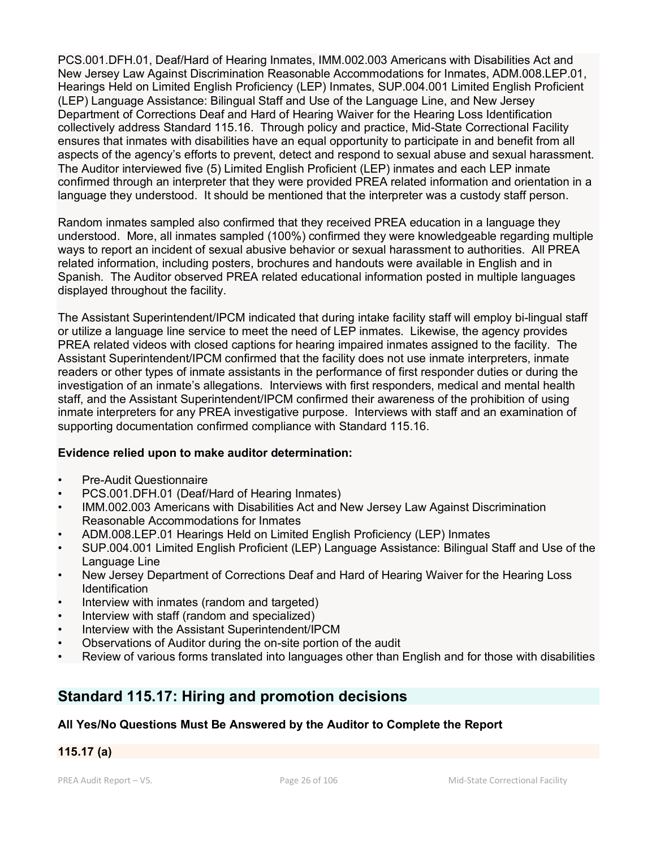PCS.001.DFH.01, Deaf/Hard of Hearing Inmates, IMM.002.003 Americans with Disabilities Act and New Jersey Law Against Discrimination Reasonable Accommodations for Inmates, ADM.008.LEP.01, Hearings Held on Limited English Proficiency (LEP) Inmates, SUP.004.001 Limited English Proficient (LEP) Language Assistance: Bilingual Staff and Use of the Language Line, and New Jersey Department of Corrections Deaf and Hard of Hearing Waiver for the Hearing Loss Identification collectively address Standard 115.16. Through policy and practice, Mid-State Correctional Facility ensures that inmates with disabilities have an equal opportunity to participate in and benefit from all aspects of the agency's efforts to prevent, detect and respond to sexual abuse and sexual harassment. The Auditor interviewed five (5) Limited English Proficient (LEP) inmates and each LEP inmate confirmed through an interpreter that they were provided PREA related information and orientation in a language they understood. It should be mentioned that the interpreter was a custody staff person.

Random inmates sampled also confirmed that they received PREA education in a language they understood. More, all inmates sampled (100%) confirmed they were knowledgeable regarding multiple ways to report an incident of sexual abusive behavior or sexual harassment to authorities. All PREA related information, including posters, brochures and handouts were available in English and in Spanish. The Auditor observed PREA related educational information posted in multiple languages displayed throughout the facility.

The Assistant Superintendent/IPCM indicated that during intake facility staff will employ bi-lingual staff or utilize a language line service to meet the need of LEP inmates. Likewise, the agency provides PREA related videos with closed captions for hearing impaired inmates assigned to the facility. The Assistant Superintendent/IPCM confirmed that the facility does not use inmate interpreters, inmate readers or other types of inmate assistants in the performance of first responder duties or during the investigation of an inmate's allegations. Interviews with first responders, medical and mental health staff, and the Assistant Superintendent/IPCM confirmed their awareness of the prohibition of using inmate interpreters for any PREA investigative purpose. Interviews with staff and an examination of supporting documentation confirmed compliance with Standard 115.16.

# **Evidence relied upon to make auditor determination:**

- Pre-Audit Questionnaire
- PCS.001.DFH.01 (Deaf/Hard of Hearing Inmates)
- IMM.002.003 Americans with Disabilities Act and New Jersey Law Against Discrimination Reasonable Accommodations for Inmates
- ADM.008.LEP.01 Hearings Held on Limited English Proficiency (LEP) Inmates
- SUP.004.001 Limited English Proficient (LEP) Language Assistance: Bilingual Staff and Use of the Language Line
- New Jersey Department of Corrections Deaf and Hard of Hearing Waiver for the Hearing Loss Identification
- Interview with inmates (random and targeted)
- Interview with staff (random and specialized)
- Interview with the Assistant Superintendent/IPCM
- Observations of Auditor during the on-site portion of the audit
- Review of various forms translated into languages other than English and for those with disabilities

# **Standard 115.17: Hiring and promotion decisions**

# **All Yes/No Questions Must Be Answered by the Auditor to Complete the Report**

### **115.17 (a)**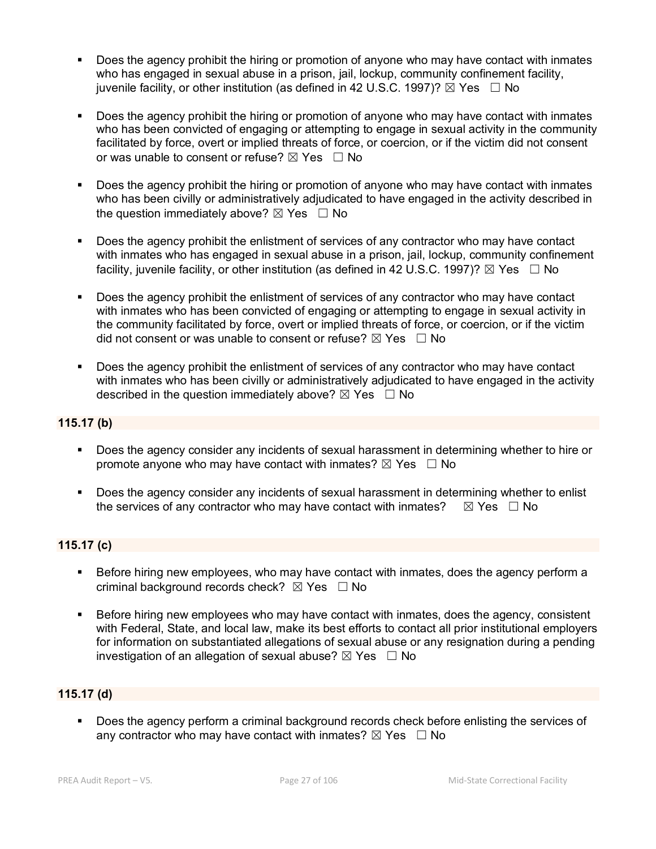- Does the agency prohibit the hiring or promotion of anyone who may have contact with inmates who has engaged in sexual abuse in a prison, jail, lockup, community confinement facility, juvenile facility, or other institution (as defined in 42 U.S.C. 1997)?  $\boxtimes$  Yes  $\Box$  No
- Does the agency prohibit the hiring or promotion of anyone who may have contact with inmates who has been convicted of engaging or attempting to engage in sexual activity in the community facilitated by force, overt or implied threats of force, or coercion, or if the victim did not consent or was unable to consent or refuse?  $\boxtimes$  Yes  $\Box$  No
- Does the agency prohibit the hiring or promotion of anyone who may have contact with inmates who has been civilly or administratively adjudicated to have engaged in the activity described in the question immediately above?  $\boxtimes$  Yes  $\Box$  No
- Does the agency prohibit the enlistment of services of any contractor who may have contact with inmates who has engaged in sexual abuse in a prison, jail, lockup, community confinement facility, juvenile facility, or other institution (as defined in 42 U.S.C. 1997)?  $\boxtimes$  Yes  $\Box$  No
- Does the agency prohibit the enlistment of services of any contractor who may have contact with inmates who has been convicted of engaging or attempting to engage in sexual activity in the community facilitated by force, overt or implied threats of force, or coercion, or if the victim did not consent or was unable to consent or refuse?  $\boxtimes$  Yes  $\Box$  No
- Does the agency prohibit the enlistment of services of any contractor who may have contact with inmates who has been civilly or administratively adjudicated to have engaged in the activity described in the question immediately above?  $\boxtimes$  Yes  $\Box$  No

# **115.17 (b)**

- Does the agency consider any incidents of sexual harassment in determining whether to hire or promote anyone who may have contact with inmates?  $\boxtimes$  Yes  $\Box$  No
- **Does the agency consider any incidents of sexual harassment in determining whether to enlist** the services of any contractor who may have contact with inmates?  $\boxtimes$  Yes  $\Box$  No

# **115.17 (c)**

- Before hiring new employees, who may have contact with inmates, does the agency perform a criminal background records check?  $\boxtimes$  Yes  $\Box$  No
- Before hiring new employees who may have contact with inmates, does the agency, consistent with Federal, State, and local law, make its best efforts to contact all prior institutional employers for information on substantiated allegations of sexual abuse or any resignation during a pending investigation of an allegation of sexual abuse?  $\boxtimes$  Yes  $\Box$  No

# **115.17 (d)**

 Does the agency perform a criminal background records check before enlisting the services of any contractor who may have contact with inmates?  $\boxtimes$  Yes  $\Box$  No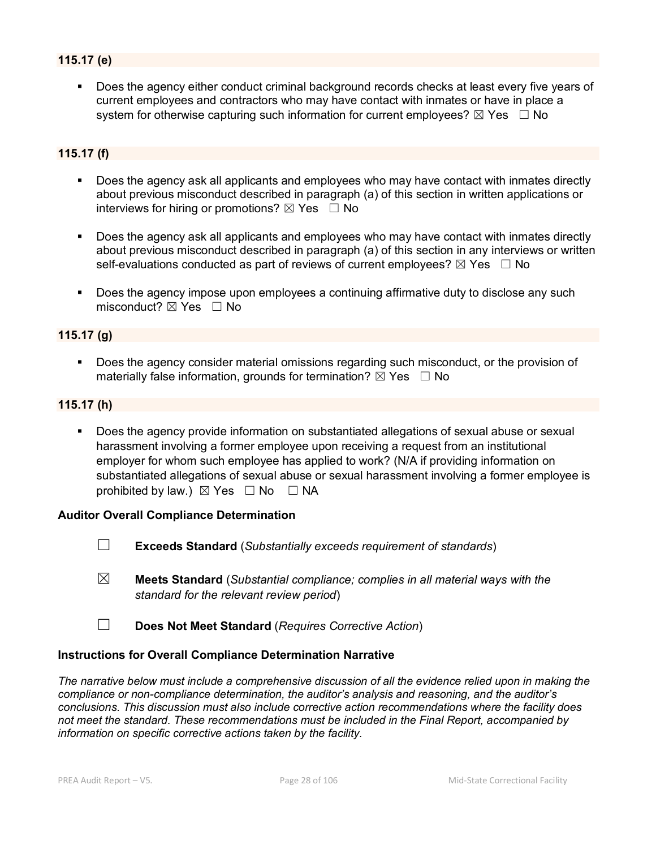# **115.17 (e)**

 Does the agency either conduct criminal background records checks at least every five years of current employees and contractors who may have contact with inmates or have in place a system for otherwise capturing such information for current employees?  $\boxtimes$  Yes  $\Box$  No

#### **115.17 (f)**

- Does the agency ask all applicants and employees who may have contact with inmates directly about previous misconduct described in paragraph (a) of this section in written applications or interviews for hiring or promotions?  $\boxtimes$  Yes  $\Box$  No
- Does the agency ask all applicants and employees who may have contact with inmates directly about previous misconduct described in paragraph (a) of this section in any interviews or written self-evaluations conducted as part of reviews of current employees?  $\boxtimes$  Yes  $\Box$  No
- Does the agency impose upon employees a continuing affirmative duty to disclose any such misconduct?  $\boxtimes$  Yes  $\Box$  No

#### **115.17 (g)**

 Does the agency consider material omissions regarding such misconduct, or the provision of materially false information, grounds for termination?  $\boxtimes$  Yes  $\Box$  No

#### **115.17 (h)**

**Does the agency provide information on substantiated allegations of sexual abuse or sexual** harassment involving a former employee upon receiving a request from an institutional employer for whom such employee has applied to work? (N/A if providing information on substantiated allegations of sexual abuse or sexual harassment involving a former employee is prohibited by law.)  $\boxtimes$  Yes  $\Box$  No  $\Box$  NA

#### **Auditor Overall Compliance Determination**

- ☐ **Exceeds Standard** (*Substantially exceeds requirement of standards*)
- ☒ **Meets Standard** (*Substantial compliance; complies in all material ways with the standard for the relevant review period*)
- ☐ **Does Not Meet Standard** (*Requires Corrective Action*)

#### **Instructions for Overall Compliance Determination Narrative**

*The narrative below must include a comprehensive discussion of all the evidence relied upon in making the compliance or non-compliance determination, the auditor's analysis and reasoning, and the auditor's conclusions. This discussion must also include corrective action recommendations where the facility does not meet the standard. These recommendations must be included in the Final Report, accompanied by information on specific corrective actions taken by the facility.*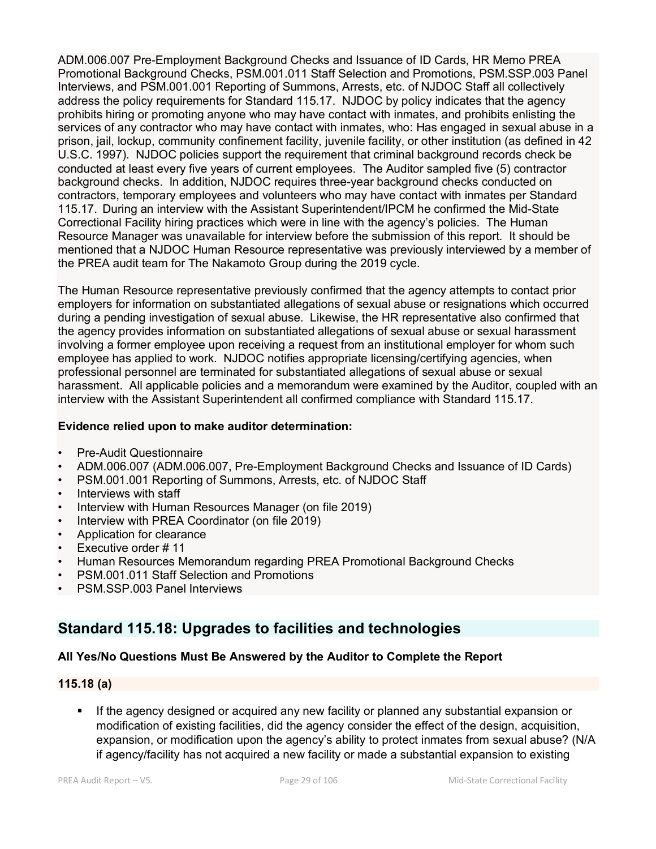ADM.006.007 Pre-Employment Background Checks and Issuance of ID Cards, HR Memo PREA Promotional Background Checks, PSM.001.011 Staff Selection and Promotions, PSM.SSP.003 Panel Interviews, and PSM.001.001 Reporting of Summons, Arrests, etc. of NJDOC Staff all collectively address the policy requirements for Standard 115.17. NJDOC by policy indicates that the agency prohibits hiring or promoting anyone who may have contact with inmates, and prohibits enlisting the services of any contractor who may have contact with inmates, who: Has engaged in sexual abuse in a prison, jail, lockup, community confinement facility, juvenile facility, or other institution (as defined in 42 U.S.C. 1997). NJDOC policies support the requirement that criminal background records check be conducted at least every five years of current employees. The Auditor sampled five (5) contractor background checks. In addition, NJDOC requires three-year background checks conducted on contractors, temporary employees and volunteers who may have contact with inmates per Standard 115.17. During an interview with the Assistant Superintendent/IPCM he confirmed the Mid-State Correctional Facility hiring practices which were in line with the agency's policies. The Human Resource Manager was unavailable for interview before the submission of this report. It should be mentioned that a NJDOC Human Resource representative was previously interviewed by a member of the PREA audit team for The Nakamoto Group during the 2019 cycle.

The Human Resource representative previously confirmed that the agency attempts to contact prior employers for information on substantiated allegations of sexual abuse or resignations which occurred during a pending investigation of sexual abuse. Likewise, the HR representative also confirmed that the agency provides information on substantiated allegations of sexual abuse or sexual harassment involving a former employee upon receiving a request from an institutional employer for whom such employee has applied to work. NJDOC notifies appropriate licensing/certifying agencies, when professional personnel are terminated for substantiated allegations of sexual abuse or sexual harassment. All applicable policies and a memorandum were examined by the Auditor, coupled with an interview with the Assistant Superintendent all confirmed compliance with Standard 115.17.

# **Evidence relied upon to make auditor determination:**

- Pre-Audit Questionnaire
- ADM.006.007 (ADM.006.007, Pre-Employment Background Checks and Issuance of ID Cards)
- PSM.001.001 Reporting of Summons, Arrests, etc. of NJDOC Staff
- Interviews with staff
- Interview with Human Resources Manager (on file 2019)
- Interview with PREA Coordinator (on file 2019)
- Application for clearance
- Executive order # 11
- Human Resources Memorandum regarding PREA Promotional Background Checks
- PSM.001.011 Staff Selection and Promotions
- PSM.SSP.003 Panel Interviews

# **Standard 115.18: Upgrades to facilities and technologies**

# **All Yes/No Questions Must Be Answered by the Auditor to Complete the Report**

# **115.18 (a)**

 If the agency designed or acquired any new facility or planned any substantial expansion or modification of existing facilities, did the agency consider the effect of the design, acquisition, expansion, or modification upon the agency's ability to protect inmates from sexual abuse? (N/A if agency/facility has not acquired a new facility or made a substantial expansion to existing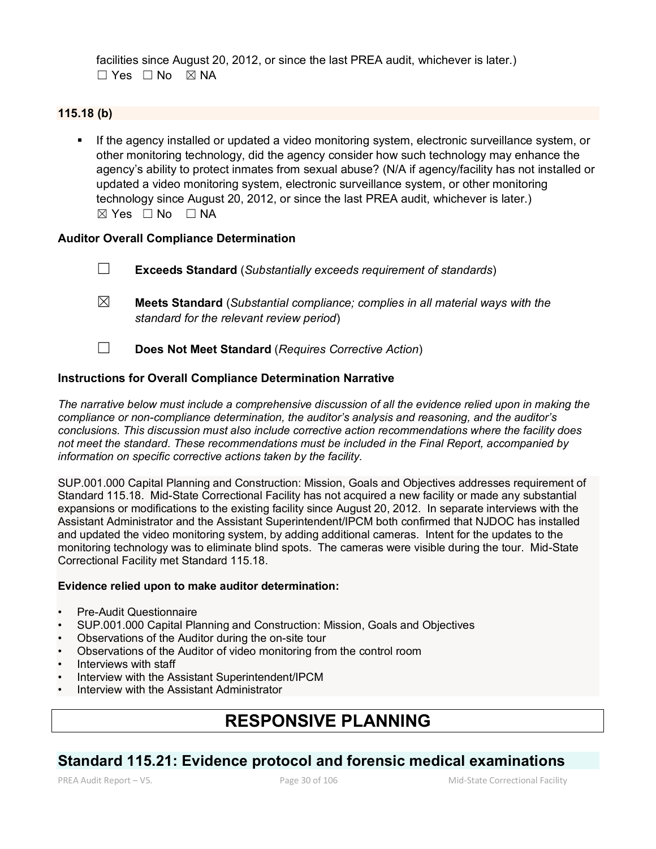facilities since August 20, 2012, or since the last PREA audit, whichever is later.)  $\square$  Yes  $\square$  No  $\square$  NA

# **115.18 (b)**

If the agency installed or updated a video monitoring system, electronic surveillance system, or other monitoring technology, did the agency consider how such technology may enhance the agency's ability to protect inmates from sexual abuse? (N/A if agency/facility has not installed or updated a video monitoring system, electronic surveillance system, or other monitoring technology since August 20, 2012, or since the last PREA audit, whichever is later.)  $\boxtimes$  Yes  $\Box$  No  $\Box$  NA

#### **Auditor Overall Compliance Determination**

- ☐ **Exceeds Standard** (*Substantially exceeds requirement of standards*)
- ☒ **Meets Standard** (*Substantial compliance; complies in all material ways with the standard for the relevant review period*)
- ☐ **Does Not Meet Standard** (*Requires Corrective Action*)

#### **Instructions for Overall Compliance Determination Narrative**

*The narrative below must include a comprehensive discussion of all the evidence relied upon in making the compliance or non-compliance determination, the auditor's analysis and reasoning, and the auditor's conclusions. This discussion must also include corrective action recommendations where the facility does not meet the standard. These recommendations must be included in the Final Report, accompanied by information on specific corrective actions taken by the facility.*

SUP.001.000 Capital Planning and Construction: Mission, Goals and Objectives addresses requirement of Standard 115.18. Mid-State Correctional Facility has not acquired a new facility or made any substantial expansions or modifications to the existing facility since August 20, 2012. In separate interviews with the Assistant Administrator and the Assistant Superintendent/IPCM both confirmed that NJDOC has installed and updated the video monitoring system, by adding additional cameras. Intent for the updates to the monitoring technology was to eliminate blind spots. The cameras were visible during the tour. Mid-State Correctional Facility met Standard 115.18.

#### **Evidence relied upon to make auditor determination:**

- Pre-Audit Questionnaire
- SUP.001.000 Capital Planning and Construction: Mission, Goals and Objectives
- Observations of the Auditor during the on-site tour
- Observations of the Auditor of video monitoring from the control room
- Interviews with staff
- Interview with the Assistant Superintendent/IPCM
- Interview with the Assistant Administrator

# **RESPONSIVE PLANNING**

# **Standard 115.21: Evidence protocol and forensic medical examinations**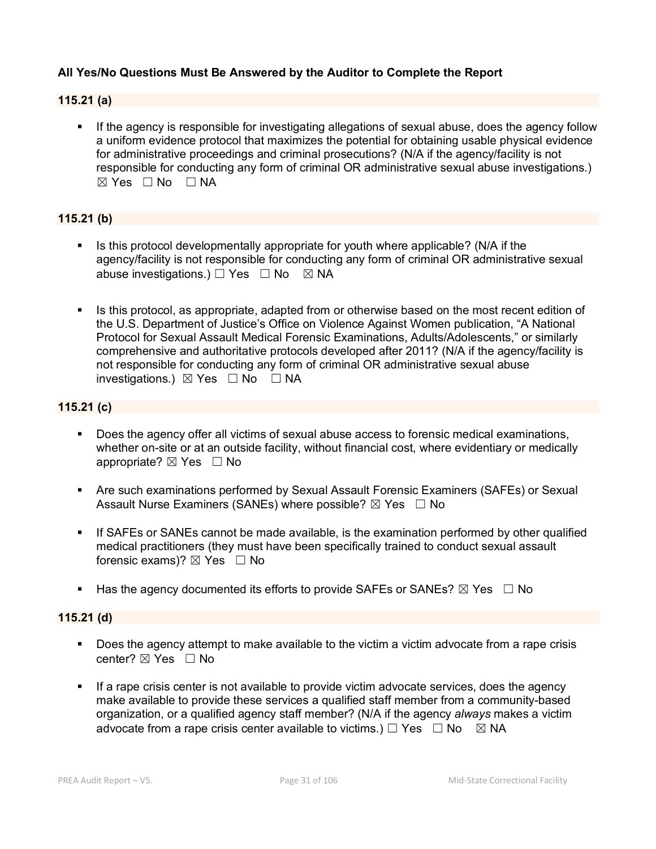# **All Yes/No Questions Must Be Answered by the Auditor to Complete the Report**

#### **115.21 (a)**

**If the agency is responsible for investigating allegations of sexual abuse, does the agency follow** a uniform evidence protocol that maximizes the potential for obtaining usable physical evidence for administrative proceedings and criminal prosecutions? (N/A if the agency/facility is not responsible for conducting any form of criminal OR administrative sexual abuse investigations.)  $\boxtimes$  Yes  $\Box$  No  $\Box$  NA

# **115.21 (b)**

- Is this protocol developmentally appropriate for youth where applicable? (N/A if the agency/facility is not responsible for conducting any form of criminal OR administrative sexual abuse investigations.) □ Yes □ No ⊠ NA
- Is this protocol, as appropriate, adapted from or otherwise based on the most recent edition of the U.S. Department of Justice's Office on Violence Against Women publication, "A National Protocol for Sexual Assault Medical Forensic Examinations, Adults/Adolescents," or similarly comprehensive and authoritative protocols developed after 2011? (N/A if the agency/facility is not responsible for conducting any form of criminal OR administrative sexual abuse investigations.) ☒ Yes ☐ No ☐ NA

# **115.21 (c)**

- Does the agency offer all victims of sexual abuse access to forensic medical examinations, whether on-site or at an outside facility, without financial cost, where evidentiary or medically appropriate?  $\boxtimes$  Yes  $\Box$  No
- Are such examinations performed by Sexual Assault Forensic Examiners (SAFEs) or Sexual Assault Nurse Examiners (SANEs) where possible?  $\boxtimes$  Yes  $\Box$  No
- If SAFEs or SANEs cannot be made available, is the examination performed by other qualified medical practitioners (they must have been specifically trained to conduct sexual assault forensic exams)? ⊠ Yes □ No
- Has the agency documented its efforts to provide SAFEs or SANEs?  $\boxtimes$  Yes  $\Box$  No

#### **115.21 (d)**

- Does the agency attempt to make available to the victim a victim advocate from a rape crisis center? ⊠ Yes □ No
- If a rape crisis center is not available to provide victim advocate services, does the agency make available to provide these services a qualified staff member from a community-based organization, or a qualified agency staff member? (N/A if the agency *always* makes a victim advocate from a rape crisis center available to victims.)  $\Box$  Yes  $\Box$  No  $\boxtimes$  NA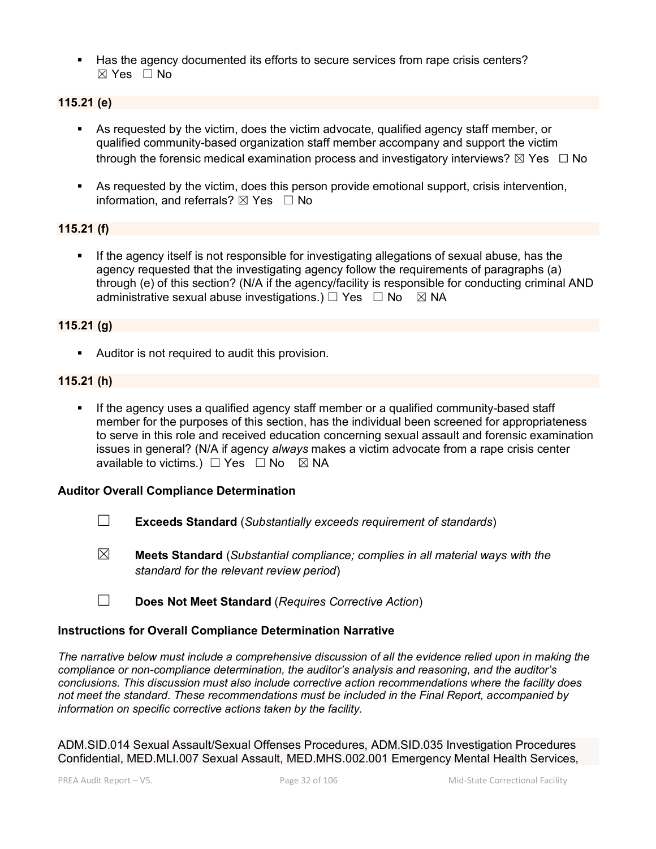Has the agency documented its efforts to secure services from rape crisis centers? ☒ Yes ☐ No

# **115.21 (e)**

- As requested by the victim, does the victim advocate, qualified agency staff member, or qualified community-based organization staff member accompany and support the victim through the forensic medical examination process and investigatory interviews?  $\boxtimes$  Yes  $\Box$  No
- As requested by the victim, does this person provide emotional support, crisis intervention, information, and referrals?  $\boxtimes$  Yes  $\Box$  No

#### **115.21 (f)**

 If the agency itself is not responsible for investigating allegations of sexual abuse, has the agency requested that the investigating agency follow the requirements of paragraphs (a) through (e) of this section? (N/A if the agency/facility is responsible for conducting criminal AND administrative sexual abuse investigations.)  $\Box$  Yes  $\Box$  No  $\boxtimes$  NA

#### **115.21 (g)**

Auditor is not required to audit this provision.

#### **115.21 (h)**

If the agency uses a qualified agency staff member or a qualified community-based staff member for the purposes of this section, has the individual been screened for appropriateness to serve in this role and received education concerning sexual assault and forensic examination issues in general? (N/A if agency *always* makes a victim advocate from a rape crisis center available to victims.)  $\Box$  Yes  $\Box$  No  $\boxtimes$  NA

#### **Auditor Overall Compliance Determination**

- ☐ **Exceeds Standard** (*Substantially exceeds requirement of standards*)
- ☒ **Meets Standard** (*Substantial compliance; complies in all material ways with the standard for the relevant review period*)
- ☐ **Does Not Meet Standard** (*Requires Corrective Action*)

#### **Instructions for Overall Compliance Determination Narrative**

*The narrative below must include a comprehensive discussion of all the evidence relied upon in making the compliance or non-compliance determination, the auditor's analysis and reasoning, and the auditor's conclusions. This discussion must also include corrective action recommendations where the facility does not meet the standard. These recommendations must be included in the Final Report, accompanied by information on specific corrective actions taken by the facility.*

ADM.SID.014 Sexual Assault/Sexual Offenses Procedures, ADM.SID.035 Investigation Procedures Confidential, MED.MLI.007 Sexual Assault, MED.MHS.002.001 Emergency Mental Health Services,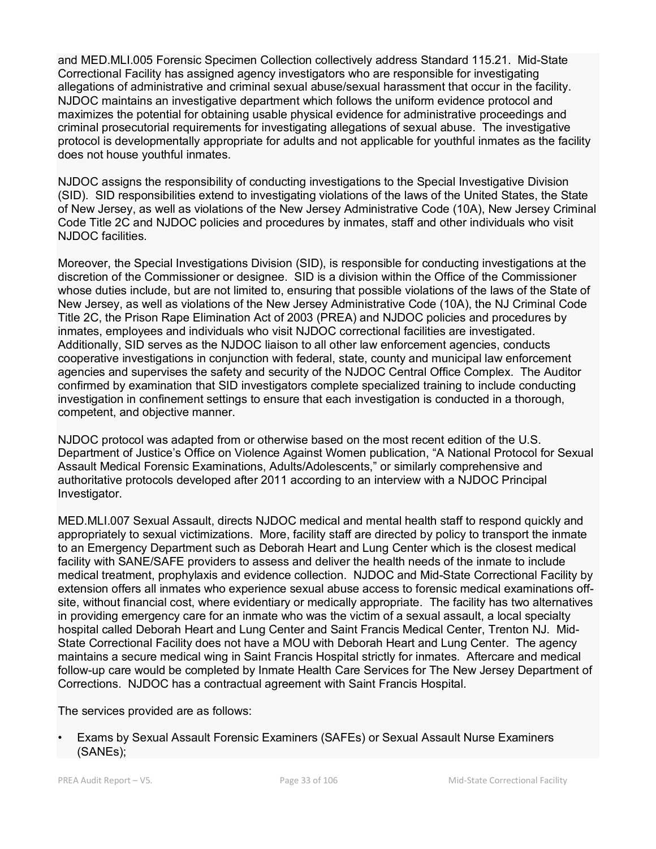and MED.MLI.005 Forensic Specimen Collection collectively address Standard 115.21. Mid-State Correctional Facility has assigned agency investigators who are responsible for investigating allegations of administrative and criminal sexual abuse/sexual harassment that occur in the facility. NJDOC maintains an investigative department which follows the uniform evidence protocol and maximizes the potential for obtaining usable physical evidence for administrative proceedings and criminal prosecutorial requirements for investigating allegations of sexual abuse. The investigative protocol is developmentally appropriate for adults and not applicable for youthful inmates as the facility does not house youthful inmates.

NJDOC assigns the responsibility of conducting investigations to the Special Investigative Division (SID). SID responsibilities extend to investigating violations of the laws of the United States, the State of New Jersey, as well as violations of the New Jersey Administrative Code (10A), New Jersey Criminal Code Title 2C and NJDOC policies and procedures by inmates, staff and other individuals who visit NJDOC facilities.

Moreover, the Special Investigations Division (SID), is responsible for conducting investigations at the discretion of the Commissioner or designee. SID is a division within the Office of the Commissioner whose duties include, but are not limited to, ensuring that possible violations of the laws of the State of New Jersey, as well as violations of the New Jersey Administrative Code (10A), the NJ Criminal Code Title 2C, the Prison Rape Elimination Act of 2003 (PREA) and NJDOC policies and procedures by inmates, employees and individuals who visit NJDOC correctional facilities are investigated. Additionally, SID serves as the NJDOC liaison to all other law enforcement agencies, conducts cooperative investigations in conjunction with federal, state, county and municipal law enforcement agencies and supervises the safety and security of the NJDOC Central Office Complex. The Auditor confirmed by examination that SID investigators complete specialized training to include conducting investigation in confinement settings to ensure that each investigation is conducted in a thorough, competent, and objective manner.

NJDOC protocol was adapted from or otherwise based on the most recent edition of the U.S. Department of Justice's Office on Violence Against Women publication, "A National Protocol for Sexual Assault Medical Forensic Examinations, Adults/Adolescents," or similarly comprehensive and authoritative protocols developed after 2011 according to an interview with a NJDOC Principal Investigator.

MED.MLI.007 Sexual Assault, directs NJDOC medical and mental health staff to respond quickly and appropriately to sexual victimizations. More, facility staff are directed by policy to transport the inmate to an Emergency Department such as Deborah Heart and Lung Center which is the closest medical facility with SANE/SAFE providers to assess and deliver the health needs of the inmate to include medical treatment, prophylaxis and evidence collection. NJDOC and Mid-State Correctional Facility by extension offers all inmates who experience sexual abuse access to forensic medical examinations offsite, without financial cost, where evidentiary or medically appropriate. The facility has two alternatives in providing emergency care for an inmate who was the victim of a sexual assault, a local specialty hospital called Deborah Heart and Lung Center and Saint Francis Medical Center, Trenton NJ. Mid-State Correctional Facility does not have a MOU with Deborah Heart and Lung Center. The agency maintains a secure medical wing in Saint Francis Hospital strictly for inmates. Aftercare and medical follow-up care would be completed by Inmate Health Care Services for The New Jersey Department of Corrections. NJDOC has a contractual agreement with Saint Francis Hospital.

The services provided are as follows:

• Exams by Sexual Assault Forensic Examiners (SAFEs) or Sexual Assault Nurse Examiners (SANEs);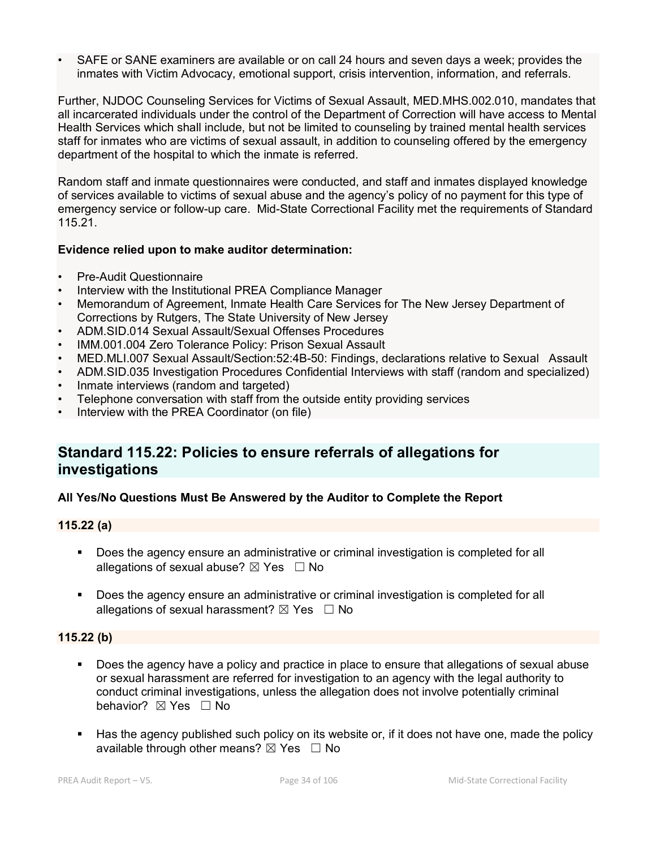• SAFE or SANE examiners are available or on call 24 hours and seven days a week; provides the inmates with Victim Advocacy, emotional support, crisis intervention, information, and referrals.

Further, NJDOC Counseling Services for Victims of Sexual Assault, MED.MHS.002.010, mandates that all incarcerated individuals under the control of the Department of Correction will have access to Mental Health Services which shall include, but not be limited to counseling by trained mental health services staff for inmates who are victims of sexual assault, in addition to counseling offered by the emergency department of the hospital to which the inmate is referred.

Random staff and inmate questionnaires were conducted, and staff and inmates displayed knowledge of services available to victims of sexual abuse and the agency's policy of no payment for this type of emergency service or follow-up care. Mid-State Correctional Facility met the requirements of Standard 115.21.

# **Evidence relied upon to make auditor determination:**

- Pre-Audit Questionnaire
- Interview with the Institutional PREA Compliance Manager
- Memorandum of Agreement, Inmate Health Care Services for The New Jersey Department of Corrections by Rutgers, The State University of New Jersey
- ADM.SID.014 Sexual Assault/Sexual Offenses Procedures
- IMM.001.004 Zero Tolerance Policy: Prison Sexual Assault
- MED.MLI.007 Sexual Assault/Section:52:4B-50: Findings, declarations relative to Sexual Assault
- ADM.SID.035 Investigation Procedures Confidential Interviews with staff (random and specialized)
- Inmate interviews (random and targeted)
- Telephone conversation with staff from the outside entity providing services
- Interview with the PREA Coordinator (on file)

# **Standard 115.22: Policies to ensure referrals of allegations for investigations**

# **All Yes/No Questions Must Be Answered by the Auditor to Complete the Report**

#### **115.22 (a)**

- **Does the agency ensure an administrative or criminal investigation is completed for all** allegations of sexual abuse?  $\boxtimes$  Yes  $\Box$  No
- **Does the agency ensure an administrative or criminal investigation is completed for all** allegations of sexual harassment?  $\boxtimes$  Yes  $\Box$  No

# **115.22 (b)**

- Does the agency have a policy and practice in place to ensure that allegations of sexual abuse or sexual harassment are referred for investigation to an agency with the legal authority to conduct criminal investigations, unless the allegation does not involve potentially criminal behavior? **⊠** Yes □ No
- Has the agency published such policy on its website or, if it does not have one, made the policy available through other means?  $\boxtimes$  Yes  $\Box$  No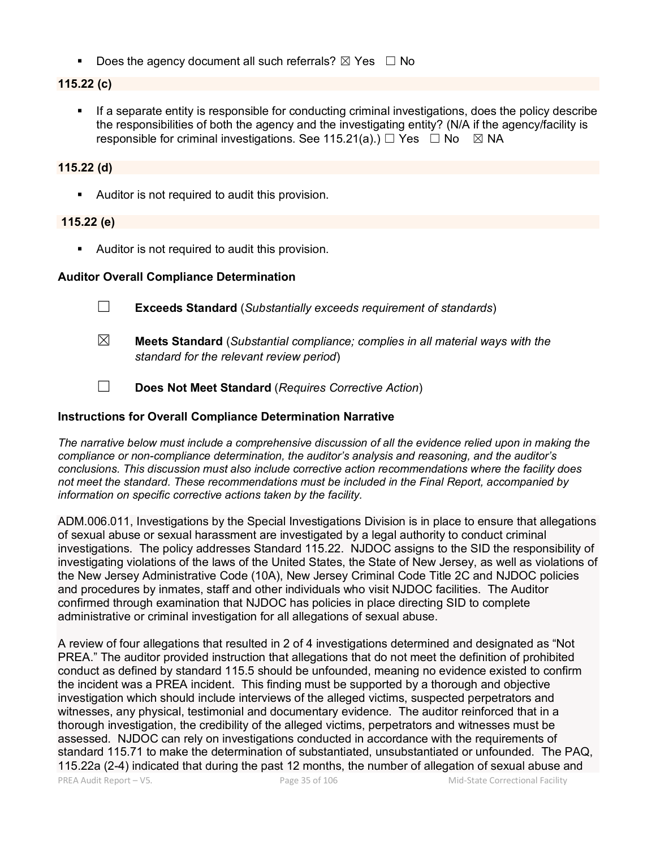Does the agency document all such referrals?  $\boxtimes$  Yes  $\Box$  No

#### **115.22 (c)**

 If a separate entity is responsible for conducting criminal investigations, does the policy describe the responsibilities of both the agency and the investigating entity? (N/A if the agency/facility is responsible for criminal investigations. See 115.21(a).)  $\Box$  Yes  $\Box$  No  $\boxtimes$  NA

#### **115.22 (d)**

Auditor is not required to audit this provision.

#### **115.22 (e)**

**Auditor is not required to audit this provision.** 

#### **Auditor Overall Compliance Determination**

- ☐ **Exceeds Standard** (*Substantially exceeds requirement of standards*)
- ☒ **Meets Standard** (*Substantial compliance; complies in all material ways with the standard for the relevant review period*)
- ☐ **Does Not Meet Standard** (*Requires Corrective Action*)

#### **Instructions for Overall Compliance Determination Narrative**

*The narrative below must include a comprehensive discussion of all the evidence relied upon in making the compliance or non-compliance determination, the auditor's analysis and reasoning, and the auditor's conclusions. This discussion must also include corrective action recommendations where the facility does not meet the standard. These recommendations must be included in the Final Report, accompanied by information on specific corrective actions taken by the facility.*

ADM.006.011, Investigations by the Special Investigations Division is in place to ensure that allegations of sexual abuse or sexual harassment are investigated by a legal authority to conduct criminal investigations. The policy addresses Standard 115.22. NJDOC assigns to the SID the responsibility of investigating violations of the laws of the United States, the State of New Jersey, as well as violations of the New Jersey Administrative Code (10A), New Jersey Criminal Code Title 2C and NJDOC policies and procedures by inmates, staff and other individuals who visit NJDOC facilities. The Auditor confirmed through examination that NJDOC has policies in place directing SID to complete administrative or criminal investigation for all allegations of sexual abuse.

A review of four allegations that resulted in 2 of 4 investigations determined and designated as "Not PREA." The auditor provided instruction that allegations that do not meet the definition of prohibited conduct as defined by standard 115.5 should be unfounded, meaning no evidence existed to confirm the incident was a PREA incident. This finding must be supported by a thorough and objective investigation which should include interviews of the alleged victims, suspected perpetrators and witnesses, any physical, testimonial and documentary evidence. The auditor reinforced that in a thorough investigation, the credibility of the alleged victims, perpetrators and witnesses must be assessed. NJDOC can rely on investigations conducted in accordance with the requirements of standard 115.71 to make the determination of substantiated, unsubstantiated or unfounded. The PAQ, 115.22a (2-4) indicated that during the past 12 months, the number of allegation of sexual abuse and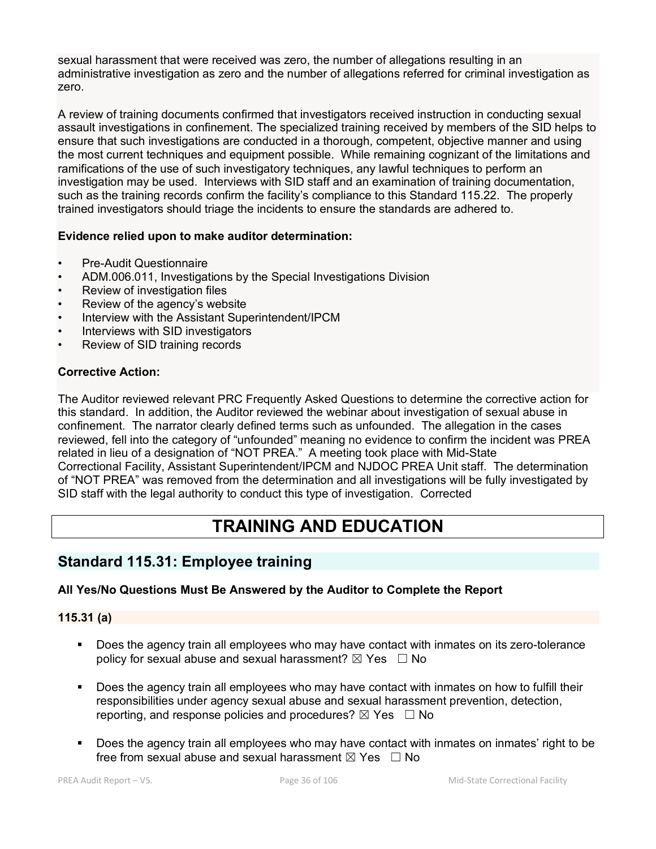sexual harassment that were received was zero, the number of allegations resulting in an administrative investigation as zero and the number of allegations referred for criminal investigation as zero.

A review of training documents confirmed that investigators received instruction in conducting sexual assault investigations in confinement. The specialized training received by members of the SID helps to ensure that such investigations are conducted in a thorough, competent, objective manner and using the most current techniques and equipment possible. While remaining cognizant of the limitations and ramifications of the use of such investigatory techniques, any lawful techniques to perform an investigation may be used. Interviews with SID staff and an examination of training documentation, such as the training records confirm the facility's compliance to this Standard 115.22. The properly trained investigators should triage the incidents to ensure the standards are adhered to.

# **Evidence relied upon to make auditor determination:**

- Pre-Audit Questionnaire
- ADM.006.011, Investigations by the Special Investigations Division
- Review of investigation files
- Review of the agency's website
- Interview with the Assistant Superintendent/IPCM
- Interviews with SID investigators
- Review of SID training records

# **Corrective Action:**

The Auditor reviewed relevant PRC Frequently Asked Questions to determine the corrective action for this standard. In addition, the Auditor reviewed the webinar about investigation of sexual abuse in confinement. The narrator clearly defined terms such as unfounded. The allegation in the cases reviewed, fell into the category of "unfounded" meaning no evidence to confirm the incident was PREA related in lieu of a designation of "NOT PREA." A meeting took place with Mid-State Correctional Facility, Assistant Superintendent/IPCM and NJDOC PREA Unit staff. The determination of "NOT PREA" was removed from the determination and all investigations will be fully investigated by SID staff with the legal authority to conduct this type of investigation. Corrected

# **TRAINING AND EDUCATION**

# **Standard 115.31: Employee training**

# **All Yes/No Questions Must Be Answered by the Auditor to Complete the Report**

# **115.31 (a)**

- Does the agency train all employees who may have contact with inmates on its zero-tolerance policy for sexual abuse and sexual harassment?  $\boxtimes$  Yes  $\Box$  No
- Does the agency train all employees who may have contact with inmates on how to fulfill their responsibilities under agency sexual abuse and sexual harassment prevention, detection, reporting, and response policies and procedures?  $\boxtimes$  Yes  $\Box$  No
- Does the agency train all employees who may have contact with inmates on inmates' right to be free from sexual abuse and sexual harassment  $\boxtimes$  Yes  $\Box$  No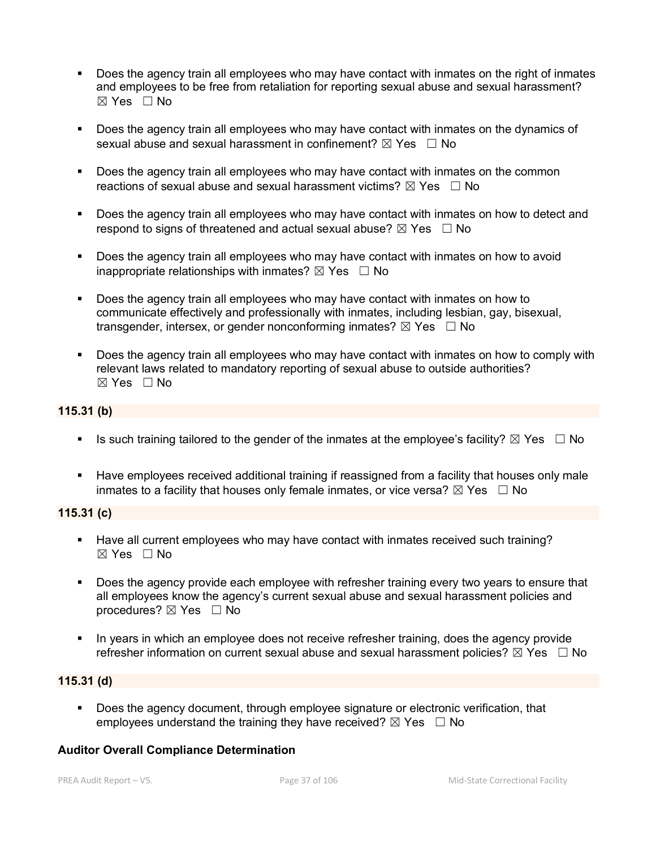- Does the agency train all employees who may have contact with inmates on the right of inmates and employees to be free from retaliation for reporting sexual abuse and sexual harassment? ☒ Yes ☐ No
- **Does the agency train all employees who may have contact with inmates on the dynamics of** sexual abuse and sexual harassment in confinement?  $\boxtimes$  Yes  $\Box$  No
- Does the agency train all employees who may have contact with inmates on the common reactions of sexual abuse and sexual harassment victims?  $\boxtimes$  Yes  $\Box$  No
- Does the agency train all employees who may have contact with inmates on how to detect and respond to signs of threatened and actual sexual abuse?  $\boxtimes$  Yes  $\Box$  No
- Does the agency train all employees who may have contact with inmates on how to avoid inappropriate relationships with inmates?  $\boxtimes$  Yes  $\Box$  No
- Does the agency train all employees who may have contact with inmates on how to communicate effectively and professionally with inmates, including lesbian, gay, bisexual, transgender, intersex, or gender nonconforming inmates?  $\boxtimes$  Yes  $\Box$  No
- Does the agency train all employees who may have contact with inmates on how to comply with relevant laws related to mandatory reporting of sexual abuse to outside authorities?  $\boxtimes$  Yes  $\Box$  No

#### **115.31 (b)**

- Is such training tailored to the gender of the inmates at the employee's facility?  $\boxtimes$  Yes  $\Box$  No
- Have employees received additional training if reassigned from a facility that houses only male inmates to a facility that houses only female inmates, or vice versa?  $\boxtimes$  Yes  $\Box$  No

### **115.31 (c)**

- Have all current employees who may have contact with inmates received such training? ☒ Yes ☐ No
- Does the agency provide each employee with refresher training every two years to ensure that all employees know the agency's current sexual abuse and sexual harassment policies and procedures? ⊠ Yes □ No
- In years in which an employee does not receive refresher training, does the agency provide refresher information on current sexual abuse and sexual harassment policies?  $\boxtimes$  Yes  $\Box$  No

### **115.31 (d)**

 Does the agency document, through employee signature or electronic verification, that employees understand the training they have received?  $\boxtimes$  Yes  $\Box$  No

#### **Auditor Overall Compliance Determination**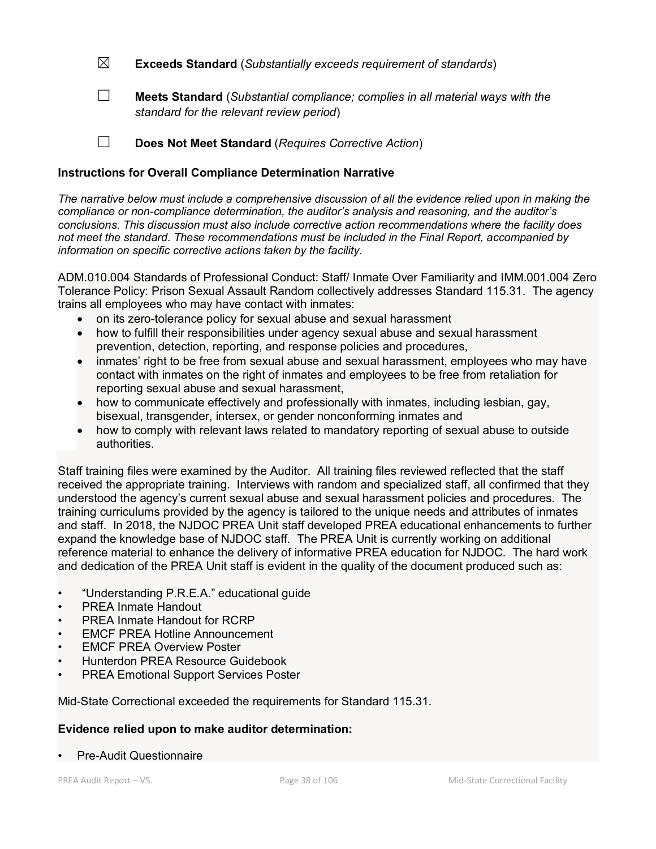☒ **Exceeds Standard** (*Substantially exceeds requirement of standards*)

☐ **Meets Standard** (*Substantial compliance; complies in all material ways with the standard for the relevant review period*)

☐ **Does Not Meet Standard** (*Requires Corrective Action*)

### **Instructions for Overall Compliance Determination Narrative**

*The narrative below must include a comprehensive discussion of all the evidence relied upon in making the compliance or non-compliance determination, the auditor's analysis and reasoning, and the auditor's conclusions. This discussion must also include corrective action recommendations where the facility does not meet the standard. These recommendations must be included in the Final Report, accompanied by information on specific corrective actions taken by the facility.*

ADM.010.004 Standards of Professional Conduct: Staff/ Inmate Over Familiarity and IMM.001.004 Zero Tolerance Policy: Prison Sexual Assault Random collectively addresses Standard 115.31. The agency trains all employees who may have contact with inmates:

- on its zero-tolerance policy for sexual abuse and sexual harassment
- how to fulfill their responsibilities under agency sexual abuse and sexual harassment prevention, detection, reporting, and response policies and procedures,
- inmates' right to be free from sexual abuse and sexual harassment, employees who may have contact with inmates on the right of inmates and employees to be free from retaliation for reporting sexual abuse and sexual harassment,
- how to communicate effectively and professionally with inmates, including lesbian, gay, bisexual, transgender, intersex, or gender nonconforming inmates and
- how to comply with relevant laws related to mandatory reporting of sexual abuse to outside authorities.

Staff training files were examined by the Auditor. All training files reviewed reflected that the staff received the appropriate training. Interviews with random and specialized staff, all confirmed that they understood the agency's current sexual abuse and sexual harassment policies and procedures. The training curriculums provided by the agency is tailored to the unique needs and attributes of inmates and staff. In 2018, the NJDOC PREA Unit staff developed PREA educational enhancements to further expand the knowledge base of NJDOC staff. The PREA Unit is currently working on additional reference material to enhance the delivery of informative PREA education for NJDOC. The hard work and dedication of the PREA Unit staff is evident in the quality of the document produced such as:

- "Understanding P.R.E.A." educational guide
- PREA Inmate Handout
- PREA Inmate Handout for RCRP
- **EMCF PREA Hotline Announcement**
- **EMCF PREA Overview Poster**
- Hunterdon PREA Resource Guidebook
- PREA Emotional Support Services Poster

Mid-State Correctional exceeded the requirements for Standard 115.31.

### **Evidence relied upon to make auditor determination:**

• Pre-Audit Questionnaire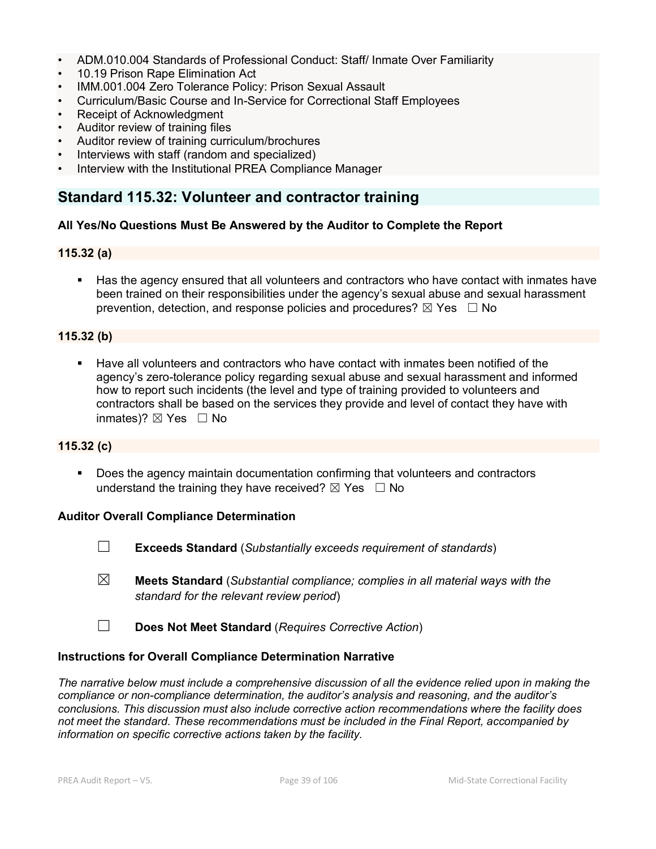- ADM.010.004 Standards of Professional Conduct: Staff/ Inmate Over Familiarity
- 10.19 Prison Rape Elimination Act
- IMM.001.004 Zero Tolerance Policy: Prison Sexual Assault
- Curriculum/Basic Course and In-Service for Correctional Staff Employees
- Receipt of Acknowledgment
- Auditor review of training files
- Auditor review of training curriculum/brochures
- Interviews with staff (random and specialized)
- Interview with the Institutional PREA Compliance Manager

# **Standard 115.32: Volunteer and contractor training**

### **All Yes/No Questions Must Be Answered by the Auditor to Complete the Report**

#### **115.32 (a)**

 Has the agency ensured that all volunteers and contractors who have contact with inmates have been trained on their responsibilities under the agency's sexual abuse and sexual harassment prevention, detection, and response policies and procedures?  $\boxtimes$  Yes  $\Box$  No

### **115.32 (b)**

 Have all volunteers and contractors who have contact with inmates been notified of the agency's zero-tolerance policy regarding sexual abuse and sexual harassment and informed how to report such incidents (the level and type of training provided to volunteers and contractors shall be based on the services they provide and level of contact they have with inmates)?  $\boxtimes$  Yes  $\Box$  No

#### **115.32 (c)**

 Does the agency maintain documentation confirming that volunteers and contractors understand the training they have received?  $\boxtimes$  Yes  $\Box$  No

#### **Auditor Overall Compliance Determination**

- ☐ **Exceeds Standard** (*Substantially exceeds requirement of standards*)
- ☒ **Meets Standard** (*Substantial compliance; complies in all material ways with the standard for the relevant review period*)
- ☐ **Does Not Meet Standard** (*Requires Corrective Action*)

#### **Instructions for Overall Compliance Determination Narrative**

*The narrative below must include a comprehensive discussion of all the evidence relied upon in making the compliance or non-compliance determination, the auditor's analysis and reasoning, and the auditor's conclusions. This discussion must also include corrective action recommendations where the facility does not meet the standard. These recommendations must be included in the Final Report, accompanied by information on specific corrective actions taken by the facility.*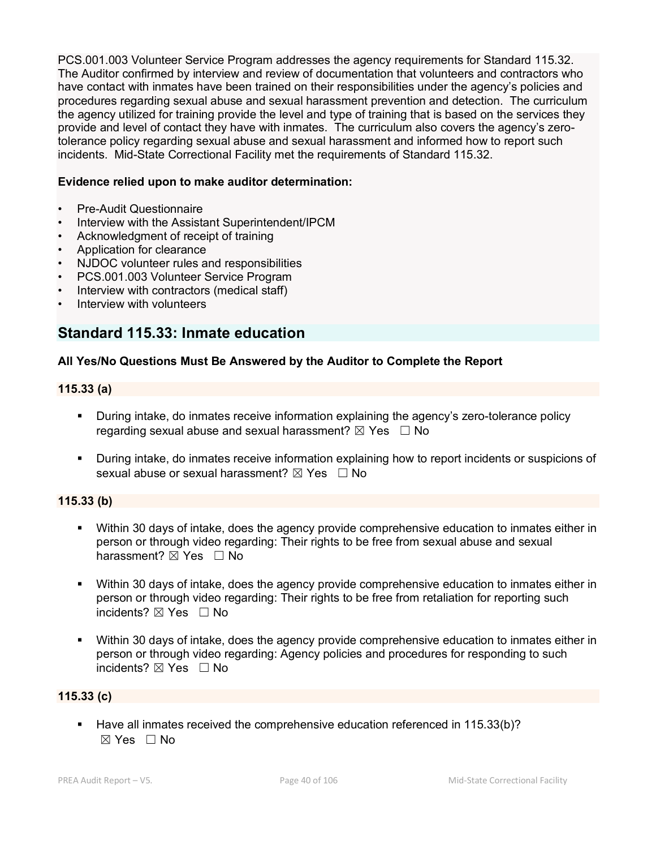PCS.001.003 Volunteer Service Program addresses the agency requirements for Standard 115.32. The Auditor confirmed by interview and review of documentation that volunteers and contractors who have contact with inmates have been trained on their responsibilities under the agency's policies and procedures regarding sexual abuse and sexual harassment prevention and detection. The curriculum the agency utilized for training provide the level and type of training that is based on the services they provide and level of contact they have with inmates. The curriculum also covers the agency's zerotolerance policy regarding sexual abuse and sexual harassment and informed how to report such incidents. Mid-State Correctional Facility met the requirements of Standard 115.32.

### **Evidence relied upon to make auditor determination:**

- Pre-Audit Questionnaire
- Interview with the Assistant Superintendent/IPCM
- Acknowledgment of receipt of training
- Application for clearance
- NJDOC volunteer rules and responsibilities
- PCS.001.003 Volunteer Service Program
- Interview with contractors (medical staff)
- Interview with volunteers

# **Standard 115.33: Inmate education**

### **All Yes/No Questions Must Be Answered by the Auditor to Complete the Report**

#### **115.33 (a)**

- During intake, do inmates receive information explaining the agency's zero-tolerance policy regarding sexual abuse and sexual harassment?  $\boxtimes$  Yes  $\Box$  No
- During intake, do inmates receive information explaining how to report incidents or suspicions of sexual abuse or sexual harassment?  $\boxtimes$  Yes  $\Box$  No

#### **115.33 (b)**

- Within 30 days of intake, does the agency provide comprehensive education to inmates either in person or through video regarding: Their rights to be free from sexual abuse and sexual harassment?  $\boxtimes$  Yes  $\Box$  No
- Within 30 days of intake, does the agency provide comprehensive education to inmates either in person or through video regarding: Their rights to be free from retaliation for reporting such incidents? ⊠ Yes □ No
- Within 30 days of intake, does the agency provide comprehensive education to inmates either in person or through video regarding: Agency policies and procedures for responding to such incidents? ☒ Yes ☐ No

### **115.33 (c)**

**Have all inmates received the comprehensive education referenced in 115.33(b)?**  $\boxtimes$  Yes  $\Box$  No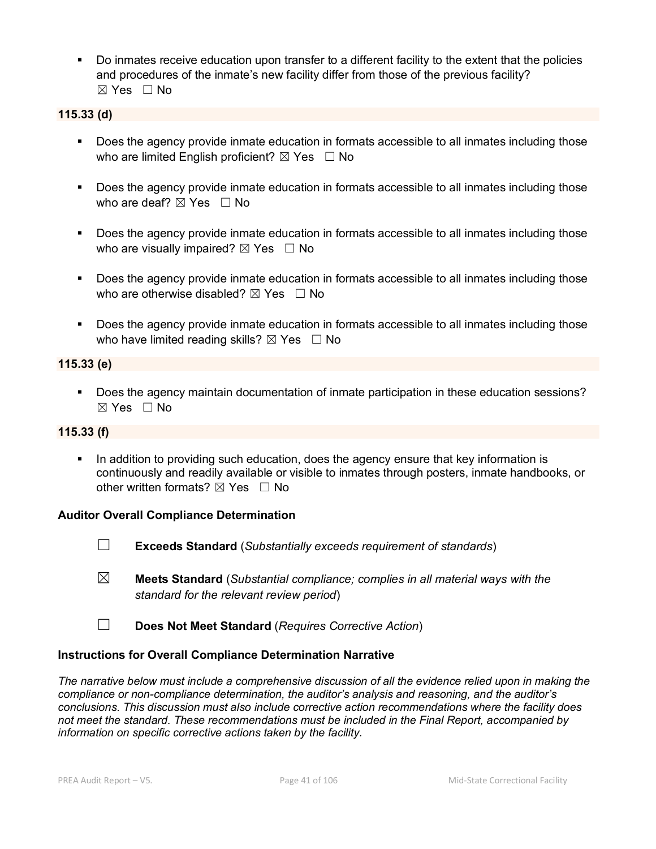Do inmates receive education upon transfer to a different facility to the extent that the policies and procedures of the inmate's new facility differ from those of the previous facility? ☒ Yes ☐ No

### **115.33 (d)**

- Does the agency provide inmate education in formats accessible to all inmates including those who are limited English proficient?  $\boxtimes$  Yes  $\Box$  No
- **Does the agency provide inmate education in formats accessible to all inmates including those** who are deaf?  $\boxtimes$  Yes  $\Box$  No
- Does the agency provide inmate education in formats accessible to all inmates including those who are visually impaired?  $\boxtimes$  Yes  $\Box$  No
- Does the agency provide inmate education in formats accessible to all inmates including those who are otherwise disabled?  $\boxtimes$  Yes  $\Box$  No
- Does the agency provide inmate education in formats accessible to all inmates including those who have limited reading skills?  $\boxtimes$  Yes  $\Box$  No

#### **115.33 (e)**

 Does the agency maintain documentation of inmate participation in these education sessions? ☒ Yes ☐ No

#### **115.33 (f)**

In addition to providing such education, does the agency ensure that key information is continuously and readily available or visible to inmates through posters, inmate handbooks, or other written formats?  $\boxtimes$  Yes  $\Box$  No

#### **Auditor Overall Compliance Determination**

- 
- ☐ **Exceeds Standard** (*Substantially exceeds requirement of standards*)
- ☒ **Meets Standard** (*Substantial compliance; complies in all material ways with the standard for the relevant review period*)
- ☐ **Does Not Meet Standard** (*Requires Corrective Action*)

### **Instructions for Overall Compliance Determination Narrative**

*The narrative below must include a comprehensive discussion of all the evidence relied upon in making the compliance or non-compliance determination, the auditor's analysis and reasoning, and the auditor's conclusions. This discussion must also include corrective action recommendations where the facility does not meet the standard. These recommendations must be included in the Final Report, accompanied by information on specific corrective actions taken by the facility.*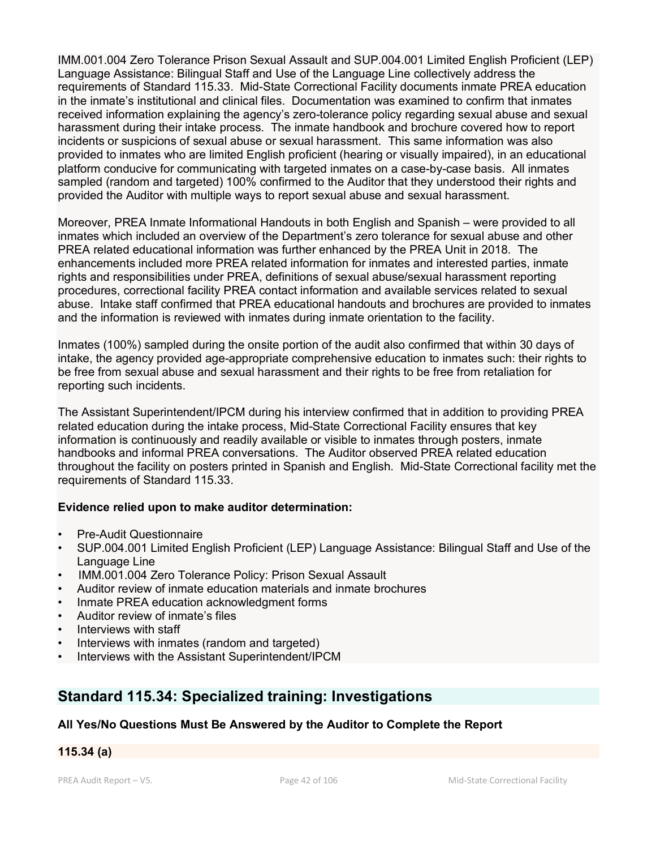IMM.001.004 Zero Tolerance Prison Sexual Assault and SUP.004.001 Limited English Proficient (LEP) Language Assistance: Bilingual Staff and Use of the Language Line collectively address the requirements of Standard 115.33. Mid-State Correctional Facility documents inmate PREA education in the inmate's institutional and clinical files. Documentation was examined to confirm that inmates received information explaining the agency's zero-tolerance policy regarding sexual abuse and sexual harassment during their intake process. The inmate handbook and brochure covered how to report incidents or suspicions of sexual abuse or sexual harassment. This same information was also provided to inmates who are limited English proficient (hearing or visually impaired), in an educational platform conducive for communicating with targeted inmates on a case-by-case basis. All inmates sampled (random and targeted) 100% confirmed to the Auditor that they understood their rights and provided the Auditor with multiple ways to report sexual abuse and sexual harassment.

Moreover, PREA Inmate Informational Handouts in both English and Spanish – were provided to all inmates which included an overview of the Department's zero tolerance for sexual abuse and other PREA related educational information was further enhanced by the PREA Unit in 2018. The enhancements included more PREA related information for inmates and interested parties, inmate rights and responsibilities under PREA, definitions of sexual abuse/sexual harassment reporting procedures, correctional facility PREA contact information and available services related to sexual abuse. Intake staff confirmed that PREA educational handouts and brochures are provided to inmates and the information is reviewed with inmates during inmate orientation to the facility.

Inmates (100%) sampled during the onsite portion of the audit also confirmed that within 30 days of intake, the agency provided age-appropriate comprehensive education to inmates such: their rights to be free from sexual abuse and sexual harassment and their rights to be free from retaliation for reporting such incidents.

The Assistant Superintendent/IPCM during his interview confirmed that in addition to providing PREA related education during the intake process, Mid-State Correctional Facility ensures that key information is continuously and readily available or visible to inmates through posters, inmate handbooks and informal PREA conversations. The Auditor observed PREA related education throughout the facility on posters printed in Spanish and English. Mid-State Correctional facility met the requirements of Standard 115.33.

### **Evidence relied upon to make auditor determination:**

- Pre-Audit Questionnaire
- SUP.004.001 Limited English Proficient (LEP) Language Assistance: Bilingual Staff and Use of the Language Line
- IMM.001.004 Zero Tolerance Policy: Prison Sexual Assault
- Auditor review of inmate education materials and inmate brochures
- Inmate PREA education acknowledgment forms
- Auditor review of inmate's files
- Interviews with staff
- Interviews with inmates (random and targeted)
- Interviews with the Assistant Superintendent/IPCM

# **Standard 115.34: Specialized training: Investigations**

### **All Yes/No Questions Must Be Answered by the Auditor to Complete the Report**

### **115.34 (a)**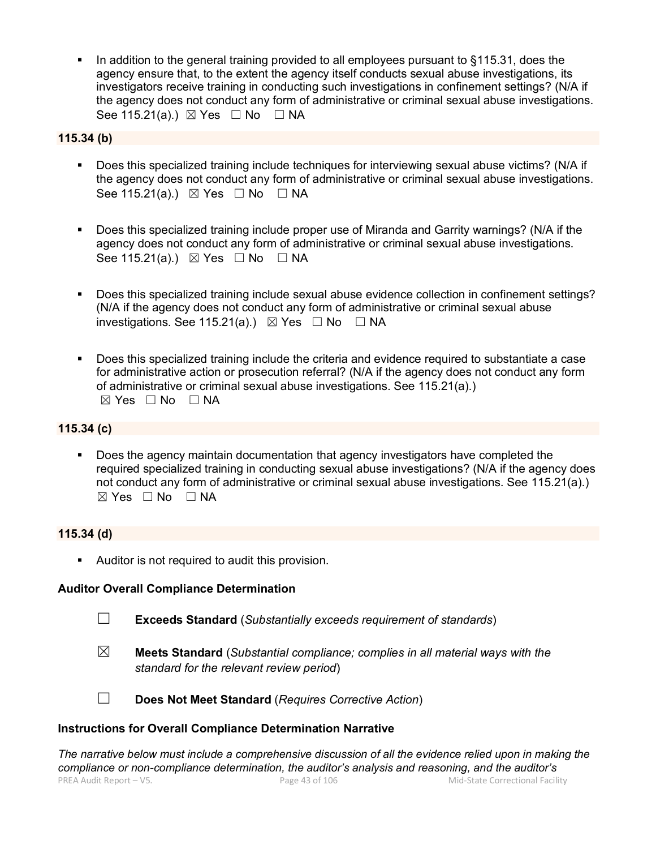In addition to the general training provided to all employees pursuant to §115.31, does the agency ensure that, to the extent the agency itself conducts sexual abuse investigations, its investigators receive training in conducting such investigations in confinement settings? (N/A if the agency does not conduct any form of administrative or criminal sexual abuse investigations. See 115.21(a).)  $\boxtimes$  Yes  $\Box$  No  $\Box$  NA

### **115.34 (b)**

- Does this specialized training include techniques for interviewing sexual abuse victims? (N/A if the agency does not conduct any form of administrative or criminal sexual abuse investigations. See 115.21(a).)  $\boxtimes$  Yes  $\Box$  No  $\Box$  NA
- Does this specialized training include proper use of Miranda and Garrity warnings? (N/A if the agency does not conduct any form of administrative or criminal sexual abuse investigations. See 115.21(a).) ⊠ Yes □ No □ NA
- Does this specialized training include sexual abuse evidence collection in confinement settings? (N/A if the agency does not conduct any form of administrative or criminal sexual abuse investigations. See 115.21(a).)  $\boxtimes$  Yes  $\Box$  No  $\Box$  NA
- Does this specialized training include the criteria and evidence required to substantiate a case for administrative action or prosecution referral? (N/A if the agency does not conduct any form of administrative or criminal sexual abuse investigations. See 115.21(a).)  $⊠ Yes ⊡ No ⊡ NA$

#### **115.34 (c)**

 Does the agency maintain documentation that agency investigators have completed the required specialized training in conducting sexual abuse investigations? (N/A if the agency does not conduct any form of administrative or criminal sexual abuse investigations. See 115.21(a).)  $\boxtimes$  Yes  $\Box$  No  $\Box$  NA

#### **115.34 (d)**

**Auditor is not required to audit this provision.** 

#### **Auditor Overall Compliance Determination**

- ☐ **Exceeds Standard** (*Substantially exceeds requirement of standards*)
- ☒ **Meets Standard** (*Substantial compliance; complies in all material ways with the standard for the relevant review period*)



☐ **Does Not Meet Standard** (*Requires Corrective Action*)

### **Instructions for Overall Compliance Determination Narrative**

PREA Audit Report – V5. Page 43 of 106 Mid-State Correctional Facility *The narrative below must include a comprehensive discussion of all the evidence relied upon in making the compliance or non-compliance determination, the auditor's analysis and reasoning, and the auditor's*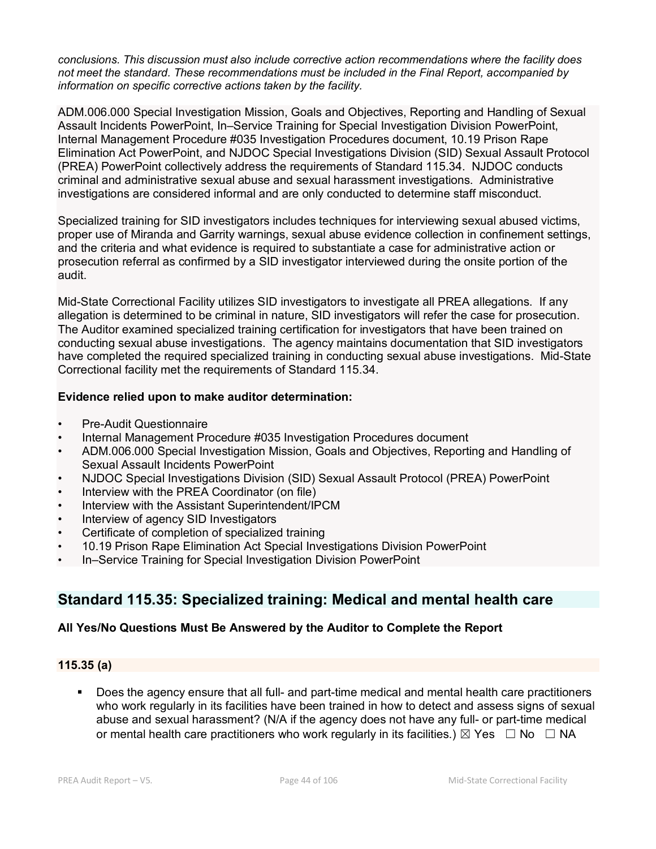*conclusions. This discussion must also include corrective action recommendations where the facility does not meet the standard. These recommendations must be included in the Final Report, accompanied by information on specific corrective actions taken by the facility.*

ADM.006.000 Special Investigation Mission, Goals and Objectives, Reporting and Handling of Sexual Assault Incidents PowerPoint, In–Service Training for Special Investigation Division PowerPoint, Internal Management Procedure #035 Investigation Procedures document, 10.19 Prison Rape Elimination Act PowerPoint, and NJDOC Special Investigations Division (SID) Sexual Assault Protocol (PREA) PowerPoint collectively address the requirements of Standard 115.34. NJDOC conducts criminal and administrative sexual abuse and sexual harassment investigations. Administrative investigations are considered informal and are only conducted to determine staff misconduct.

Specialized training for SID investigators includes techniques for interviewing sexual abused victims, proper use of Miranda and Garrity warnings, sexual abuse evidence collection in confinement settings, and the criteria and what evidence is required to substantiate a case for administrative action or prosecution referral as confirmed by a SID investigator interviewed during the onsite portion of the audit.

Mid-State Correctional Facility utilizes SID investigators to investigate all PREA allegations. If any allegation is determined to be criminal in nature, SID investigators will refer the case for prosecution. The Auditor examined specialized training certification for investigators that have been trained on conducting sexual abuse investigations. The agency maintains documentation that SID investigators have completed the required specialized training in conducting sexual abuse investigations. Mid-State Correctional facility met the requirements of Standard 115.34.

### **Evidence relied upon to make auditor determination:**

- Pre-Audit Questionnaire
- Internal Management Procedure #035 Investigation Procedures document
- ADM.006.000 Special Investigation Mission, Goals and Objectives, Reporting and Handling of Sexual Assault Incidents PowerPoint
- NJDOC Special Investigations Division (SID) Sexual Assault Protocol (PREA) PowerPoint
- Interview with the PREA Coordinator (on file)
- Interview with the Assistant Superintendent/IPCM
- Interview of agency SID Investigators
- Certificate of completion of specialized training
- 10.19 Prison Rape Elimination Act Special Investigations Division PowerPoint
- In–Service Training for Special Investigation Division PowerPoint

# **Standard 115.35: Specialized training: Medical and mental health care**

### **All Yes/No Questions Must Be Answered by the Auditor to Complete the Report**

### **115.35 (a)**

 Does the agency ensure that all full- and part-time medical and mental health care practitioners who work regularly in its facilities have been trained in how to detect and assess signs of sexual abuse and sexual harassment? (N/A if the agency does not have any full- or part-time medical or mental health care practitioners who work regularly in its facilities.)  $\boxtimes$  Yes  $\Box$  No  $\Box$  NA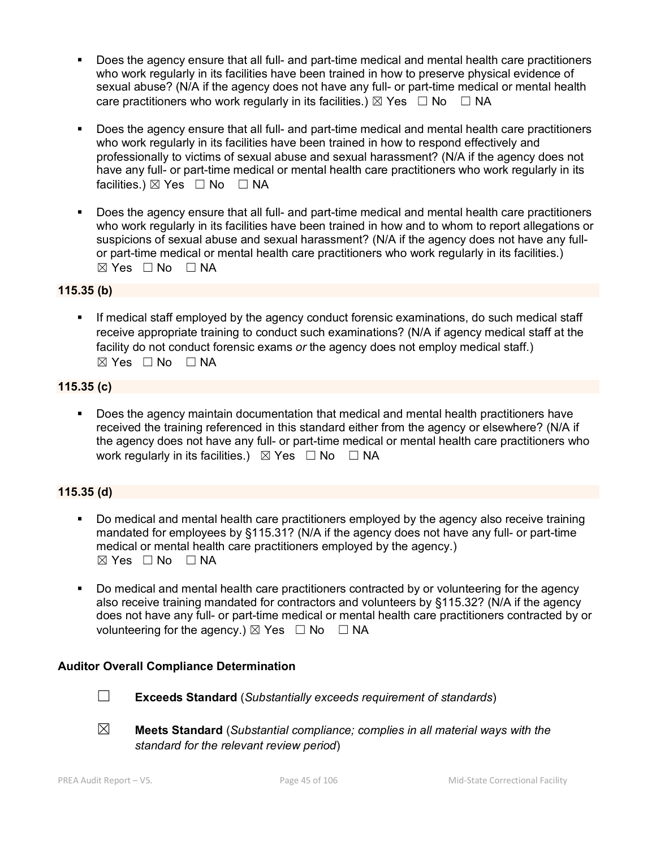- Does the agency ensure that all full- and part-time medical and mental health care practitioners who work regularly in its facilities have been trained in how to preserve physical evidence of sexual abuse? (N/A if the agency does not have any full- or part-time medical or mental health care practitioners who work regularly in its facilities.)  $\boxtimes$  Yes  $\Box$  No  $\Box$  NA
- Does the agency ensure that all full- and part-time medical and mental health care practitioners who work regularly in its facilities have been trained in how to respond effectively and professionally to victims of sexual abuse and sexual harassment? (N/A if the agency does not have any full- or part-time medical or mental health care practitioners who work regularly in its facilities.)  $\boxtimes$  Yes  $\Box$  No  $\Box$  NA
- Does the agency ensure that all full- and part-time medical and mental health care practitioners who work regularly in its facilities have been trained in how and to whom to report allegations or suspicions of sexual abuse and sexual harassment? (N/A if the agency does not have any fullor part-time medical or mental health care practitioners who work regularly in its facilities.)  $\boxtimes$  Yes  $\Box$  No  $\Box$  NA

### **115.35 (b)**

**If medical staff employed by the agency conduct forensic examinations, do such medical staff** receive appropriate training to conduct such examinations? (N/A if agency medical staff at the facility do not conduct forensic exams *or* the agency does not employ medical staff.)  $\boxtimes$  Yes  $\Box$  No  $\Box$  NA

### **115.35 (c)**

 Does the agency maintain documentation that medical and mental health practitioners have received the training referenced in this standard either from the agency or elsewhere? (N/A if the agency does not have any full- or part-time medical or mental health care practitioners who work regularly in its facilities.)  $\boxtimes$  Yes  $\Box$  No  $\Box$  NA

### **115.35 (d)**

- Do medical and mental health care practitioners employed by the agency also receive training mandated for employees by §115.31? (N/A if the agency does not have any full- or part-time medical or mental health care practitioners employed by the agency.)  $\boxtimes$  Yes  $\Box$  No  $\Box$  NA
- Do medical and mental health care practitioners contracted by or volunteering for the agency also receive training mandated for contractors and volunteers by §115.32? (N/A if the agency does not have any full- or part-time medical or mental health care practitioners contracted by or volunteering for the agency.)  $\boxtimes$  Yes  $\Box$  No  $\Box$  NA

### **Auditor Overall Compliance Determination**



- ☐ **Exceeds Standard** (*Substantially exceeds requirement of standards*)
- ☒ **Meets Standard** (*Substantial compliance; complies in all material ways with the standard for the relevant review period*)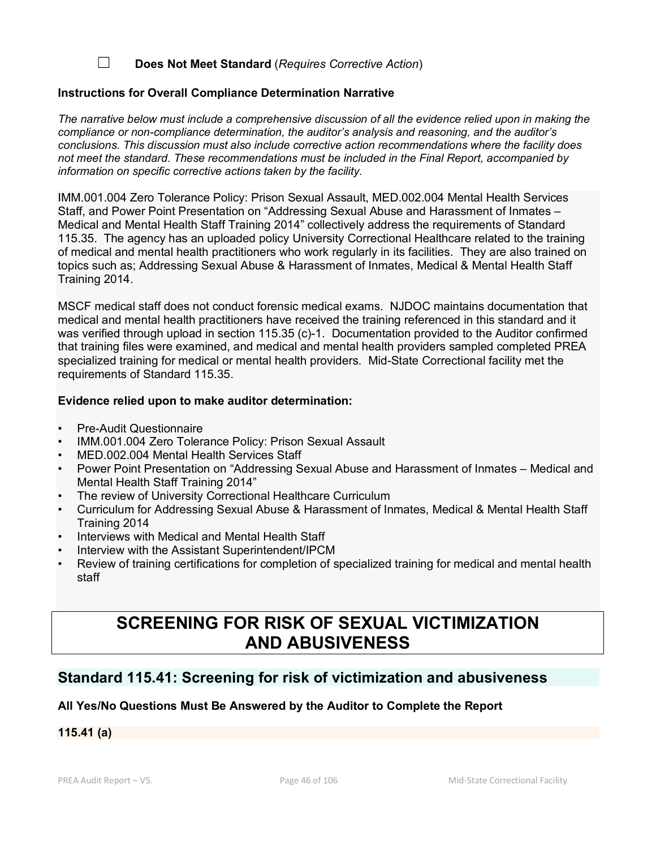### ☐ **Does Not Meet Standard** (*Requires Corrective Action*)

#### **Instructions for Overall Compliance Determination Narrative**

*The narrative below must include a comprehensive discussion of all the evidence relied upon in making the compliance or non-compliance determination, the auditor's analysis and reasoning, and the auditor's conclusions. This discussion must also include corrective action recommendations where the facility does not meet the standard. These recommendations must be included in the Final Report, accompanied by information on specific corrective actions taken by the facility.*

IMM.001.004 Zero Tolerance Policy: Prison Sexual Assault, MED.002.004 Mental Health Services Staff, and Power Point Presentation on "Addressing Sexual Abuse and Harassment of Inmates – Medical and Mental Health Staff Training 2014" collectively address the requirements of Standard 115.35. The agency has an uploaded policy University Correctional Healthcare related to the training of medical and mental health practitioners who work regularly in its facilities. They are also trained on topics such as; Addressing Sexual Abuse & Harassment of Inmates, Medical & Mental Health Staff Training 2014.

MSCF medical staff does not conduct forensic medical exams. NJDOC maintains documentation that medical and mental health practitioners have received the training referenced in this standard and it was verified through upload in section 115.35 (c)-1. Documentation provided to the Auditor confirmed that training files were examined, and medical and mental health providers sampled completed PREA specialized training for medical or mental health providers. Mid-State Correctional facility met the requirements of Standard 115.35.

#### **Evidence relied upon to make auditor determination:**

- Pre-Audit Questionnaire
- IMM.001.004 Zero Tolerance Policy: Prison Sexual Assault
- MED.002.004 Mental Health Services Staff
- Power Point Presentation on "Addressing Sexual Abuse and Harassment of Inmates Medical and Mental Health Staff Training 2014"
- The review of University Correctional Healthcare Curriculum
- Curriculum for Addressing Sexual Abuse & Harassment of Inmates, Medical & Mental Health Staff Training 2014
- Interviews with Medical and Mental Health Staff
- Interview with the Assistant Superintendent/IPCM
- Review of training certifications for completion of specialized training for medical and mental health staff

# **SCREENING FOR RISK OF SEXUAL VICTIMIZATION AND ABUSIVENESS**

# **Standard 115.41: Screening for risk of victimization and abusiveness**

### **All Yes/No Questions Must Be Answered by the Auditor to Complete the Report**

**115.41 (a)**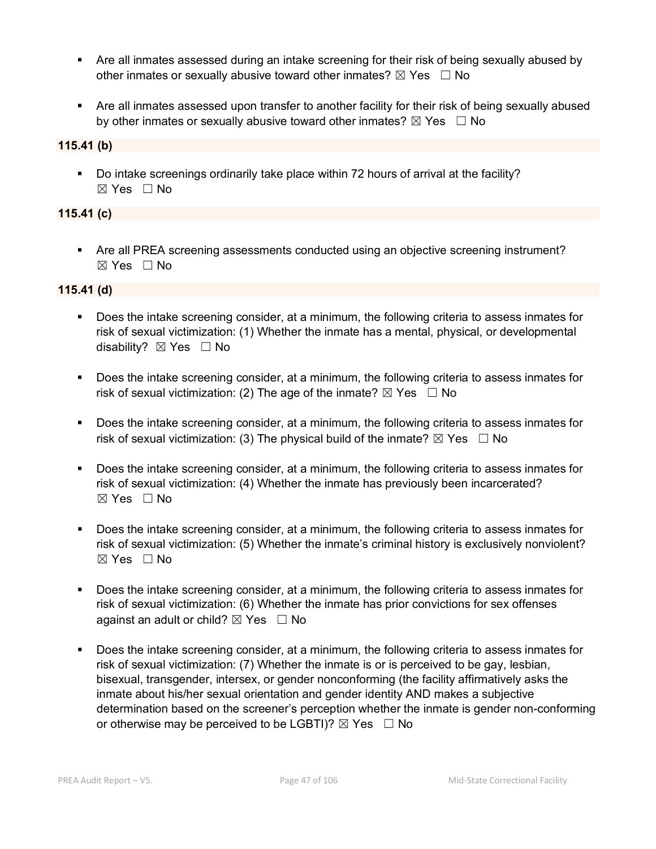- Are all inmates assessed during an intake screening for their risk of being sexually abused by other inmates or sexually abusive toward other inmates?  $\boxtimes$  Yes  $\Box$  No
- Are all inmates assessed upon transfer to another facility for their risk of being sexually abused by other inmates or sexually abusive toward other inmates?  $\boxtimes$  Yes  $\Box$  No

### **115.41 (b)**

 Do intake screenings ordinarily take place within 72 hours of arrival at the facility? ☒ Yes ☐ No

### **115.41 (c)**

 Are all PREA screening assessments conducted using an objective screening instrument? ☒ Yes ☐ No

### **115.41 (d)**

- Does the intake screening consider, at a minimum, the following criteria to assess inmates for risk of sexual victimization: (1) Whether the inmate has a mental, physical, or developmental disability? ⊠ Yes □ No
- Does the intake screening consider, at a minimum, the following criteria to assess inmates for risk of sexual victimization: (2) The age of the inmate?  $\boxtimes$  Yes  $\Box$  No
- Does the intake screening consider, at a minimum, the following criteria to assess inmates for risk of sexual victimization: (3) The physical build of the inmate?  $\boxtimes$  Yes  $\Box$  No
- Does the intake screening consider, at a minimum, the following criteria to assess inmates for risk of sexual victimization: (4) Whether the inmate has previously been incarcerated?  $\boxtimes$  Yes  $\Box$  No
- Does the intake screening consider, at a minimum, the following criteria to assess inmates for risk of sexual victimization: (5) Whether the inmate's criminal history is exclusively nonviolent? ☒ Yes ☐ No
- Does the intake screening consider, at a minimum, the following criteria to assess inmates for risk of sexual victimization: (6) Whether the inmate has prior convictions for sex offenses against an adult or child?  $\boxtimes$  Yes  $\Box$  No
- Does the intake screening consider, at a minimum, the following criteria to assess inmates for risk of sexual victimization: (7) Whether the inmate is or is perceived to be gay, lesbian, bisexual, transgender, intersex, or gender nonconforming (the facility affirmatively asks the inmate about his/her sexual orientation and gender identity AND makes a subjective determination based on the screener's perception whether the inmate is gender non-conforming or otherwise may be perceived to be LGBTI)?  $\boxtimes$  Yes  $\Box$  No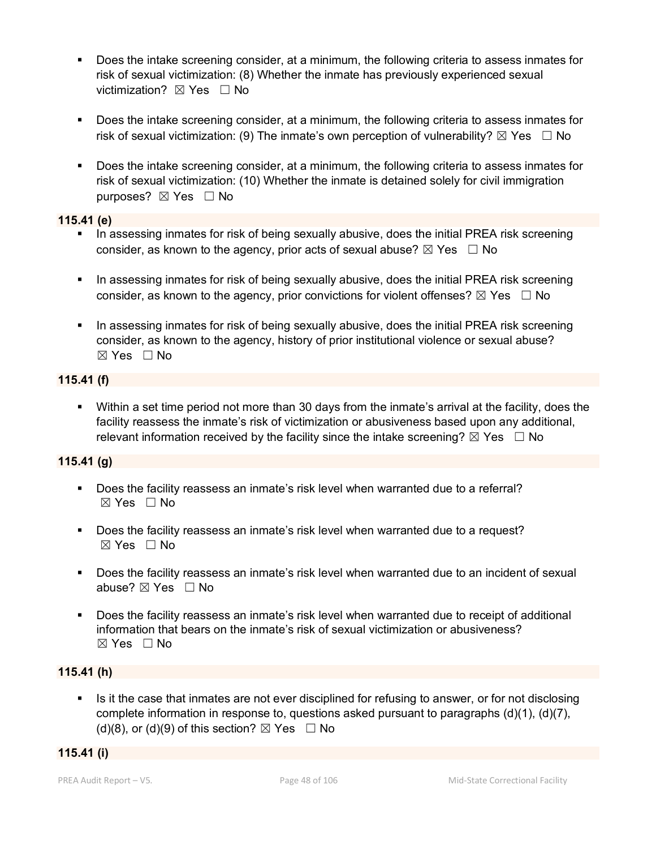- Does the intake screening consider, at a minimum, the following criteria to assess inmates for risk of sexual victimization: (8) Whether the inmate has previously experienced sexual victimization? **⊠** Yes □ No
- Does the intake screening consider, at a minimum, the following criteria to assess inmates for risk of sexual victimization: (9) The inmate's own perception of vulnerability?  $\boxtimes$  Yes  $\Box$  No
- Does the intake screening consider, at a minimum, the following criteria to assess inmates for risk of sexual victimization: (10) Whether the inmate is detained solely for civil immigration purposes? ⊠ Yes □ No

### **115.41 (e)**

- In assessing inmates for risk of being sexually abusive, does the initial PREA risk screening consider, as known to the agency, prior acts of sexual abuse?  $\boxtimes$  Yes  $\Box$  No
- In assessing inmates for risk of being sexually abusive, does the initial PREA risk screening consider, as known to the agency, prior convictions for violent offenses?  $\boxtimes$  Yes  $\Box$  No
- In assessing inmates for risk of being sexually abusive, does the initial PREA risk screening consider, as known to the agency, history of prior institutional violence or sexual abuse? ☒ Yes ☐ No

### **115.41 (f)**

 Within a set time period not more than 30 days from the inmate's arrival at the facility, does the facility reassess the inmate's risk of victimization or abusiveness based upon any additional, relevant information received by the facility since the intake screening?  $\boxtimes$  Yes  $\Box$  No

## **115.41 (g)**

- Does the facility reassess an inmate's risk level when warranted due to a referral?  $\boxtimes$  Yes  $\Box$  No
- **Does the facility reassess an inmate's risk level when warranted due to a request?**  $\boxtimes$  Yes  $\Box$  No
- Does the facility reassess an inmate's risk level when warranted due to an incident of sexual abuse? ☒ Yes ☐ No
- Does the facility reassess an inmate's risk level when warranted due to receipt of additional information that bears on the inmate's risk of sexual victimization or abusiveness? ☒ Yes ☐ No

### **115.41 (h)**

Is it the case that inmates are not ever disciplined for refusing to answer, or for not disclosing complete information in response to, questions asked pursuant to paragraphs (d)(1), (d)(7), (d)(8), or (d)(9) of this section?  $\boxtimes$  Yes  $\Box$  No

### **115.41 (i)**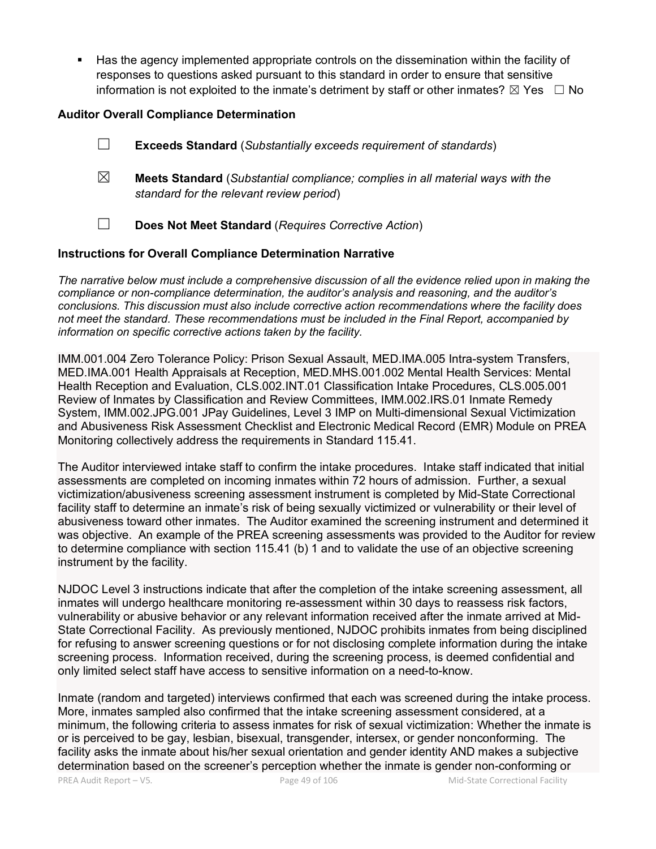Has the agency implemented appropriate controls on the dissemination within the facility of responses to questions asked pursuant to this standard in order to ensure that sensitive information is not exploited to the inmate's detriment by staff or other inmates?  $\boxtimes$  Yes  $\Box$  No

### **Auditor Overall Compliance Determination**

- ☐ **Exceeds Standard** (*Substantially exceeds requirement of standards*)
- ☒ **Meets Standard** (*Substantial compliance; complies in all material ways with the standard for the relevant review period*)
- ☐ **Does Not Meet Standard** (*Requires Corrective Action*)

#### **Instructions for Overall Compliance Determination Narrative**

*The narrative below must include a comprehensive discussion of all the evidence relied upon in making the compliance or non-compliance determination, the auditor's analysis and reasoning, and the auditor's conclusions. This discussion must also include corrective action recommendations where the facility does not meet the standard. These recommendations must be included in the Final Report, accompanied by information on specific corrective actions taken by the facility.*

IMM.001.004 Zero Tolerance Policy: Prison Sexual Assault, MED.IMA.005 Intra-system Transfers, MED.IMA.001 Health Appraisals at Reception, MED.MHS.001.002 Mental Health Services: Mental Health Reception and Evaluation, CLS.002.INT.01 Classification Intake Procedures, CLS.005.001 Review of Inmates by Classification and Review Committees, IMM.002.IRS.01 Inmate Remedy System, IMM.002.JPG.001 JPay Guidelines, Level 3 IMP on Multi-dimensional Sexual Victimization and Abusiveness Risk Assessment Checklist and Electronic Medical Record (EMR) Module on PREA Monitoring collectively address the requirements in Standard 115.41.

The Auditor interviewed intake staff to confirm the intake procedures. Intake staff indicated that initial assessments are completed on incoming inmates within 72 hours of admission. Further, a sexual victimization/abusiveness screening assessment instrument is completed by Mid-State Correctional facility staff to determine an inmate's risk of being sexually victimized or vulnerability or their level of abusiveness toward other inmates. The Auditor examined the screening instrument and determined it was objective. An example of the PREA screening assessments was provided to the Auditor for review to determine compliance with section 115.41 (b) 1 and to validate the use of an objective screening instrument by the facility.

NJDOC Level 3 instructions indicate that after the completion of the intake screening assessment, all inmates will undergo healthcare monitoring re-assessment within 30 days to reassess risk factors, vulnerability or abusive behavior or any relevant information received after the inmate arrived at Mid-State Correctional Facility. As previously mentioned, NJDOC prohibits inmates from being disciplined for refusing to answer screening questions or for not disclosing complete information during the intake screening process. Information received, during the screening process, is deemed confidential and only limited select staff have access to sensitive information on a need-to-know.

Inmate (random and targeted) interviews confirmed that each was screened during the intake process. More, inmates sampled also confirmed that the intake screening assessment considered, at a minimum, the following criteria to assess inmates for risk of sexual victimization: Whether the inmate is or is perceived to be gay, lesbian, bisexual, transgender, intersex, or gender nonconforming. The facility asks the inmate about his/her sexual orientation and gender identity AND makes a subjective determination based on the screener's perception whether the inmate is gender non-conforming or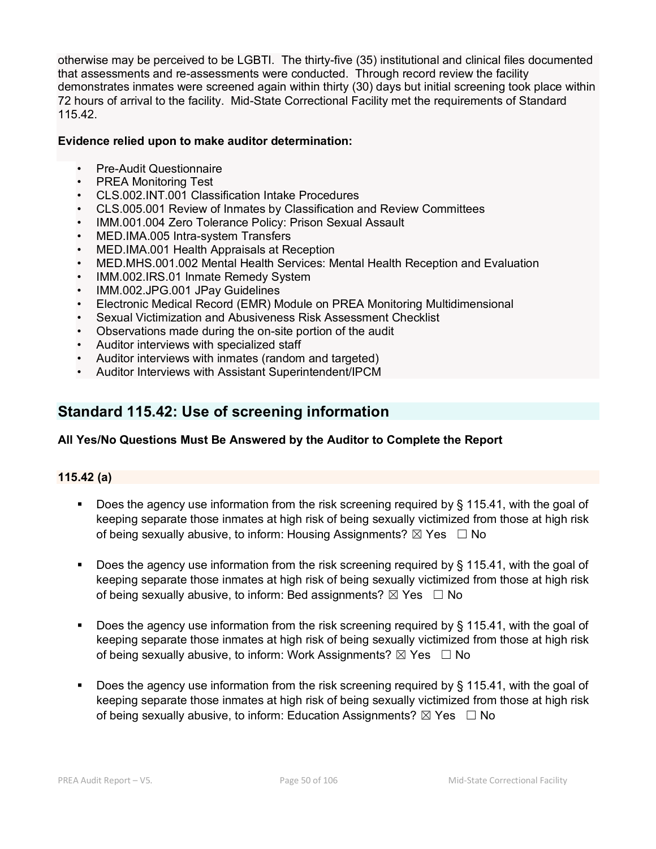otherwise may be perceived to be LGBTI. The thirty-five (35) institutional and clinical files documented that assessments and re-assessments were conducted. Through record review the facility demonstrates inmates were screened again within thirty (30) days but initial screening took place within 72 hours of arrival to the facility. Mid-State Correctional Facility met the requirements of Standard 115.42.

### **Evidence relied upon to make auditor determination:**

- Pre-Audit Questionnaire
- PREA Monitoring Test
- CLS.002.INT.001 Classification Intake Procedures
- CLS.005.001 Review of Inmates by Classification and Review Committees
- IMM.001.004 Zero Tolerance Policy: Prison Sexual Assault
- MED.IMA.005 Intra-system Transfers
- MED.IMA.001 Health Appraisals at Reception
- MED.MHS.001.002 Mental Health Services: Mental Health Reception and Evaluation
- IMM.002.IRS.01 Inmate Remedy System
- IMM.002.JPG.001 JPay Guidelines
- Electronic Medical Record (EMR) Module on PREA Monitoring Multidimensional
- Sexual Victimization and Abusiveness Risk Assessment Checklist
- Observations made during the on-site portion of the audit
- Auditor interviews with specialized staff
- Auditor interviews with inmates (random and targeted)
- Auditor Interviews with Assistant Superintendent/IPCM

# **Standard 115.42: Use of screening information**

### **All Yes/No Questions Must Be Answered by the Auditor to Complete the Report**

### **115.42 (a)**

- Does the agency use information from the risk screening required by § 115.41, with the goal of keeping separate those inmates at high risk of being sexually victimized from those at high risk of being sexually abusive, to inform: Housing Assignments?  $\boxtimes$  Yes  $\Box$  No
- Does the agency use information from the risk screening required by § 115.41, with the goal of keeping separate those inmates at high risk of being sexually victimized from those at high risk of being sexually abusive, to inform: Bed assignments?  $\boxtimes$  Yes  $\Box$  No
- Does the agency use information from the risk screening required by § 115.41, with the goal of keeping separate those inmates at high risk of being sexually victimized from those at high risk of being sexually abusive, to inform: Work Assignments?  $\boxtimes$  Yes  $\Box$  No
- Does the agency use information from the risk screening required by  $\S$  115.41, with the goal of keeping separate those inmates at high risk of being sexually victimized from those at high risk of being sexually abusive, to inform: Education Assignments?  $\boxtimes$  Yes  $\Box$  No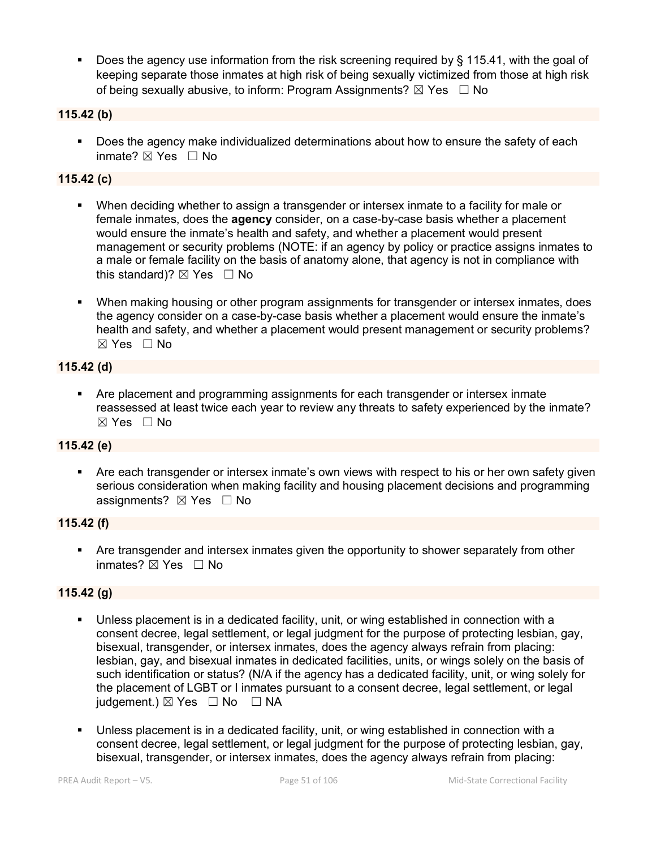Does the agency use information from the risk screening required by § 115.41, with the goal of keeping separate those inmates at high risk of being sexually victimized from those at high risk of being sexually abusive, to inform: Program Assignments?  $\boxtimes$  Yes  $\Box$  No

### **115.42 (b)**

 Does the agency make individualized determinations about how to ensure the safety of each inmate? ⊠ Yes □ No

### **115.42 (c)**

- When deciding whether to assign a transgender or intersex inmate to a facility for male or female inmates, does the **agency** consider, on a case-by-case basis whether a placement would ensure the inmate's health and safety, and whether a placement would present management or security problems (NOTE: if an agency by policy or practice assigns inmates to a male or female facility on the basis of anatomy alone, that agency is not in compliance with this standard)?  $\boxtimes$  Yes  $\Box$  No
- When making housing or other program assignments for transgender or intersex inmates, does the agency consider on a case-by-case basis whether a placement would ensure the inmate's health and safety, and whether a placement would present management or security problems?  $\boxtimes$  Yes  $\Box$  No

#### **115.42 (d)**

 Are placement and programming assignments for each transgender or intersex inmate reassessed at least twice each year to review any threats to safety experienced by the inmate? ☒ Yes ☐ No

#### **115.42 (e)**

 Are each transgender or intersex inmate's own views with respect to his or her own safety given serious consideration when making facility and housing placement decisions and programming assignments? ⊠ Yes □ No

#### **115.42 (f)**

 Are transgender and intersex inmates given the opportunity to shower separately from other inmates?  $\boxtimes$  Yes  $\Box$  No

### **115.42 (g)**

- Unless placement is in a dedicated facility, unit, or wing established in connection with a consent decree, legal settlement, or legal judgment for the purpose of protecting lesbian, gay, bisexual, transgender, or intersex inmates, does the agency always refrain from placing: lesbian, gay, and bisexual inmates in dedicated facilities, units, or wings solely on the basis of such identification or status? (N/A if the agency has a dedicated facility, unit, or wing solely for the placement of LGBT or I inmates pursuant to a consent decree, legal settlement, or legal judgement.)  $\boxtimes$  Yes  $\Box$  No  $\Box$  NA
- Unless placement is in a dedicated facility, unit, or wing established in connection with a consent decree, legal settlement, or legal judgment for the purpose of protecting lesbian, gay, bisexual, transgender, or intersex inmates, does the agency always refrain from placing: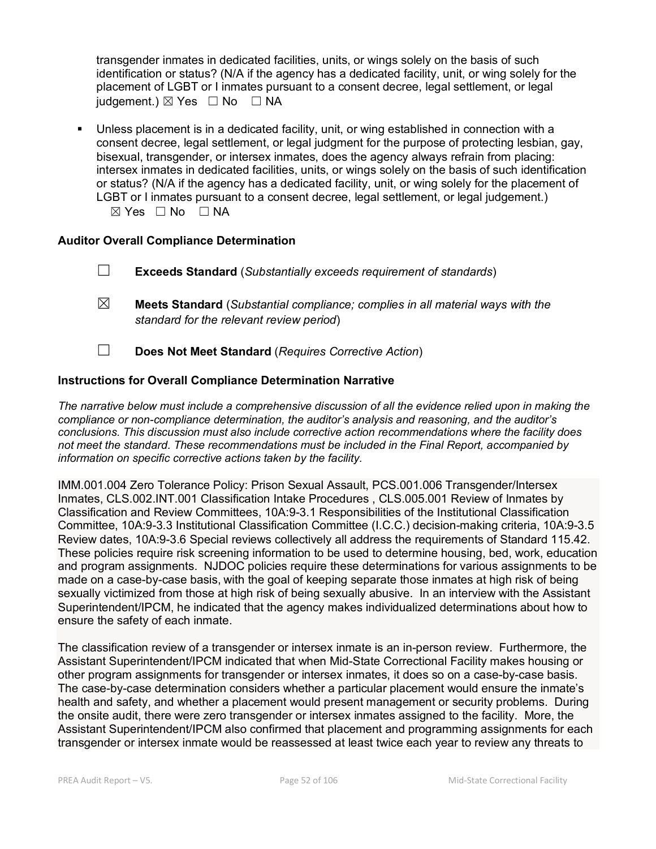transgender inmates in dedicated facilities, units, or wings solely on the basis of such identification or status? (N/A if the agency has a dedicated facility, unit, or wing solely for the placement of LGBT or I inmates pursuant to a consent decree, legal settlement, or legal judgement.)  $\boxtimes$  Yes  $\Box$  No  $\Box$  NA

 Unless placement is in a dedicated facility, unit, or wing established in connection with a consent decree, legal settlement, or legal judgment for the purpose of protecting lesbian, gay, bisexual, transgender, or intersex inmates, does the agency always refrain from placing: intersex inmates in dedicated facilities, units, or wings solely on the basis of such identification or status? (N/A if the agency has a dedicated facility, unit, or wing solely for the placement of LGBT or I inmates pursuant to a consent decree, legal settlement, or legal judgement.) ☒ Yes ☐ No ☐ NA

### **Auditor Overall Compliance Determination**

- ☐ **Exceeds Standard** (*Substantially exceeds requirement of standards*)
- ☒ **Meets Standard** (*Substantial compliance; complies in all material ways with the standard for the relevant review period*)
- ☐ **Does Not Meet Standard** (*Requires Corrective Action*)

### **Instructions for Overall Compliance Determination Narrative**

*The narrative below must include a comprehensive discussion of all the evidence relied upon in making the compliance or non-compliance determination, the auditor's analysis and reasoning, and the auditor's conclusions. This discussion must also include corrective action recommendations where the facility does not meet the standard. These recommendations must be included in the Final Report, accompanied by information on specific corrective actions taken by the facility.*

IMM.001.004 Zero Tolerance Policy: Prison Sexual Assault, PCS.001.006 Transgender/Intersex Inmates, CLS.002.INT.001 Classification Intake Procedures , CLS.005.001 Review of Inmates by Classification and Review Committees, 10A:9-3.1 Responsibilities of the Institutional Classification Committee, 10A:9-3.3 Institutional Classification Committee (I.C.C.) decision-making criteria, 10A:9-3.5 Review dates, 10A:9-3.6 Special reviews collectively all address the requirements of Standard 115.42. These policies require risk screening information to be used to determine housing, bed, work, education and program assignments. NJDOC policies require these determinations for various assignments to be made on a case-by-case basis, with the goal of keeping separate those inmates at high risk of being sexually victimized from those at high risk of being sexually abusive. In an interview with the Assistant Superintendent/IPCM, he indicated that the agency makes individualized determinations about how to ensure the safety of each inmate.

The classification review of a transgender or intersex inmate is an in-person review. Furthermore, the Assistant Superintendent/IPCM indicated that when Mid-State Correctional Facility makes housing or other program assignments for transgender or intersex inmates, it does so on a case-by-case basis. The case-by-case determination considers whether a particular placement would ensure the inmate's health and safety, and whether a placement would present management or security problems. During the onsite audit, there were zero transgender or intersex inmates assigned to the facility. More, the Assistant Superintendent/IPCM also confirmed that placement and programming assignments for each transgender or intersex inmate would be reassessed at least twice each year to review any threats to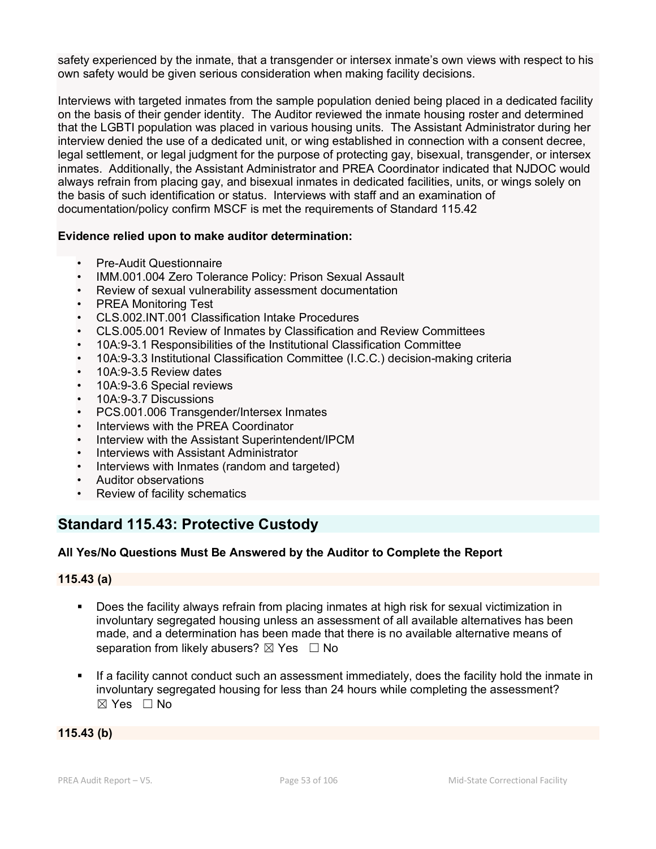safety experienced by the inmate, that a transgender or intersex inmate's own views with respect to his own safety would be given serious consideration when making facility decisions.

Interviews with targeted inmates from the sample population denied being placed in a dedicated facility on the basis of their gender identity. The Auditor reviewed the inmate housing roster and determined that the LGBTI population was placed in various housing units. The Assistant Administrator during her interview denied the use of a dedicated unit, or wing established in connection with a consent decree, legal settlement, or legal judgment for the purpose of protecting gay, bisexual, transgender, or intersex inmates. Additionally, the Assistant Administrator and PREA Coordinator indicated that NJDOC would always refrain from placing gay, and bisexual inmates in dedicated facilities, units, or wings solely on the basis of such identification or status. Interviews with staff and an examination of documentation/policy confirm MSCF is met the requirements of Standard 115.42

#### **Evidence relied upon to make auditor determination:**

- Pre-Audit Questionnaire
- IMM.001.004 Zero Tolerance Policy: Prison Sexual Assault
- Review of sexual vulnerability assessment documentation
- PREA Monitoring Test
- CLS.002.INT.001 Classification Intake Procedures
- CLS.005.001 Review of Inmates by Classification and Review Committees
- 10A:9-3.1 Responsibilities of the Institutional Classification Committee
- 10A:9-3.3 Institutional Classification Committee (I.C.C.) decision-making criteria
- 10A:9-3.5 Review dates
- 10A:9-3.6 Special reviews
- 10A:9-3.7 Discussions
- PCS.001.006 Transgender/Intersex Inmates
- Interviews with the PREA Coordinator
- Interview with the Assistant Superintendent/IPCM
- Interviews with Assistant Administrator
- Interviews with Inmates (random and targeted)
- Auditor observations
- Review of facility schematics

# **Standard 115.43: Protective Custody**

### **All Yes/No Questions Must Be Answered by the Auditor to Complete the Report**

#### **115.43 (a)**

- Does the facility always refrain from placing inmates at high risk for sexual victimization in involuntary segregated housing unless an assessment of all available alternatives has been made, and a determination has been made that there is no available alternative means of separation from likely abusers?  $\boxtimes$  Yes  $\Box$  No
- If a facility cannot conduct such an assessment immediately, does the facility hold the inmate in involuntary segregated housing for less than 24 hours while completing the assessment?  $\boxtimes$  Yes  $\Box$  No

#### **115.43 (b)**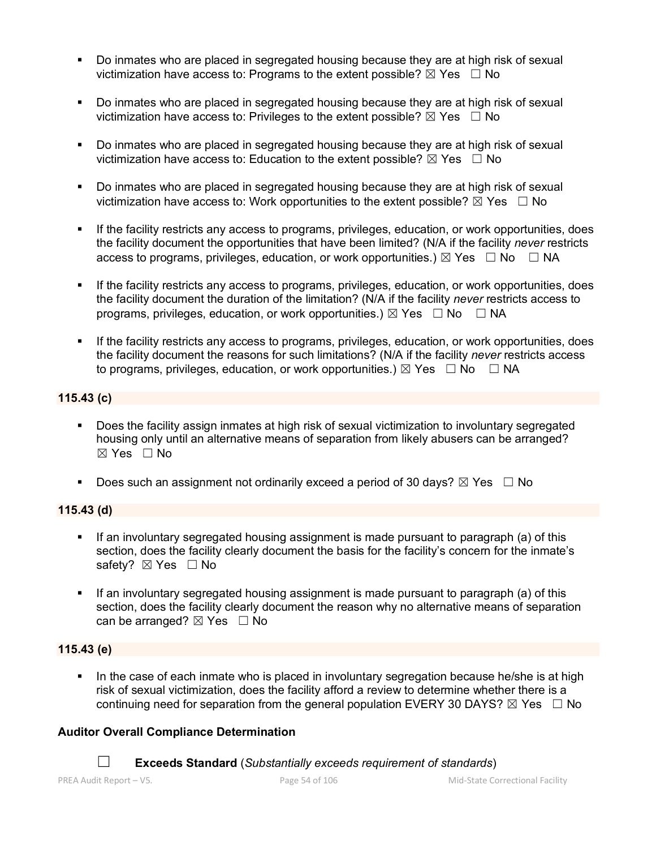- Do inmates who are placed in segregated housing because they are at high risk of sexual victimization have access to: Programs to the extent possible?  $\boxtimes$  Yes  $\Box$  No
- Do inmates who are placed in segregated housing because they are at high risk of sexual victimization have access to: Privileges to the extent possible?  $\boxtimes$  Yes  $\Box$  No
- Do inmates who are placed in segregated housing because they are at high risk of sexual victimization have access to: Education to the extent possible?  $\boxtimes$  Yes  $\Box$  No
- Do inmates who are placed in segregated housing because they are at high risk of sexual victimization have access to: Work opportunities to the extent possible?  $\boxtimes$  Yes  $\Box$  No
- If the facility restricts any access to programs, privileges, education, or work opportunities, does the facility document the opportunities that have been limited? (N/A if the facility *never* restricts access to programs, privileges, education, or work opportunities.)  $\boxtimes$  Yes  $\Box$  No  $\Box$  NA
- If the facility restricts any access to programs, privileges, education, or work opportunities, does the facility document the duration of the limitation? (N/A if the facility *never* restricts access to programs, privileges, education, or work opportunities.)  $\boxtimes$  Yes  $\Box$  No  $\Box$  NA
- If the facility restricts any access to programs, privileges, education, or work opportunities, does the facility document the reasons for such limitations? (N/A if the facility *never* restricts access to programs, privileges, education, or work opportunities.)  $\boxtimes$  Yes  $\Box$  No  $\Box$  NA

### **115.43 (c)**

- Does the facility assign inmates at high risk of sexual victimization to involuntary segregated housing only until an alternative means of separation from likely abusers can be arranged? ☒ Yes ☐ No
- Does such an assignment not ordinarily exceed a period of 30 days?  $\boxtimes$  Yes  $\Box$  No

### **115.43 (d)**

- If an involuntary segregated housing assignment is made pursuant to paragraph (a) of this section, does the facility clearly document the basis for the facility's concern for the inmate's safety? ⊠ Yes □ No
- If an involuntary segregated housing assignment is made pursuant to paragraph (a) of this section, does the facility clearly document the reason why no alternative means of separation can be arranged?  $\boxtimes$  Yes  $\Box$  No

### **115.43 (e)**

In the case of each inmate who is placed in involuntary segregation because he/she is at high risk of sexual victimization, does the facility afford a review to determine whether there is a continuing need for separation from the general population EVERY 30 DAYS?  $\boxtimes$  Yes  $\Box$  No

### **Auditor Overall Compliance Determination**

☐ **Exceeds Standard** (*Substantially exceeds requirement of standards*)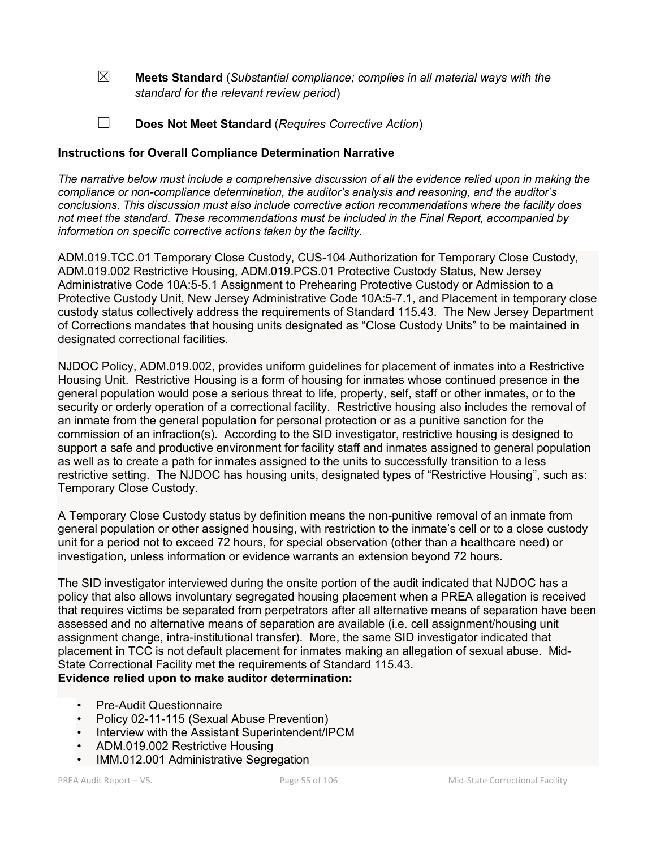☒ **Meets Standard** (*Substantial compliance; complies in all material ways with the standard for the relevant review period*)

☐ **Does Not Meet Standard** (*Requires Corrective Action*)

### **Instructions for Overall Compliance Determination Narrative**

*The narrative below must include a comprehensive discussion of all the evidence relied upon in making the compliance or non-compliance determination, the auditor's analysis and reasoning, and the auditor's conclusions. This discussion must also include corrective action recommendations where the facility does not meet the standard. These recommendations must be included in the Final Report, accompanied by information on specific corrective actions taken by the facility.*

ADM.019.TCC.01 Temporary Close Custody, CUS-104 Authorization for Temporary Close Custody, ADM.019.002 Restrictive Housing, ADM.019.PCS.01 Protective Custody Status, New Jersey Administrative Code 10A:5-5.1 Assignment to Prehearing Protective Custody or Admission to a Protective Custody Unit, New Jersey Administrative Code 10A:5-7.1, and Placement in temporary close custody status collectively address the requirements of Standard 115.43. The New Jersey Department of Corrections mandates that housing units designated as "Close Custody Units" to be maintained in designated correctional facilities.

NJDOC Policy, ADM.019.002, provides uniform guidelines for placement of inmates into a Restrictive Housing Unit. Restrictive Housing is a form of housing for inmates whose continued presence in the general population would pose a serious threat to life, property, self, staff or other inmates, or to the security or orderly operation of a correctional facility. Restrictive housing also includes the removal of an inmate from the general population for personal protection or as a punitive sanction for the commission of an infraction(s). According to the SID investigator, restrictive housing is designed to support a safe and productive environment for facility staff and inmates assigned to general population as well as to create a path for inmates assigned to the units to successfully transition to a less restrictive setting. The NJDOC has housing units, designated types of "Restrictive Housing", such as: Temporary Close Custody.

A Temporary Close Custody status by definition means the non-punitive removal of an inmate from general population or other assigned housing, with restriction to the inmate's cell or to a close custody unit for a period not to exceed 72 hours, for special observation (other than a healthcare need) or investigation, unless information or evidence warrants an extension beyond 72 hours.

The SID investigator interviewed during the onsite portion of the audit indicated that NJDOC has a policy that also allows involuntary segregated housing placement when a PREA allegation is received that requires victims be separated from perpetrators after all alternative means of separation have been assessed and no alternative means of separation are available (i.e. cell assignment/housing unit assignment change, intra-institutional transfer). More, the same SID investigator indicated that placement in TCC is not default placement for inmates making an allegation of sexual abuse. Mid-State Correctional Facility met the requirements of Standard 115.43. **Evidence relied upon to make auditor determination:**

- Pre-Audit Questionnaire
- Policy 02-11-115 (Sexual Abuse Prevention)
- Interview with the Assistant Superintendent/IPCM
- ADM.019.002 Restrictive Housing
- IMM.012.001 Administrative Segregation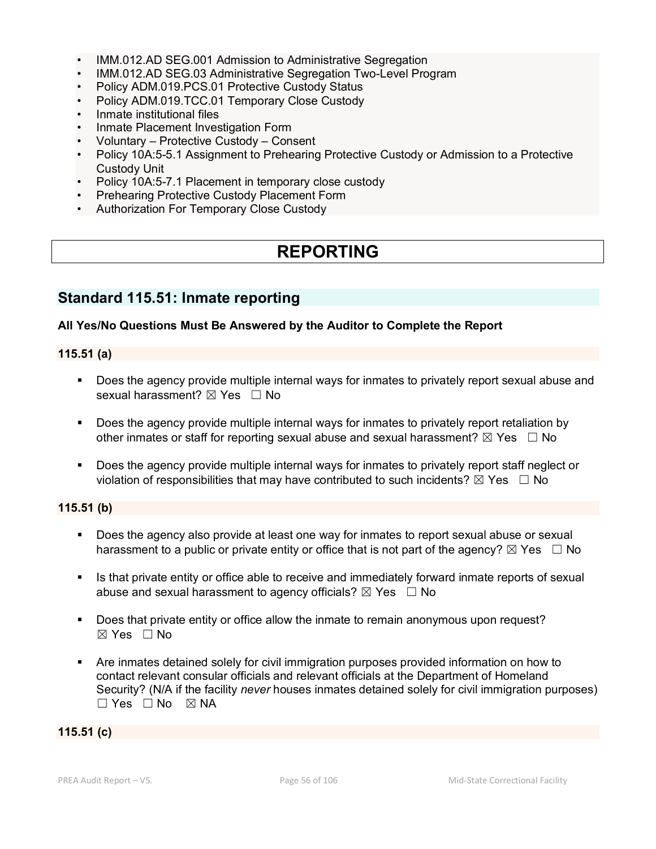- IMM.012.AD SEG.001 Admission to Administrative Segregation
- IMM.012.AD SEG.03 Administrative Segregation Two-Level Program
- Policy ADM.019.PCS.01 Protective Custody Status
- Policy ADM.019.TCC.01 Temporary Close Custody
- Inmate institutional files
- Inmate Placement Investigation Form
- Voluntary Protective Custody Consent
- Policy 10A:5-5.1 Assignment to Prehearing Protective Custody or Admission to a Protective Custody Unit
- Policy 10A:5-7.1 Placement in temporary close custody
- Prehearing Protective Custody Placement Form
- Authorization For Temporary Close Custody

# **REPORTING**

# **Standard 115.51: Inmate reporting**

#### **All Yes/No Questions Must Be Answered by the Auditor to Complete the Report**

#### **115.51 (a)**

- **Does the agency provide multiple internal ways for inmates to privately report sexual abuse and** sexual harassment? ⊠ Yes □ No
- Does the agency provide multiple internal ways for inmates to privately report retaliation by other inmates or staff for reporting sexual abuse and sexual harassment?  $\boxtimes$  Yes  $\Box$  No
- **Does the agency provide multiple internal ways for inmates to privately report staff neglect or** violation of responsibilities that may have contributed to such incidents?  $\boxtimes$  Yes  $\Box$  No

### **115.51 (b)**

- Does the agency also provide at least one way for inmates to report sexual abuse or sexual harassment to a public or private entity or office that is not part of the agency?  $\boxtimes$  Yes  $\Box$  No
- Is that private entity or office able to receive and immediately forward inmate reports of sexual abuse and sexual harassment to agency officials?  $\boxtimes$  Yes  $\Box$  No
- **Does that private entity or office allow the inmate to remain anonymous upon request?**  $\boxtimes$  Yes  $\Box$  No
- Are inmates detained solely for civil immigration purposes provided information on how to contact relevant consular officials and relevant officials at the Department of Homeland Security? (N/A if the facility *never* houses inmates detained solely for civil immigration purposes)  $\square$  Yes  $\square$  No  $\square$  NA

#### **115.51 (c)**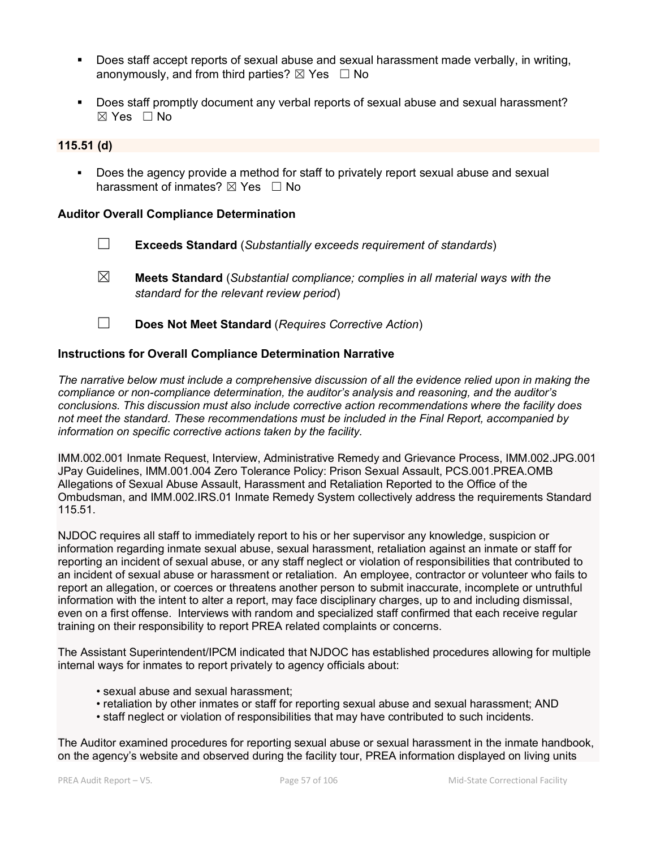- Does staff accept reports of sexual abuse and sexual harassment made verbally, in writing, anonymously, and from third parties?  $\boxtimes$  Yes  $\Box$  No
- Does staff promptly document any verbal reports of sexual abuse and sexual harassment?  $\boxtimes$  Yes  $\Box$  No

#### **115.51 (d)**

 Does the agency provide a method for staff to privately report sexual abuse and sexual harassment of inmates?  $\boxtimes$  Yes  $\Box$  No

#### **Auditor Overall Compliance Determination**

- ☐ **Exceeds Standard** (*Substantially exceeds requirement of standards*)
- ☒ **Meets Standard** (*Substantial compliance; complies in all material ways with the standard for the relevant review period*)
- ☐ **Does Not Meet Standard** (*Requires Corrective Action*)

#### **Instructions for Overall Compliance Determination Narrative**

*The narrative below must include a comprehensive discussion of all the evidence relied upon in making the compliance or non-compliance determination, the auditor's analysis and reasoning, and the auditor's conclusions. This discussion must also include corrective action recommendations where the facility does not meet the standard. These recommendations must be included in the Final Report, accompanied by information on specific corrective actions taken by the facility.*

IMM.002.001 Inmate Request, Interview, Administrative Remedy and Grievance Process, IMM.002.JPG.001 JPay Guidelines, IMM.001.004 Zero Tolerance Policy: Prison Sexual Assault, PCS.001.PREA.OMB Allegations of Sexual Abuse Assault, Harassment and Retaliation Reported to the Office of the Ombudsman, and IMM.002.IRS.01 Inmate Remedy System collectively address the requirements Standard 115.51.

NJDOC requires all staff to immediately report to his or her supervisor any knowledge, suspicion or information regarding inmate sexual abuse, sexual harassment, retaliation against an inmate or staff for reporting an incident of sexual abuse, or any staff neglect or violation of responsibilities that contributed to an incident of sexual abuse or harassment or retaliation. An employee, contractor or volunteer who fails to report an allegation, or coerces or threatens another person to submit inaccurate, incomplete or untruthful information with the intent to alter a report, may face disciplinary charges, up to and including dismissal, even on a first offense. Interviews with random and specialized staff confirmed that each receive regular training on their responsibility to report PREA related complaints or concerns.

The Assistant Superintendent/IPCM indicated that NJDOC has established procedures allowing for multiple internal ways for inmates to report privately to agency officials about:

- sexual abuse and sexual harassment;
- retaliation by other inmates or staff for reporting sexual abuse and sexual harassment; AND
- staff neglect or violation of responsibilities that may have contributed to such incidents.

The Auditor examined procedures for reporting sexual abuse or sexual harassment in the inmate handbook, on the agency's website and observed during the facility tour, PREA information displayed on living units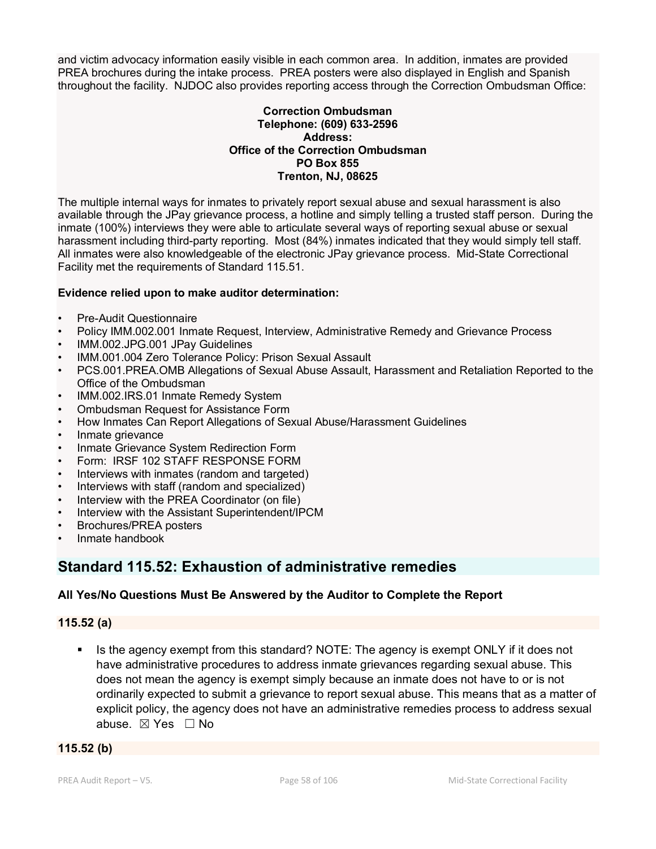and victim advocacy information easily visible in each common area. In addition, inmates are provided PREA brochures during the intake process. PREA posters were also displayed in English and Spanish throughout the facility. NJDOC also provides reporting access through the Correction Ombudsman Office:

#### **Correction Ombudsman Telephone: (609) 633-2596 Address: Office of the Correction Ombudsman PO Box 855 Trenton, NJ, 08625**

The multiple internal ways for inmates to privately report sexual abuse and sexual harassment is also available through the JPay grievance process, a hotline and simply telling a trusted staff person. During the inmate (100%) interviews they were able to articulate several ways of reporting sexual abuse or sexual harassment including third-party reporting. Most (84%) inmates indicated that they would simply tell staff. All inmates were also knowledgeable of the electronic JPay grievance process. Mid-State Correctional Facility met the requirements of Standard 115.51.

### **Evidence relied upon to make auditor determination:**

- Pre-Audit Questionnaire
- Policy IMM.002.001 Inmate Request, Interview, Administrative Remedy and Grievance Process
- IMM.002.JPG.001 JPay Guidelines
- IMM.001.004 Zero Tolerance Policy: Prison Sexual Assault
- PCS.001.PREA.OMB Allegations of Sexual Abuse Assault, Harassment and Retaliation Reported to the Office of the Ombudsman
- IMM.002.IRS.01 Inmate Remedy System
- Ombudsman Request for Assistance Form
- How Inmates Can Report Allegations of Sexual Abuse/Harassment Guidelines
- Inmate grievance
- Inmate Grievance System Redirection Form
- Form: IRSF 102 STAFF RESPONSE FORM
- Interviews with inmates (random and targeted)
- Interviews with staff (random and specialized)
- Interview with the PREA Coordinator (on file)
- Interview with the Assistant Superintendent/IPCM
- Brochures/PREA posters
- Inmate handbook

# **Standard 115.52: Exhaustion of administrative remedies**

### **All Yes/No Questions Must Be Answered by the Auditor to Complete the Report**

### **115.52 (a)**

 Is the agency exempt from this standard? NOTE: The agency is exempt ONLY if it does not have administrative procedures to address inmate grievances regarding sexual abuse. This does not mean the agency is exempt simply because an inmate does not have to or is not ordinarily expected to submit a grievance to report sexual abuse. This means that as a matter of explicit policy, the agency does not have an administrative remedies process to address sexual abuse. ☒ Yes ☐ No

### **115.52 (b)**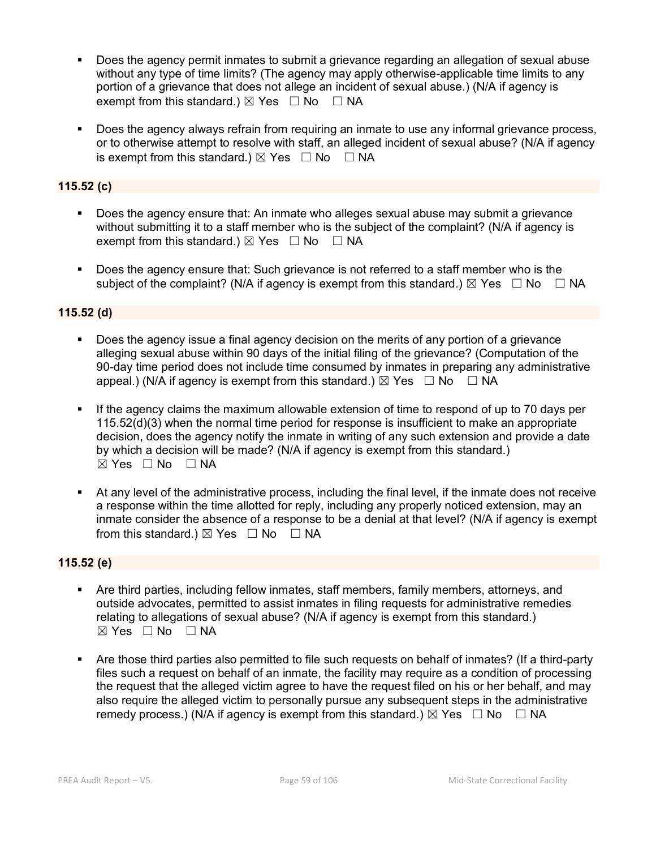- Does the agency permit inmates to submit a grievance regarding an allegation of sexual abuse without any type of time limits? (The agency may apply otherwise-applicable time limits to any portion of a grievance that does not allege an incident of sexual abuse.) (N/A if agency is exempt from this standard.)  $\boxtimes$  Yes  $\Box$  No  $\Box$  NA
- Does the agency always refrain from requiring an inmate to use any informal grievance process, or to otherwise attempt to resolve with staff, an alleged incident of sexual abuse? (N/A if agency is exempt from this standard.)  $\boxtimes$  Yes  $\Box$  No  $\Box$  NA

### **115.52 (c)**

- Does the agency ensure that: An inmate who alleges sexual abuse may submit a grievance without submitting it to a staff member who is the subject of the complaint? (N/A if agency is exempt from this standard.)  $\boxtimes$  Yes  $\Box$  No  $\Box$  NA
- Does the agency ensure that: Such grievance is not referred to a staff member who is the subject of the complaint? (N/A if agency is exempt from this standard.)  $\boxtimes$  Yes  $\Box$  No  $\Box$  NA

### **115.52 (d)**

- Does the agency issue a final agency decision on the merits of any portion of a grievance alleging sexual abuse within 90 days of the initial filing of the grievance? (Computation of the 90-day time period does not include time consumed by inmates in preparing any administrative appeal.) (N/A if agency is exempt from this standard.)  $\boxtimes$  Yes  $\Box$  No  $\Box$  NA
- If the agency claims the maximum allowable extension of time to respond of up to 70 days per 115.52(d)(3) when the normal time period for response is insufficient to make an appropriate decision, does the agency notify the inmate in writing of any such extension and provide a date by which a decision will be made? (N/A if agency is exempt from this standard.)  $\boxtimes$  Yes  $\Box$  No  $\Box$  NA
- At any level of the administrative process, including the final level, if the inmate does not receive a response within the time allotted for reply, including any properly noticed extension, may an inmate consider the absence of a response to be a denial at that level? (N/A if agency is exempt from this standard.)  $\boxtimes$  Yes  $\Box$  No  $\Box$  NA

### **115.52 (e)**

- Are third parties, including fellow inmates, staff members, family members, attorneys, and outside advocates, permitted to assist inmates in filing requests for administrative remedies relating to allegations of sexual abuse? (N/A if agency is exempt from this standard.)  $\boxtimes$  Yes  $\Box$  No  $\Box$  NA
- Are those third parties also permitted to file such requests on behalf of inmates? (If a third-party files such a request on behalf of an inmate, the facility may require as a condition of processing the request that the alleged victim agree to have the request filed on his or her behalf, and may also require the alleged victim to personally pursue any subsequent steps in the administrative remedy process.) (N/A if agency is exempt from this standard.)  $\boxtimes$  Yes  $\Box$  No  $\Box$  NA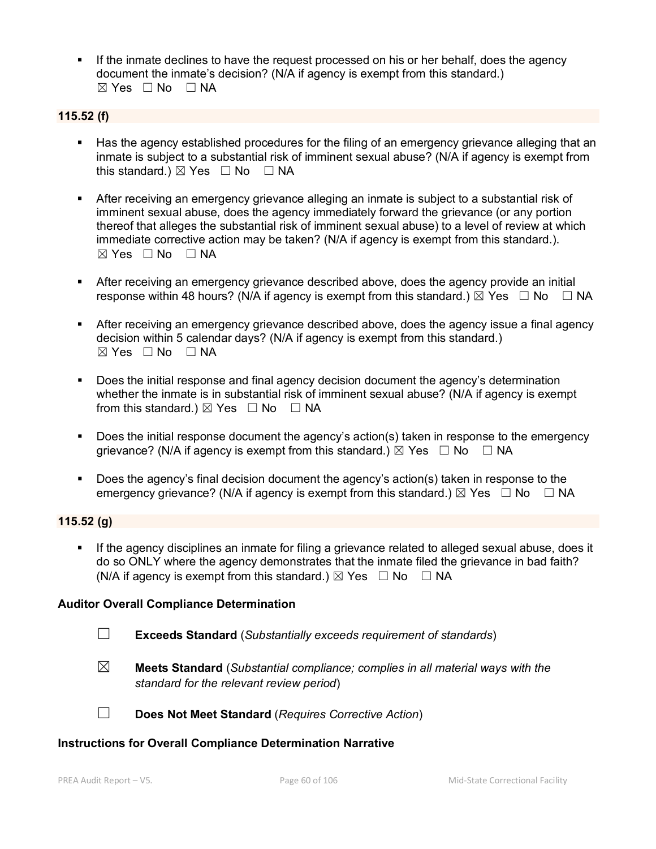If the inmate declines to have the request processed on his or her behalf, does the agency document the inmate's decision? (N/A if agency is exempt from this standard.)  $\boxtimes$  Yes  $\Box$  No  $\Box$  NA

### **115.52 (f)**

- Has the agency established procedures for the filing of an emergency grievance alleging that an inmate is subject to a substantial risk of imminent sexual abuse? (N/A if agency is exempt from this standard.)  $\boxtimes$  Yes  $\Box$  No  $\Box$  NA
- **After receiving an emergency grievance alleging an inmate is subject to a substantial risk of** imminent sexual abuse, does the agency immediately forward the grievance (or any portion thereof that alleges the substantial risk of imminent sexual abuse) to a level of review at which immediate corrective action may be taken? (N/A if agency is exempt from this standard.).  $\boxtimes$  Yes  $\Box$  No  $\Box$  NA
- After receiving an emergency grievance described above, does the agency provide an initial response within 48 hours? (N/A if agency is exempt from this standard.)  $\boxtimes$  Yes  $\Box$  No  $\Box$  NA
- **After receiving an emergency grievance described above, does the agency issue a final agency** decision within 5 calendar days? (N/A if agency is exempt from this standard.)  $\boxtimes$  Yes  $\Box$  No  $\Box$  NA
- Does the initial response and final agency decision document the agency's determination whether the inmate is in substantial risk of imminent sexual abuse? (N/A if agency is exempt from this standard.)  $\boxtimes$  Yes  $\Box$  No  $\Box$  NA
- **Does the initial response document the agency's action(s) taken in response to the emergency** grievance? (N/A if agency is exempt from this standard.)  $\boxtimes$  Yes  $\Box$  No  $\Box$  NA
- Does the agency's final decision document the agency's action(s) taken in response to the emergency grievance? (N/A if agency is exempt from this standard.)  $\boxtimes$  Yes  $\Box$  No  $\Box$  NA

### **115.52 (g)**

If the agency disciplines an inmate for filing a grievance related to alleged sexual abuse, does it do so ONLY where the agency demonstrates that the inmate filed the grievance in bad faith? (N/A if agency is exempt from this standard.)  $\boxtimes$  Yes  $\Box$  No  $\Box$  NA

#### **Auditor Overall Compliance Determination**

- ☐ **Exceeds Standard** (*Substantially exceeds requirement of standards*)
- ☒ **Meets Standard** (*Substantial compliance; complies in all material ways with the standard for the relevant review period*)

☐ **Does Not Meet Standard** (*Requires Corrective Action*)

#### **Instructions for Overall Compliance Determination Narrative**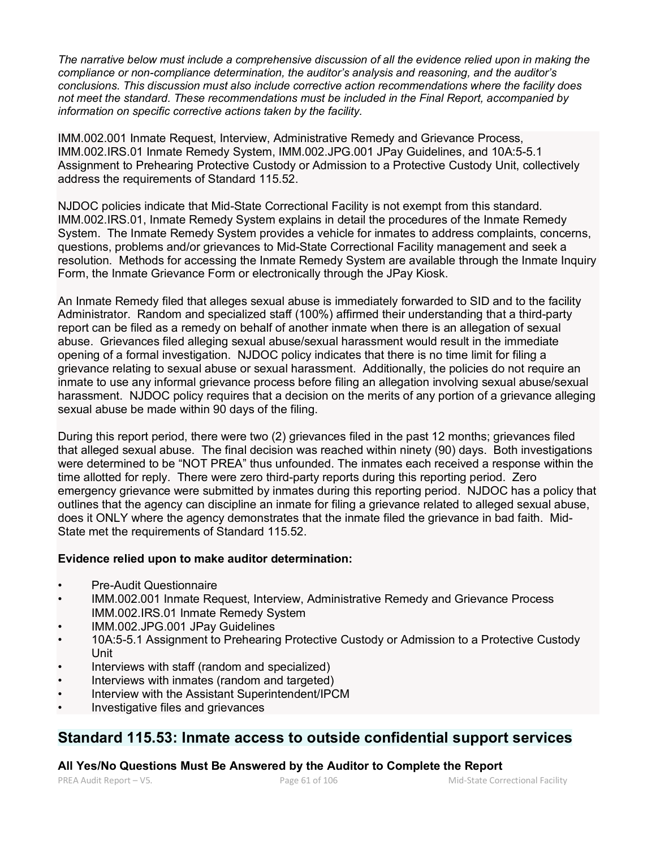*The narrative below must include a comprehensive discussion of all the evidence relied upon in making the compliance or non-compliance determination, the auditor's analysis and reasoning, and the auditor's conclusions. This discussion must also include corrective action recommendations where the facility does not meet the standard. These recommendations must be included in the Final Report, accompanied by information on specific corrective actions taken by the facility.*

IMM.002.001 Inmate Request, Interview, Administrative Remedy and Grievance Process, IMM.002.IRS.01 Inmate Remedy System, IMM.002.JPG.001 JPay Guidelines, and 10A:5-5.1 Assignment to Prehearing Protective Custody or Admission to a Protective Custody Unit, collectively address the requirements of Standard 115.52.

NJDOC policies indicate that Mid-State Correctional Facility is not exempt from this standard. IMM.002.IRS.01, Inmate Remedy System explains in detail the procedures of the Inmate Remedy System. The Inmate Remedy System provides a vehicle for inmates to address complaints, concerns, questions, problems and/or grievances to Mid-State Correctional Facility management and seek a resolution. Methods for accessing the Inmate Remedy System are available through the Inmate Inquiry Form, the Inmate Grievance Form or electronically through the JPay Kiosk.

An Inmate Remedy filed that alleges sexual abuse is immediately forwarded to SID and to the facility Administrator. Random and specialized staff (100%) affirmed their understanding that a third-party report can be filed as a remedy on behalf of another inmate when there is an allegation of sexual abuse. Grievances filed alleging sexual abuse/sexual harassment would result in the immediate opening of a formal investigation. NJDOC policy indicates that there is no time limit for filing a grievance relating to sexual abuse or sexual harassment. Additionally, the policies do not require an inmate to use any informal grievance process before filing an allegation involving sexual abuse/sexual harassment. NJDOC policy requires that a decision on the merits of any portion of a grievance alleging sexual abuse be made within 90 days of the filing.

During this report period, there were two (2) grievances filed in the past 12 months; grievances filed that alleged sexual abuse. The final decision was reached within ninety (90) days. Both investigations were determined to be "NOT PREA" thus unfounded. The inmates each received a response within the time allotted for reply. There were zero third-party reports during this reporting period. Zero emergency grievance were submitted by inmates during this reporting period. NJDOC has a policy that outlines that the agency can discipline an inmate for filing a grievance related to alleged sexual abuse, does it ONLY where the agency demonstrates that the inmate filed the grievance in bad faith. Mid-State met the requirements of Standard 115.52.

### **Evidence relied upon to make auditor determination:**

- Pre-Audit Questionnaire
- IMM.002.001 Inmate Request, Interview, Administrative Remedy and Grievance Process IMM.002.IRS.01 Inmate Remedy System
- IMM.002.JPG.001 JPay Guidelines
- 10A:5-5.1 Assignment to Prehearing Protective Custody or Admission to a Protective Custody Unit
- Interviews with staff (random and specialized)
- Interviews with inmates (random and targeted)
- Interview with the Assistant Superintendent/IPCM
- Investigative files and grievances

# **Standard 115.53: Inmate access to outside confidential support services**

**All Yes/No Questions Must Be Answered by the Auditor to Complete the Report**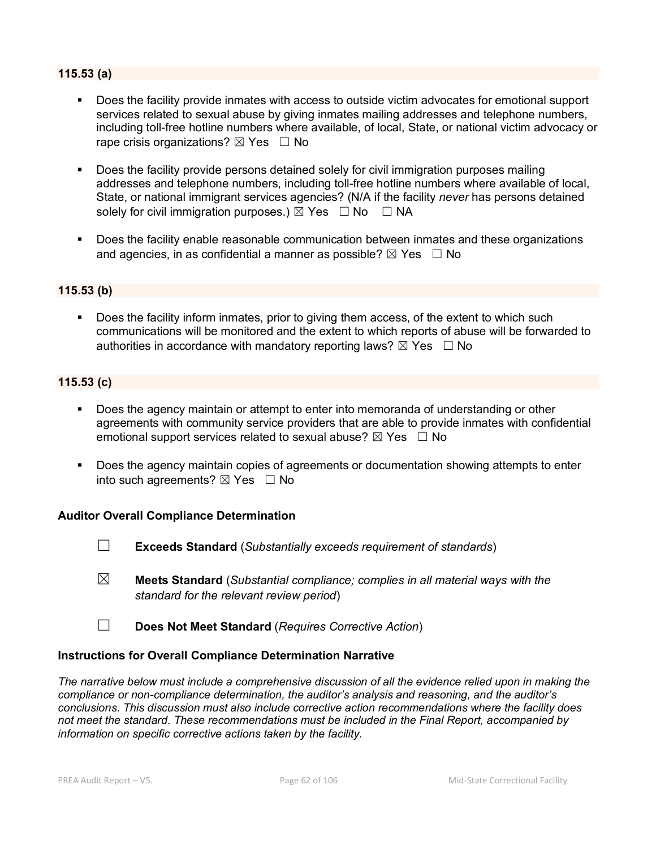### **115.53 (a)**

- Does the facility provide inmates with access to outside victim advocates for emotional support services related to sexual abuse by giving inmates mailing addresses and telephone numbers, including toll-free hotline numbers where available, of local, State, or national victim advocacy or rape crisis organizations?  $\boxtimes$  Yes  $\Box$  No
- **Does the facility provide persons detained solely for civil immigration purposes mailing** addresses and telephone numbers, including toll-free hotline numbers where available of local, State, or national immigrant services agencies? (N/A if the facility *never* has persons detained solely for civil immigration purposes.)  $\boxtimes$  Yes  $\Box$  No  $\Box$  NA
- Does the facility enable reasonable communication between inmates and these organizations and agencies, in as confidential a manner as possible?  $\boxtimes$  Yes  $\Box$  No

### **115.53 (b)**

 Does the facility inform inmates, prior to giving them access, of the extent to which such communications will be monitored and the extent to which reports of abuse will be forwarded to authorities in accordance with mandatory reporting laws?  $\boxtimes$  Yes  $\Box$  No

### **115.53 (c)**

- Does the agency maintain or attempt to enter into memoranda of understanding or other agreements with community service providers that are able to provide inmates with confidential emotional support services related to sexual abuse?  $\boxtimes$  Yes  $\Box$  No
- **Does the agency maintain copies of agreements or documentation showing attempts to enter** into such agreements?  $\boxtimes$  Yes  $\Box$  No

#### **Auditor Overall Compliance Determination**

☐ **Exceeds Standard** (*Substantially exceeds requirement of standards*)

- ☒ **Meets Standard** (*Substantial compliance; complies in all material ways with the standard for the relevant review period*)
- ☐ **Does Not Meet Standard** (*Requires Corrective Action*)

#### **Instructions for Overall Compliance Determination Narrative**

*The narrative below must include a comprehensive discussion of all the evidence relied upon in making the compliance or non-compliance determination, the auditor's analysis and reasoning, and the auditor's conclusions. This discussion must also include corrective action recommendations where the facility does not meet the standard. These recommendations must be included in the Final Report, accompanied by information on specific corrective actions taken by the facility.*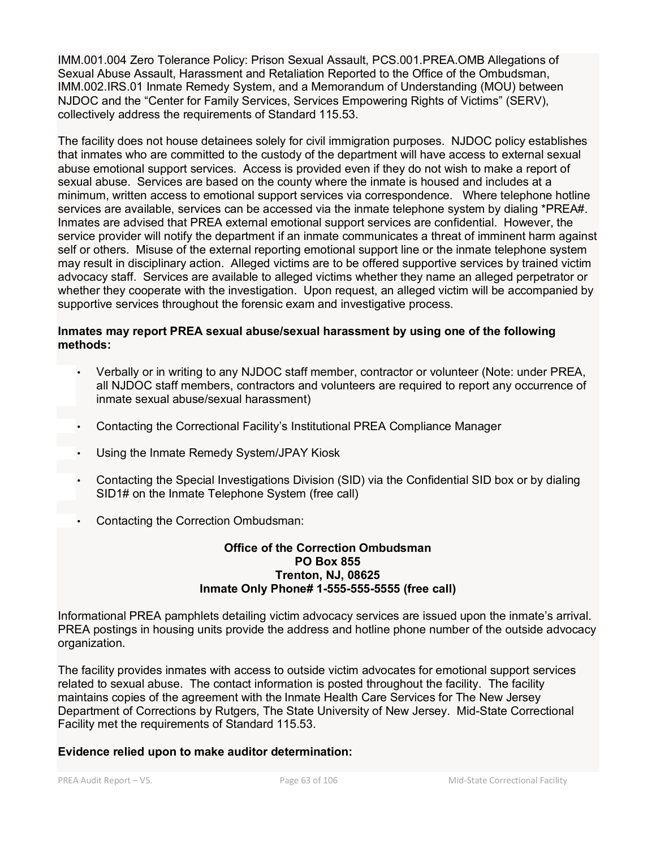IMM.001.004 Zero Tolerance Policy: Prison Sexual Assault, PCS.001.PREA.OMB Allegations of Sexual Abuse Assault, Harassment and Retaliation Reported to the Office of the Ombudsman, IMM.002.IRS.01 Inmate Remedy System, and a Memorandum of Understanding (MOU) between NJDOC and the "Center for Family Services, Services Empowering Rights of Victims" (SERV), collectively address the requirements of Standard 115.53.

The facility does not house detainees solely for civil immigration purposes. NJDOC policy establishes that inmates who are committed to the custody of the department will have access to external sexual abuse emotional support services. Access is provided even if they do not wish to make a report of sexual abuse. Services are based on the county where the inmate is housed and includes at a minimum, written access to emotional support services via correspondence. Where telephone hotline services are available, services can be accessed via the inmate telephone system by dialing \*PREA#. Inmates are advised that PREA external emotional support services are confidential. However, the service provider will notify the department if an inmate communicates a threat of imminent harm against self or others. Misuse of the external reporting emotional support line or the inmate telephone system may result in disciplinary action. Alleged victims are to be offered supportive services by trained victim advocacy staff. Services are available to alleged victims whether they name an alleged perpetrator or whether they cooperate with the investigation. Upon request, an alleged victim will be accompanied by supportive services throughout the forensic exam and investigative process.

### **Inmates may report PREA sexual abuse/sexual harassment by using one of the following methods:**

- Verbally or in writing to any NJDOC staff member, contractor or volunteer (Note: under PREA, all NJDOC staff members, contractors and volunteers are required to report any occurrence of inmate sexual abuse/sexual harassment)
- Contacting the Correctional Facility's Institutional PREA Compliance Manager
- Using the Inmate Remedy System/JPAY Kiosk
- Contacting the Special Investigations Division (SID) via the Confidential SID box or by dialing SID1# on the Inmate Telephone System (free call)
- Contacting the Correction Ombudsman:

#### **Office of the Correction Ombudsman PO Box 855 Trenton, NJ, 08625 Inmate Only Phone# 1-555-555-5555 (free call)**

Informational PREA pamphlets detailing victim advocacy services are issued upon the inmate's arrival. PREA postings in housing units provide the address and hotline phone number of the outside advocacy organization.

The facility provides inmates with access to outside victim advocates for emotional support services related to sexual abuse. The contact information is posted throughout the facility. The facility maintains copies of the agreement with the Inmate Health Care Services for The New Jersey Department of Corrections by Rutgers, The State University of New Jersey. Mid-State Correctional Facility met the requirements of Standard 115.53.

### **Evidence relied upon to make auditor determination:**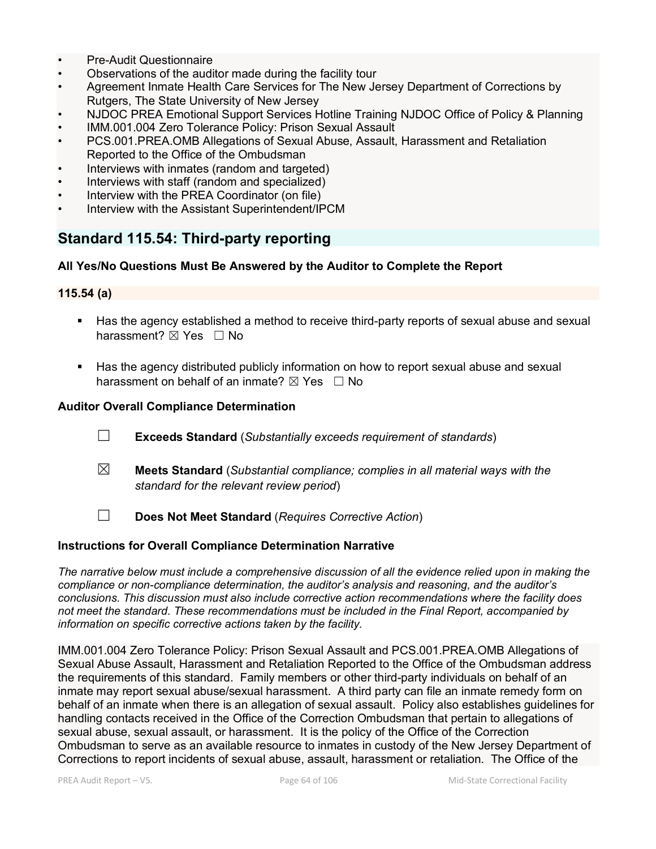- Pre-Audit Questionnaire
- Observations of the auditor made during the facility tour
- Agreement Inmate Health Care Services for The New Jersey Department of Corrections by Rutgers, The State University of New Jersey
- NJDOC PREA Emotional Support Services Hotline Training NJDOC Office of Policy & Planning
- IMM.001.004 Zero Tolerance Policy: Prison Sexual Assault
- PCS.001.PREA.OMB Allegations of Sexual Abuse, Assault, Harassment and Retaliation Reported to the Office of the Ombudsman
- Interviews with inmates (random and targeted)
- Interviews with staff (random and specialized)
- Interview with the PREA Coordinator (on file)
- Interview with the Assistant Superintendent/IPCM

# **Standard 115.54: Third-party reporting**

#### **All Yes/No Questions Must Be Answered by the Auditor to Complete the Report**

#### **115.54 (a)**

- Has the agency established a method to receive third-party reports of sexual abuse and sexual harassment? ⊠ Yes □ No
- Has the agency distributed publicly information on how to report sexual abuse and sexual harassment on behalf of an inmate?  $\boxtimes$  Yes  $\Box$  No

#### **Auditor Overall Compliance Determination**

- ☐ **Exceeds Standard** (*Substantially exceeds requirement of standards*)
- ☒ **Meets Standard** (*Substantial compliance; complies in all material ways with the standard for the relevant review period*)
- ☐ **Does Not Meet Standard** (*Requires Corrective Action*)

### **Instructions for Overall Compliance Determination Narrative**

*The narrative below must include a comprehensive discussion of all the evidence relied upon in making the compliance or non-compliance determination, the auditor's analysis and reasoning, and the auditor's conclusions. This discussion must also include corrective action recommendations where the facility does not meet the standard. These recommendations must be included in the Final Report, accompanied by information on specific corrective actions taken by the facility.*

IMM.001.004 Zero Tolerance Policy: Prison Sexual Assault and PCS.001.PREA.OMB Allegations of Sexual Abuse Assault, Harassment and Retaliation Reported to the Office of the Ombudsman address the requirements of this standard. Family members or other third-party individuals on behalf of an inmate may report sexual abuse/sexual harassment. A third party can file an inmate remedy form on behalf of an inmate when there is an allegation of sexual assault. Policy also establishes guidelines for handling contacts received in the Office of the Correction Ombudsman that pertain to allegations of sexual abuse, sexual assault, or harassment. It is the policy of the Office of the Correction Ombudsman to serve as an available resource to inmates in custody of the New Jersey Department of Corrections to report incidents of sexual abuse, assault, harassment or retaliation. The Office of the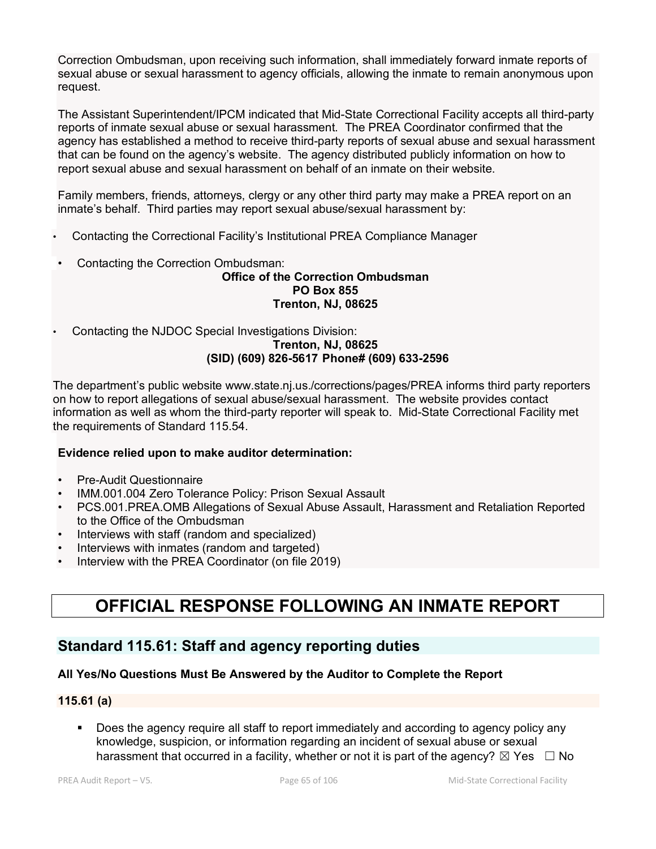Correction Ombudsman, upon receiving such information, shall immediately forward inmate reports of sexual abuse or sexual harassment to agency officials, allowing the inmate to remain anonymous upon request.

The Assistant Superintendent/IPCM indicated that Mid-State Correctional Facility accepts all third-party reports of inmate sexual abuse or sexual harassment. The PREA Coordinator confirmed that the agency has established a method to receive third-party reports of sexual abuse and sexual harassment that can be found on the agency's website. The agency distributed publicly information on how to report sexual abuse and sexual harassment on behalf of an inmate on their website.

Family members, friends, attorneys, clergy or any other third party may make a PREA report on an inmate's behalf. Third parties may report sexual abuse/sexual harassment by:

- Contacting the Correctional Facility's Institutional PREA Compliance Manager
- Contacting the Correction Ombudsman:

### **Office of the Correction Ombudsman PO Box 855 Trenton, NJ, 08625**

• Contacting the NJDOC Special Investigations Division:

#### **Trenton, NJ, 08625 (SID) (609) 826-5617 Phone# (609) 633-2596**

The department's public website www.state.nj.us./corrections/pages/PREA informs third party reporters on how to report allegations of sexual abuse/sexual harassment. The website provides contact information as well as whom the third-party reporter will speak to. Mid-State Correctional Facility met the requirements of Standard 115.54.

### **Evidence relied upon to make auditor determination:**

- Pre-Audit Questionnaire
- IMM.001.004 Zero Tolerance Policy: Prison Sexual Assault
- PCS.001.PREA.OMB Allegations of Sexual Abuse Assault, Harassment and Retaliation Reported to the Office of the Ombudsman
- Interviews with staff (random and specialized)
- Interviews with inmates (random and targeted)
- Interview with the PREA Coordinator (on file 2019)

# **OFFICIAL RESPONSE FOLLOWING AN INMATE REPORT**

# **Standard 115.61: Staff and agency reporting duties**

### **All Yes/No Questions Must Be Answered by the Auditor to Complete the Report**

### **115.61 (a)**

 Does the agency require all staff to report immediately and according to agency policy any knowledge, suspicion, or information regarding an incident of sexual abuse or sexual harassment that occurred in a facility, whether or not it is part of the agency?  $\boxtimes$  Yes  $\Box$  No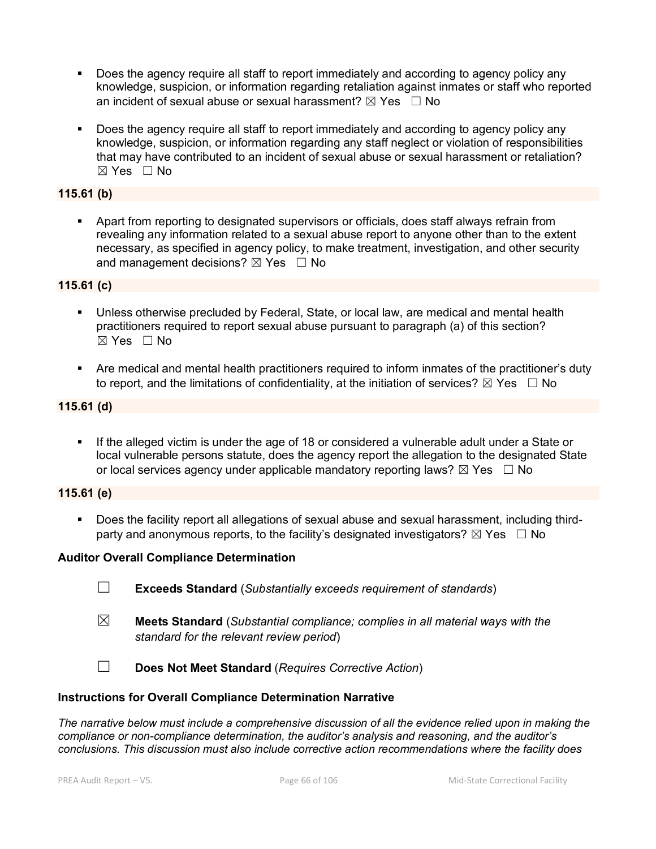- Does the agency require all staff to report immediately and according to agency policy any knowledge, suspicion, or information regarding retaliation against inmates or staff who reported an incident of sexual abuse or sexual harassment?  $\boxtimes$  Yes  $\Box$  No
- Does the agency require all staff to report immediately and according to agency policy any knowledge, suspicion, or information regarding any staff neglect or violation of responsibilities that may have contributed to an incident of sexual abuse or sexual harassment or retaliation? ☒ Yes ☐ No

### **115.61 (b)**

 Apart from reporting to designated supervisors or officials, does staff always refrain from revealing any information related to a sexual abuse report to anyone other than to the extent necessary, as specified in agency policy, to make treatment, investigation, and other security and management decisions?  $\boxtimes$  Yes  $\Box$  No

### **115.61 (c)**

- Unless otherwise precluded by Federal, State, or local law, are medical and mental health practitioners required to report sexual abuse pursuant to paragraph (a) of this section?  $\boxtimes$  Yes  $\Box$  No
- Are medical and mental health practitioners required to inform inmates of the practitioner's duty to report, and the limitations of confidentiality, at the initiation of services?  $\boxtimes$  Yes  $\Box$  No

### **115.61 (d)**

**If the alleged victim is under the age of 18 or considered a vulnerable adult under a State or** local vulnerable persons statute, does the agency report the allegation to the designated State or local services agency under applicable mandatory reporting laws?  $\boxtimes$  Yes  $\Box$  No

#### **115.61 (e)**

 Does the facility report all allegations of sexual abuse and sexual harassment, including thirdparty and anonymous reports, to the facility's designated investigators?  $\boxtimes$  Yes  $\Box$  No

#### **Auditor Overall Compliance Determination**

- ☐ **Exceeds Standard** (*Substantially exceeds requirement of standards*)
- ☒ **Meets Standard** (*Substantial compliance; complies in all material ways with the standard for the relevant review period*)
- ☐ **Does Not Meet Standard** (*Requires Corrective Action*)

#### **Instructions for Overall Compliance Determination Narrative**

*The narrative below must include a comprehensive discussion of all the evidence relied upon in making the compliance or non-compliance determination, the auditor's analysis and reasoning, and the auditor's conclusions. This discussion must also include corrective action recommendations where the facility does*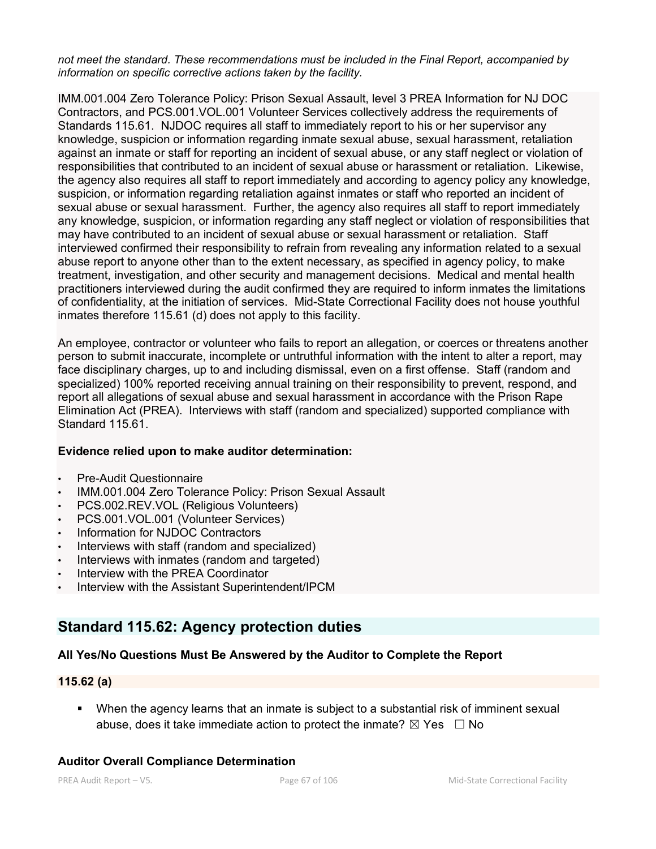*not meet the standard. These recommendations must be included in the Final Report, accompanied by information on specific corrective actions taken by the facility.*

IMM.001.004 Zero Tolerance Policy: Prison Sexual Assault, level 3 PREA Information for NJ DOC Contractors, and PCS.001.VOL.001 Volunteer Services collectively address the requirements of Standards 115.61. NJDOC requires all staff to immediately report to his or her supervisor any knowledge, suspicion or information regarding inmate sexual abuse, sexual harassment, retaliation against an inmate or staff for reporting an incident of sexual abuse, or any staff neglect or violation of responsibilities that contributed to an incident of sexual abuse or harassment or retaliation. Likewise, the agency also requires all staff to report immediately and according to agency policy any knowledge, suspicion, or information regarding retaliation against inmates or staff who reported an incident of sexual abuse or sexual harassment. Further, the agency also requires all staff to report immediately any knowledge, suspicion, or information regarding any staff neglect or violation of responsibilities that may have contributed to an incident of sexual abuse or sexual harassment or retaliation. Staff interviewed confirmed their responsibility to refrain from revealing any information related to a sexual abuse report to anyone other than to the extent necessary, as specified in agency policy, to make treatment, investigation, and other security and management decisions. Medical and mental health practitioners interviewed during the audit confirmed they are required to inform inmates the limitations of confidentiality, at the initiation of services. Mid-State Correctional Facility does not house youthful inmates therefore 115.61 (d) does not apply to this facility.

An employee, contractor or volunteer who fails to report an allegation, or coerces or threatens another person to submit inaccurate, incomplete or untruthful information with the intent to alter a report, may face disciplinary charges, up to and including dismissal, even on a first offense. Staff (random and specialized) 100% reported receiving annual training on their responsibility to prevent, respond, and report all allegations of sexual abuse and sexual harassment in accordance with the Prison Rape Elimination Act (PREA). Interviews with staff (random and specialized) supported compliance with Standard 115.61.

### **Evidence relied upon to make auditor determination:**

- Pre-Audit Questionnaire
- IMM.001.004 Zero Tolerance Policy: Prison Sexual Assault
- PCS.002.REV.VOL (Religious Volunteers)
- PCS.001.VOL.001 (Volunteer Services)
- Information for NJDOC Contractors
- Interviews with staff (random and specialized)
- Interviews with inmates (random and targeted)
- Interview with the PREA Coordinator
- Interview with the Assistant Superintendent/IPCM

# **Standard 115.62: Agency protection duties**

### **All Yes/No Questions Must Be Answered by the Auditor to Complete the Report**

#### **115.62 (a)**

 When the agency learns that an inmate is subject to a substantial risk of imminent sexual abuse, does it take immediate action to protect the inmate?  $\boxtimes$  Yes  $\Box$  No

#### **Auditor Overall Compliance Determination**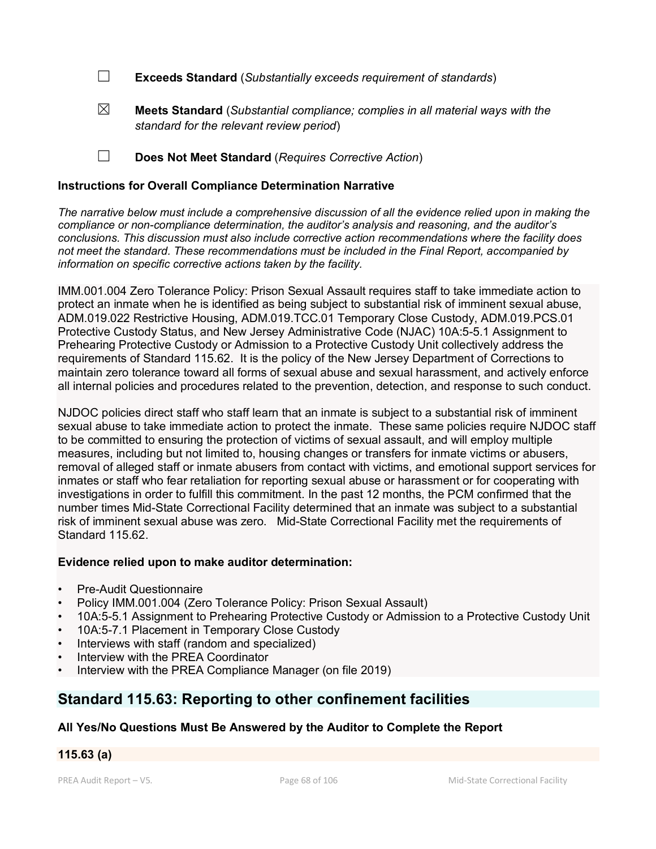- ☐ **Exceeds Standard** (*Substantially exceeds requirement of standards*)
- ☒ **Meets Standard** (*Substantial compliance; complies in all material ways with the standard for the relevant review period*)

☐ **Does Not Meet Standard** (*Requires Corrective Action*)

### **Instructions for Overall Compliance Determination Narrative**

*The narrative below must include a comprehensive discussion of all the evidence relied upon in making the compliance or non-compliance determination, the auditor's analysis and reasoning, and the auditor's conclusions. This discussion must also include corrective action recommendations where the facility does not meet the standard. These recommendations must be included in the Final Report, accompanied by information on specific corrective actions taken by the facility.*

IMM.001.004 Zero Tolerance Policy: Prison Sexual Assault requires staff to take immediate action to protect an inmate when he is identified as being subject to substantial risk of imminent sexual abuse, ADM.019.022 Restrictive Housing, ADM.019.TCC.01 Temporary Close Custody, ADM.019.PCS.01 Protective Custody Status, and New Jersey Administrative Code (NJAC) 10A:5-5.1 Assignment to Prehearing Protective Custody or Admission to a Protective Custody Unit collectively address the requirements of Standard 115.62. It is the policy of the New Jersey Department of Corrections to maintain zero tolerance toward all forms of sexual abuse and sexual harassment, and actively enforce all internal policies and procedures related to the prevention, detection, and response to such conduct.

NJDOC policies direct staff who staff learn that an inmate is subject to a substantial risk of imminent sexual abuse to take immediate action to protect the inmate. These same policies require NJDOC staff to be committed to ensuring the protection of victims of sexual assault, and will employ multiple measures, including but not limited to, housing changes or transfers for inmate victims or abusers, removal of alleged staff or inmate abusers from contact with victims, and emotional support services for inmates or staff who fear retaliation for reporting sexual abuse or harassment or for cooperating with investigations in order to fulfill this commitment. In the past 12 months, the PCM confirmed that the number times Mid-State Correctional Facility determined that an inmate was subject to a substantial risk of imminent sexual abuse was zero. Mid-State Correctional Facility met the requirements of Standard 115.62.

### **Evidence relied upon to make auditor determination:**

- Pre-Audit Questionnaire
- Policy IMM.001.004 (Zero Tolerance Policy: Prison Sexual Assault)
- 10A:5-5.1 Assignment to Prehearing Protective Custody or Admission to a Protective Custody Unit
- 10A:5-7.1 Placement in Temporary Close Custody
- Interviews with staff (random and specialized)
- Interview with the PREA Coordinator
- Interview with the PREA Compliance Manager (on file 2019)

# **Standard 115.63: Reporting to other confinement facilities**

**All Yes/No Questions Must Be Answered by the Auditor to Complete the Report**

### **115.63 (a)**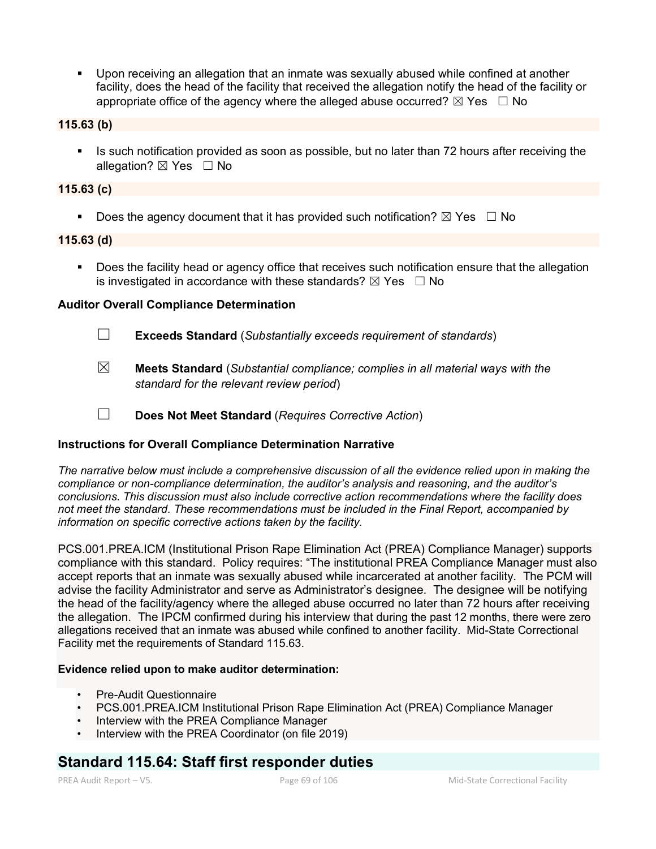Upon receiving an allegation that an inmate was sexually abused while confined at another facility, does the head of the facility that received the allegation notify the head of the facility or appropriate office of the agency where the alleged abuse occurred?  $\boxtimes$  Yes  $\Box$  No

**115.63 (b)**

Is such notification provided as soon as possible, but no later than 72 hours after receiving the allegation? ⊠ Yes □ No

#### **115.63 (c)**

Does the agency document that it has provided such notification?  $\boxtimes$  Yes  $\Box$  No

#### **115.63 (d)**

 Does the facility head or agency office that receives such notification ensure that the allegation is investigated in accordance with these standards?  $\boxtimes$  Yes  $\Box$  No

### **Auditor Overall Compliance Determination**

- ☐ **Exceeds Standard** (*Substantially exceeds requirement of standards*)
- ☒ **Meets Standard** (*Substantial compliance; complies in all material ways with the standard for the relevant review period*)
- ☐ **Does Not Meet Standard** (*Requires Corrective Action*)

### **Instructions for Overall Compliance Determination Narrative**

*The narrative below must include a comprehensive discussion of all the evidence relied upon in making the compliance or non-compliance determination, the auditor's analysis and reasoning, and the auditor's conclusions. This discussion must also include corrective action recommendations where the facility does not meet the standard. These recommendations must be included in the Final Report, accompanied by information on specific corrective actions taken by the facility.*

PCS.001.PREA.ICM (Institutional Prison Rape Elimination Act (PREA) Compliance Manager) supports compliance with this standard. Policy requires: "The institutional PREA Compliance Manager must also accept reports that an inmate was sexually abused while incarcerated at another facility. The PCM will advise the facility Administrator and serve as Administrator's designee. The designee will be notifying the head of the facility/agency where the alleged abuse occurred no later than 72 hours after receiving the allegation. The IPCM confirmed during his interview that during the past 12 months, there were zero allegations received that an inmate was abused while confined to another facility. Mid-State Correctional Facility met the requirements of Standard 115.63.

#### **Evidence relied upon to make auditor determination:**

- Pre-Audit Questionnaire
- PCS.001.PREA.ICM Institutional Prison Rape Elimination Act (PREA) Compliance Manager
- Interview with the PREA Compliance Manager
- Interview with the PREA Coordinator (on file 2019)

# **Standard 115.64: Staff first responder duties**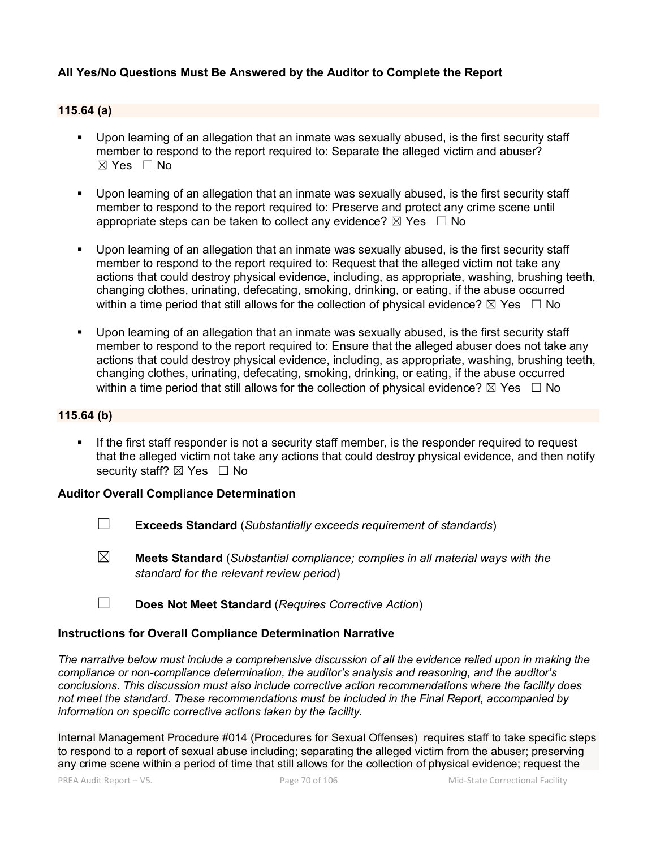### **All Yes/No Questions Must Be Answered by the Auditor to Complete the Report**

#### **115.64 (a)**

- Upon learning of an allegation that an inmate was sexually abused, is the first security staff member to respond to the report required to: Separate the alleged victim and abuser?  $\boxtimes$  Yes  $\Box$  No
- Upon learning of an allegation that an inmate was sexually abused, is the first security staff member to respond to the report required to: Preserve and protect any crime scene until appropriate steps can be taken to collect any evidence?  $\boxtimes$  Yes  $\Box$  No
- Upon learning of an allegation that an inmate was sexually abused, is the first security staff member to respond to the report required to: Request that the alleged victim not take any actions that could destroy physical evidence, including, as appropriate, washing, brushing teeth, changing clothes, urinating, defecating, smoking, drinking, or eating, if the abuse occurred within a time period that still allows for the collection of physical evidence?  $\boxtimes$  Yes  $\Box$  No
- Upon learning of an allegation that an inmate was sexually abused, is the first security staff member to respond to the report required to: Ensure that the alleged abuser does not take any actions that could destroy physical evidence, including, as appropriate, washing, brushing teeth, changing clothes, urinating, defecating, smoking, drinking, or eating, if the abuse occurred within a time period that still allows for the collection of physical evidence?  $\boxtimes$  Yes  $\Box$  No

#### **115.64 (b)**

 If the first staff responder is not a security staff member, is the responder required to request that the alleged victim not take any actions that could destroy physical evidence, and then notify security staff?  $\boxtimes$  Yes  $\Box$  No

#### **Auditor Overall Compliance Determination**

- ☐ **Exceeds Standard** (*Substantially exceeds requirement of standards*)
- ☒ **Meets Standard** (*Substantial compliance; complies in all material ways with the standard for the relevant review period*)
- ☐ **Does Not Meet Standard** (*Requires Corrective Action*)

### **Instructions for Overall Compliance Determination Narrative**

*The narrative below must include a comprehensive discussion of all the evidence relied upon in making the compliance or non-compliance determination, the auditor's analysis and reasoning, and the auditor's conclusions. This discussion must also include corrective action recommendations where the facility does not meet the standard. These recommendations must be included in the Final Report, accompanied by information on specific corrective actions taken by the facility.*

Internal Management Procedure #014 (Procedures for Sexual Offenses) requires staff to take specific steps to respond to a report of sexual abuse including; separating the alleged victim from the abuser; preserving any crime scene within a period of time that still allows for the collection of physical evidence; request the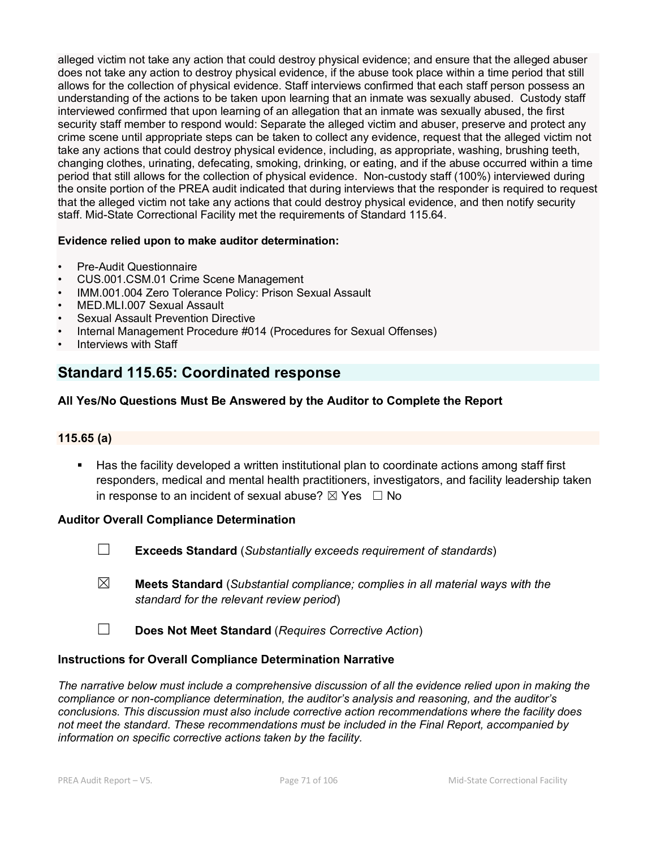alleged victim not take any action that could destroy physical evidence; and ensure that the alleged abuser does not take any action to destroy physical evidence, if the abuse took place within a time period that still allows for the collection of physical evidence. Staff interviews confirmed that each staff person possess an understanding of the actions to be taken upon learning that an inmate was sexually abused. Custody staff interviewed confirmed that upon learning of an allegation that an inmate was sexually abused, the first security staff member to respond would: Separate the alleged victim and abuser, preserve and protect any crime scene until appropriate steps can be taken to collect any evidence, request that the alleged victim not take any actions that could destroy physical evidence, including, as appropriate, washing, brushing teeth, changing clothes, urinating, defecating, smoking, drinking, or eating, and if the abuse occurred within a time period that still allows for the collection of physical evidence. Non-custody staff (100%) interviewed during the onsite portion of the PREA audit indicated that during interviews that the responder is required to request that the alleged victim not take any actions that could destroy physical evidence, and then notify security staff. Mid-State Correctional Facility met the requirements of Standard 115.64.

#### **Evidence relied upon to make auditor determination:**

- Pre-Audit Questionnaire
- CUS.001.CSM.01 Crime Scene Management
- IMM.001.004 Zero Tolerance Policy: Prison Sexual Assault
- MED.MLI.007 Sexual Assault
- **Sexual Assault Prevention Directive**
- Internal Management Procedure #014 (Procedures for Sexual Offenses)
- Interviews with Staff

# **Standard 115.65: Coordinated response**

### **All Yes/No Questions Must Be Answered by the Auditor to Complete the Report**

### **115.65 (a)**

 Has the facility developed a written institutional plan to coordinate actions among staff first responders, medical and mental health practitioners, investigators, and facility leadership taken in response to an incident of sexual abuse?  $\boxtimes$  Yes  $\Box$  No

#### **Auditor Overall Compliance Determination**

- ☐ **Exceeds Standard** (*Substantially exceeds requirement of standards*)
- ☒ **Meets Standard** (*Substantial compliance; complies in all material ways with the standard for the relevant review period*)
- ☐ **Does Not Meet Standard** (*Requires Corrective Action*)

#### **Instructions for Overall Compliance Determination Narrative**

*The narrative below must include a comprehensive discussion of all the evidence relied upon in making the compliance or non-compliance determination, the auditor's analysis and reasoning, and the auditor's conclusions. This discussion must also include corrective action recommendations where the facility does not meet the standard. These recommendations must be included in the Final Report, accompanied by information on specific corrective actions taken by the facility.*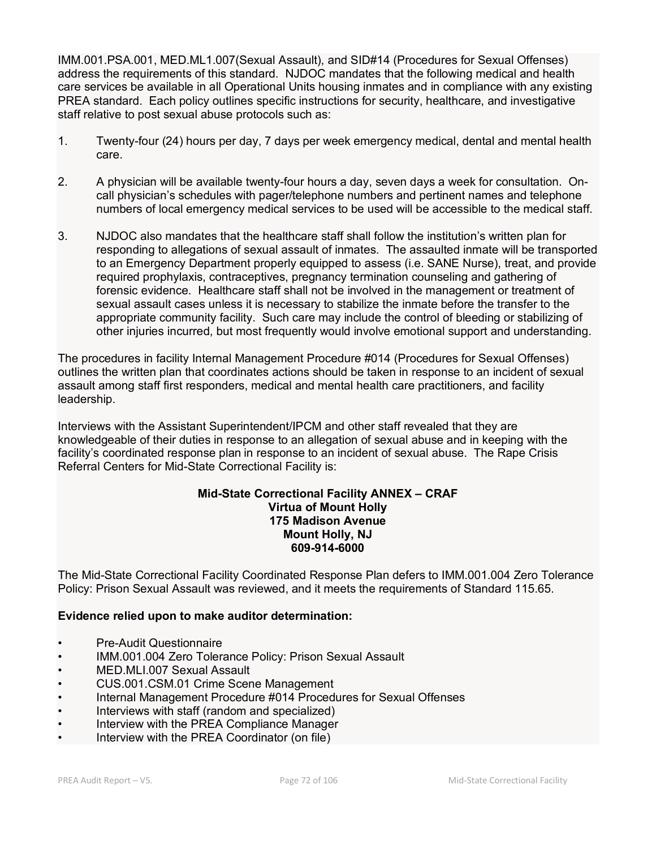IMM.001.PSA.001, MED.ML1.007(Sexual Assault), and SID#14 (Procedures for Sexual Offenses) address the requirements of this standard. NJDOC mandates that the following medical and health care services be available in all Operational Units housing inmates and in compliance with any existing PREA standard. Each policy outlines specific instructions for security, healthcare, and investigative staff relative to post sexual abuse protocols such as:

- 1. Twenty-four (24) hours per day, 7 days per week emergency medical, dental and mental health care.
- 2. A physician will be available twenty-four hours a day, seven days a week for consultation. Oncall physician's schedules with pager/telephone numbers and pertinent names and telephone numbers of local emergency medical services to be used will be accessible to the medical staff.
- 3. NJDOC also mandates that the healthcare staff shall follow the institution's written plan for responding to allegations of sexual assault of inmates. The assaulted inmate will be transported to an Emergency Department properly equipped to assess (i.e. SANE Nurse), treat, and provide required prophylaxis, contraceptives, pregnancy termination counseling and gathering of forensic evidence. Healthcare staff shall not be involved in the management or treatment of sexual assault cases unless it is necessary to stabilize the inmate before the transfer to the appropriate community facility. Such care may include the control of bleeding or stabilizing of other injuries incurred, but most frequently would involve emotional support and understanding.

The procedures in facility Internal Management Procedure #014 (Procedures for Sexual Offenses) outlines the written plan that coordinates actions should be taken in response to an incident of sexual assault among staff first responders, medical and mental health care practitioners, and facility leadership.

Interviews with the Assistant Superintendent/IPCM and other staff revealed that they are knowledgeable of their duties in response to an allegation of sexual abuse and in keeping with the facility's coordinated response plan in response to an incident of sexual abuse. The Rape Crisis Referral Centers for Mid-State Correctional Facility is:

#### **Mid-State Correctional Facility ANNEX – CRAF Virtua of Mount Holly 175 Madison Avenue Mount Holly, NJ 609-914-6000**

The Mid-State Correctional Facility Coordinated Response Plan defers to IMM.001.004 Zero Tolerance Policy: Prison Sexual Assault was reviewed, and it meets the requirements of Standard 115.65.

### **Evidence relied upon to make auditor determination:**

- Pre-Audit Questionnaire
- IMM.001.004 Zero Tolerance Policy: Prison Sexual Assault
- MED.MLI.007 Sexual Assault<br>• CUS.001.CSM.01 Crime Scen
- CUS.001.CSM.01 Crime Scene Management
- Internal Management Procedure #014 Procedures for Sexual Offenses<br>• Interviews with staff (random and specialized)
- Interviews with staff (random and specialized)
- Interview with the PREA Compliance Manager
- Interview with the PREA Coordinator (on file)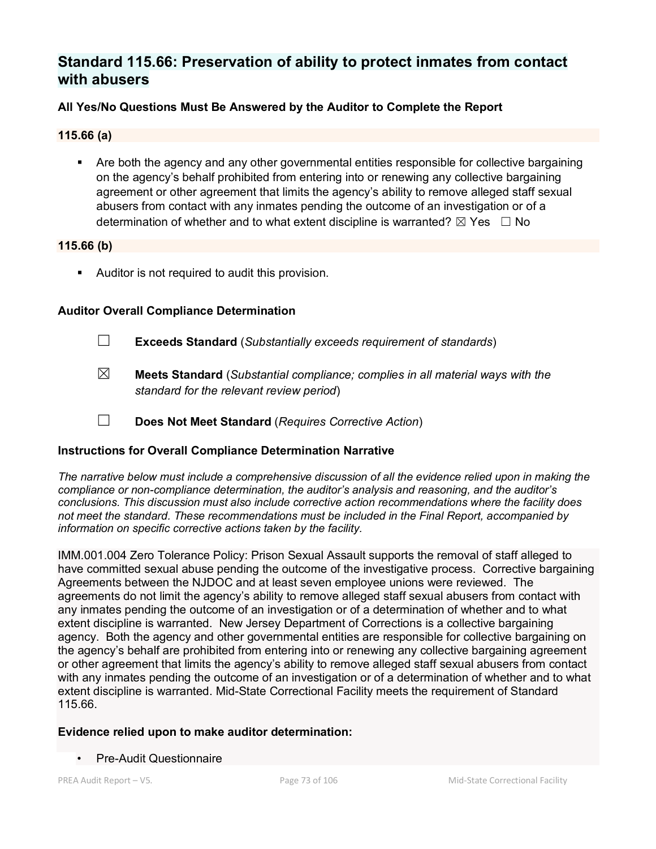# **Standard 115.66: Preservation of ability to protect inmates from contact with abusers**

## **All Yes/No Questions Must Be Answered by the Auditor to Complete the Report**

#### **115.66 (a)**

 Are both the agency and any other governmental entities responsible for collective bargaining on the agency's behalf prohibited from entering into or renewing any collective bargaining agreement or other agreement that limits the agency's ability to remove alleged staff sexual abusers from contact with any inmates pending the outcome of an investigation or of a determination of whether and to what extent discipline is warranted?  $\boxtimes$  Yes  $\Box$  No

#### **115.66 (b)**

Auditor is not required to audit this provision.

## **Auditor Overall Compliance Determination**

- ☐ **Exceeds Standard** (*Substantially exceeds requirement of standards*)
- ☒ **Meets Standard** (*Substantial compliance; complies in all material ways with the standard for the relevant review period*)
- ☐ **Does Not Meet Standard** (*Requires Corrective Action*)

## **Instructions for Overall Compliance Determination Narrative**

*The narrative below must include a comprehensive discussion of all the evidence relied upon in making the compliance or non-compliance determination, the auditor's analysis and reasoning, and the auditor's conclusions. This discussion must also include corrective action recommendations where the facility does not meet the standard. These recommendations must be included in the Final Report, accompanied by information on specific corrective actions taken by the facility.*

IMM.001.004 Zero Tolerance Policy: Prison Sexual Assault supports the removal of staff alleged to have committed sexual abuse pending the outcome of the investigative process. Corrective bargaining Agreements between the NJDOC and at least seven employee unions were reviewed. The agreements do not limit the agency's ability to remove alleged staff sexual abusers from contact with any inmates pending the outcome of an investigation or of a determination of whether and to what extent discipline is warranted. New Jersey Department of Corrections is a collective bargaining agency. Both the agency and other governmental entities are responsible for collective bargaining on the agency's behalf are prohibited from entering into or renewing any collective bargaining agreement or other agreement that limits the agency's ability to remove alleged staff sexual abusers from contact with any inmates pending the outcome of an investigation or of a determination of whether and to what extent discipline is warranted. Mid-State Correctional Facility meets the requirement of Standard 115.66.

## **Evidence relied upon to make auditor determination:**

• Pre-Audit Questionnaire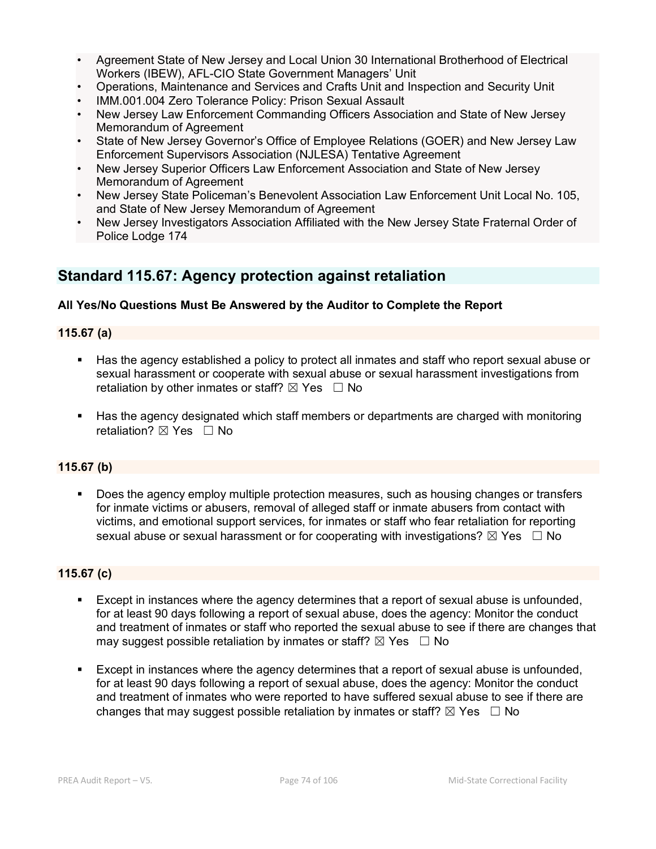- Agreement State of New Jersey and Local Union 30 International Brotherhood of Electrical Workers (IBEW), AFL-CIO State Government Managers' Unit
- Operations, Maintenance and Services and Crafts Unit and Inspection and Security Unit
- IMM.001.004 Zero Tolerance Policy: Prison Sexual Assault
- New Jersey Law Enforcement Commanding Officers Association and State of New Jersey Memorandum of Agreement
- State of New Jersey Governor's Office of Employee Relations (GOER) and New Jersey Law Enforcement Supervisors Association (NJLESA) Tentative Agreement
- New Jersey Superior Officers Law Enforcement Association and State of New Jersey Memorandum of Agreement
- New Jersey State Policeman's Benevolent Association Law Enforcement Unit Local No. 105, and State of New Jersey Memorandum of Agreement
- New Jersey Investigators Association Affiliated with the New Jersey State Fraternal Order of Police Lodge 174

# **Standard 115.67: Agency protection against retaliation**

## **All Yes/No Questions Must Be Answered by the Auditor to Complete the Report**

## **115.67 (a)**

- Has the agency established a policy to protect all inmates and staff who report sexual abuse or sexual harassment or cooperate with sexual abuse or sexual harassment investigations from retaliation by other inmates or staff?  $\boxtimes$  Yes  $\Box$  No
- Has the agency designated which staff members or departments are charged with monitoring retaliation?  $\boxtimes$  Yes  $\Box$  No

## **115.67 (b)**

 Does the agency employ multiple protection measures, such as housing changes or transfers for inmate victims or abusers, removal of alleged staff or inmate abusers from contact with victims, and emotional support services, for inmates or staff who fear retaliation for reporting sexual abuse or sexual harassment or for cooperating with investigations?  $\boxtimes$  Yes  $\Box$  No

## **115.67 (c)**

- Except in instances where the agency determines that a report of sexual abuse is unfounded, for at least 90 days following a report of sexual abuse, does the agency: Monitor the conduct and treatment of inmates or staff who reported the sexual abuse to see if there are changes that may suggest possible retaliation by inmates or staff?  $\boxtimes$  Yes  $\Box$  No
- Except in instances where the agency determines that a report of sexual abuse is unfounded, for at least 90 days following a report of sexual abuse, does the agency: Monitor the conduct and treatment of inmates who were reported to have suffered sexual abuse to see if there are changes that may suggest possible retaliation by inmates or staff?  $\boxtimes$  Yes  $\Box$  No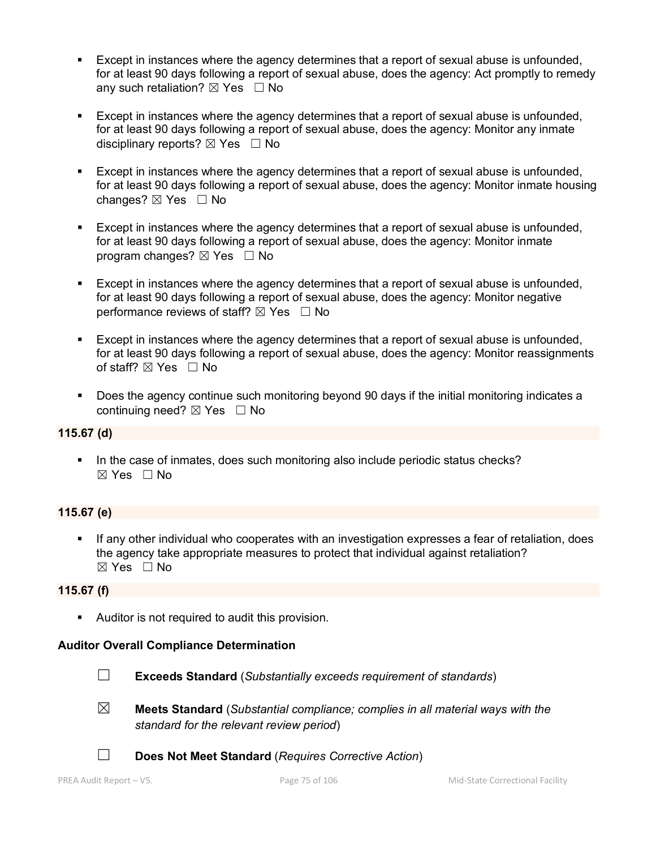- Except in instances where the agency determines that a report of sexual abuse is unfounded, for at least 90 days following a report of sexual abuse, does the agency: Act promptly to remedy any such retaliation?  $\boxtimes$  Yes  $\Box$  No
- Except in instances where the agency determines that a report of sexual abuse is unfounded, for at least 90 days following a report of sexual abuse, does the agency: Monitor any inmate disciplinary reports?  $\boxtimes$  Yes  $\Box$  No
- Except in instances where the agency determines that a report of sexual abuse is unfounded, for at least 90 days following a report of sexual abuse, does the agency: Monitor inmate housing changes?  $\boxtimes$  Yes  $\Box$  No
- Except in instances where the agency determines that a report of sexual abuse is unfounded, for at least 90 days following a report of sexual abuse, does the agency: Monitor inmate program changes?  $\boxtimes$  Yes  $\Box$  No
- Except in instances where the agency determines that a report of sexual abuse is unfounded, for at least 90 days following a report of sexual abuse, does the agency: Monitor negative performance reviews of staff?  $\boxtimes$  Yes  $\Box$  No
- Except in instances where the agency determines that a report of sexual abuse is unfounded, for at least 90 days following a report of sexual abuse, does the agency: Monitor reassignments of staff? ⊠ Yes □ No
- Does the agency continue such monitoring beyond 90 days if the initial monitoring indicates a continuing need? ⊠ Yes □ No

## **115.67 (d)**

In the case of inmates, does such monitoring also include periodic status checks?  $\boxtimes$  Yes  $\Box$  No

## **115.67 (e)**

 If any other individual who cooperates with an investigation expresses a fear of retaliation, does the agency take appropriate measures to protect that individual against retaliation? ☒ Yes ☐ No

#### **115.67 (f)**

**Auditor is not required to audit this provision.** 

## **Auditor Overall Compliance Determination**



☐ **Exceeds Standard** (*Substantially exceeds requirement of standards*)

- ☒ **Meets Standard** (*Substantial compliance; complies in all material ways with the standard for the relevant review period*)
- ☐ **Does Not Meet Standard** (*Requires Corrective Action*)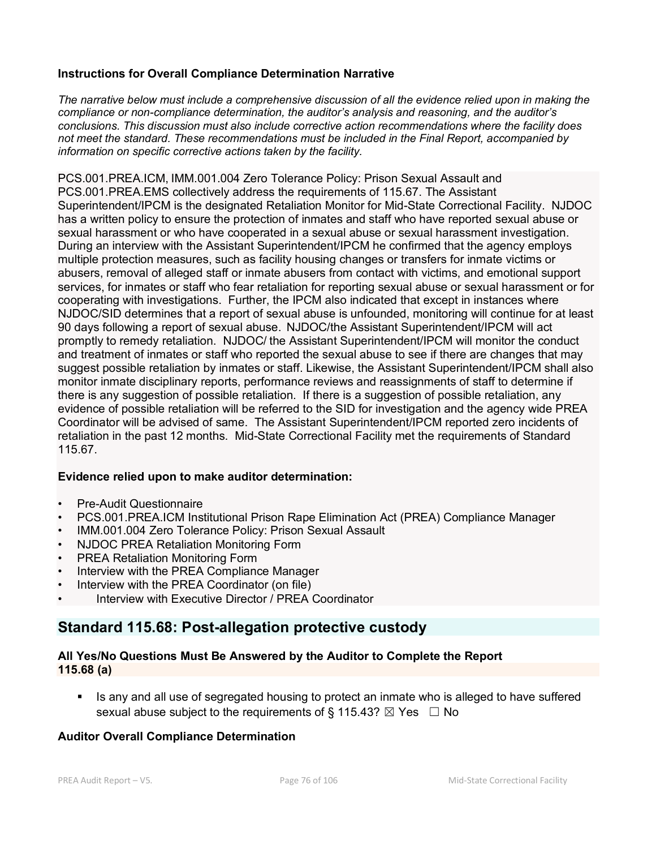## **Instructions for Overall Compliance Determination Narrative**

*The narrative below must include a comprehensive discussion of all the evidence relied upon in making the compliance or non-compliance determination, the auditor's analysis and reasoning, and the auditor's conclusions. This discussion must also include corrective action recommendations where the facility does not meet the standard. These recommendations must be included in the Final Report, accompanied by information on specific corrective actions taken by the facility.*

PCS.001.PREA.ICM, IMM.001.004 Zero Tolerance Policy: Prison Sexual Assault and PCS.001.PREA.EMS collectively address the requirements of 115.67. The Assistant Superintendent/IPCM is the designated Retaliation Monitor for Mid-State Correctional Facility. NJDOC has a written policy to ensure the protection of inmates and staff who have reported sexual abuse or sexual harassment or who have cooperated in a sexual abuse or sexual harassment investigation. During an interview with the Assistant Superintendent/IPCM he confirmed that the agency employs multiple protection measures, such as facility housing changes or transfers for inmate victims or abusers, removal of alleged staff or inmate abusers from contact with victims, and emotional support services, for inmates or staff who fear retaliation for reporting sexual abuse or sexual harassment or for cooperating with investigations. Further, the IPCM also indicated that except in instances where NJDOC/SID determines that a report of sexual abuse is unfounded, monitoring will continue for at least 90 days following a report of sexual abuse. NJDOC/the Assistant Superintendent/IPCM will act promptly to remedy retaliation. NJDOC/ the Assistant Superintendent/IPCM will monitor the conduct and treatment of inmates or staff who reported the sexual abuse to see if there are changes that may suggest possible retaliation by inmates or staff. Likewise, the Assistant Superintendent/IPCM shall also monitor inmate disciplinary reports, performance reviews and reassignments of staff to determine if there is any suggestion of possible retaliation. If there is a suggestion of possible retaliation, any evidence of possible retaliation will be referred to the SID for investigation and the agency wide PREA Coordinator will be advised of same. The Assistant Superintendent/IPCM reported zero incidents of retaliation in the past 12 months. Mid-State Correctional Facility met the requirements of Standard 115.67.

## **Evidence relied upon to make auditor determination:**

- Pre-Audit Questionnaire
- PCS.001.PREA.ICM Institutional Prison Rape Elimination Act (PREA) Compliance Manager
- IMM.001.004 Zero Tolerance Policy: Prison Sexual Assault
- NJDOC PREA Retaliation Monitoring Form
- PREA Retaliation Monitoring Form
- Interview with the PREA Compliance Manager
- Interview with the PREA Coordinator (on file)
- Interview with Executive Director / PREA Coordinator

# **Standard 115.68: Post-allegation protective custody**

## **All Yes/No Questions Must Be Answered by the Auditor to Complete the Report 115.68 (a)**

 Is any and all use of segregated housing to protect an inmate who is alleged to have suffered sexual abuse subject to the requirements of § 115.43?  $\boxtimes$  Yes  $\Box$  No

## **Auditor Overall Compliance Determination**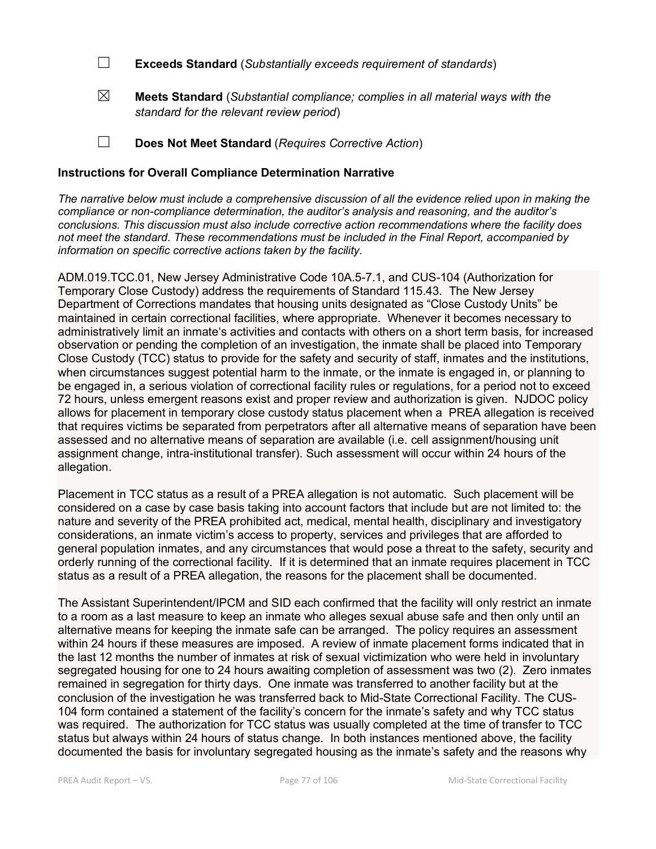☐ **Exceeds Standard** (*Substantially exceeds requirement of standards*)

☒ **Meets Standard** (*Substantial compliance; complies in all material ways with the standard for the relevant review period*)

☐ **Does Not Meet Standard** (*Requires Corrective Action*)

#### **Instructions for Overall Compliance Determination Narrative**

*The narrative below must include a comprehensive discussion of all the evidence relied upon in making the compliance or non-compliance determination, the auditor's analysis and reasoning, and the auditor's conclusions. This discussion must also include corrective action recommendations where the facility does not meet the standard. These recommendations must be included in the Final Report, accompanied by information on specific corrective actions taken by the facility.*

ADM.019.TCC.01, New Jersey Administrative Code 10A.5-7.1, and CUS-104 (Authorization for Temporary Close Custody) address the requirements of Standard 115.43. The New Jersey Department of Corrections mandates that housing units designated as "Close Custody Units" be maintained in certain correctional facilities, where appropriate. Whenever it becomes necessary to administratively limit an inmate's activities and contacts with others on a short term basis, for increased observation or pending the completion of an investigation, the inmate shall be placed into Temporary Close Custody (TCC) status to provide for the safety and security of staff, inmates and the institutions, when circumstances suggest potential harm to the inmate, or the inmate is engaged in, or planning to be engaged in, a serious violation of correctional facility rules or regulations, for a period not to exceed 72 hours, unless emergent reasons exist and proper review and authorization is given. NJDOC policy allows for placement in temporary close custody status placement when a PREA allegation is received that requires victims be separated from perpetrators after all alternative means of separation have been assessed and no alternative means of separation are available (i.e. cell assignment/housing unit assignment change, intra-institutional transfer). Such assessment will occur within 24 hours of the allegation.

Placement in TCC status as a result of a PREA allegation is not automatic. Such placement will be considered on a case by case basis taking into account factors that include but are not limited to: the nature and severity of the PREA prohibited act, medical, mental health, disciplinary and investigatory considerations, an inmate victim's access to property, services and privileges that are afforded to general population inmates, and any circumstances that would pose a threat to the safety, security and orderly running of the correctional facility. If it is determined that an inmate requires placement in TCC status as a result of a PREA allegation, the reasons for the placement shall be documented.

The Assistant Superintendent/IPCM and SID each confirmed that the facility will only restrict an inmate to a room as a last measure to keep an inmate who alleges sexual abuse safe and then only until an alternative means for keeping the inmate safe can be arranged. The policy requires an assessment within 24 hours if these measures are imposed. A review of inmate placement forms indicated that in the last 12 months the number of inmates at risk of sexual victimization who were held in involuntary segregated housing for one to 24 hours awaiting completion of assessment was two (2). Zero inmates remained in segregation for thirty days. One inmate was transferred to another facility but at the conclusion of the investigation he was transferred back to Mid-State Correctional Facility. The CUS-104 form contained a statement of the facility's concern for the inmate's safety and why TCC status was required. The authorization for TCC status was usually completed at the time of transfer to TCC status but always within 24 hours of status change. In both instances mentioned above, the facility documented the basis for involuntary segregated housing as the inmate's safety and the reasons why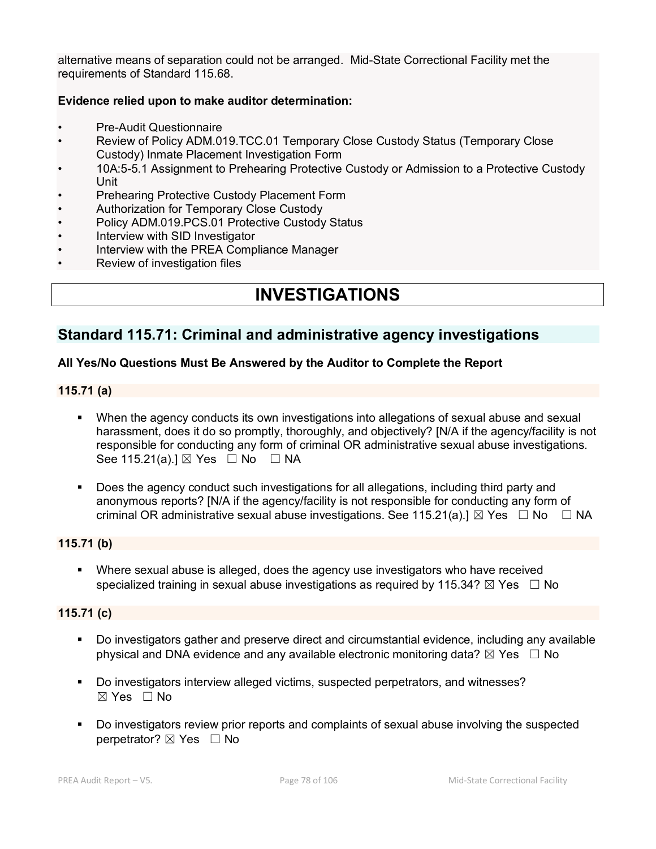alternative means of separation could not be arranged. Mid-State Correctional Facility met the requirements of Standard 115.68.

## **Evidence relied upon to make auditor determination:**

- Pre-Audit Questionnaire
- Review of Policy ADM.019.TCC.01 Temporary Close Custody Status (Temporary Close Custody) Inmate Placement Investigation Form
- 10A:5-5.1 Assignment to Prehearing Protective Custody or Admission to a Protective Custody Unit
- Prehearing Protective Custody Placement Form
- Authorization for Temporary Close Custody
- Policy ADM.019.PCS.01 Protective Custody Status
- Interview with SID Investigator
- Interview with the PREA Compliance Manager
- Review of investigation files

# **INVESTIGATIONS**

## **Standard 115.71: Criminal and administrative agency investigations**

#### **All Yes/No Questions Must Be Answered by the Auditor to Complete the Report**

#### **115.71 (a)**

- When the agency conducts its own investigations into allegations of sexual abuse and sexual harassment, does it do so promptly, thoroughly, and objectively? [N/A if the agency/facility is not responsible for conducting any form of criminal OR administrative sexual abuse investigations. See 115.21(a).]  $\boxtimes$  Yes  $\Box$  No  $\Box$  NA
- Does the agency conduct such investigations for all allegations, including third party and anonymous reports? [N/A if the agency/facility is not responsible for conducting any form of criminal OR administrative sexual abuse investigations. See 115.21(a).]  $\boxtimes$  Yes  $\Box$  No  $\Box$  NA

## **115.71 (b)**

 Where sexual abuse is alleged, does the agency use investigators who have received specialized training in sexual abuse investigations as required by 115.34?  $\boxtimes$  Yes  $\Box$  No

## **115.71 (c)**

- Do investigators gather and preserve direct and circumstantial evidence, including any available physical and DNA evidence and any available electronic monitoring data?  $\boxtimes$  Yes  $\Box$  No
- Do investigators interview alleged victims, suspected perpetrators, and witnesses?  $\boxtimes$  Yes  $\Box$  No
- Do investigators review prior reports and complaints of sexual abuse involving the suspected perpetrator?  $\boxtimes$  Yes  $\Box$  No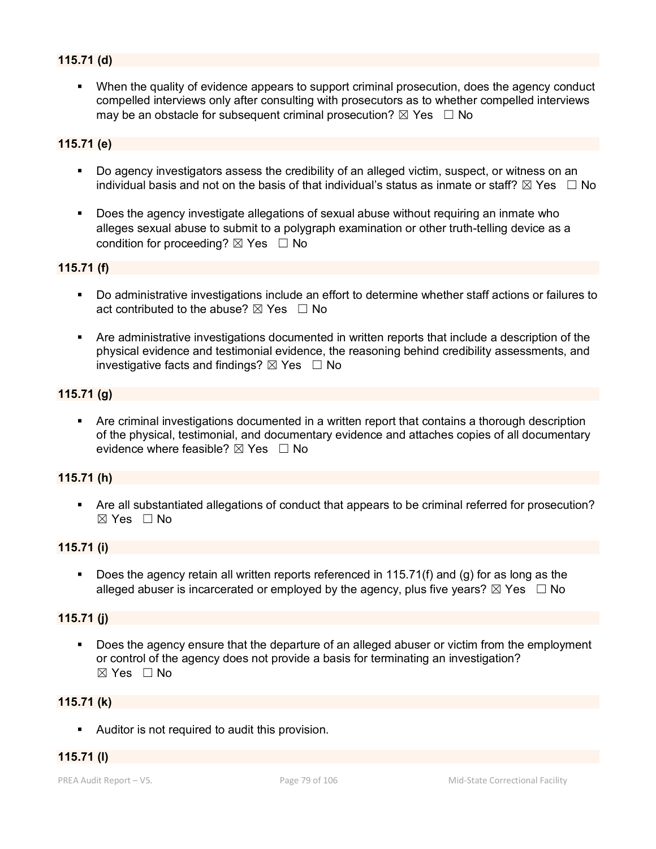## **115.71 (d)**

 When the quality of evidence appears to support criminal prosecution, does the agency conduct compelled interviews only after consulting with prosecutors as to whether compelled interviews may be an obstacle for subsequent criminal prosecution?  $\boxtimes$  Yes  $\Box$  No

## **115.71 (e)**

- Do agency investigators assess the credibility of an alleged victim, suspect, or witness on an individual basis and not on the basis of that individual's status as inmate or staff?  $\boxtimes$  Yes  $\Box$  No
- Does the agency investigate allegations of sexual abuse without requiring an inmate who alleges sexual abuse to submit to a polygraph examination or other truth-telling device as a condition for proceeding?  $\boxtimes$  Yes  $\Box$  No

## **115.71 (f)**

- Do administrative investigations include an effort to determine whether staff actions or failures to act contributed to the abuse?  $\boxtimes$  Yes  $\Box$  No
- Are administrative investigations documented in written reports that include a description of the physical evidence and testimonial evidence, the reasoning behind credibility assessments, and investigative facts and findings?  $\boxtimes$  Yes  $\Box$  No

#### **115.71 (g)**

 Are criminal investigations documented in a written report that contains a thorough description of the physical, testimonial, and documentary evidence and attaches copies of all documentary evidence where feasible?  $\boxtimes$  Yes  $\Box$  No

#### **115.71 (h)**

 Are all substantiated allegations of conduct that appears to be criminal referred for prosecution?  $\boxtimes$  Yes  $\Box$  No

#### **115.71 (i)**

 Does the agency retain all written reports referenced in 115.71(f) and (g) for as long as the alleged abuser is incarcerated or employed by the agency, plus five years?  $\boxtimes$  Yes  $\Box$  No

#### **115.71 (j)**

 Does the agency ensure that the departure of an alleged abuser or victim from the employment or control of the agency does not provide a basis for terminating an investigation? ☒ Yes ☐ No

#### **115.71 (k)**

Auditor is not required to audit this provision.

#### **115.71 (l)**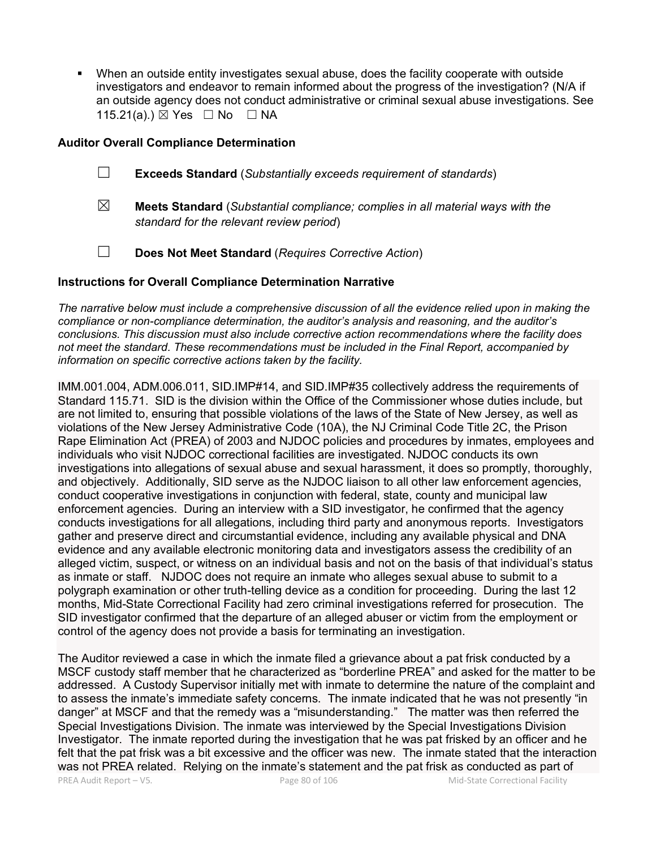When an outside entity investigates sexual abuse, does the facility cooperate with outside investigators and endeavor to remain informed about the progress of the investigation? (N/A if an outside agency does not conduct administrative or criminal sexual abuse investigations. See 115.21(a).)  $\boxtimes$  Yes  $\Box$  No  $\Box$  NA

#### **Auditor Overall Compliance Determination**

- ☐ **Exceeds Standard** (*Substantially exceeds requirement of standards*)
- ☒ **Meets Standard** (*Substantial compliance; complies in all material ways with the standard for the relevant review period*)
- ☐ **Does Not Meet Standard** (*Requires Corrective Action*)

#### **Instructions for Overall Compliance Determination Narrative**

*The narrative below must include a comprehensive discussion of all the evidence relied upon in making the compliance or non-compliance determination, the auditor's analysis and reasoning, and the auditor's conclusions. This discussion must also include corrective action recommendations where the facility does not meet the standard. These recommendations must be included in the Final Report, accompanied by information on specific corrective actions taken by the facility.*

IMM.001.004, ADM.006.011, SID.IMP#14, and SID.IMP#35 collectively address the requirements of Standard 115.71. SID is the division within the Office of the Commissioner whose duties include, but are not limited to, ensuring that possible violations of the laws of the State of New Jersey, as well as violations of the New Jersey Administrative Code (10A), the NJ Criminal Code Title 2C, the Prison Rape Elimination Act (PREA) of 2003 and NJDOC policies and procedures by inmates, employees and individuals who visit NJDOC correctional facilities are investigated. NJDOC conducts its own investigations into allegations of sexual abuse and sexual harassment, it does so promptly, thoroughly, and objectively. Additionally, SID serve as the NJDOC liaison to all other law enforcement agencies, conduct cooperative investigations in conjunction with federal, state, county and municipal law enforcement agencies. During an interview with a SID investigator, he confirmed that the agency conducts investigations for all allegations, including third party and anonymous reports. Investigators gather and preserve direct and circumstantial evidence, including any available physical and DNA evidence and any available electronic monitoring data and investigators assess the credibility of an alleged victim, suspect, or witness on an individual basis and not on the basis of that individual's status as inmate or staff. NJDOC does not require an inmate who alleges sexual abuse to submit to a polygraph examination or other truth-telling device as a condition for proceeding. During the last 12 months, Mid-State Correctional Facility had zero criminal investigations referred for prosecution. The SID investigator confirmed that the departure of an alleged abuser or victim from the employment or control of the agency does not provide a basis for terminating an investigation.

PREA Audit Report – V5. Page 80 of 106 Mid-State Correctional Facility The Auditor reviewed a case in which the inmate filed a grievance about a pat frisk conducted by a MSCF custody staff member that he characterized as "borderline PREA" and asked for the matter to be addressed. A Custody Supervisor initially met with inmate to determine the nature of the complaint and to assess the inmate's immediate safety concerns. The inmate indicated that he was not presently "in danger" at MSCF and that the remedy was a "misunderstanding." The matter was then referred the Special Investigations Division. The inmate was interviewed by the Special Investigations Division Investigator. The inmate reported during the investigation that he was pat frisked by an officer and he felt that the pat frisk was a bit excessive and the officer was new. The inmate stated that the interaction was not PREA related. Relying on the inmate's statement and the pat frisk as conducted as part of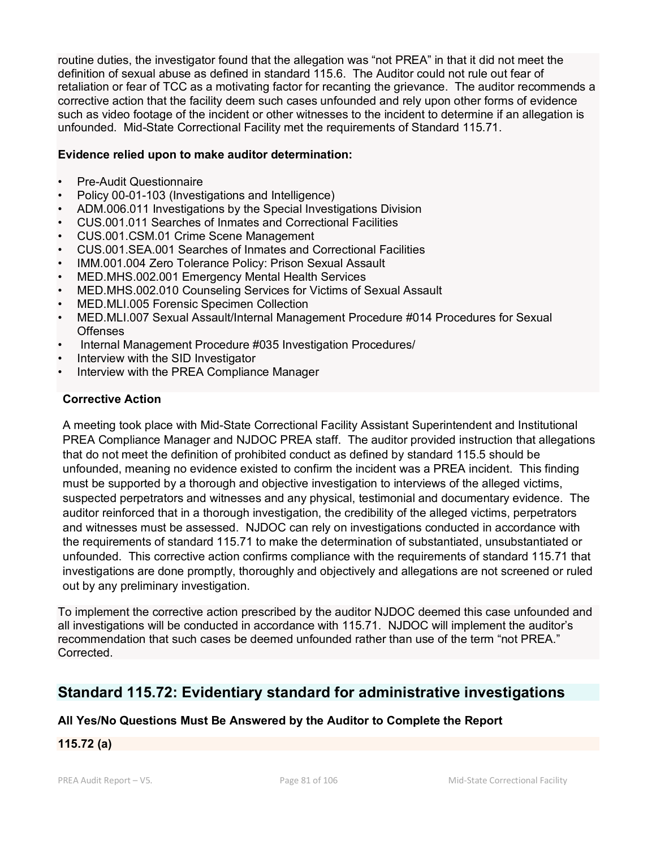routine duties, the investigator found that the allegation was "not PREA" in that it did not meet the definition of sexual abuse as defined in standard 115.6. The Auditor could not rule out fear of retaliation or fear of TCC as a motivating factor for recanting the grievance. The auditor recommends a corrective action that the facility deem such cases unfounded and rely upon other forms of evidence such as video footage of the incident or other witnesses to the incident to determine if an allegation is unfounded. Mid-State Correctional Facility met the requirements of Standard 115.71.

## **Evidence relied upon to make auditor determination:**

- Pre-Audit Questionnaire
- Policy 00-01-103 (Investigations and Intelligence)
- ADM.006.011 Investigations by the Special Investigations Division
- CUS.001.011 Searches of Inmates and Correctional Facilities
- CUS.001.CSM.01 Crime Scene Management
- CUS.001.SEA.001 Searches of Inmates and Correctional Facilities
- IMM.001.004 Zero Tolerance Policy: Prison Sexual Assault
- MED.MHS.002.001 Emergency Mental Health Services
- MED.MHS.002.010 Counseling Services for Victims of Sexual Assault
- MED.MLI.005 Forensic Specimen Collection
- MED.MLI.007 Sexual Assault/Internal Management Procedure #014 Procedures for Sexual **Offenses**
- Internal Management Procedure #035 Investigation Procedures/
- Interview with the SID Investigator
- Interview with the PREA Compliance Manager

## **Corrective Action**

A meeting took place with Mid-State Correctional Facility Assistant Superintendent and Institutional PREA Compliance Manager and NJDOC PREA staff. The auditor provided instruction that allegations that do not meet the definition of prohibited conduct as defined by standard 115.5 should be unfounded, meaning no evidence existed to confirm the incident was a PREA incident. This finding must be supported by a thorough and objective investigation to interviews of the alleged victims, suspected perpetrators and witnesses and any physical, testimonial and documentary evidence. The auditor reinforced that in a thorough investigation, the credibility of the alleged victims, perpetrators and witnesses must be assessed. NJDOC can rely on investigations conducted in accordance with the requirements of standard 115.71 to make the determination of substantiated, unsubstantiated or unfounded. This corrective action confirms compliance with the requirements of standard 115.71 that investigations are done promptly, thoroughly and objectively and allegations are not screened or ruled out by any preliminary investigation.

To implement the corrective action prescribed by the auditor NJDOC deemed this case unfounded and all investigations will be conducted in accordance with 115.71. NJDOC will implement the auditor's recommendation that such cases be deemed unfounded rather than use of the term "not PREA." Corrected.

# **Standard 115.72: Evidentiary standard for administrative investigations**

## **All Yes/No Questions Must Be Answered by the Auditor to Complete the Report**

# **115.72 (a)**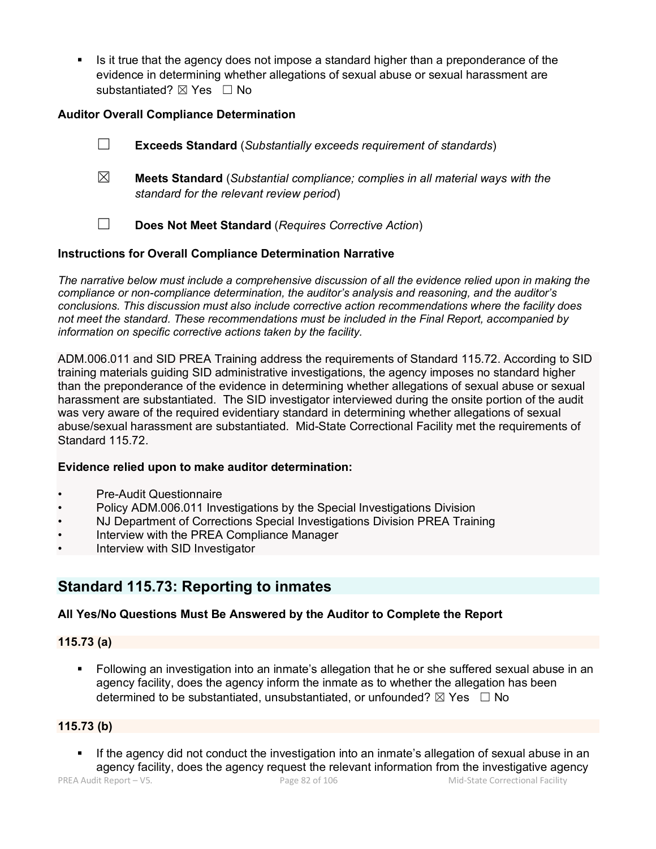Is it true that the agency does not impose a standard higher than a preponderance of the evidence in determining whether allegations of sexual abuse or sexual harassment are substantiated? ⊠ Yes □ No

## **Auditor Overall Compliance Determination**

- ☐ **Exceeds Standard** (*Substantially exceeds requirement of standards*)
- ☒ **Meets Standard** (*Substantial compliance; complies in all material ways with the standard for the relevant review period*)
- ☐ **Does Not Meet Standard** (*Requires Corrective Action*)

## **Instructions for Overall Compliance Determination Narrative**

*The narrative below must include a comprehensive discussion of all the evidence relied upon in making the compliance or non-compliance determination, the auditor's analysis and reasoning, and the auditor's conclusions. This discussion must also include corrective action recommendations where the facility does not meet the standard. These recommendations must be included in the Final Report, accompanied by information on specific corrective actions taken by the facility.*

ADM.006.011 and SID PREA Training address the requirements of Standard 115.72. According to SID training materials guiding SID administrative investigations, the agency imposes no standard higher than the preponderance of the evidence in determining whether allegations of sexual abuse or sexual harassment are substantiated. The SID investigator interviewed during the onsite portion of the audit was very aware of the required evidentiary standard in determining whether allegations of sexual abuse/sexual harassment are substantiated. Mid-State Correctional Facility met the requirements of Standard 115.72.

#### **Evidence relied upon to make auditor determination:**

- Pre-Audit Questionnaire
- Policy ADM.006.011 Investigations by the Special Investigations Division
- NJ Department of Corrections Special Investigations Division PREA Training
- Interview with the PREA Compliance Manager
- Interview with SID Investigator

# **Standard 115.73: Reporting to inmates**

## **All Yes/No Questions Must Be Answered by the Auditor to Complete the Report**

#### **115.73 (a)**

 Following an investigation into an inmate's allegation that he or she suffered sexual abuse in an agency facility, does the agency inform the inmate as to whether the allegation has been determined to be substantiated, unsubstantiated, or unfounded?  $\boxtimes$  Yes  $\Box$  No

## **115.73 (b)**

**If the agency did not conduct the investigation into an inmate's allegation of sexual abuse in an** agency facility, does the agency request the relevant information from the investigative agency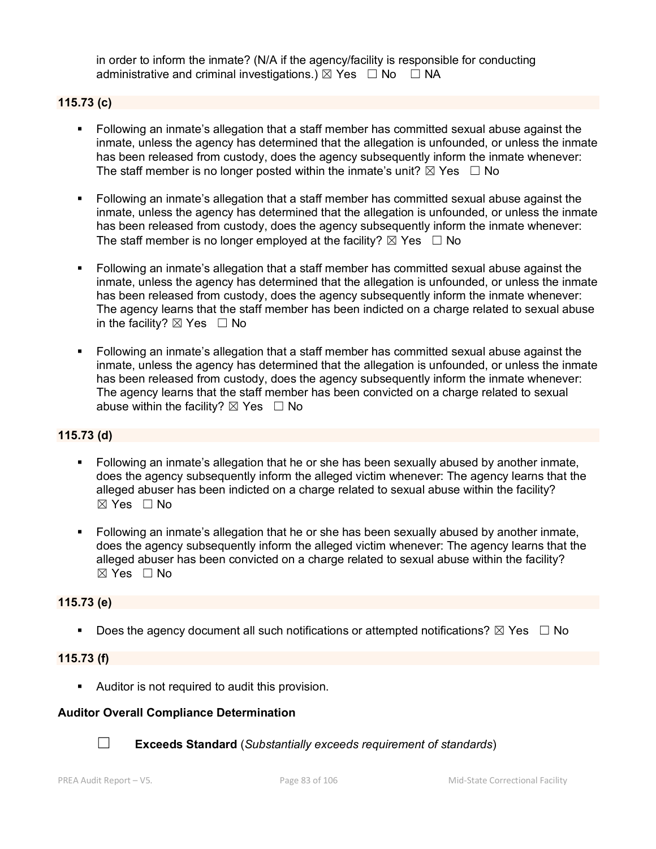in order to inform the inmate? (N/A if the agency/facility is responsible for conducting administrative and criminal investigations.)  $\boxtimes$  Yes  $\Box$  No  $\Box$  NA

## **115.73 (c)**

- Following an inmate's allegation that a staff member has committed sexual abuse against the inmate, unless the agency has determined that the allegation is unfounded, or unless the inmate has been released from custody, does the agency subsequently inform the inmate whenever: The staff member is no longer posted within the inmate's unit?  $\boxtimes$  Yes  $\Box$  No
- Following an inmate's allegation that a staff member has committed sexual abuse against the inmate, unless the agency has determined that the allegation is unfounded, or unless the inmate has been released from custody, does the agency subsequently inform the inmate whenever: The staff member is no longer employed at the facility?  $\boxtimes$  Yes  $\Box$  No
- Following an inmate's allegation that a staff member has committed sexual abuse against the inmate, unless the agency has determined that the allegation is unfounded, or unless the inmate has been released from custody, does the agency subsequently inform the inmate whenever: The agency learns that the staff member has been indicted on a charge related to sexual abuse in the facility?  $\boxtimes$  Yes  $\Box$  No
- Following an inmate's allegation that a staff member has committed sexual abuse against the inmate, unless the agency has determined that the allegation is unfounded, or unless the inmate has been released from custody, does the agency subsequently inform the inmate whenever: The agency learns that the staff member has been convicted on a charge related to sexual abuse within the facility?  $\boxtimes$  Yes  $\Box$  No

## **115.73 (d)**

- Following an inmate's allegation that he or she has been sexually abused by another inmate, does the agency subsequently inform the alleged victim whenever: The agency learns that the alleged abuser has been indicted on a charge related to sexual abuse within the facility? ☒ Yes ☐ No
- Following an inmate's allegation that he or she has been sexually abused by another inmate, does the agency subsequently inform the alleged victim whenever: The agency learns that the alleged abuser has been convicted on a charge related to sexual abuse within the facility?  $\boxtimes$  Yes  $\Box$  No

#### **115.73 (e)**

Does the agency document all such notifications or attempted notifications?  $\boxtimes$  Yes  $\Box$  No

#### **115.73 (f)**

Auditor is not required to audit this provision.

#### **Auditor Overall Compliance Determination**



☐ **Exceeds Standard** (*Substantially exceeds requirement of standards*)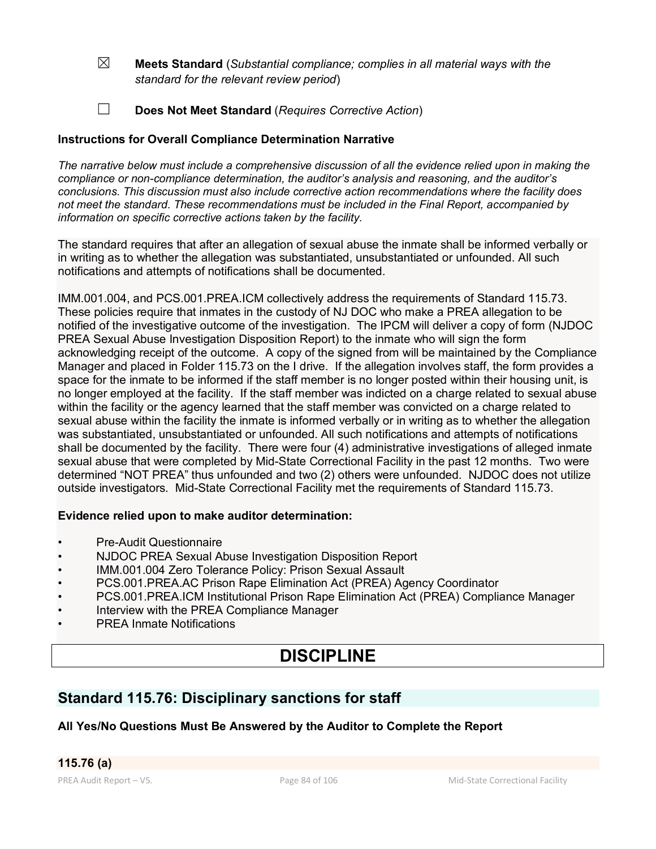- ☒ **Meets Standard** (*Substantial compliance; complies in all material ways with the standard for the relevant review period*)
- ☐ **Does Not Meet Standard** (*Requires Corrective Action*)

## **Instructions for Overall Compliance Determination Narrative**

*The narrative below must include a comprehensive discussion of all the evidence relied upon in making the compliance or non-compliance determination, the auditor's analysis and reasoning, and the auditor's conclusions. This discussion must also include corrective action recommendations where the facility does not meet the standard. These recommendations must be included in the Final Report, accompanied by information on specific corrective actions taken by the facility.*

The standard requires that after an allegation of sexual abuse the inmate shall be informed verbally or in writing as to whether the allegation was substantiated, unsubstantiated or unfounded. All such notifications and attempts of notifications shall be documented.

IMM.001.004, and PCS.001.PREA.ICM collectively address the requirements of Standard 115.73. These policies require that inmates in the custody of NJ DOC who make a PREA allegation to be notified of the investigative outcome of the investigation. The IPCM will deliver a copy of form (NJDOC PREA Sexual Abuse Investigation Disposition Report) to the inmate who will sign the form acknowledging receipt of the outcome. A copy of the signed from will be maintained by the Compliance Manager and placed in Folder 115.73 on the I drive. If the allegation involves staff, the form provides a space for the inmate to be informed if the staff member is no longer posted within their housing unit, is no longer employed at the facility. If the staff member was indicted on a charge related to sexual abuse within the facility or the agency learned that the staff member was convicted on a charge related to sexual abuse within the facility the inmate is informed verbally or in writing as to whether the allegation was substantiated, unsubstantiated or unfounded. All such notifications and attempts of notifications shall be documented by the facility. There were four (4) administrative investigations of alleged inmate sexual abuse that were completed by Mid-State Correctional Facility in the past 12 months. Two were determined "NOT PREA" thus unfounded and two (2) others were unfounded. NJDOC does not utilize outside investigators. Mid-State Correctional Facility met the requirements of Standard 115.73.

## **Evidence relied upon to make auditor determination:**

- Pre-Audit Questionnaire
- NJDOC PREA Sexual Abuse Investigation Disposition Report
- IMM.001.004 Zero Tolerance Policy: Prison Sexual Assault
- PCS.001.PREA.AC Prison Rape Elimination Act (PREA) Agency Coordinator
- PCS.001.PREA.ICM Institutional Prison Rape Elimination Act (PREA) Compliance Manager
- Interview with the PREA Compliance Manager
- PREA Inmate Notifications

# **DISCIPLINE**

## **Standard 115.76: Disciplinary sanctions for staff**

## **All Yes/No Questions Must Be Answered by the Auditor to Complete the Report**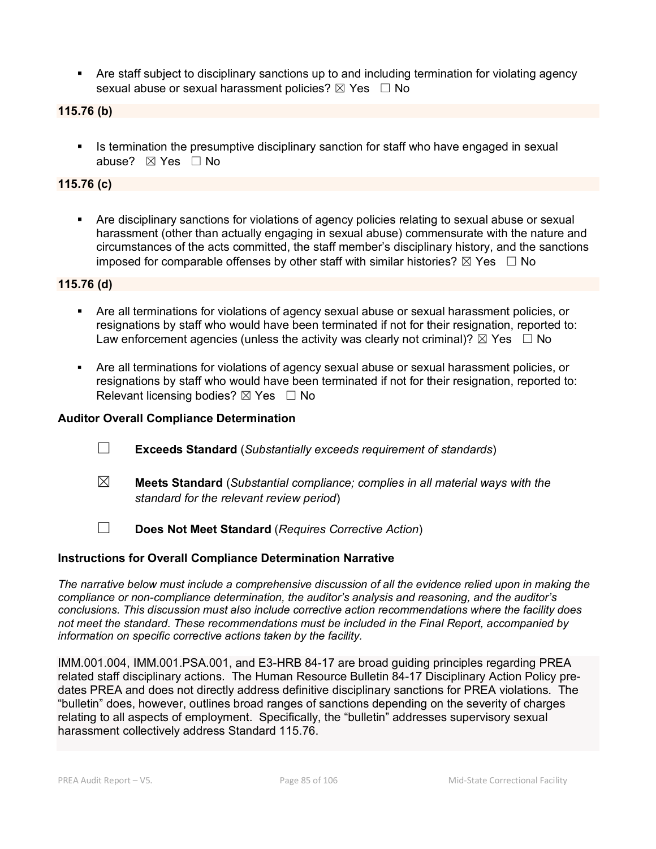Are staff subject to disciplinary sanctions up to and including termination for violating agency sexual abuse or sexual harassment policies?  $\boxtimes$  Yes  $\Box$  No

#### **115.76 (b)**

Is termination the presumptive disciplinary sanction for staff who have engaged in sexual abuse? ⊠ Yes □ No

## **115.76 (c)**

 Are disciplinary sanctions for violations of agency policies relating to sexual abuse or sexual harassment (other than actually engaging in sexual abuse) commensurate with the nature and circumstances of the acts committed, the staff member's disciplinary history, and the sanctions imposed for comparable offenses by other staff with similar histories?  $\boxtimes$  Yes  $\Box$  No

**115.76 (d)**

- Are all terminations for violations of agency sexual abuse or sexual harassment policies, or resignations by staff who would have been terminated if not for their resignation, reported to: Law enforcement agencies (unless the activity was clearly not criminal)?  $\boxtimes$  Yes  $\Box$  No
- Are all terminations for violations of agency sexual abuse or sexual harassment policies, or resignations by staff who would have been terminated if not for their resignation, reported to: Relevant licensing bodies?  $\boxtimes$  Yes  $\Box$  No

#### **Auditor Overall Compliance Determination**

- ☐ **Exceeds Standard** (*Substantially exceeds requirement of standards*)
- ☒ **Meets Standard** (*Substantial compliance; complies in all material ways with the standard for the relevant review period*)
- ☐ **Does Not Meet Standard** (*Requires Corrective Action*)

#### **Instructions for Overall Compliance Determination Narrative**

*The narrative below must include a comprehensive discussion of all the evidence relied upon in making the compliance or non-compliance determination, the auditor's analysis and reasoning, and the auditor's conclusions. This discussion must also include corrective action recommendations where the facility does not meet the standard. These recommendations must be included in the Final Report, accompanied by information on specific corrective actions taken by the facility.*

IMM.001.004, IMM.001.PSA.001, and E3-HRB 84-17 are broad guiding principles regarding PREA related staff disciplinary actions. The Human Resource Bulletin 84-17 Disciplinary Action Policy predates PREA and does not directly address definitive disciplinary sanctions for PREA violations. The "bulletin" does, however, outlines broad ranges of sanctions depending on the severity of charges relating to all aspects of employment. Specifically, the "bulletin" addresses supervisory sexual harassment collectively address Standard 115.76.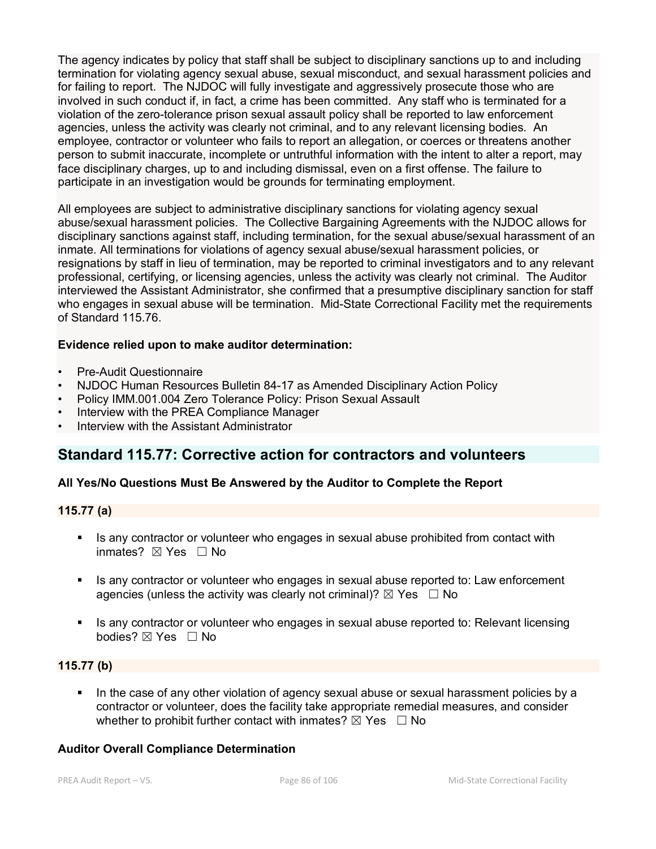The agency indicates by policy that staff shall be subject to disciplinary sanctions up to and including termination for violating agency sexual abuse, sexual misconduct, and sexual harassment policies and for failing to report. The NJDOC will fully investigate and aggressively prosecute those who are involved in such conduct if, in fact, a crime has been committed. Any staff who is terminated for a violation of the zero-tolerance prison sexual assault policy shall be reported to law enforcement agencies, unless the activity was clearly not criminal, and to any relevant licensing bodies. An employee, contractor or volunteer who fails to report an allegation, or coerces or threatens another person to submit inaccurate, incomplete or untruthful information with the intent to alter a report, may face disciplinary charges, up to and including dismissal, even on a first offense. The failure to participate in an investigation would be grounds for terminating employment.

All employees are subject to administrative disciplinary sanctions for violating agency sexual abuse/sexual harassment policies. The Collective Bargaining Agreements with the NJDOC allows for disciplinary sanctions against staff, including termination, for the sexual abuse/sexual harassment of an inmate. All terminations for violations of agency sexual abuse/sexual harassment policies, or resignations by staff in lieu of termination, may be reported to criminal investigators and to any relevant professional, certifying, or licensing agencies, unless the activity was clearly not criminal. The Auditor interviewed the Assistant Administrator, she confirmed that a presumptive disciplinary sanction for staff who engages in sexual abuse will be termination. Mid-State Correctional Facility met the requirements of Standard 115.76.

## **Evidence relied upon to make auditor determination:**

- Pre-Audit Questionnaire
- NJDOC Human Resources Bulletin 84-17 as Amended Disciplinary Action Policy
- Policy IMM.001.004 Zero Tolerance Policy: Prison Sexual Assault
- Interview with the PREA Compliance Manager
- Interview with the Assistant Administrator

## **Standard 115.77: Corrective action for contractors and volunteers**

## **All Yes/No Questions Must Be Answered by the Auditor to Complete the Report**

#### **115.77 (a)**

- Is any contractor or volunteer who engages in sexual abuse prohibited from contact with inmates? ☒ Yes ☐ No
- If any contractor or volunteer who engages in sexual abuse reported to: Law enforcement agencies (unless the activity was clearly not criminal)?  $\boxtimes$  Yes  $\Box$  No
- Is any contractor or volunteer who engages in sexual abuse reported to: Relevant licensing bodies? ⊠ Yes □ No

## **115.77 (b)**

 In the case of any other violation of agency sexual abuse or sexual harassment policies by a contractor or volunteer, does the facility take appropriate remedial measures, and consider whether to prohibit further contact with inmates?  $\boxtimes$  Yes  $\Box$  No

#### **Auditor Overall Compliance Determination**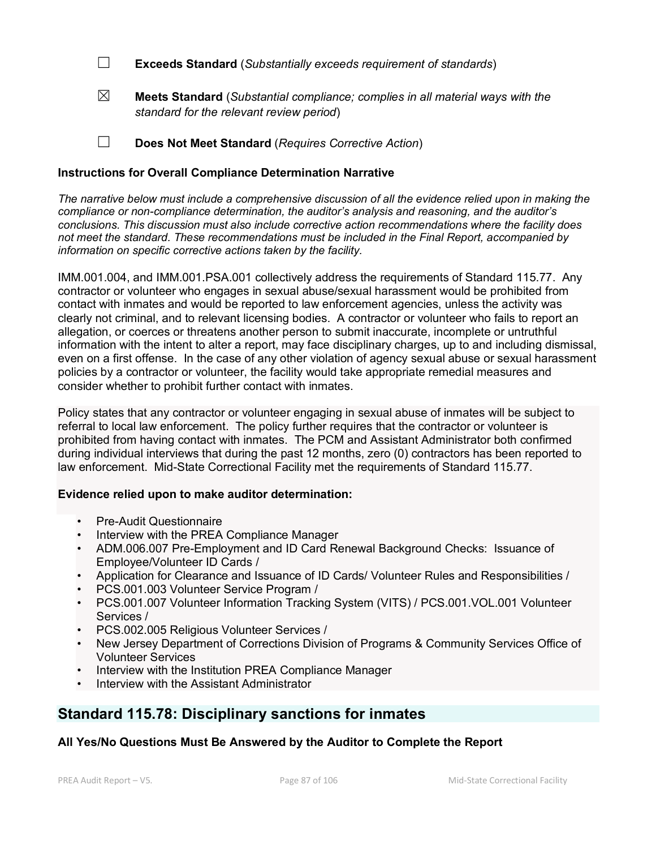☐ **Exceeds Standard** (*Substantially exceeds requirement of standards*)

☒ **Meets Standard** (*Substantial compliance; complies in all material ways with the standard for the relevant review period*)

☐ **Does Not Meet Standard** (*Requires Corrective Action*)

## **Instructions for Overall Compliance Determination Narrative**

*The narrative below must include a comprehensive discussion of all the evidence relied upon in making the compliance or non-compliance determination, the auditor's analysis and reasoning, and the auditor's conclusions. This discussion must also include corrective action recommendations where the facility does not meet the standard. These recommendations must be included in the Final Report, accompanied by information on specific corrective actions taken by the facility.*

IMM.001.004, and IMM.001.PSA.001 collectively address the requirements of Standard 115.77. Any contractor or volunteer who engages in sexual abuse/sexual harassment would be prohibited from contact with inmates and would be reported to law enforcement agencies, unless the activity was clearly not criminal, and to relevant licensing bodies. A contractor or volunteer who fails to report an allegation, or coerces or threatens another person to submit inaccurate, incomplete or untruthful information with the intent to alter a report, may face disciplinary charges, up to and including dismissal, even on a first offense. In the case of any other violation of agency sexual abuse or sexual harassment policies by a contractor or volunteer, the facility would take appropriate remedial measures and consider whether to prohibit further contact with inmates.

Policy states that any contractor or volunteer engaging in sexual abuse of inmates will be subject to referral to local law enforcement. The policy further requires that the contractor or volunteer is prohibited from having contact with inmates. The PCM and Assistant Administrator both confirmed during individual interviews that during the past 12 months, zero (0) contractors has been reported to law enforcement. Mid-State Correctional Facility met the requirements of Standard 115.77.

## **Evidence relied upon to make auditor determination:**

- Pre-Audit Questionnaire
- Interview with the PREA Compliance Manager
- ADM.006.007 Pre-Employment and ID Card Renewal Background Checks: Issuance of Employee/Volunteer ID Cards /
- Application for Clearance and Issuance of ID Cards/ Volunteer Rules and Responsibilities /
- PCS.001.003 Volunteer Service Program /
- PCS.001.007 Volunteer Information Tracking System (VITS) / PCS.001.VOL.001 Volunteer Services /
- PCS.002.005 Religious Volunteer Services /
- New Jersey Department of Corrections Division of Programs & Community Services Office of Volunteer Services
- Interview with the Institution PREA Compliance Manager
- Interview with the Assistant Administrator

# **Standard 115.78: Disciplinary sanctions for inmates**

## **All Yes/No Questions Must Be Answered by the Auditor to Complete the Report**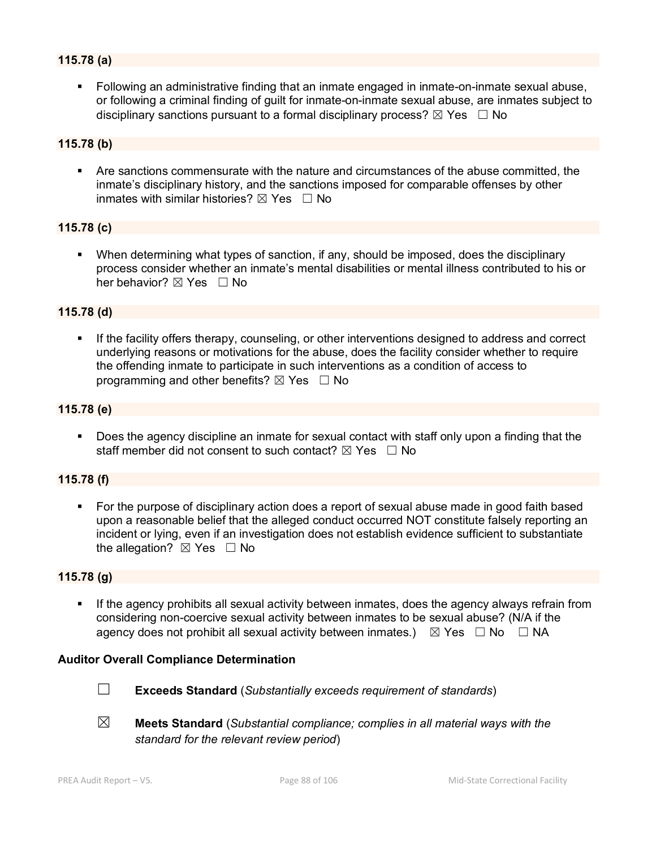## **115.78 (a)**

 Following an administrative finding that an inmate engaged in inmate-on-inmate sexual abuse, or following a criminal finding of guilt for inmate-on-inmate sexual abuse, are inmates subject to disciplinary sanctions pursuant to a formal disciplinary process?  $\boxtimes$  Yes  $\Box$  No

#### **115.78 (b)**

 Are sanctions commensurate with the nature and circumstances of the abuse committed, the inmate's disciplinary history, and the sanctions imposed for comparable offenses by other inmates with similar histories?  $\nabla$  Yes  $\Box$  No

#### **115.78 (c)**

 When determining what types of sanction, if any, should be imposed, does the disciplinary process consider whether an inmate's mental disabilities or mental illness contributed to his or her behavior? ⊠ Yes □ No

#### **115.78 (d)**

 If the facility offers therapy, counseling, or other interventions designed to address and correct underlying reasons or motivations for the abuse, does the facility consider whether to require the offending inmate to participate in such interventions as a condition of access to programming and other benefits?  $\boxtimes$  Yes  $\Box$  No

#### **115.78 (e)**

 Does the agency discipline an inmate for sexual contact with staff only upon a finding that the staff member did not consent to such contact?  $\nabla \times S = \nabla$ 

## **115.78 (f)**

 For the purpose of disciplinary action does a report of sexual abuse made in good faith based upon a reasonable belief that the alleged conduct occurred NOT constitute falsely reporting an incident or lying, even if an investigation does not establish evidence sufficient to substantiate the allegation?  $\boxtimes$  Yes  $\Box$  No

#### **115.78 (g)**

 If the agency prohibits all sexual activity between inmates, does the agency always refrain from considering non-coercive sexual activity between inmates to be sexual abuse? (N/A if the agency does not prohibit all sexual activity between inmates.)  $\boxtimes$  Yes  $\Box$  No  $\Box$  NA

#### **Auditor Overall Compliance Determination**



- ☐ **Exceeds Standard** (*Substantially exceeds requirement of standards*)
- ☒ **Meets Standard** (*Substantial compliance; complies in all material ways with the standard for the relevant review period*)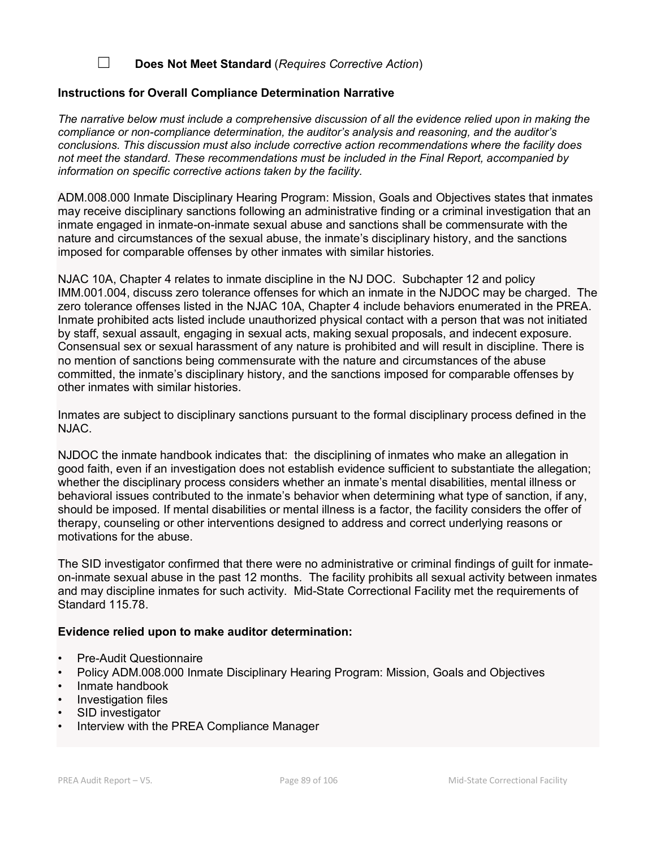## ☐ **Does Not Meet Standard** (*Requires Corrective Action*)

## **Instructions for Overall Compliance Determination Narrative**

*The narrative below must include a comprehensive discussion of all the evidence relied upon in making the compliance or non-compliance determination, the auditor's analysis and reasoning, and the auditor's conclusions. This discussion must also include corrective action recommendations where the facility does not meet the standard. These recommendations must be included in the Final Report, accompanied by information on specific corrective actions taken by the facility.*

ADM.008.000 Inmate Disciplinary Hearing Program: Mission, Goals and Objectives states that inmates may receive disciplinary sanctions following an administrative finding or a criminal investigation that an inmate engaged in inmate-on-inmate sexual abuse and sanctions shall be commensurate with the nature and circumstances of the sexual abuse, the inmate's disciplinary history, and the sanctions imposed for comparable offenses by other inmates with similar histories.

NJAC 10A, Chapter 4 relates to inmate discipline in the NJ DOC. Subchapter 12 and policy IMM.001.004, discuss zero tolerance offenses for which an inmate in the NJDOC may be charged. The zero tolerance offenses listed in the NJAC 10A, Chapter 4 include behaviors enumerated in the PREA. Inmate prohibited acts listed include unauthorized physical contact with a person that was not initiated by staff, sexual assault, engaging in sexual acts, making sexual proposals, and indecent exposure. Consensual sex or sexual harassment of any nature is prohibited and will result in discipline. There is no mention of sanctions being commensurate with the nature and circumstances of the abuse committed, the inmate's disciplinary history, and the sanctions imposed for comparable offenses by other inmates with similar histories.

Inmates are subject to disciplinary sanctions pursuant to the formal disciplinary process defined in the NJAC.

NJDOC the inmate handbook indicates that: the disciplining of inmates who make an allegation in good faith, even if an investigation does not establish evidence sufficient to substantiate the allegation; whether the disciplinary process considers whether an inmate's mental disabilities, mental illness or behavioral issues contributed to the inmate's behavior when determining what type of sanction, if any, should be imposed. If mental disabilities or mental illness is a factor, the facility considers the offer of therapy, counseling or other interventions designed to address and correct underlying reasons or motivations for the abuse.

The SID investigator confirmed that there were no administrative or criminal findings of guilt for inmateon-inmate sexual abuse in the past 12 months. The facility prohibits all sexual activity between inmates and may discipline inmates for such activity. Mid-State Correctional Facility met the requirements of Standard 115.78.

#### **Evidence relied upon to make auditor determination:**

- Pre-Audit Questionnaire
- Policy ADM.008.000 Inmate Disciplinary Hearing Program: Mission, Goals and Objectives
- Inmate handbook
- Investigation files
- SID investigator
- Interview with the PREA Compliance Manager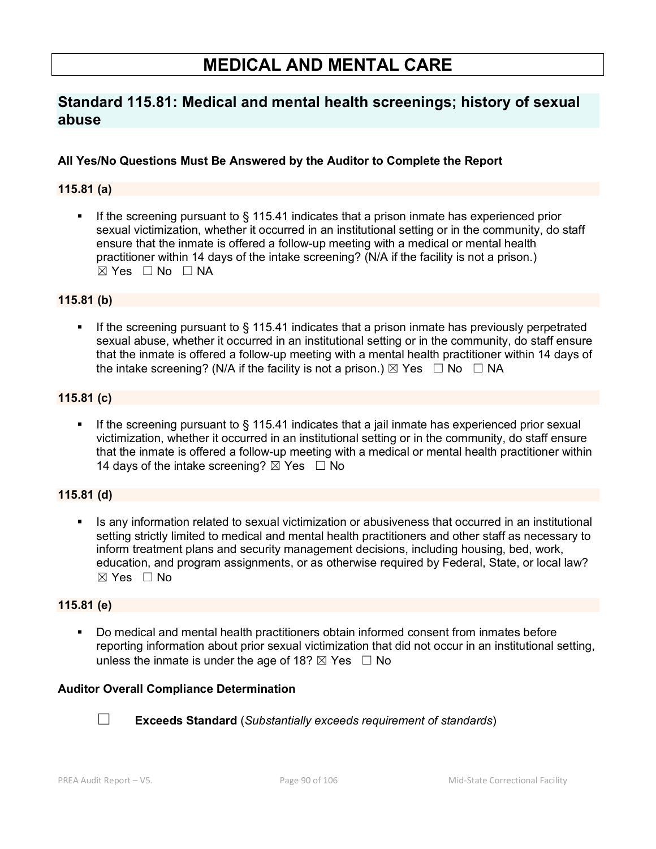# **MEDICAL AND MENTAL CARE**

# **Standard 115.81: Medical and mental health screenings; history of sexual abuse**

## **All Yes/No Questions Must Be Answered by the Auditor to Complete the Report**

## **115.81 (a)**

If the screening pursuant to  $\S$  115.41 indicates that a prison inmate has experienced prior sexual victimization, whether it occurred in an institutional setting or in the community, do staff ensure that the inmate is offered a follow-up meeting with a medical or mental health practitioner within 14 days of the intake screening? (N/A if the facility is not a prison.)  $\boxtimes$  Yes  $\Box$  No  $\Box$  NA

## **115.81 (b)**

 If the screening pursuant to § 115.41 indicates that a prison inmate has previously perpetrated sexual abuse, whether it occurred in an institutional setting or in the community, do staff ensure that the inmate is offered a follow-up meeting with a mental health practitioner within 14 days of the intake screening? (N/A if the facility is not a prison.)  $\boxtimes$  Yes  $\Box$  No  $\Box$  NA

## **115.81 (c)**

If the screening pursuant to § 115.41 indicates that a jail inmate has experienced prior sexual victimization, whether it occurred in an institutional setting or in the community, do staff ensure that the inmate is offered a follow-up meeting with a medical or mental health practitioner within 14 days of the intake screening?  $\boxtimes$  Yes  $\Box$  No

## **115.81 (d)**

**In any information related to sexual victimization or abusiveness that occurred in an institutional** setting strictly limited to medical and mental health practitioners and other staff as necessary to inform treatment plans and security management decisions, including housing, bed, work, education, and program assignments, or as otherwise required by Federal, State, or local law?  $\boxtimes$  Yes  $\Box$  No

## **115.81 (e)**

 Do medical and mental health practitioners obtain informed consent from inmates before reporting information about prior sexual victimization that did not occur in an institutional setting, unless the inmate is under the age of 18?  $\boxtimes$  Yes  $\Box$  No

## **Auditor Overall Compliance Determination**



☐ **Exceeds Standard** (*Substantially exceeds requirement of standards*)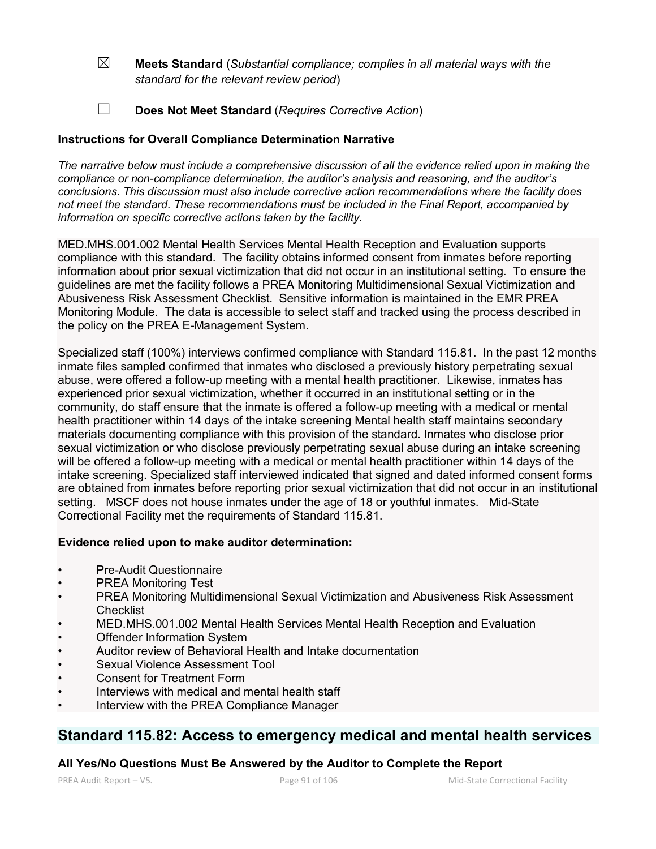- ☒ **Meets Standard** (*Substantial compliance; complies in all material ways with the standard for the relevant review period*)
- ☐ **Does Not Meet Standard** (*Requires Corrective Action*)

## **Instructions for Overall Compliance Determination Narrative**

*The narrative below must include a comprehensive discussion of all the evidence relied upon in making the compliance or non-compliance determination, the auditor's analysis and reasoning, and the auditor's conclusions. This discussion must also include corrective action recommendations where the facility does not meet the standard. These recommendations must be included in the Final Report, accompanied by information on specific corrective actions taken by the facility.*

MED.MHS.001.002 Mental Health Services Mental Health Reception and Evaluation supports compliance with this standard. The facility obtains informed consent from inmates before reporting information about prior sexual victimization that did not occur in an institutional setting. To ensure the guidelines are met the facility follows a PREA Monitoring Multidimensional Sexual Victimization and Abusiveness Risk Assessment Checklist. Sensitive information is maintained in the EMR PREA Monitoring Module. The data is accessible to select staff and tracked using the process described in the policy on the PREA E-Management System.

Specialized staff (100%) interviews confirmed compliance with Standard 115.81. In the past 12 months inmate files sampled confirmed that inmates who disclosed a previously history perpetrating sexual abuse, were offered a follow-up meeting with a mental health practitioner. Likewise, inmates has experienced prior sexual victimization, whether it occurred in an institutional setting or in the community, do staff ensure that the inmate is offered a follow-up meeting with a medical or mental health practitioner within 14 days of the intake screening Mental health staff maintains secondary materials documenting compliance with this provision of the standard. Inmates who disclose prior sexual victimization or who disclose previously perpetrating sexual abuse during an intake screening will be offered a follow-up meeting with a medical or mental health practitioner within 14 days of the intake screening. Specialized staff interviewed indicated that signed and dated informed consent forms are obtained from inmates before reporting prior sexual victimization that did not occur in an institutional setting. MSCF does not house inmates under the age of 18 or youthful inmates. Mid-State Correctional Facility met the requirements of Standard 115.81.

## **Evidence relied upon to make auditor determination:**

- Pre-Audit Questionnaire
- PREA Monitoring Test
- PREA Monitoring Multidimensional Sexual Victimization and Abusiveness Risk Assessment **Checklist**
- MED.MHS.001.002 Mental Health Services Mental Health Reception and Evaluation
- **Offender Information System**
- Auditor review of Behavioral Health and Intake documentation
- Sexual Violence Assessment Tool
- Consent for Treatment Form
- Interviews with medical and mental health staff
- Interview with the PREA Compliance Manager

# **Standard 115.82: Access to emergency medical and mental health services**

## **All Yes/No Questions Must Be Answered by the Auditor to Complete the Report**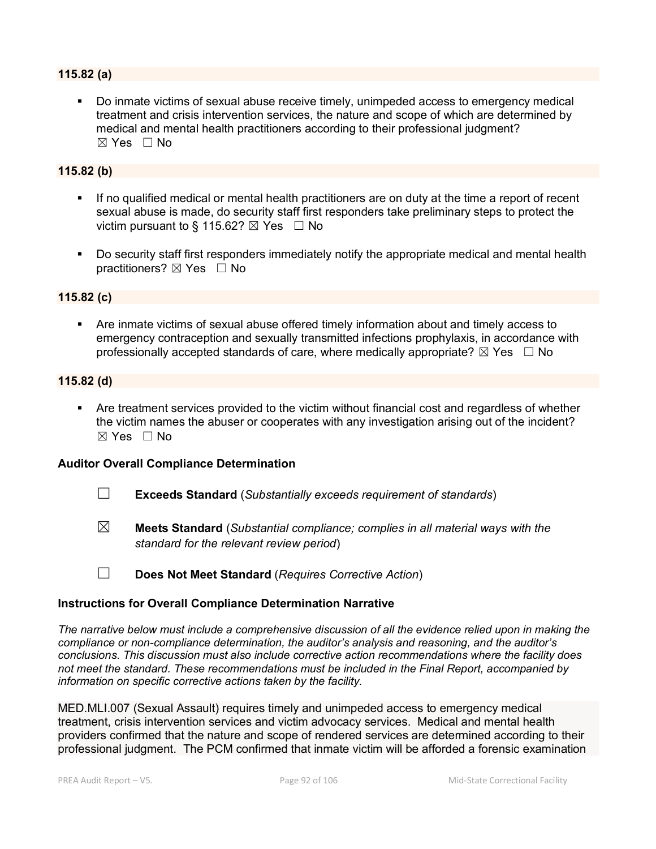## **115.82 (a)**

 Do inmate victims of sexual abuse receive timely, unimpeded access to emergency medical treatment and crisis intervention services, the nature and scope of which are determined by medical and mental health practitioners according to their professional judgment?  $\boxtimes$  Yes  $\Box$  No

#### **115.82 (b)**

- If no qualified medical or mental health practitioners are on duty at the time a report of recent sexual abuse is made, do security staff first responders take preliminary steps to protect the victim pursuant to § 115.62?  $\boxtimes$  Yes  $\Box$  No
- Do security staff first responders immediately notify the appropriate medical and mental health practitioners? ⊠ Yes □ No

#### **115.82 (c)**

 Are inmate victims of sexual abuse offered timely information about and timely access to emergency contraception and sexually transmitted infections prophylaxis, in accordance with professionally accepted standards of care, where medically appropriate?  $\boxtimes$  Yes  $\Box$  No

#### **115.82 (d)**

 Are treatment services provided to the victim without financial cost and regardless of whether the victim names the abuser or cooperates with any investigation arising out of the incident?  $\boxtimes$  Yes  $\Box$  No

#### **Auditor Overall Compliance Determination**

- ☐ **Exceeds Standard** (*Substantially exceeds requirement of standards*)
- ☒ **Meets Standard** (*Substantial compliance; complies in all material ways with the standard for the relevant review period*)
- ☐ **Does Not Meet Standard** (*Requires Corrective Action*)

#### **Instructions for Overall Compliance Determination Narrative**

*The narrative below must include a comprehensive discussion of all the evidence relied upon in making the compliance or non-compliance determination, the auditor's analysis and reasoning, and the auditor's conclusions. This discussion must also include corrective action recommendations where the facility does not meet the standard. These recommendations must be included in the Final Report, accompanied by information on specific corrective actions taken by the facility.*

MED.MLI.007 (Sexual Assault) requires timely and unimpeded access to emergency medical treatment, crisis intervention services and victim advocacy services. Medical and mental health providers confirmed that the nature and scope of rendered services are determined according to their professional judgment. The PCM confirmed that inmate victim will be afforded a forensic examination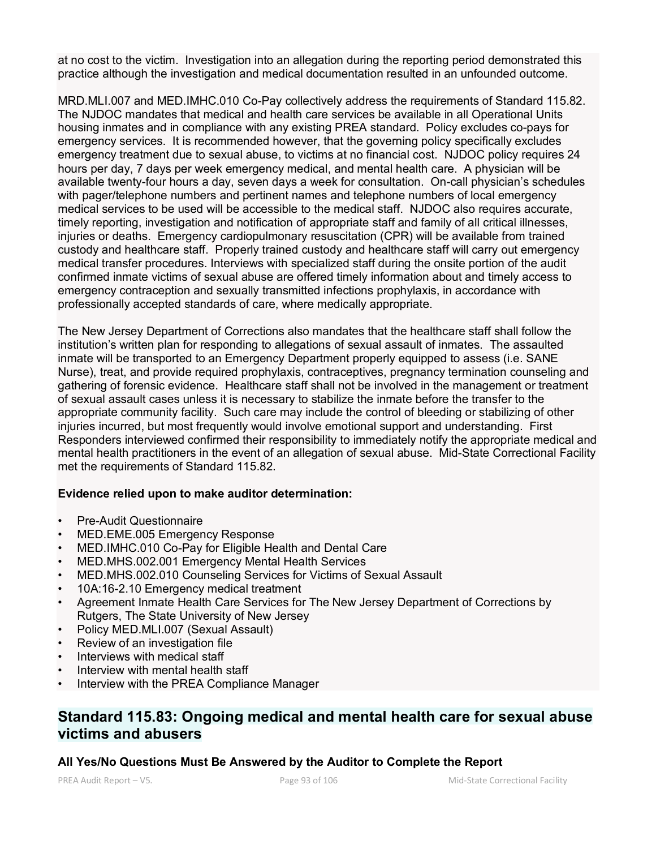at no cost to the victim. Investigation into an allegation during the reporting period demonstrated this practice although the investigation and medical documentation resulted in an unfounded outcome.

MRD.MLI.007 and MED.IMHC.010 Co-Pay collectively address the requirements of Standard 115.82. The NJDOC mandates that medical and health care services be available in all Operational Units housing inmates and in compliance with any existing PREA standard. Policy excludes co-pays for emergency services. It is recommended however, that the governing policy specifically excludes emergency treatment due to sexual abuse, to victims at no financial cost. NJDOC policy requires 24 hours per day, 7 days per week emergency medical, and mental health care. A physician will be available twenty-four hours a day, seven days a week for consultation. On-call physician's schedules with pager/telephone numbers and pertinent names and telephone numbers of local emergency medical services to be used will be accessible to the medical staff. NJDOC also requires accurate, timely reporting, investigation and notification of appropriate staff and family of all critical illnesses, injuries or deaths. Emergency cardiopulmonary resuscitation (CPR) will be available from trained custody and healthcare staff. Properly trained custody and healthcare staff will carry out emergency medical transfer procedures. Interviews with specialized staff during the onsite portion of the audit confirmed inmate victims of sexual abuse are offered timely information about and timely access to emergency contraception and sexually transmitted infections prophylaxis, in accordance with professionally accepted standards of care, where medically appropriate.

The New Jersey Department of Corrections also mandates that the healthcare staff shall follow the institution's written plan for responding to allegations of sexual assault of inmates. The assaulted inmate will be transported to an Emergency Department properly equipped to assess (i.e. SANE Nurse), treat, and provide required prophylaxis, contraceptives, pregnancy termination counseling and gathering of forensic evidence. Healthcare staff shall not be involved in the management or treatment of sexual assault cases unless it is necessary to stabilize the inmate before the transfer to the appropriate community facility. Such care may include the control of bleeding or stabilizing of other injuries incurred, but most frequently would involve emotional support and understanding. First Responders interviewed confirmed their responsibility to immediately notify the appropriate medical and mental health practitioners in the event of an allegation of sexual abuse. Mid-State Correctional Facility met the requirements of Standard 115.82.

## **Evidence relied upon to make auditor determination:**

- Pre-Audit Questionnaire
- MED.EME.005 Emergency Response
- MED.IMHC.010 Co-Pay for Eligible Health and Dental Care
- MED.MHS.002.001 Emergency Mental Health Services
- MED.MHS.002.010 Counseling Services for Victims of Sexual Assault
- 10A:16-2.10 Emergency medical treatment
- Agreement Inmate Health Care Services for The New Jersey Department of Corrections by Rutgers, The State University of New Jersey
- Policy MED.MLI.007 (Sexual Assault)
- Review of an investigation file
- Interviews with medical staff
- Interview with mental health staff
- Interview with the PREA Compliance Manager

# **Standard 115.83: Ongoing medical and mental health care for sexual abuse victims and abusers**

## **All Yes/No Questions Must Be Answered by the Auditor to Complete the Report**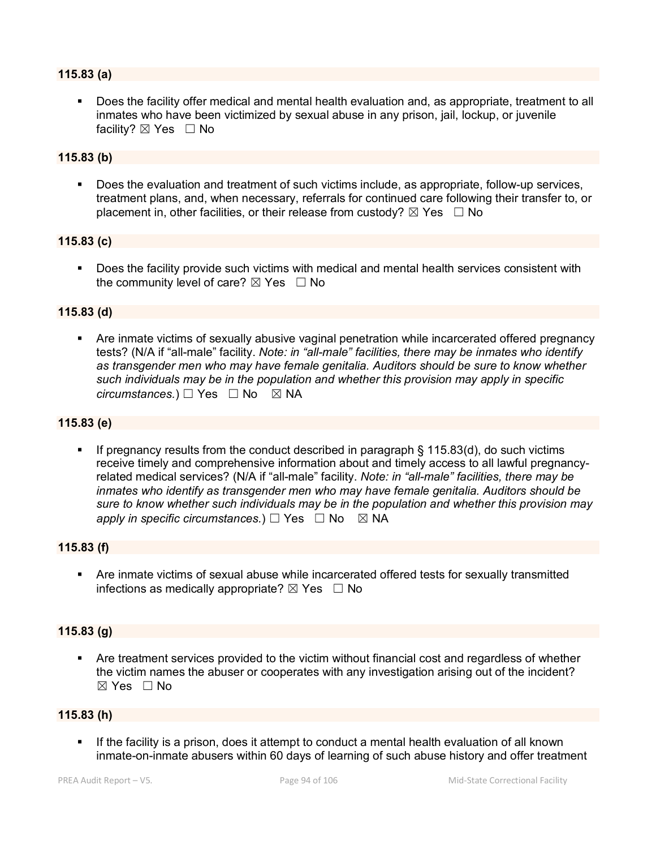#### **115.83 (a)**

 Does the facility offer medical and mental health evaluation and, as appropriate, treatment to all inmates who have been victimized by sexual abuse in any prison, jail, lockup, or juvenile facility? ⊠ Yes □ No

#### **115.83 (b)**

 Does the evaluation and treatment of such victims include, as appropriate, follow-up services, treatment plans, and, when necessary, referrals for continued care following their transfer to, or placement in, other facilities, or their release from custody?  $\boxtimes$  Yes  $\Box$  No

#### **115.83 (c)**

 Does the facility provide such victims with medical and mental health services consistent with the community level of care?  $\boxtimes$  Yes  $\Box$  No

#### **115.83 (d)**

 Are inmate victims of sexually abusive vaginal penetration while incarcerated offered pregnancy tests? (N/A if "all-male" facility. *Note: in "all-male" facilities, there may be inmates who identify as transgender men who may have female genitalia. Auditors should be sure to know whether such individuals may be in the population and whether this provision may apply in specific circumstances.*) □ Yes □ No ⊠ NA

#### **115.83 (e)**

 If pregnancy results from the conduct described in paragraph § 115.83(d), do such victims receive timely and comprehensive information about and timely access to all lawful pregnancyrelated medical services? (N/A if "all-male" facility. *Note: in "all-male" facilities, there may be inmates who identify as transgender men who may have female genitalia. Auditors should be sure to know whether such individuals may be in the population and whether this provision may apply in specific circumstances.*)  $\Box$  Yes  $\Box$  No  $\boxtimes$  NA

#### **115.83 (f)**

 Are inmate victims of sexual abuse while incarcerated offered tests for sexually transmitted infections as medically appropriate?  $\boxtimes$  Yes  $\Box$  No

#### **115.83 (g)**

 Are treatment services provided to the victim without financial cost and regardless of whether the victim names the abuser or cooperates with any investigation arising out of the incident?  $\boxtimes$  Yes  $\Box$  No

#### **115.83 (h)**

 If the facility is a prison, does it attempt to conduct a mental health evaluation of all known inmate-on-inmate abusers within 60 days of learning of such abuse history and offer treatment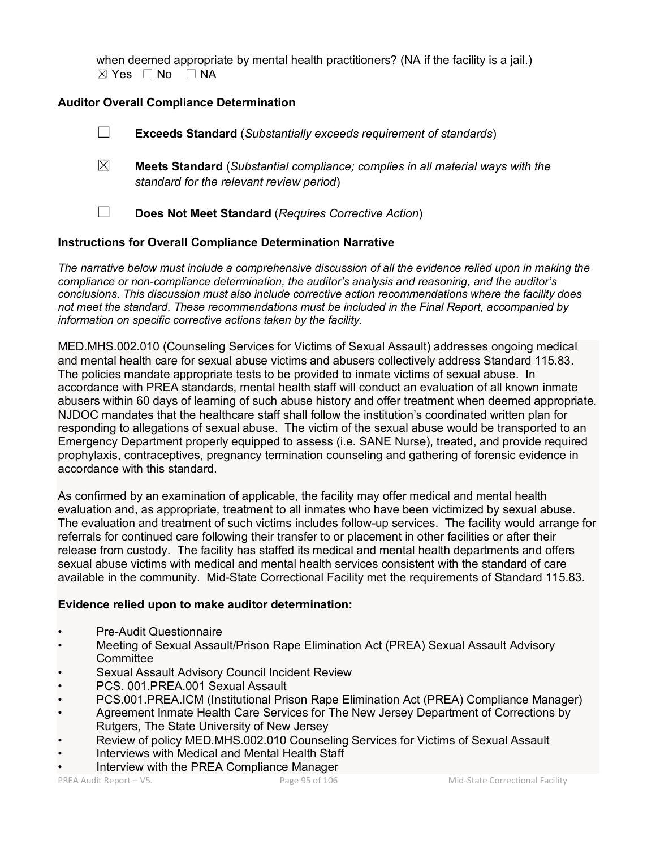when deemed appropriate by mental health practitioners? (NA if the facility is a jail.)  $⊠ Yes ⊡ No ⊡ NA$ 

## **Auditor Overall Compliance Determination**

☐ **Exceeds Standard** (*Substantially exceeds requirement of standards*)

☒ **Meets Standard** (*Substantial compliance; complies in all material ways with the standard for the relevant review period*)

☐ **Does Not Meet Standard** (*Requires Corrective Action*)

## **Instructions for Overall Compliance Determination Narrative**

*The narrative below must include a comprehensive discussion of all the evidence relied upon in making the compliance or non-compliance determination, the auditor's analysis and reasoning, and the auditor's conclusions. This discussion must also include corrective action recommendations where the facility does not meet the standard. These recommendations must be included in the Final Report, accompanied by information on specific corrective actions taken by the facility.*

MED.MHS.002.010 (Counseling Services for Victims of Sexual Assault) addresses ongoing medical and mental health care for sexual abuse victims and abusers collectively address Standard 115.83. The policies mandate appropriate tests to be provided to inmate victims of sexual abuse. In accordance with PREA standards, mental health staff will conduct an evaluation of all known inmate abusers within 60 days of learning of such abuse history and offer treatment when deemed appropriate. NJDOC mandates that the healthcare staff shall follow the institution's coordinated written plan for responding to allegations of sexual abuse. The victim of the sexual abuse would be transported to an Emergency Department properly equipped to assess (i.e. SANE Nurse), treated, and provide required prophylaxis, contraceptives, pregnancy termination counseling and gathering of forensic evidence in accordance with this standard.

As confirmed by an examination of applicable, the facility may offer medical and mental health evaluation and, as appropriate, treatment to all inmates who have been victimized by sexual abuse. The evaluation and treatment of such victims includes follow-up services. The facility would arrange for referrals for continued care following their transfer to or placement in other facilities or after their release from custody. The facility has staffed its medical and mental health departments and offers sexual abuse victims with medical and mental health services consistent with the standard of care available in the community. Mid-State Correctional Facility met the requirements of Standard 115.83.

## **Evidence relied upon to make auditor determination:**

- Pre-Audit Questionnaire
- Meeting of Sexual Assault/Prison Rape Elimination Act (PREA) Sexual Assault Advisory **Committee**
- Sexual Assault Advisory Council Incident Review
- PCS. 001. PREA. 001 Sexual Assault
- PCS.001.PREA.ICM (Institutional Prison Rape Elimination Act (PREA) Compliance Manager)
- Agreement Inmate Health Care Services for The New Jersey Department of Corrections by Rutgers, The State University of New Jersey
- Review of policy MED.MHS.002.010 Counseling Services for Victims of Sexual Assault
- Interviews with Medical and Mental Health Staff
- Interview with the PREA Compliance Manager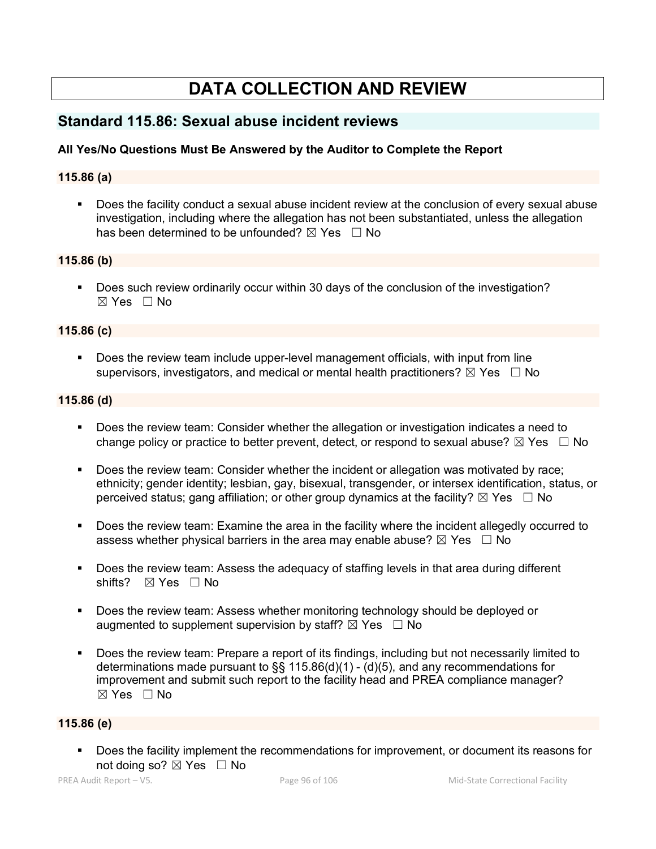# **DATA COLLECTION AND REVIEW**

## **Standard 115.86: Sexual abuse incident reviews**

## **All Yes/No Questions Must Be Answered by the Auditor to Complete the Report**

## **115.86 (a)**

 Does the facility conduct a sexual abuse incident review at the conclusion of every sexual abuse investigation, including where the allegation has not been substantiated, unless the allegation has been determined to be unfounded?  $\boxtimes$  Yes  $\Box$  No

#### **115.86 (b)**

 Does such review ordinarily occur within 30 days of the conclusion of the investigation? ☒ Yes ☐ No

#### **115.86 (c)**

 Does the review team include upper-level management officials, with input from line supervisors, investigators, and medical or mental health practitioners?  $\boxtimes$  Yes  $\Box$  No

#### **115.86 (d)**

- Does the review team: Consider whether the allegation or investigation indicates a need to change policy or practice to better prevent, detect, or respond to sexual abuse?  $\boxtimes$  Yes  $\Box$  No
- Does the review team: Consider whether the incident or allegation was motivated by race; ethnicity; gender identity; lesbian, gay, bisexual, transgender, or intersex identification, status, or perceived status; gang affiliation; or other group dynamics at the facility?  $\boxtimes$  Yes  $\Box$  No
- Does the review team: Examine the area in the facility where the incident allegedly occurred to assess whether physical barriers in the area may enable abuse?  $\boxtimes$  Yes  $\Box$  No
- Does the review team: Assess the adequacy of staffing levels in that area during different shifts? ⊠ Yes □ No
- Does the review team: Assess whether monitoring technology should be deployed or augmented to supplement supervision by staff?  $\boxtimes$  Yes  $\Box$  No
- Does the review team: Prepare a report of its findings, including but not necessarily limited to determinations made pursuant to §§ 115.86(d)(1) - (d)(5), and any recommendations for improvement and submit such report to the facility head and PREA compliance manager?  $\boxtimes$  Yes  $\Box$  No

## **115.86 (e)**

 Does the facility implement the recommendations for improvement, or document its reasons for not doing so?  $\boxtimes$  Yes  $\Box$  No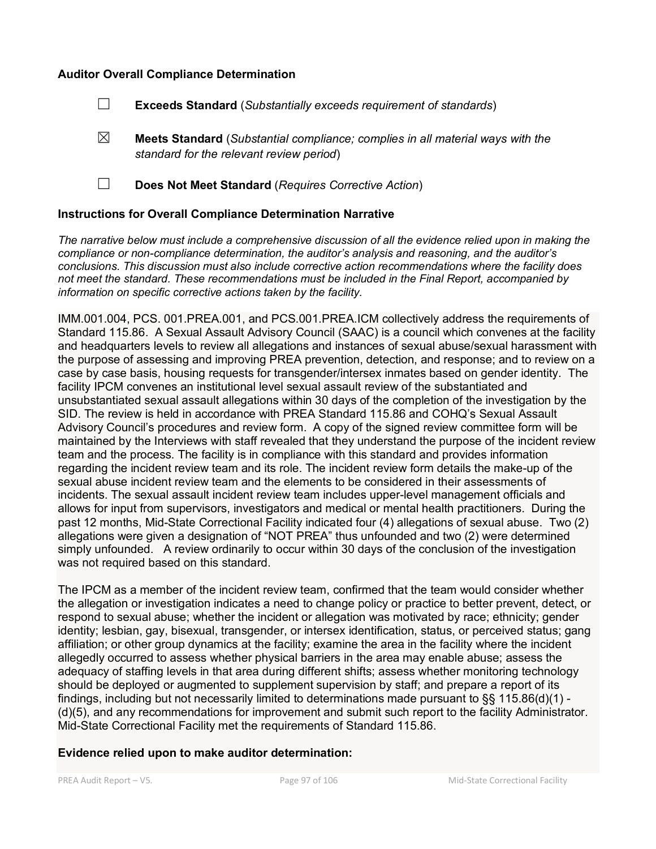#### **Auditor Overall Compliance Determination**

- ☐ **Exceeds Standard** (*Substantially exceeds requirement of standards*)
- ☒ **Meets Standard** (*Substantial compliance; complies in all material ways with the standard for the relevant review period*)
- ☐ **Does Not Meet Standard** (*Requires Corrective Action*)

#### **Instructions for Overall Compliance Determination Narrative**

*The narrative below must include a comprehensive discussion of all the evidence relied upon in making the compliance or non-compliance determination, the auditor's analysis and reasoning, and the auditor's conclusions. This discussion must also include corrective action recommendations where the facility does not meet the standard. These recommendations must be included in the Final Report, accompanied by information on specific corrective actions taken by the facility.*

IMM.001.004, PCS. 001.PREA.001, and PCS.001.PREA.ICM collectively address the requirements of Standard 115.86. A Sexual Assault Advisory Council (SAAC) is a council which convenes at the facility and headquarters levels to review all allegations and instances of sexual abuse/sexual harassment with the purpose of assessing and improving PREA prevention, detection, and response; and to review on a case by case basis, housing requests for transgender/intersex inmates based on gender identity. The facility IPCM convenes an institutional level sexual assault review of the substantiated and unsubstantiated sexual assault allegations within 30 days of the completion of the investigation by the SID. The review is held in accordance with PREA Standard 115.86 and COHQ's Sexual Assault Advisory Council's procedures and review form. A copy of the signed review committee form will be maintained by the Interviews with staff revealed that they understand the purpose of the incident review team and the process. The facility is in compliance with this standard and provides information regarding the incident review team and its role. The incident review form details the make-up of the sexual abuse incident review team and the elements to be considered in their assessments of incidents. The sexual assault incident review team includes upper-level management officials and allows for input from supervisors, investigators and medical or mental health practitioners. During the past 12 months, Mid-State Correctional Facility indicated four (4) allegations of sexual abuse. Two (2) allegations were given a designation of "NOT PREA" thus unfounded and two (2) were determined simply unfounded. A review ordinarily to occur within 30 days of the conclusion of the investigation was not required based on this standard.

The IPCM as a member of the incident review team, confirmed that the team would consider whether the allegation or investigation indicates a need to change policy or practice to better prevent, detect, or respond to sexual abuse; whether the incident or allegation was motivated by race; ethnicity; gender identity; lesbian, gay, bisexual, transgender, or intersex identification, status, or perceived status; gang affiliation; or other group dynamics at the facility; examine the area in the facility where the incident allegedly occurred to assess whether physical barriers in the area may enable abuse; assess the adequacy of staffing levels in that area during different shifts; assess whether monitoring technology should be deployed or augmented to supplement supervision by staff; and prepare a report of its findings, including but not necessarily limited to determinations made pursuant to §§ 115.86(d)(1) - (d)(5), and any recommendations for improvement and submit such report to the facility Administrator. Mid-State Correctional Facility met the requirements of Standard 115.86.

## **Evidence relied upon to make auditor determination:**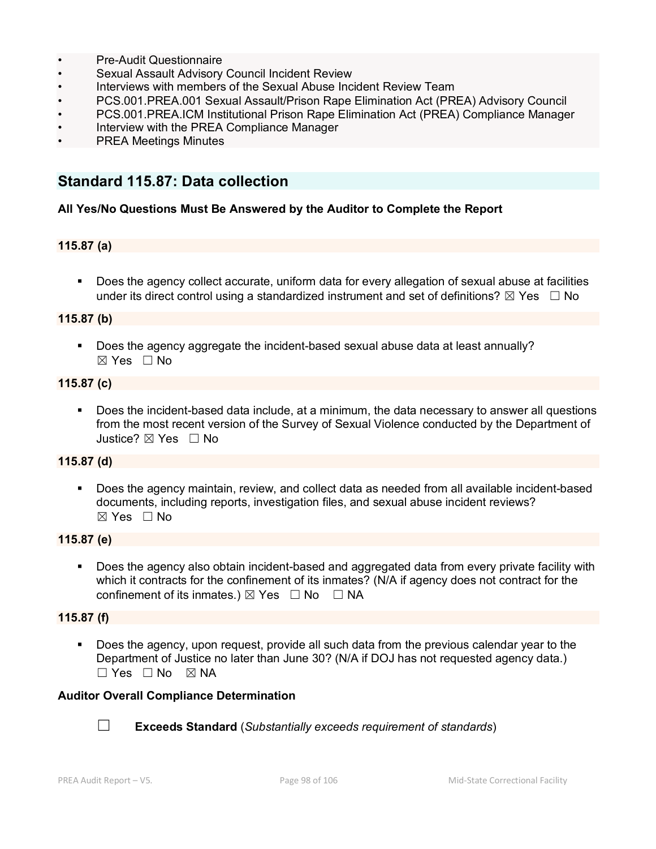- Pre-Audit Questionnaire
- Sexual Assault Advisory Council Incident Review
- Interviews with members of the Sexual Abuse Incident Review Team
- PCS.001.PREA.001 Sexual Assault/Prison Rape Elimination Act (PREA) Advisory Council
- PCS.001.PREA.ICM Institutional Prison Rape Elimination Act (PREA) Compliance Manager
- Interview with the PREA Compliance Manager
- PREA Meetings Minutes

# **Standard 115.87: Data collection**

#### **All Yes/No Questions Must Be Answered by the Auditor to Complete the Report**

#### **115.87 (a)**

**Does the agency collect accurate, uniform data for every allegation of sexual abuse at facilities** under its direct control using a standardized instrument and set of definitions?  $\boxtimes$  Yes  $\Box$  No

## **115.87 (b)**

**Does the agency aggregate the incident-based sexual abuse data at least annually?** ☒ Yes ☐ No

#### **115.87 (c)**

 Does the incident-based data include, at a minimum, the data necessary to answer all questions from the most recent version of the Survey of Sexual Violence conducted by the Department of Justice? ☒ Yes ☐ No

## **115.87 (d)**

 Does the agency maintain, review, and collect data as needed from all available incident-based documents, including reports, investigation files, and sexual abuse incident reviews?  $\boxtimes$  Yes  $\Box$  No

#### **115.87 (e)**

 Does the agency also obtain incident-based and aggregated data from every private facility with which it contracts for the confinement of its inmates? (N/A if agency does not contract for the confinement of its inmates.)  $\boxtimes$  Yes  $\Box$  No  $\Box$  NA

#### **115.87 (f)**

 Does the agency, upon request, provide all such data from the previous calendar year to the Department of Justice no later than June 30? (N/A if DOJ has not requested agency data.)  $\Box$  Yes  $\Box$  No  $\boxtimes$  NA

#### **Auditor Overall Compliance Determination**



☐ **Exceeds Standard** (*Substantially exceeds requirement of standards*)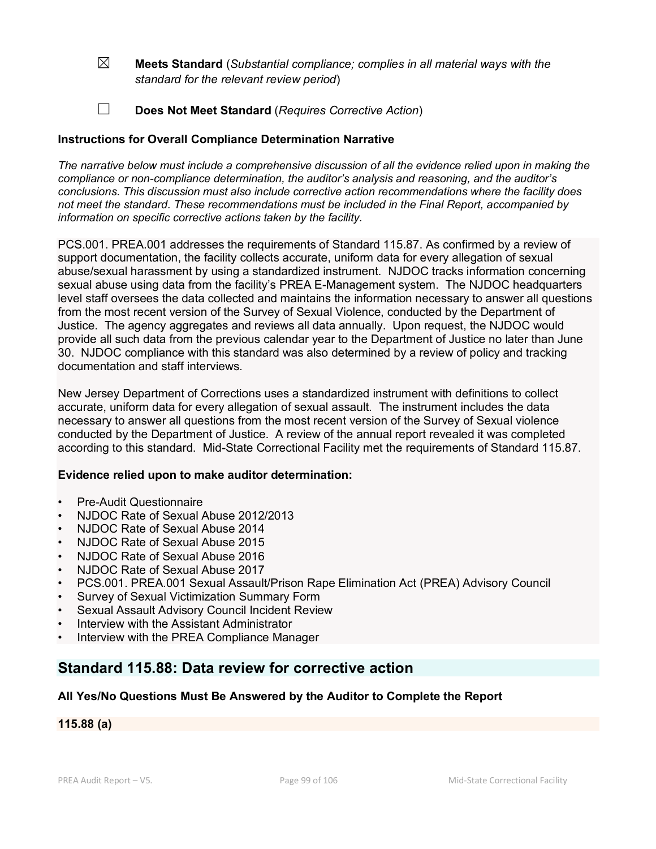- ☒ **Meets Standard** (*Substantial compliance; complies in all material ways with the standard for the relevant review period*)
- ☐ **Does Not Meet Standard** (*Requires Corrective Action*)

## **Instructions for Overall Compliance Determination Narrative**

*The narrative below must include a comprehensive discussion of all the evidence relied upon in making the compliance or non-compliance determination, the auditor's analysis and reasoning, and the auditor's conclusions. This discussion must also include corrective action recommendations where the facility does not meet the standard. These recommendations must be included in the Final Report, accompanied by information on specific corrective actions taken by the facility.*

PCS.001. PREA.001 addresses the requirements of Standard 115.87. As confirmed by a review of support documentation, the facility collects accurate, uniform data for every allegation of sexual abuse/sexual harassment by using a standardized instrument. NJDOC tracks information concerning sexual abuse using data from the facility's PREA E-Management system. The NJDOC headquarters level staff oversees the data collected and maintains the information necessary to answer all questions from the most recent version of the Survey of Sexual Violence, conducted by the Department of Justice. The agency aggregates and reviews all data annually. Upon request, the NJDOC would provide all such data from the previous calendar year to the Department of Justice no later than June 30. NJDOC compliance with this standard was also determined by a review of policy and tracking documentation and staff interviews.

New Jersey Department of Corrections uses a standardized instrument with definitions to collect accurate, uniform data for every allegation of sexual assault. The instrument includes the data necessary to answer all questions from the most recent version of the Survey of Sexual violence conducted by the Department of Justice. A review of the annual report revealed it was completed according to this standard. Mid-State Correctional Facility met the requirements of Standard 115.87.

## **Evidence relied upon to make auditor determination:**

- Pre-Audit Questionnaire
- NJDOC Rate of Sexual Abuse 2012/2013
- NJDOC Rate of Sexual Abuse 2014
- NJDOC Rate of Sexual Abuse 2015
- NJDOC Rate of Sexual Abuse 2016
- NJDOC Rate of Sexual Abuse 2017
- PCS.001. PREA.001 Sexual Assault/Prison Rape Elimination Act (PREA) Advisory Council
- Survey of Sexual Victimization Summary Form
- Sexual Assault Advisory Council Incident Review
- Interview with the Assistant Administrator
- Interview with the PREA Compliance Manager

# **Standard 115.88: Data review for corrective action**

## **All Yes/No Questions Must Be Answered by the Auditor to Complete the Report**

**115.88 (a)**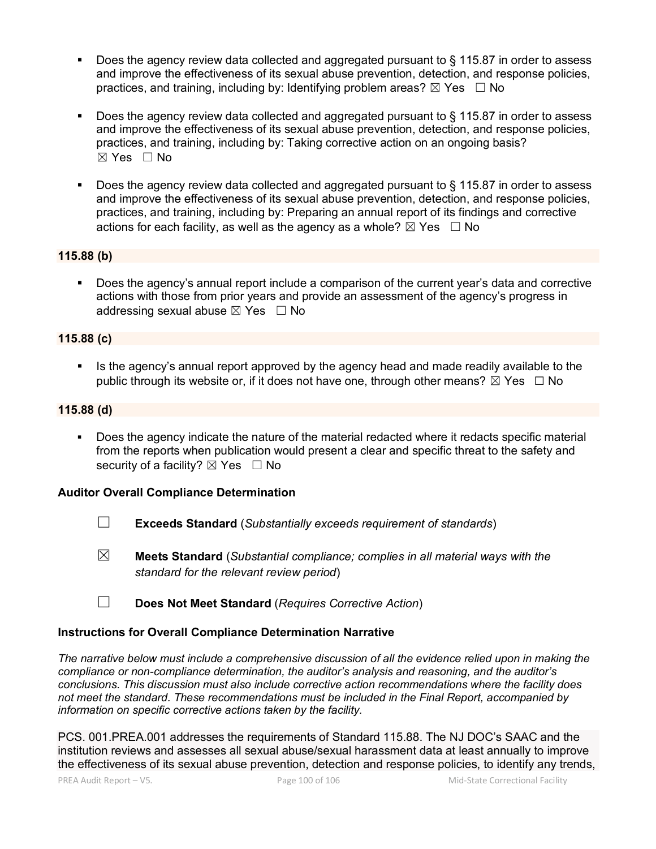- Does the agency review data collected and aggregated pursuant to § 115.87 in order to assess and improve the effectiveness of its sexual abuse prevention, detection, and response policies, practices, and training, including by: Identifying problem areas?  $\boxtimes$  Yes  $\Box$  No
- Does the agency review data collected and aggregated pursuant to § 115.87 in order to assess and improve the effectiveness of its sexual abuse prevention, detection, and response policies, practices, and training, including by: Taking corrective action on an ongoing basis? ☒ Yes ☐ No
- Does the agency review data collected and aggregated pursuant to § 115.87 in order to assess and improve the effectiveness of its sexual abuse prevention, detection, and response policies, practices, and training, including by: Preparing an annual report of its findings and corrective actions for each facility, as well as the agency as a whole?  $\boxtimes$  Yes  $\Box$  No

## **115.88 (b)**

 Does the agency's annual report include a comparison of the current year's data and corrective actions with those from prior years and provide an assessment of the agency's progress in addressing sexual abuse  $\boxtimes$  Yes  $\Box$  No

## **115.88 (c)**

Is the agency's annual report approved by the agency head and made readily available to the public through its website or, if it does not have one, through other means?  $\boxtimes$  Yes  $\Box$  No

## **115.88 (d)**

 Does the agency indicate the nature of the material redacted where it redacts specific material from the reports when publication would present a clear and specific threat to the safety and security of a facility?  $\boxtimes$  Yes  $\Box$  No

## **Auditor Overall Compliance Determination**

- ☐ **Exceeds Standard** (*Substantially exceeds requirement of standards*)
- ☒ **Meets Standard** (*Substantial compliance; complies in all material ways with the standard for the relevant review period*)
- ☐ **Does Not Meet Standard** (*Requires Corrective Action*)

## **Instructions for Overall Compliance Determination Narrative**

*The narrative below must include a comprehensive discussion of all the evidence relied upon in making the compliance or non-compliance determination, the auditor's analysis and reasoning, and the auditor's conclusions. This discussion must also include corrective action recommendations where the facility does not meet the standard. These recommendations must be included in the Final Report, accompanied by information on specific corrective actions taken by the facility.*

PCS. 001.PREA.001 addresses the requirements of Standard 115.88. The NJ DOC's SAAC and the institution reviews and assesses all sexual abuse/sexual harassment data at least annually to improve the effectiveness of its sexual abuse prevention, detection and response policies, to identify any trends,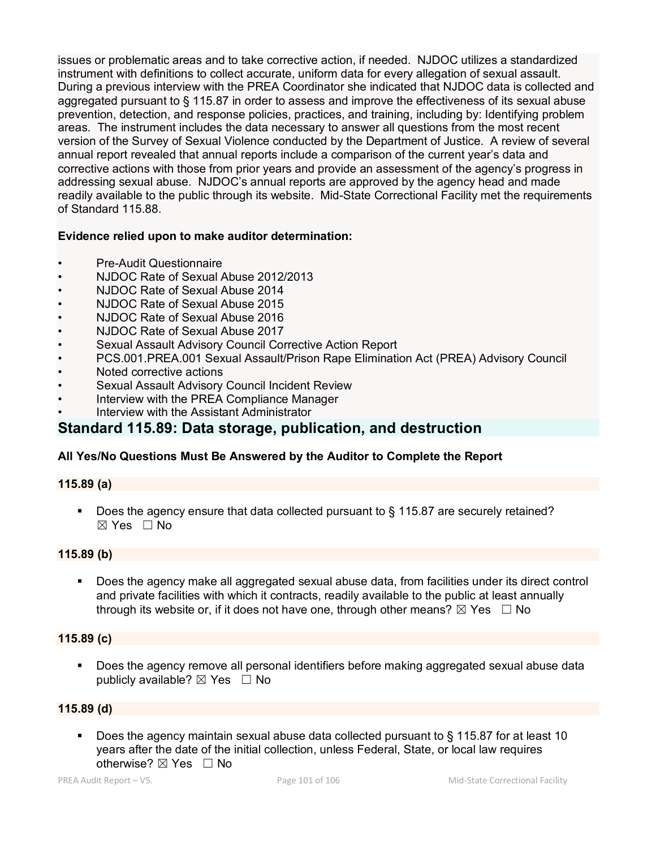issues or problematic areas and to take corrective action, if needed. NJDOC utilizes a standardized instrument with definitions to collect accurate, uniform data for every allegation of sexual assault. During a previous interview with the PREA Coordinator she indicated that NJDOC data is collected and aggregated pursuant to § 115.87 in order to assess and improve the effectiveness of its sexual abuse prevention, detection, and response policies, practices, and training, including by: Identifying problem areas. The instrument includes the data necessary to answer all questions from the most recent version of the Survey of Sexual Violence conducted by the Department of Justice. A review of several annual report revealed that annual reports include a comparison of the current year's data and corrective actions with those from prior years and provide an assessment of the agency's progress in addressing sexual abuse. NJDOC's annual reports are approved by the agency head and made readily available to the public through its website. Mid-State Correctional Facility met the requirements of Standard 115.88.

## **Evidence relied upon to make auditor determination:**

- Pre-Audit Questionnaire
- NJDOC Rate of Sexual Abuse 2012/2013
- NJDOC Rate of Sexual Abuse 2014
- NJDOC Rate of Sexual Abuse 2015
- NJDOC Rate of Sexual Abuse 2016
- NJDOC Rate of Sexual Abuse 2017
- Sexual Assault Advisory Council Corrective Action Report
- PCS.001.PREA.001 Sexual Assault/Prison Rape Elimination Act (PREA) Advisory Council
- Noted corrective actions
- Sexual Assault Advisory Council Incident Review
- Interview with the PREA Compliance Manager
- Interview with the Assistant Administrator

## **Standard 115.89: Data storage, publication, and destruction**

## **All Yes/No Questions Must Be Answered by the Auditor to Complete the Report**

## **115.89 (a)**

■ Does the agency ensure that data collected pursuant to § 115.87 are securely retained? ☒ Yes ☐ No

## **115.89 (b)**

 Does the agency make all aggregated sexual abuse data, from facilities under its direct control and private facilities with which it contracts, readily available to the public at least annually through its website or, if it does not have one, through other means?  $\boxtimes$  Yes  $\Box$  No

## **115.89 (c)**

**Does the agency remove all personal identifiers before making aggregated sexual abuse data** publicly available?  $\boxtimes$  Yes  $\Box$  No

## **115.89 (d)**

 Does the agency maintain sexual abuse data collected pursuant to § 115.87 for at least 10 years after the date of the initial collection, unless Federal, State, or local law requires otherwise?  $\boxtimes$  Yes  $\Box$  No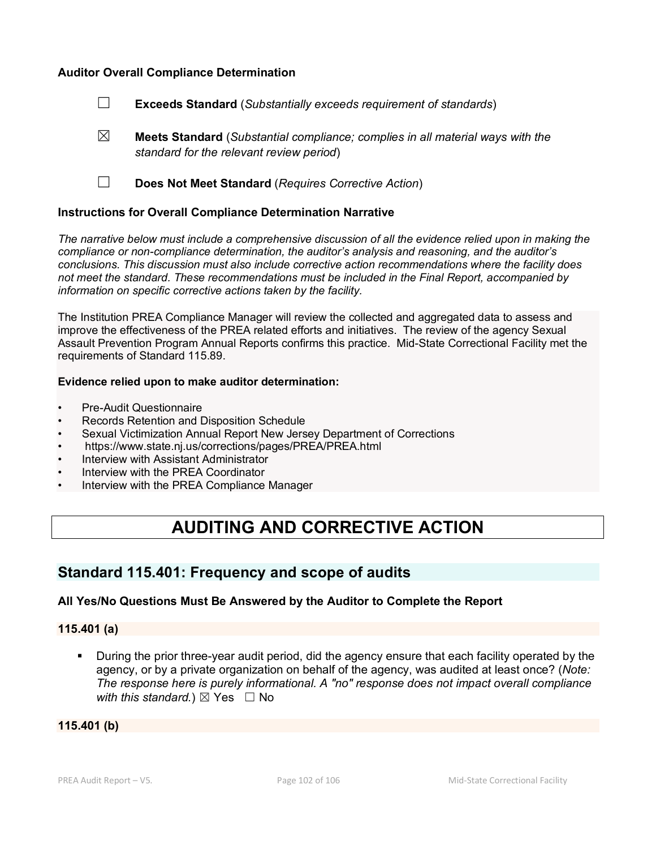#### **Auditor Overall Compliance Determination**

- ☐ **Exceeds Standard** (*Substantially exceeds requirement of standards*)
- ☒ **Meets Standard** (*Substantial compliance; complies in all material ways with the standard for the relevant review period*)
- ☐ **Does Not Meet Standard** (*Requires Corrective Action*)

#### **Instructions for Overall Compliance Determination Narrative**

*The narrative below must include a comprehensive discussion of all the evidence relied upon in making the compliance or non-compliance determination, the auditor's analysis and reasoning, and the auditor's conclusions. This discussion must also include corrective action recommendations where the facility does not meet the standard. These recommendations must be included in the Final Report, accompanied by information on specific corrective actions taken by the facility.*

The Institution PREA Compliance Manager will review the collected and aggregated data to assess and improve the effectiveness of the PREA related efforts and initiatives. The review of the agency Sexual Assault Prevention Program Annual Reports confirms this practice. Mid-State Correctional Facility met the requirements of Standard 115.89.

#### **Evidence relied upon to make auditor determination:**

- Pre-Audit Questionnaire
- Records Retention and Disposition Schedule
- Sexual Victimization Annual Report New Jersey Department of Corrections
- https://www.state.nj.us/corrections/pages/PREA/PREA.html
- Interview with Assistant Administrator
- Interview with the PREA Coordinator
- Interview with the PREA Compliance Manager

# **AUDITING AND CORRECTIVE ACTION**

## **Standard 115.401: Frequency and scope of audits**

#### **All Yes/No Questions Must Be Answered by the Auditor to Complete the Report**

#### **115.401 (a)**

 During the prior three-year audit period, did the agency ensure that each facility operated by the agency, or by a private organization on behalf of the agency, was audited at least once? (*Note: The response here is purely informational. A "no" response does not impact overall compliance with this standard.*)  $\boxtimes$  Yes  $\Box$  No

**115.401 (b)**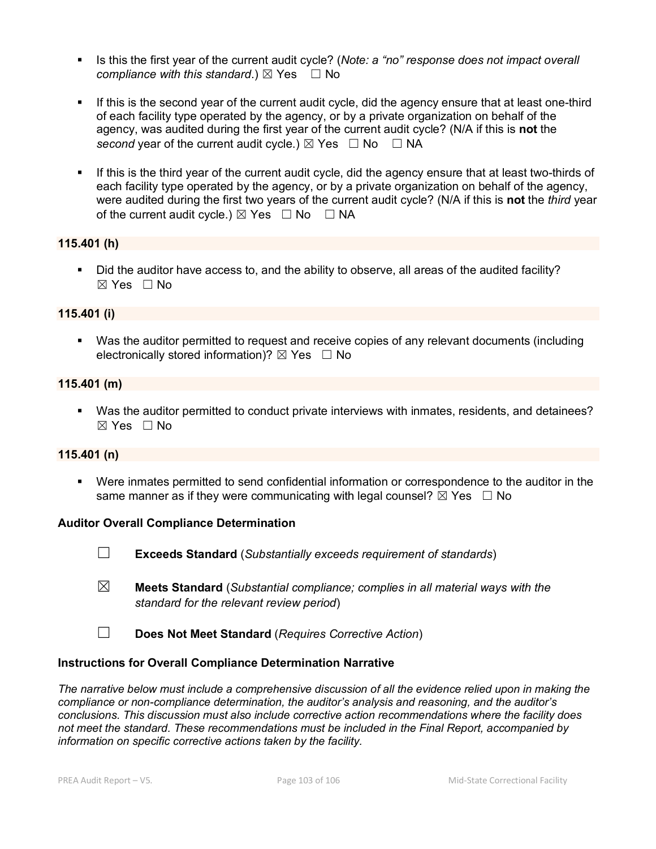- Is this the first year of the current audit cycle? (*Note: a "no" response does not impact overall compliance with this standard.*)  $\boxtimes$  Yes  $\Box$  No
- If this is the second vear of the current audit cycle, did the agency ensure that at least one-third of each facility type operated by the agency, or by a private organization on behalf of the agency, was audited during the first year of the current audit cycle? (N/A if this is **not** the *second* year of the current audit cycle.)  $\boxtimes$  Yes  $\Box$  No  $\Box$  NA
- **If this is the third year of the current audit cycle, did the agency ensure that at least two-thirds of** each facility type operated by the agency, or by a private organization on behalf of the agency, were audited during the first two years of the current audit cycle? (N/A if this is **not** the *third* year of the current audit cycle.)  $\boxtimes$  Yes  $\Box$  No  $\Box$  NA

#### **115.401 (h)**

Did the auditor have access to, and the ability to observe, all areas of the audited facility? ☒ Yes ☐ No

#### **115.401 (i)**

 Was the auditor permitted to request and receive copies of any relevant documents (including electronically stored information)?  $\boxtimes$  Yes  $\Box$  No

#### **115.401 (m)**

 Was the auditor permitted to conduct private interviews with inmates, residents, and detainees?  $\boxtimes$  Yes  $\Box$  No

#### **115.401 (n)**

 Were inmates permitted to send confidential information or correspondence to the auditor in the same manner as if they were communicating with legal counsel?  $\boxtimes$  Yes  $\Box$  No

#### **Auditor Overall Compliance Determination**

- ☐ **Exceeds Standard** (*Substantially exceeds requirement of standards*)
- ☒ **Meets Standard** (*Substantial compliance; complies in all material ways with the standard for the relevant review period*)
- ☐ **Does Not Meet Standard** (*Requires Corrective Action*)

#### **Instructions for Overall Compliance Determination Narrative**

*The narrative below must include a comprehensive discussion of all the evidence relied upon in making the compliance or non-compliance determination, the auditor's analysis and reasoning, and the auditor's conclusions. This discussion must also include corrective action recommendations where the facility does not meet the standard. These recommendations must be included in the Final Report, accompanied by information on specific corrective actions taken by the facility.*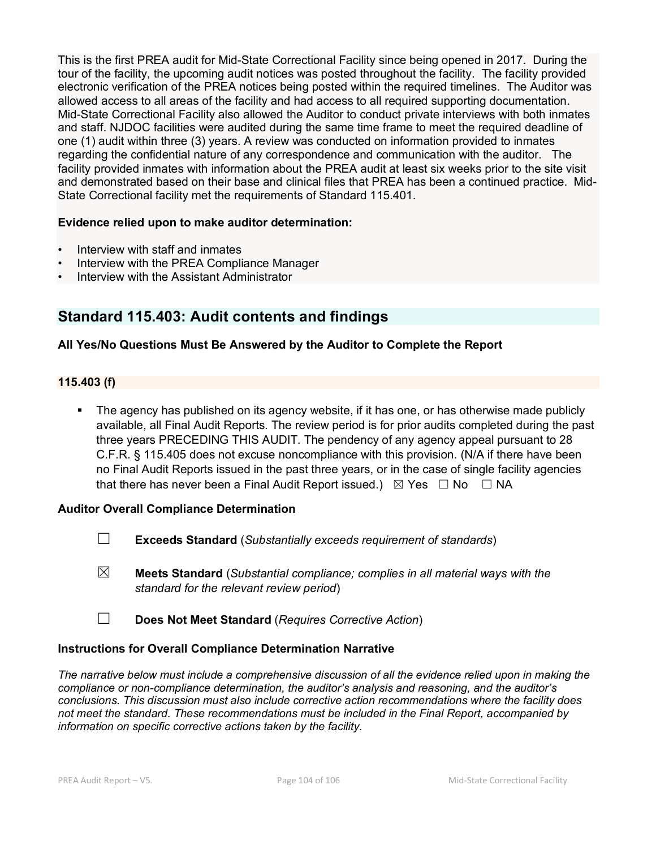This is the first PREA audit for Mid-State Correctional Facility since being opened in 2017. During the tour of the facility, the upcoming audit notices was posted throughout the facility. The facility provided electronic verification of the PREA notices being posted within the required timelines. The Auditor was allowed access to all areas of the facility and had access to all required supporting documentation. Mid-State Correctional Facility also allowed the Auditor to conduct private interviews with both inmates and staff. NJDOC facilities were audited during the same time frame to meet the required deadline of one (1) audit within three (3) years. A review was conducted on information provided to inmates regarding the confidential nature of any correspondence and communication with the auditor. The facility provided inmates with information about the PREA audit at least six weeks prior to the site visit and demonstrated based on their base and clinical files that PREA has been a continued practice. Mid-State Correctional facility met the requirements of Standard 115.401.

#### **Evidence relied upon to make auditor determination:**

- Interview with staff and inmates
- Interview with the PREA Compliance Manager
- Interview with the Assistant Administrator

# **Standard 115.403: Audit contents and findings**

## **All Yes/No Questions Must Be Answered by the Auditor to Complete the Report**

#### **115.403 (f)**

 The agency has published on its agency website, if it has one, or has otherwise made publicly available, all Final Audit Reports. The review period is for prior audits completed during the past three years PRECEDING THIS AUDIT. The pendency of any agency appeal pursuant to 28 C.F.R. § 115.405 does not excuse noncompliance with this provision. (N/A if there have been no Final Audit Reports issued in the past three years, or in the case of single facility agencies that there has never been a Final Audit Report issued.)  $\boxtimes$  Yes  $\Box$  No  $\Box$  NA

#### **Auditor Overall Compliance Determination**

- ☐ **Exceeds Standard** (*Substantially exceeds requirement of standards*)
- ☒ **Meets Standard** (*Substantial compliance; complies in all material ways with the standard for the relevant review period*)
- ☐ **Does Not Meet Standard** (*Requires Corrective Action*)

#### **Instructions for Overall Compliance Determination Narrative**

*The narrative below must include a comprehensive discussion of all the evidence relied upon in making the compliance or non-compliance determination, the auditor's analysis and reasoning, and the auditor's conclusions. This discussion must also include corrective action recommendations where the facility does not meet the standard. These recommendations must be included in the Final Report, accompanied by information on specific corrective actions taken by the facility.*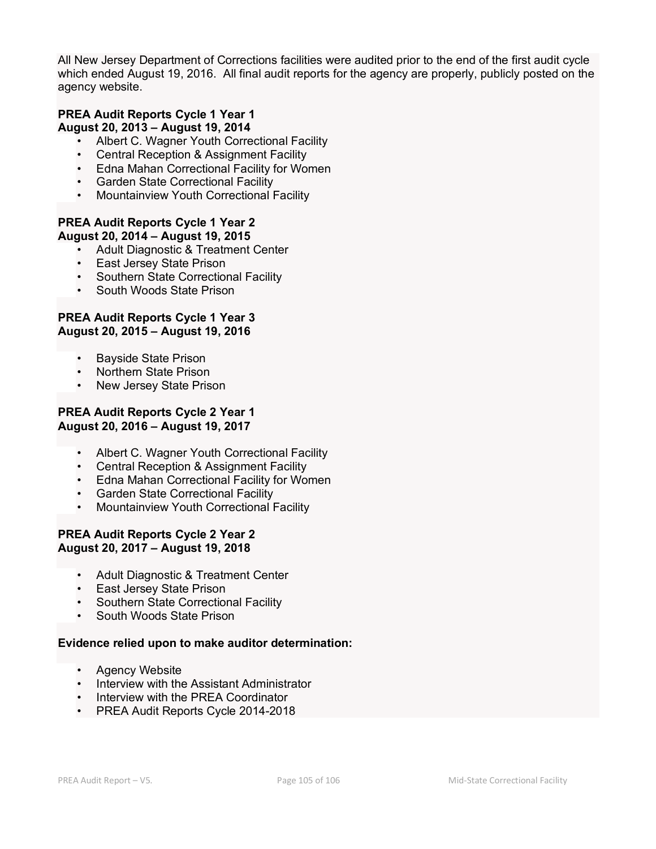All New Jersey Department of Corrections facilities were audited prior to the end of the first audit cycle which ended August 19, 2016. All final audit reports for the agency are properly, publicly posted on the agency website.

#### **PREA Audit Reports Cycle 1 Year 1 August 20, 2013 – August 19, 2014**

- Albert C. Wagner Youth Correctional Facility
- Central Reception & Assignment Facility
- Edna Mahan Correctional Facility for Women
- Garden State Correctional Facility
- Mountainview Youth Correctional Facility

#### **PREA Audit Reports Cycle 1 Year 2 August 20, 2014 – August 19, 2015**

- Adult Diagnostic & Treatment Center
- East Jersey State Prison
- Southern State Correctional Facility
- South Woods State Prison

## **PREA Audit Reports Cycle 1 Year 3 August 20, 2015 – August 19, 2016**

- Bayside State Prison
- Northern State Prison
- New Jersey State Prison

## **PREA Audit Reports Cycle 2 Year 1 August 20, 2016 – August 19, 2017**

- Albert C. Wagner Youth Correctional Facility
- Central Reception & Assignment Facility
- Edna Mahan Correctional Facility for Women
- Garden State Correctional Facility
- Mountainview Youth Correctional Facility

#### **PREA Audit Reports Cycle 2 Year 2 August 20, 2017 – August 19, 2018**

- Adult Diagnostic & Treatment Center
- East Jersey State Prison
- Southern State Correctional Facility
- South Woods State Prison

## **Evidence relied upon to make auditor determination:**

- Agency Website
- Interview with the Assistant Administrator
- Interview with the PREA Coordinator
- PREA Audit Reports Cycle 2014-2018